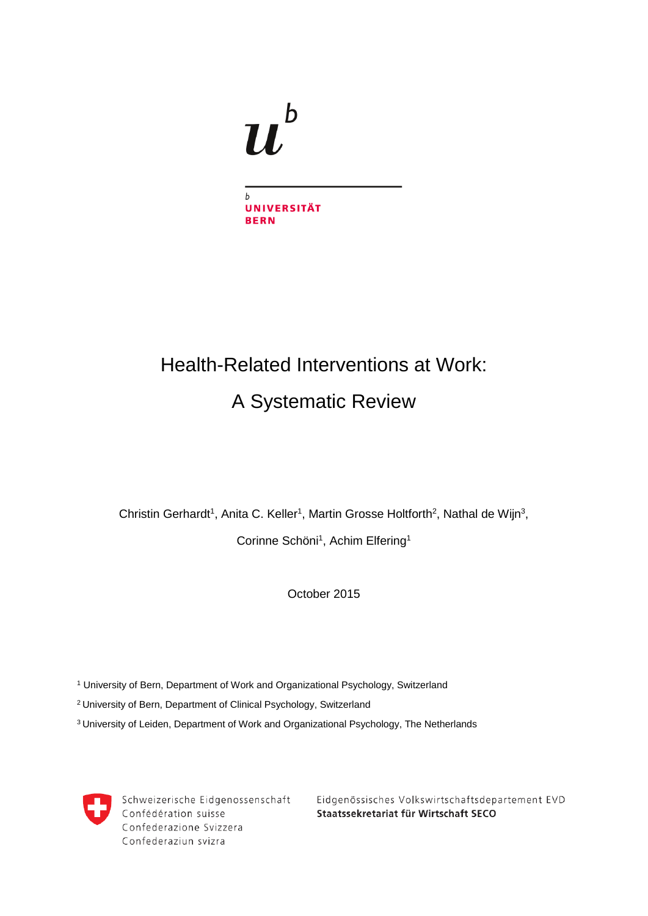

# Health-Related Interventions at Work: A Systematic Review

Christin Gerhardt<sup>1</sup>, Anita C. Keller<sup>1</sup>, Martin Grosse Holtforth<sup>2</sup>, Nathal de Wijn<sup>3</sup>,

Corinne Schöni<sup>1</sup>, Achim Elfering<sup>1</sup>

October 2015

<sup>1</sup> University of Bern, Department of Work and Organizational Psychology, Switzerland

2 University of Bern, Department of Clinical Psychology, Switzerland

<sup>3</sup> University of Leiden, Department of Work and Organizational Psychology, The Netherlands



Schweizerische Eidgenossenschaft Confédération suisse Confederazione Svizzera Confederaziun svizra

Eidgenössisches Volkswirtschaftsdepartement EVD Staatssekretariat für Wirtschaft SECO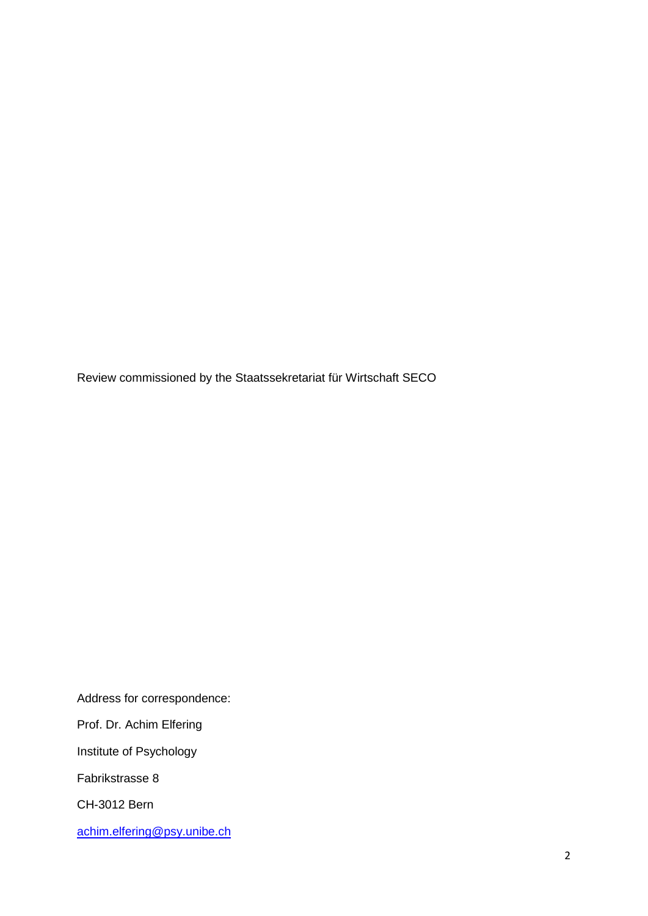Review commissioned by the Staatssekretariat für Wirtschaft SECO

Address for correspondence:

Prof. Dr. Achim Elfering

Institute of Psychology

Fabrikstrasse 8

CH-3012 Bern

[achim.elfering@psy.unibe.ch](mailto:achim.elfering@psy.unibe.ch)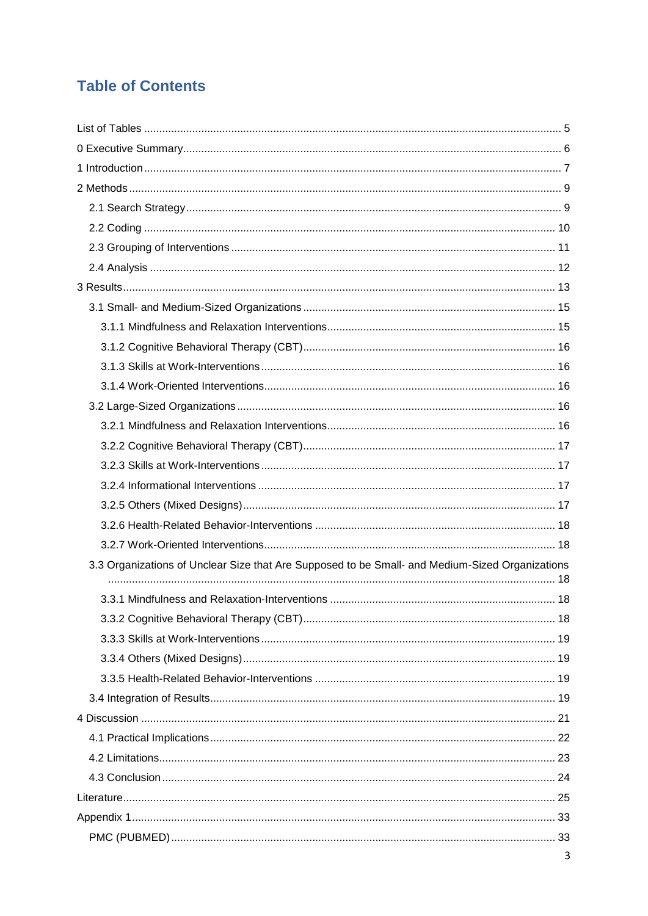# **Table of Contents**

| 3.3 Organizations of Unclear Size that Are Supposed to be Small- and Medium-Sized Organizations |  |
|-------------------------------------------------------------------------------------------------|--|
|                                                                                                 |  |
|                                                                                                 |  |
|                                                                                                 |  |
|                                                                                                 |  |
|                                                                                                 |  |
|                                                                                                 |  |
|                                                                                                 |  |
|                                                                                                 |  |
|                                                                                                 |  |
|                                                                                                 |  |
|                                                                                                 |  |
|                                                                                                 |  |
|                                                                                                 |  |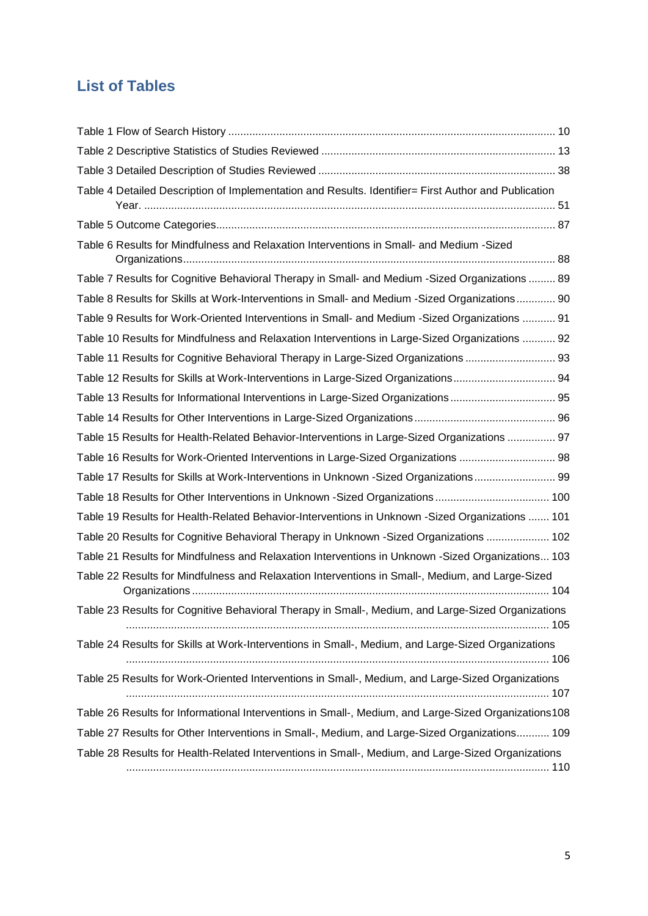# <span id="page-4-0"></span>**List of Tables**

| Table 4 Detailed Description of Implementation and Results. Identifier= First Author and Publication |  |
|------------------------------------------------------------------------------------------------------|--|
|                                                                                                      |  |
| Table 6 Results for Mindfulness and Relaxation Interventions in Small- and Medium -Sized             |  |
| Table 7 Results for Cognitive Behavioral Therapy in Small- and Medium -Sized Organizations  89       |  |
| Table 8 Results for Skills at Work-Interventions in Small- and Medium -Sized Organizations 90        |  |
| Table 9 Results for Work-Oriented Interventions in Small- and Medium -Sized Organizations  91        |  |
| Table 10 Results for Mindfulness and Relaxation Interventions in Large-Sized Organizations  92       |  |
| Table 11 Results for Cognitive Behavioral Therapy in Large-Sized Organizations  93                   |  |
| Table 12 Results for Skills at Work-Interventions in Large-Sized Organizations 94                    |  |
| Table 13 Results for Informational Interventions in Large-Sized Organizations 95                     |  |
|                                                                                                      |  |
| Table 15 Results for Health-Related Behavior-Interventions in Large-Sized Organizations  97          |  |
| Table 16 Results for Work-Oriented Interventions in Large-Sized Organizations  98                    |  |
| Table 17 Results for Skills at Work-Interventions in Unknown -Sized Organizations 99                 |  |
|                                                                                                      |  |
| Table 19 Results for Health-Related Behavior-Interventions in Unknown -Sized Organizations  101      |  |
| Table 20 Results for Cognitive Behavioral Therapy in Unknown -Sized Organizations  102               |  |
| Table 21 Results for Mindfulness and Relaxation Interventions in Unknown -Sized Organizations 103    |  |
| Table 22 Results for Mindfulness and Relaxation Interventions in Small-, Medium, and Large-Sized     |  |
| Table 23 Results for Cognitive Behavioral Therapy in Small-, Medium, and Large-Sized Organizations   |  |
| Table 24 Results for Skills at Work-Interventions in Small-, Medium, and Large-Sized Organizations   |  |
| Table 25 Results for Work-Oriented Interventions in Small-, Medium, and Large-Sized Organizations    |  |
| Table 26 Results for Informational Interventions in Small-, Medium, and Large-Sized Organizations108 |  |
| Table 27 Results for Other Interventions in Small-, Medium, and Large-Sized Organizations 109        |  |
| Table 28 Results for Health-Related Interventions in Small-, Medium, and Large-Sized Organizations   |  |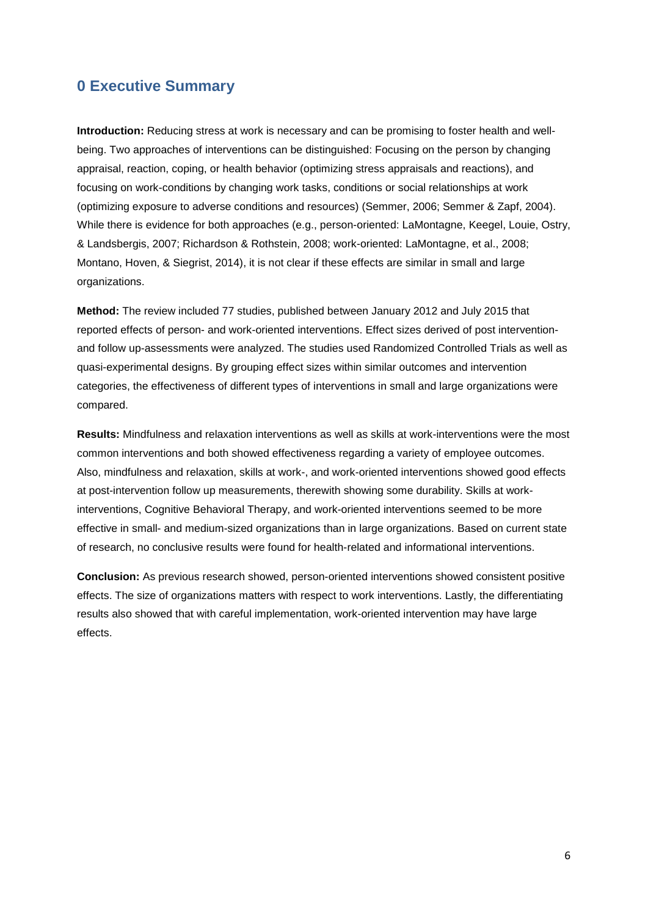# <span id="page-5-0"></span>**0 Executive Summary**

**Introduction:** Reducing stress at work is necessary and can be promising to foster health and wellbeing. Two approaches of interventions can be distinguished: Focusing on the person by changing appraisal, reaction, coping, or health behavior (optimizing stress appraisals and reactions), and focusing on work-conditions by changing work tasks, conditions or social relationships at work (optimizing exposure to adverse conditions and resources) (Semmer, 2006; Semmer & Zapf, 2004). While there is evidence for both approaches (e.g., person-oriented: LaMontagne, Keegel, Louie, Ostry, & Landsbergis, 2007; Richardson & Rothstein, 2008; work-oriented: LaMontagne, et al., 2008; Montano, Hoven, & Siegrist, 2014), it is not clear if these effects are similar in small and large organizations.

**Method:** The review included 77 studies, published between January 2012 and July 2015 that reported effects of person- and work-oriented interventions. Effect sizes derived of post interventionand follow up-assessments were analyzed. The studies used Randomized Controlled Trials as well as quasi-experimental designs. By grouping effect sizes within similar outcomes and intervention categories, the effectiveness of different types of interventions in small and large organizations were compared.

**Results:** Mindfulness and relaxation interventions as well as skills at work-interventions were the most common interventions and both showed effectiveness regarding a variety of employee outcomes. Also, mindfulness and relaxation, skills at work-, and work-oriented interventions showed good effects at post-intervention follow up measurements, therewith showing some durability. Skills at workinterventions, Cognitive Behavioral Therapy, and work-oriented interventions seemed to be more effective in small- and medium-sized organizations than in large organizations. Based on current state of research, no conclusive results were found for health-related and informational interventions.

**Conclusion:** As previous research showed, person-oriented interventions showed consistent positive effects. The size of organizations matters with respect to work interventions. Lastly, the differentiating results also showed that with careful implementation, work-oriented intervention may have large effects.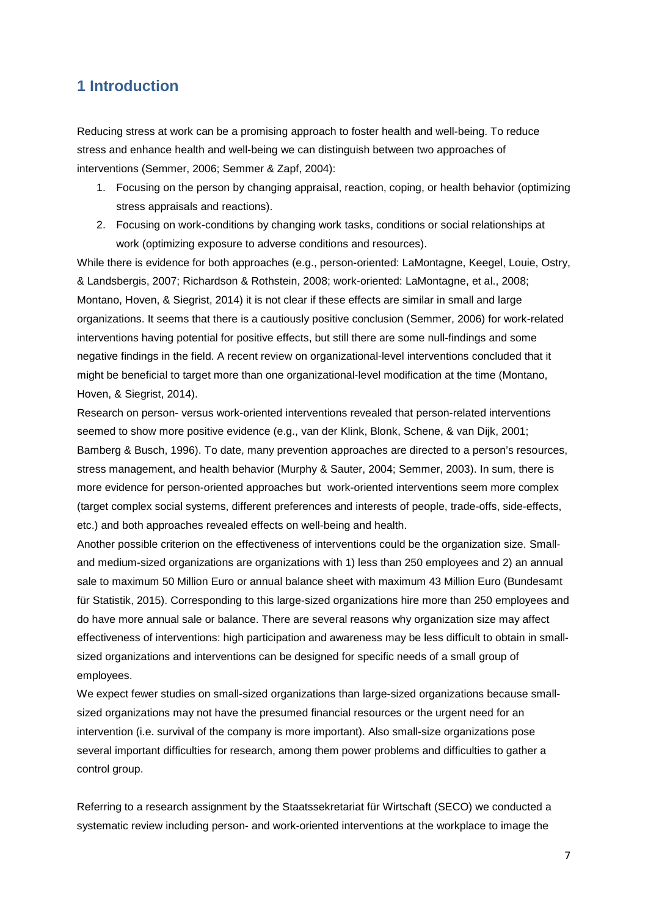# <span id="page-6-0"></span>**1 Introduction**

Reducing stress at work can be a promising approach to foster health and well-being. To reduce stress and enhance health and well-being we can distinguish between two approaches of interventions (Semmer, 2006; Semmer & Zapf, 2004):

- 1. Focusing on the person by changing appraisal, reaction, coping, or health behavior (optimizing stress appraisals and reactions).
- 2. Focusing on work-conditions by changing work tasks, conditions or social relationships at work (optimizing exposure to adverse conditions and resources).

While there is evidence for both approaches (e.g., person-oriented: LaMontagne, Keegel, Louie, Ostry, & Landsbergis, 2007; Richardson & Rothstein, 2008; work-oriented: LaMontagne, et al., 2008; Montano, Hoven, & Siegrist, 2014) it is not clear if these effects are similar in small and large organizations. It seems that there is a cautiously positive conclusion (Semmer, 2006) for work-related interventions having potential for positive effects, but still there are some null-findings and some negative findings in the field. A recent review on organizational-level interventions concluded that it might be beneficial to target more than one organizational-level modification at the time (Montano, Hoven, & Siegrist, 2014).

Research on person- versus work-oriented interventions revealed that person-related interventions seemed to show more positive evidence (e.g., van der Klink, Blonk, Schene, & van Dijk, 2001; Bamberg & Busch, 1996). To date, many prevention approaches are directed to a person's resources, stress management, and health behavior (Murphy & Sauter, 2004; Semmer, 2003). In sum, there is more evidence for person-oriented approaches but work-oriented interventions seem more complex (target complex social systems, different preferences and interests of people, trade-offs, side-effects, etc.) and both approaches revealed effects on well-being and health.

Another possible criterion on the effectiveness of interventions could be the organization size. Smalland medium-sized organizations are organizations with 1) less than 250 employees and 2) an annual sale to maximum 50 Million Euro or annual balance sheet with maximum 43 Million Euro (Bundesamt für Statistik, 2015). Corresponding to this large-sized organizations hire more than 250 employees and do have more annual sale or balance. There are several reasons why organization size may affect effectiveness of interventions: high participation and awareness may be less difficult to obtain in smallsized organizations and interventions can be designed for specific needs of a small group of employees.

We expect fewer studies on small-sized organizations than large-sized organizations because smallsized organizations may not have the presumed financial resources or the urgent need for an intervention (i.e. survival of the company is more important). Also small-size organizations pose several important difficulties for research, among them power problems and difficulties to gather a control group.

Referring to a research assignment by the Staatssekretariat für Wirtschaft (SECO) we conducted a systematic review including person- and work-oriented interventions at the workplace to image the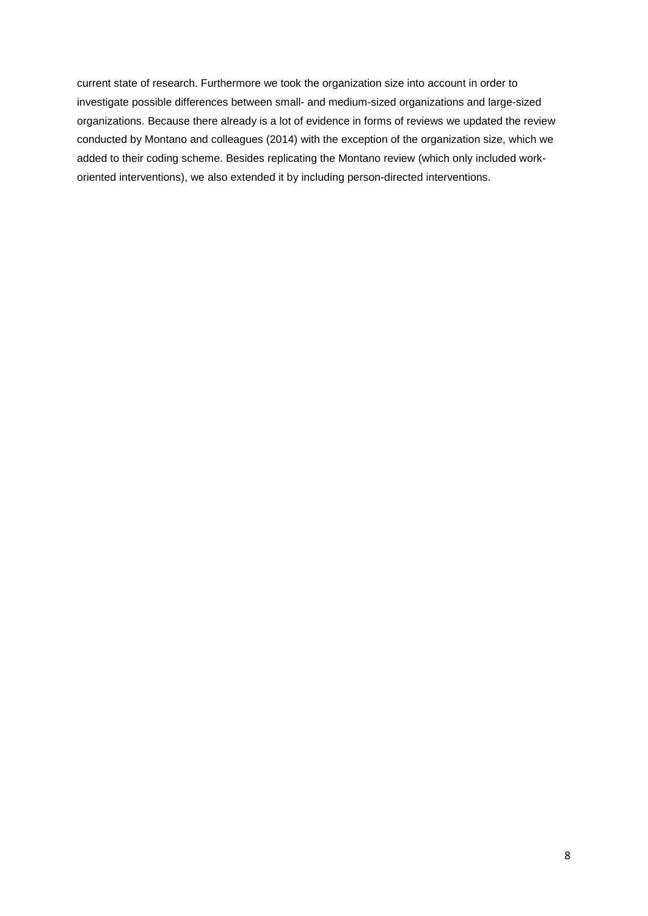current state of research. Furthermore we took the organization size into account in order to investigate possible differences between small- and medium-sized organizations and large-sized organizations. Because there already is a lot of evidence in forms of reviews we updated the review conducted by Montano and colleagues (2014) with the exception of the organization size, which we added to their coding scheme. Besides replicating the Montano review (which only included workoriented interventions), we also extended it by including person-directed interventions.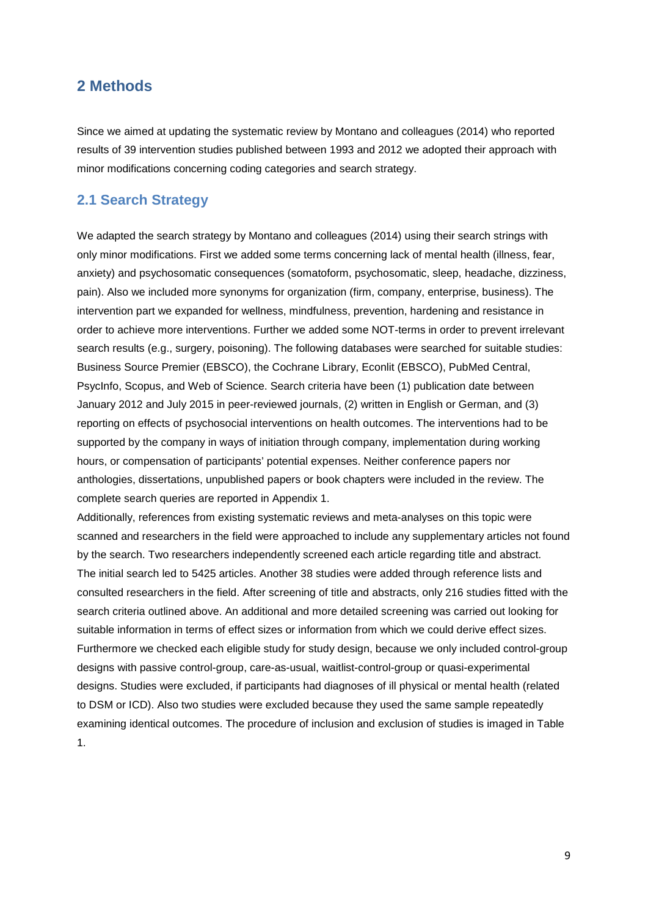# <span id="page-8-0"></span>**2 Methods**

Since we aimed at updating the systematic review by Montano and colleagues (2014) who reported results of 39 intervention studies published between 1993 and 2012 we adopted their approach with minor modifications concerning coding categories and search strategy.

# <span id="page-8-1"></span>**2.1 Search Strategy**

We adapted the search strategy by Montano and colleagues (2014) using their search strings with only minor modifications. First we added some terms concerning lack of mental health (illness, fear, anxiety) and psychosomatic consequences (somatoform, psychosomatic, sleep, headache, dizziness, pain). Also we included more synonyms for organization (firm, company, enterprise, business). The intervention part we expanded for wellness, mindfulness, prevention, hardening and resistance in order to achieve more interventions. Further we added some NOT-terms in order to prevent irrelevant search results (e.g., surgery, poisoning). The following databases were searched for suitable studies: Business Source Premier (EBSCO), the Cochrane Library, Econlit (EBSCO), PubMed Central, PsycInfo, Scopus, and Web of Science. Search criteria have been (1) publication date between January 2012 and July 2015 in peer-reviewed journals, (2) written in English or German, and (3) reporting on effects of psychosocial interventions on health outcomes. The interventions had to be supported by the company in ways of initiation through company, implementation during working hours, or compensation of participants' potential expenses. Neither conference papers nor anthologies, dissertations, unpublished papers or book chapters were included in the review. The complete search queries are reported in Appendix 1.

Additionally, references from existing systematic reviews and meta-analyses on this topic were scanned and researchers in the field were approached to include any supplementary articles not found by the search. Two researchers independently screened each article regarding title and abstract. The initial search led to 5425 articles. Another 38 studies were added through reference lists and consulted researchers in the field. After screening of title and abstracts, only 216 studies fitted with the search criteria outlined above. An additional and more detailed screening was carried out looking for suitable information in terms of effect sizes or information from which we could derive effect sizes. Furthermore we checked each eligible study for study design, because we only included control-group designs with passive control-group, care-as-usual, waitlist-control-group or quasi-experimental designs. Studies were excluded, if participants had diagnoses of ill physical or mental health (related to DSM or ICD). Also two studies were excluded because they used the same sample repeatedly examining identical outcomes. The procedure of inclusion and exclusion of studies is imaged in Table 1.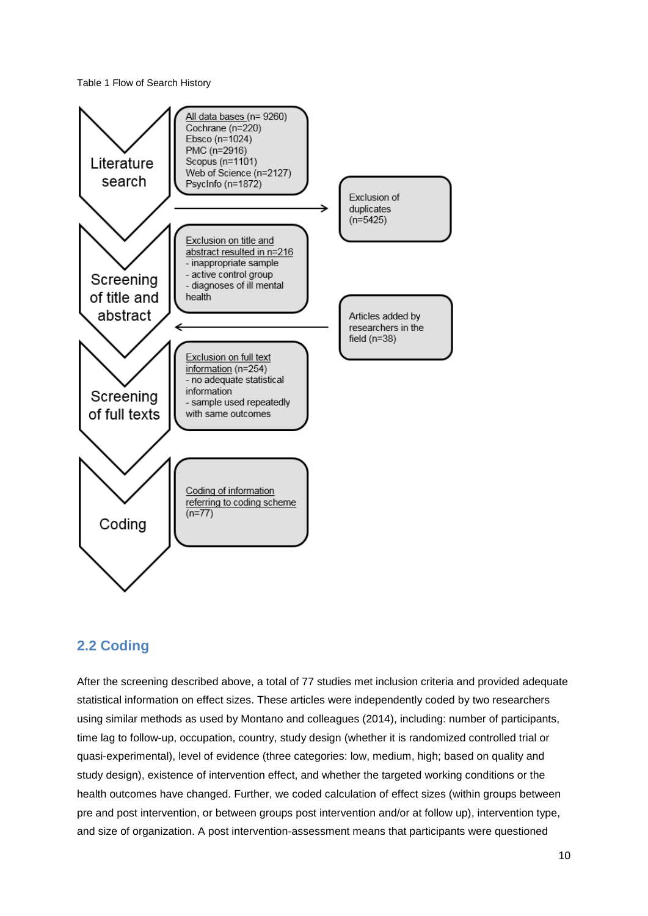<span id="page-9-1"></span>Table 1 Flow of Search History



# <span id="page-9-0"></span>**2.2 Coding**

After the screening described above, a total of 77 studies met inclusion criteria and provided adequate statistical information on effect sizes. These articles were independently coded by two researchers using similar methods as used by Montano and colleagues (2014), including: number of participants, time lag to follow-up, occupation, country, study design (whether it is randomized controlled trial or quasi-experimental), level of evidence (three categories: low, medium, high; based on quality and study design), existence of intervention effect, and whether the targeted working conditions or the health outcomes have changed. Further, we coded calculation of effect sizes (within groups between pre and post intervention, or between groups post intervention and/or at follow up), intervention type, and size of organization. A post intervention-assessment means that participants were questioned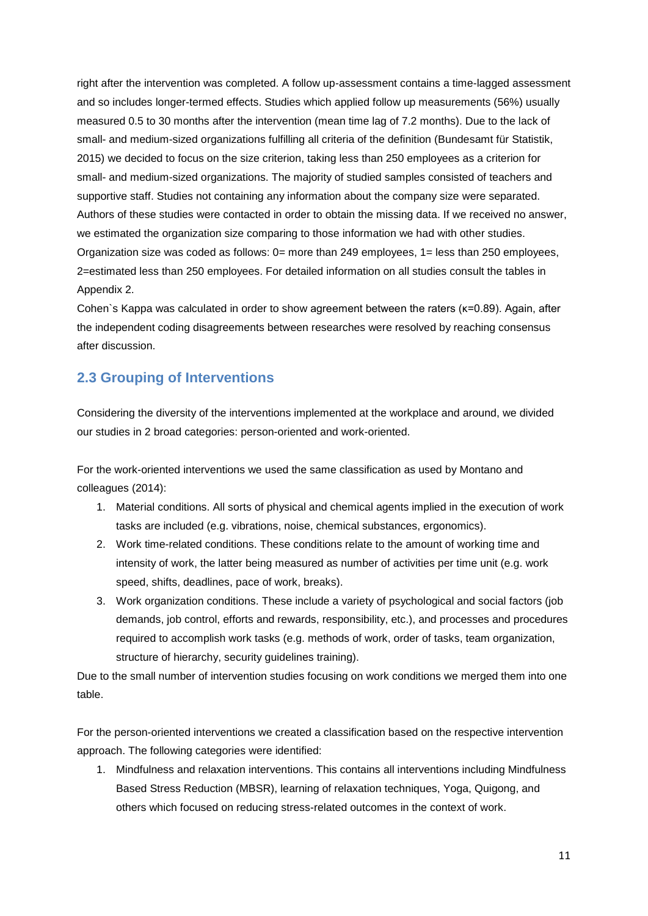right after the intervention was completed. A follow up-assessment contains a time-lagged assessment and so includes longer-termed effects. Studies which applied follow up measurements (56%) usually measured 0.5 to 30 months after the intervention (mean time lag of 7.2 months). Due to the lack of small- and medium-sized organizations fulfilling all criteria of the definition (Bundesamt für Statistik, 2015) we decided to focus on the size criterion, taking less than 250 employees as a criterion for small- and medium-sized organizations. The majority of studied samples consisted of teachers and supportive staff. Studies not containing any information about the company size were separated. Authors of these studies were contacted in order to obtain the missing data. If we received no answer, we estimated the organization size comparing to those information we had with other studies. Organization size was coded as follows: 0= more than 249 employees, 1= less than 250 employees, 2=estimated less than 250 employees. For detailed information on all studies consult the tables in Appendix 2.

Cohen`s Kappa was calculated in order to show agreement between the raters (κ=0.89). Again, after the independent coding disagreements between researches were resolved by reaching consensus after discussion.

# <span id="page-10-0"></span>**2.3 Grouping of Interventions**

Considering the diversity of the interventions implemented at the workplace and around, we divided our studies in 2 broad categories: person-oriented and work-oriented.

For the work-oriented interventions we used the same classification as used by Montano and colleagues (2014):

- 1. Material conditions. All sorts of physical and chemical agents implied in the execution of work tasks are included (e.g. vibrations, noise, chemical substances, ergonomics).
- 2. Work time-related conditions. These conditions relate to the amount of working time and intensity of work, the latter being measured as number of activities per time unit (e.g. work speed, shifts, deadlines, pace of work, breaks).
- 3. Work organization conditions. These include a variety of psychological and social factors (job demands, job control, efforts and rewards, responsibility, etc.), and processes and procedures required to accomplish work tasks (e.g. methods of work, order of tasks, team organization, structure of hierarchy, security guidelines training).

Due to the small number of intervention studies focusing on work conditions we merged them into one table.

For the person-oriented interventions we created a classification based on the respective intervention approach. The following categories were identified:

1. Mindfulness and relaxation interventions. This contains all interventions including Mindfulness Based Stress Reduction (MBSR), learning of relaxation techniques, Yoga, Quigong, and others which focused on reducing stress-related outcomes in the context of work.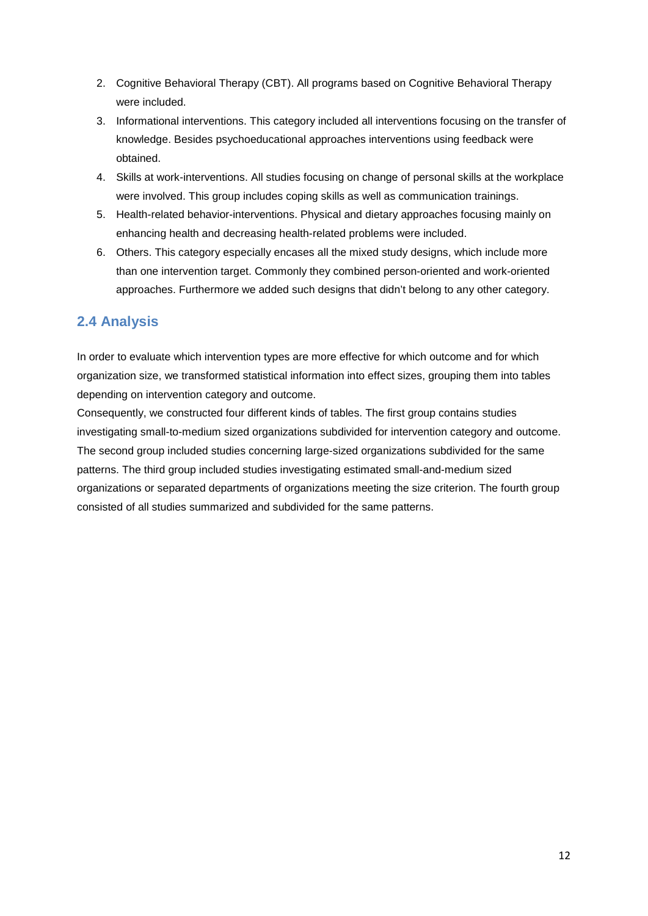- 2. Cognitive Behavioral Therapy (CBT). All programs based on Cognitive Behavioral Therapy were included.
- 3. Informational interventions. This category included all interventions focusing on the transfer of knowledge. Besides psychoeducational approaches interventions using feedback were obtained.
- 4. Skills at work-interventions. All studies focusing on change of personal skills at the workplace were involved. This group includes coping skills as well as communication trainings.
- 5. Health-related behavior-interventions. Physical and dietary approaches focusing mainly on enhancing health and decreasing health-related problems were included.
- 6. Others. This category especially encases all the mixed study designs, which include more than one intervention target. Commonly they combined person-oriented and work-oriented approaches. Furthermore we added such designs that didn't belong to any other category.

# <span id="page-11-0"></span>**2.4 Analysis**

In order to evaluate which intervention types are more effective for which outcome and for which organization size, we transformed statistical information into effect sizes, grouping them into tables depending on intervention category and outcome.

Consequently, we constructed four different kinds of tables. The first group contains studies investigating small-to-medium sized organizations subdivided for intervention category and outcome. The second group included studies concerning large-sized organizations subdivided for the same patterns. The third group included studies investigating estimated small-and-medium sized organizations or separated departments of organizations meeting the size criterion. The fourth group consisted of all studies summarized and subdivided for the same patterns.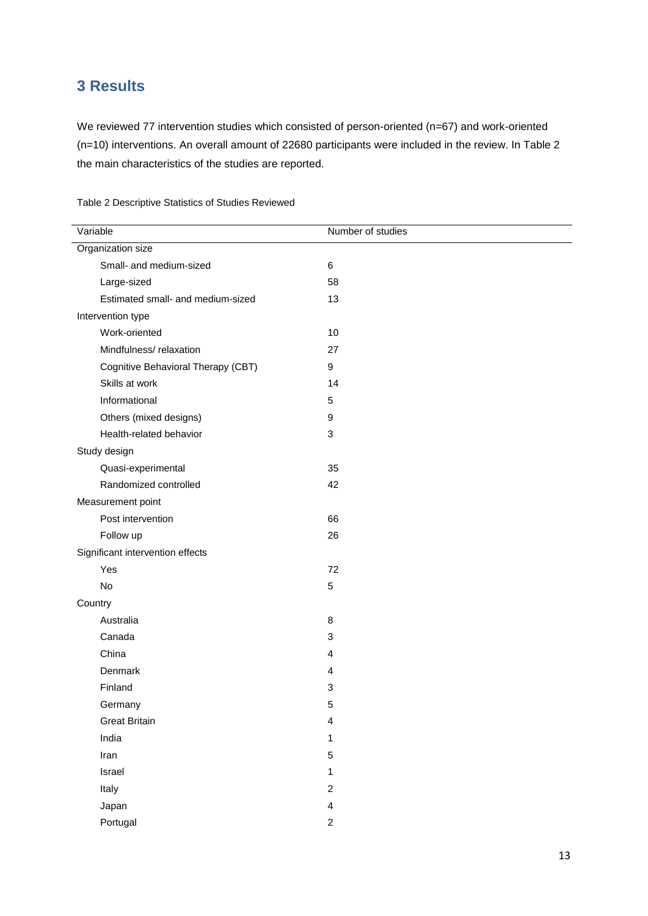# <span id="page-12-0"></span>**3 Results**

Portugal

We reviewed 77 intervention studies which consisted of person-oriented (n=67) and work-oriented (n=10) interventions. An overall amount of 22680 participants were included in the review. In Table 2 the main characteristics of the studies are reported.

| Variable                           | Number of studies       |  |  |  |  |
|------------------------------------|-------------------------|--|--|--|--|
| Organization size                  |                         |  |  |  |  |
| Small- and medium-sized            | 6                       |  |  |  |  |
| Large-sized                        | 58                      |  |  |  |  |
| Estimated small- and medium-sized  | 13                      |  |  |  |  |
| Intervention type                  |                         |  |  |  |  |
| Work-oriented                      | 10                      |  |  |  |  |
| Mindfulness/relaxation             | 27                      |  |  |  |  |
| Cognitive Behavioral Therapy (CBT) | 9                       |  |  |  |  |
| Skills at work                     | 14                      |  |  |  |  |
| Informational                      | 5                       |  |  |  |  |
| Others (mixed designs)             | 9                       |  |  |  |  |
| Health-related behavior            | $\mathbf{3}$            |  |  |  |  |
| Study design                       |                         |  |  |  |  |
| Quasi-experimental                 | 35                      |  |  |  |  |
| Randomized controlled              | 42                      |  |  |  |  |
| Measurement point                  |                         |  |  |  |  |
| Post intervention                  | 66                      |  |  |  |  |
| Follow up                          | 26                      |  |  |  |  |
| Significant intervention effects   |                         |  |  |  |  |
| Yes                                | 72                      |  |  |  |  |
| No                                 | 5                       |  |  |  |  |
| Country                            |                         |  |  |  |  |
| Australia                          | 8                       |  |  |  |  |
| Canada                             | 3                       |  |  |  |  |
| China                              | 4                       |  |  |  |  |
| Denmark                            | 4                       |  |  |  |  |
| Finland                            | 3                       |  |  |  |  |
| Germany                            | 5                       |  |  |  |  |
| <b>Great Britain</b>               | 4                       |  |  |  |  |
| India                              | 1                       |  |  |  |  |
| Iran                               | 5                       |  |  |  |  |
| Israel                             | 1                       |  |  |  |  |
| Italy                              | $\overline{c}$          |  |  |  |  |
| Japan                              | $\overline{\mathbf{4}}$ |  |  |  |  |

2

<span id="page-12-1"></span>Table 2 Descriptive Statistics of Studies Reviewed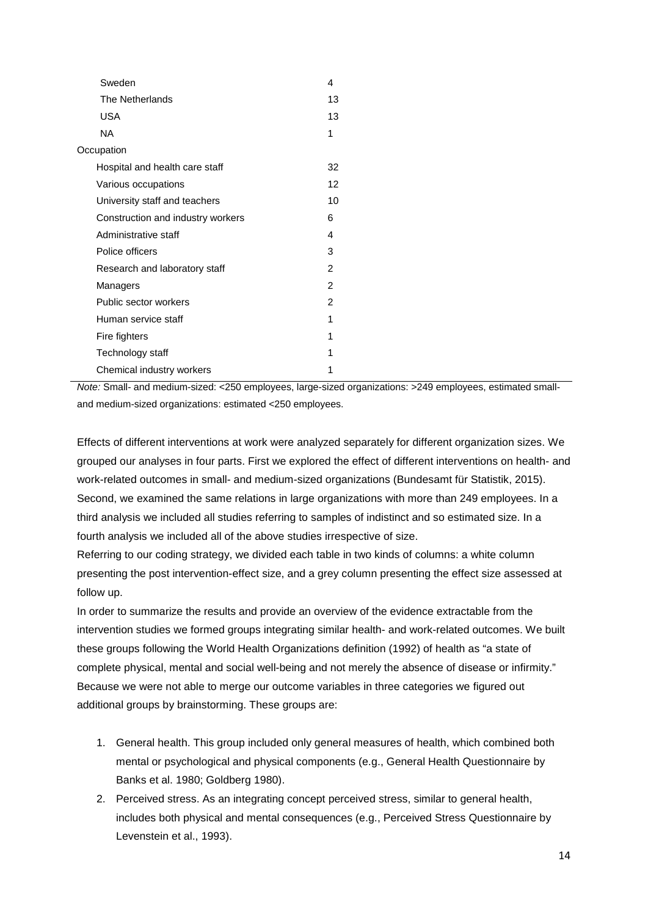| Sweden                            | 4  |
|-----------------------------------|----|
| The Netherlands                   | 13 |
| <b>USA</b>                        | 13 |
| NA                                | 1  |
| Occupation                        |    |
| Hospital and health care staff    | 32 |
| Various occupations               | 12 |
| University staff and teachers     | 10 |
| Construction and industry workers | 6  |
| Administrative staff              | 4  |
| Police officers                   | 3  |
| Research and laboratory staff     | 2  |
| Managers                          | 2  |
| Public sector workers             | 2  |
| Human service staff               | 1  |
| Fire fighters                     | 1  |
| Technology staff                  | 1  |
| Chemical industry workers         | 1  |

*Note:* Small- and medium-sized: <250 employees, large-sized organizations: >249 employees, estimated smalland medium-sized organizations: estimated <250 employees.

Effects of different interventions at work were analyzed separately for different organization sizes. We grouped our analyses in four parts. First we explored the effect of different interventions on health- and work-related outcomes in small- and medium-sized organizations (Bundesamt für Statistik, 2015). Second, we examined the same relations in large organizations with more than 249 employees. In a third analysis we included all studies referring to samples of indistinct and so estimated size. In a fourth analysis we included all of the above studies irrespective of size.

Referring to our coding strategy, we divided each table in two kinds of columns: a white column presenting the post intervention-effect size, and a grey column presenting the effect size assessed at follow up.

In order to summarize the results and provide an overview of the evidence extractable from the intervention studies we formed groups integrating similar health- and work-related outcomes. We built these groups following the World Health Organizations definition (1992) of health as "a state of complete physical, mental and social well-being and not merely the absence of disease or infirmity." Because we were not able to merge our outcome variables in three categories we figured out additional groups by brainstorming. These groups are:

- 1. General health. This group included only general measures of health, which combined both mental or psychological and physical components (e.g., General Health Questionnaire by Banks et al. 1980; Goldberg 1980).
- 2. Perceived stress. As an integrating concept perceived stress, similar to general health, includes both physical and mental consequences (e.g., Perceived Stress Questionnaire by Levenstein et al., 1993).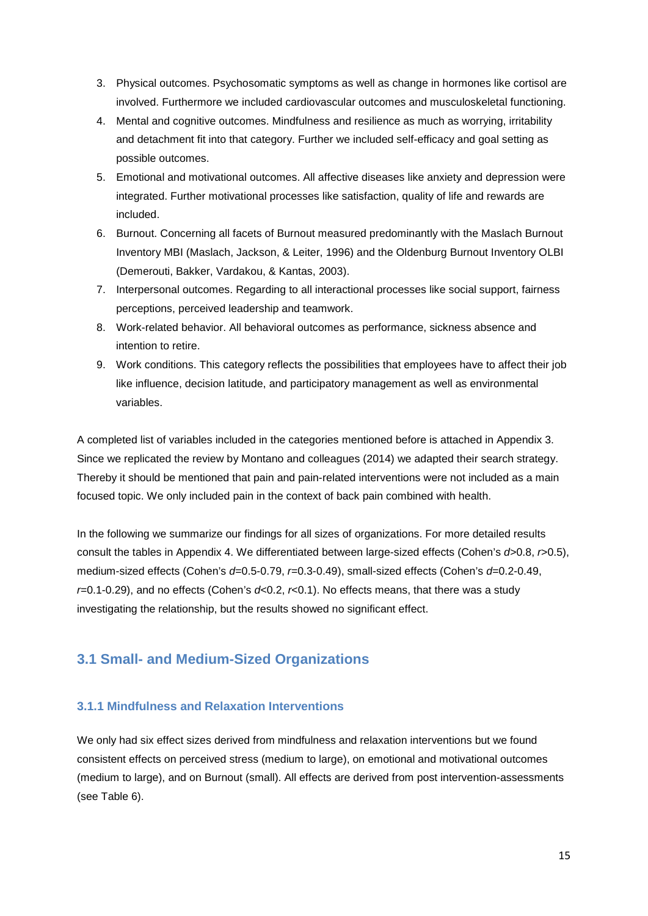- 3. Physical outcomes. Psychosomatic symptoms as well as change in hormones like cortisol are involved. Furthermore we included cardiovascular outcomes and musculoskeletal functioning.
- 4. Mental and cognitive outcomes. Mindfulness and resilience as much as worrying, irritability and detachment fit into that category. Further we included self-efficacy and goal setting as possible outcomes.
- 5. Emotional and motivational outcomes. All affective diseases like anxiety and depression were integrated. Further motivational processes like satisfaction, quality of life and rewards are included.
- 6. Burnout. Concerning all facets of Burnout measured predominantly with the Maslach Burnout Inventory MBI (Maslach, Jackson, & Leiter, 1996) and the Oldenburg Burnout Inventory OLBI (Demerouti, Bakker, Vardakou, & Kantas, 2003).
- 7. Interpersonal outcomes. Regarding to all interactional processes like social support, fairness perceptions, perceived leadership and teamwork.
- 8. Work-related behavior. All behavioral outcomes as performance, sickness absence and intention to retire.
- 9. Work conditions. This category reflects the possibilities that employees have to affect their job like influence, decision latitude, and participatory management as well as environmental variables.

A completed list of variables included in the categories mentioned before is attached in Appendix 3. Since we replicated the review by Montano and colleagues (2014) we adapted their search strategy. Thereby it should be mentioned that pain and pain-related interventions were not included as a main focused topic. We only included pain in the context of back pain combined with health.

In the following we summarize our findings for all sizes of organizations. For more detailed results consult the tables in Appendix 4. We differentiated between large-sized effects (Cohen's *d*>0.8, *r*>0.5), medium-sized effects (Cohen's *d*=0.5-0.79, *r*=0.3-0.49), small-sized effects (Cohen's *d*=0.2-0.49, *r*=0.1-0.29), and no effects (Cohen's *d*<0.2, *r*<0.1). No effects means, that there was a study investigating the relationship, but the results showed no significant effect.

# <span id="page-14-0"></span>**3.1 Small- and Medium-Sized Organizations**

#### <span id="page-14-1"></span>**3.1.1 Mindfulness and Relaxation Interventions**

We only had six effect sizes derived from mindfulness and relaxation interventions but we found consistent effects on perceived stress (medium to large), on emotional and motivational outcomes (medium to large), and on Burnout (small). All effects are derived from post intervention-assessments (see Table 6).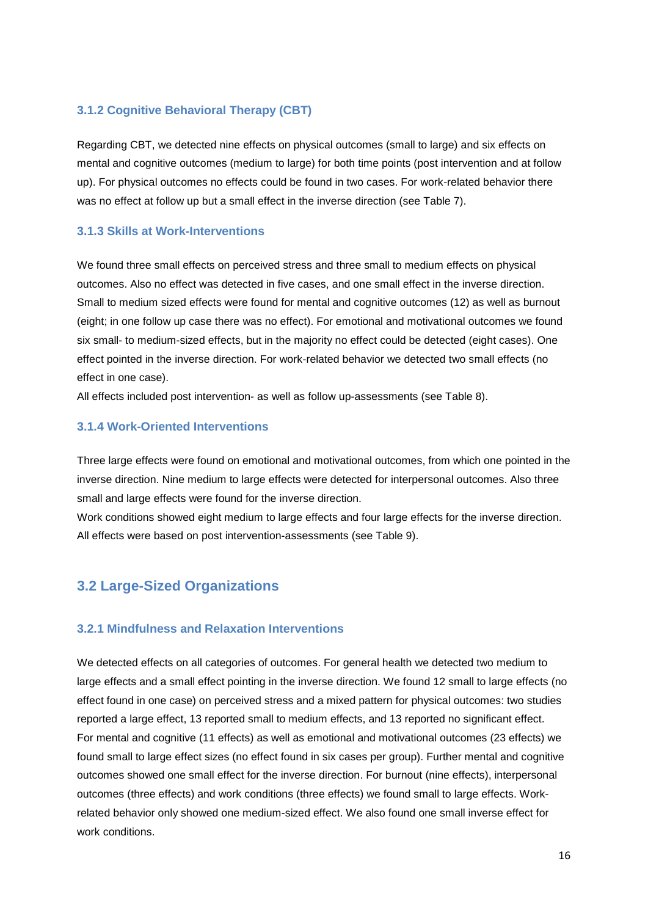#### <span id="page-15-0"></span>**3.1.2 Cognitive Behavioral Therapy (CBT)**

Regarding CBT, we detected nine effects on physical outcomes (small to large) and six effects on mental and cognitive outcomes (medium to large) for both time points (post intervention and at follow up). For physical outcomes no effects could be found in two cases. For work-related behavior there was no effect at follow up but a small effect in the inverse direction (see Table 7).

#### <span id="page-15-1"></span>**3.1.3 Skills at Work-Interventions**

We found three small effects on perceived stress and three small to medium effects on physical outcomes. Also no effect was detected in five cases, and one small effect in the inverse direction. Small to medium sized effects were found for mental and cognitive outcomes (12) as well as burnout (eight; in one follow up case there was no effect). For emotional and motivational outcomes we found six small- to medium-sized effects, but in the majority no effect could be detected (eight cases). One effect pointed in the inverse direction. For work-related behavior we detected two small effects (no effect in one case).

All effects included post intervention- as well as follow up-assessments (see Table 8).

#### <span id="page-15-2"></span>**3.1.4 Work-Oriented Interventions**

Three large effects were found on emotional and motivational outcomes, from which one pointed in the inverse direction. Nine medium to large effects were detected for interpersonal outcomes. Also three small and large effects were found for the inverse direction.

Work conditions showed eight medium to large effects and four large effects for the inverse direction. All effects were based on post intervention-assessments (see Table 9).

# <span id="page-15-3"></span>**3.2 Large-Sized Organizations**

#### <span id="page-15-4"></span>**3.2.1 Mindfulness and Relaxation Interventions**

We detected effects on all categories of outcomes. For general health we detected two medium to large effects and a small effect pointing in the inverse direction. We found 12 small to large effects (no effect found in one case) on perceived stress and a mixed pattern for physical outcomes: two studies reported a large effect, 13 reported small to medium effects, and 13 reported no significant effect. For mental and cognitive (11 effects) as well as emotional and motivational outcomes (23 effects) we found small to large effect sizes (no effect found in six cases per group). Further mental and cognitive outcomes showed one small effect for the inverse direction. For burnout (nine effects), interpersonal outcomes (three effects) and work conditions (three effects) we found small to large effects. Workrelated behavior only showed one medium-sized effect. We also found one small inverse effect for work conditions.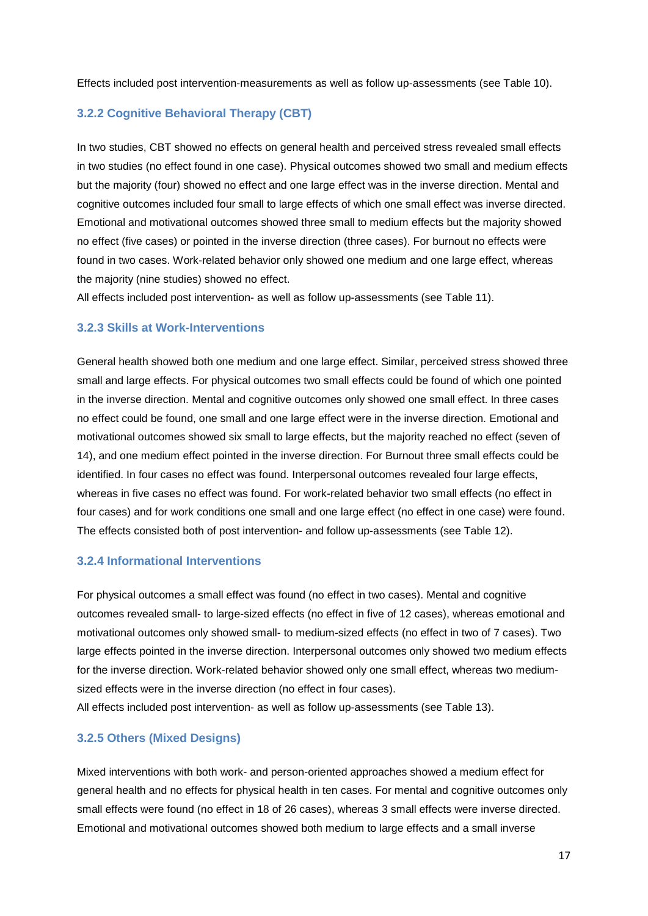Effects included post intervention-measurements as well as follow up-assessments (see Table 10).

#### <span id="page-16-0"></span>**3.2.2 Cognitive Behavioral Therapy (CBT)**

In two studies, CBT showed no effects on general health and perceived stress revealed small effects in two studies (no effect found in one case). Physical outcomes showed two small and medium effects but the majority (four) showed no effect and one large effect was in the inverse direction. Mental and cognitive outcomes included four small to large effects of which one small effect was inverse directed. Emotional and motivational outcomes showed three small to medium effects but the majority showed no effect (five cases) or pointed in the inverse direction (three cases). For burnout no effects were found in two cases. Work-related behavior only showed one medium and one large effect, whereas the majority (nine studies) showed no effect.

All effects included post intervention- as well as follow up-assessments (see Table 11).

#### <span id="page-16-1"></span>**3.2.3 Skills at Work-Interventions**

General health showed both one medium and one large effect. Similar, perceived stress showed three small and large effects. For physical outcomes two small effects could be found of which one pointed in the inverse direction. Mental and cognitive outcomes only showed one small effect. In three cases no effect could be found, one small and one large effect were in the inverse direction. Emotional and motivational outcomes showed six small to large effects, but the majority reached no effect (seven of 14), and one medium effect pointed in the inverse direction. For Burnout three small effects could be identified. In four cases no effect was found. Interpersonal outcomes revealed four large effects, whereas in five cases no effect was found. For work-related behavior two small effects (no effect in four cases) and for work conditions one small and one large effect (no effect in one case) were found. The effects consisted both of post intervention- and follow up-assessments (see Table 12).

#### <span id="page-16-2"></span>**3.2.4 Informational Interventions**

For physical outcomes a small effect was found (no effect in two cases). Mental and cognitive outcomes revealed small- to large-sized effects (no effect in five of 12 cases), whereas emotional and motivational outcomes only showed small- to medium-sized effects (no effect in two of 7 cases). Two large effects pointed in the inverse direction. Interpersonal outcomes only showed two medium effects for the inverse direction. Work-related behavior showed only one small effect, whereas two mediumsized effects were in the inverse direction (no effect in four cases).

All effects included post intervention- as well as follow up-assessments (see Table 13).

#### <span id="page-16-3"></span>**3.2.5 Others (Mixed Designs)**

Mixed interventions with both work- and person-oriented approaches showed a medium effect for general health and no effects for physical health in ten cases. For mental and cognitive outcomes only small effects were found (no effect in 18 of 26 cases), whereas 3 small effects were inverse directed. Emotional and motivational outcomes showed both medium to large effects and a small inverse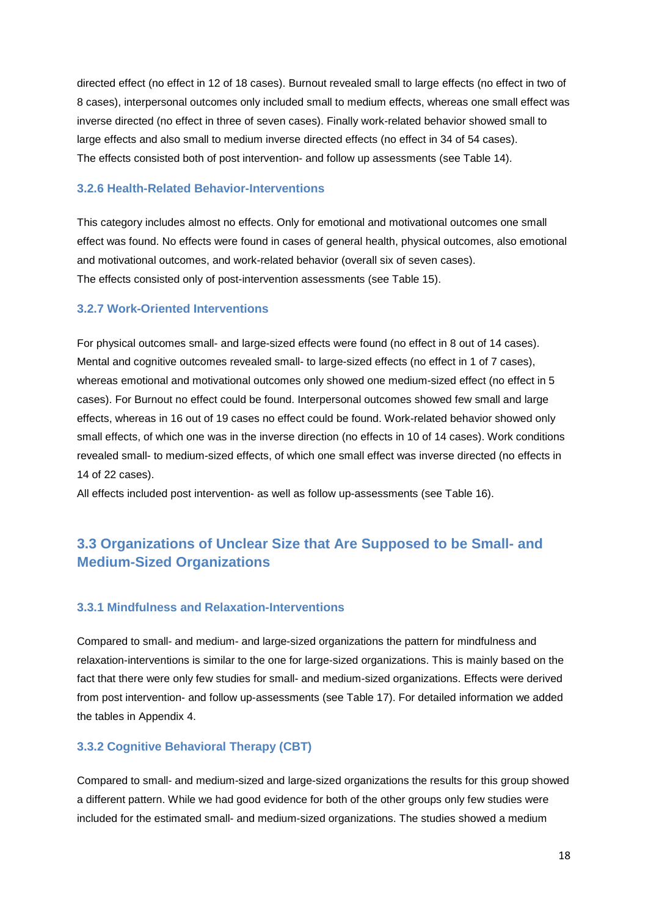directed effect (no effect in 12 of 18 cases). Burnout revealed small to large effects (no effect in two of 8 cases), interpersonal outcomes only included small to medium effects, whereas one small effect was inverse directed (no effect in three of seven cases). Finally work-related behavior showed small to large effects and also small to medium inverse directed effects (no effect in 34 of 54 cases). The effects consisted both of post intervention- and follow up assessments (see Table 14).

#### <span id="page-17-0"></span>**3.2.6 Health-Related Behavior-Interventions**

This category includes almost no effects. Only for emotional and motivational outcomes one small effect was found. No effects were found in cases of general health, physical outcomes, also emotional and motivational outcomes, and work-related behavior (overall six of seven cases). The effects consisted only of post-intervention assessments (see Table 15).

#### <span id="page-17-1"></span>**3.2.7 Work-Oriented Interventions**

For physical outcomes small- and large-sized effects were found (no effect in 8 out of 14 cases). Mental and cognitive outcomes revealed small- to large-sized effects (no effect in 1 of 7 cases), whereas emotional and motivational outcomes only showed one medium-sized effect (no effect in 5 cases). For Burnout no effect could be found. Interpersonal outcomes showed few small and large effects, whereas in 16 out of 19 cases no effect could be found. Work-related behavior showed only small effects, of which one was in the inverse direction (no effects in 10 of 14 cases). Work conditions revealed small- to medium-sized effects, of which one small effect was inverse directed (no effects in 14 of 22 cases).

All effects included post intervention- as well as follow up-assessments (see Table 16).

# <span id="page-17-2"></span>**3.3 Organizations of Unclear Size that Are Supposed to be Small- and Medium-Sized Organizations**

#### <span id="page-17-3"></span>**3.3.1 Mindfulness and Relaxation-Interventions**

Compared to small- and medium- and large-sized organizations the pattern for mindfulness and relaxation-interventions is similar to the one for large-sized organizations. This is mainly based on the fact that there were only few studies for small- and medium-sized organizations. Effects were derived from post intervention- and follow up-assessments (see Table 17). For detailed information we added the tables in Appendix 4.

#### <span id="page-17-4"></span>**3.3.2 Cognitive Behavioral Therapy (CBT)**

Compared to small- and medium-sized and large-sized organizations the results for this group showed a different pattern. While we had good evidence for both of the other groups only few studies were included for the estimated small- and medium-sized organizations. The studies showed a medium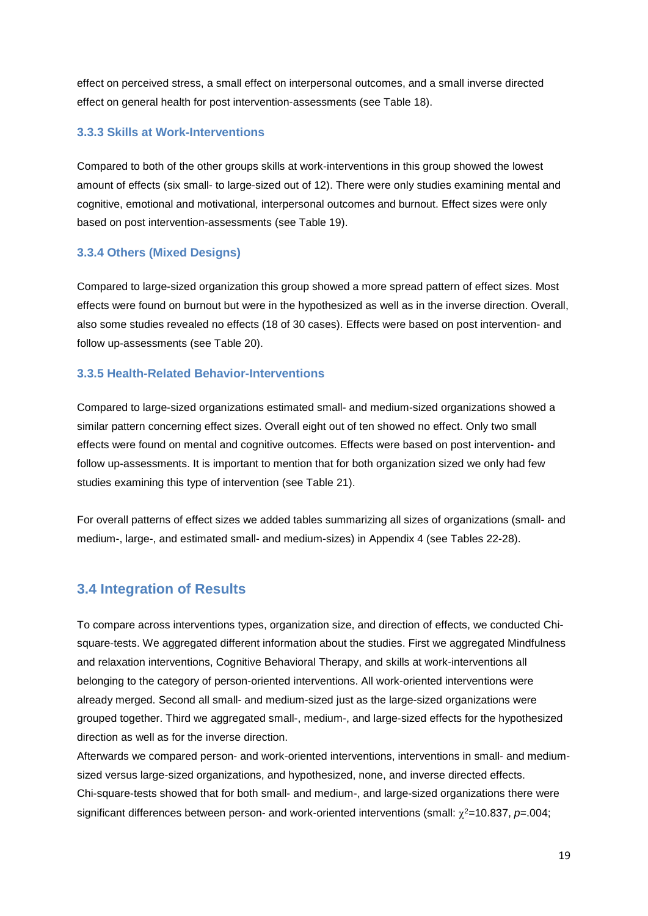effect on perceived stress, a small effect on interpersonal outcomes, and a small inverse directed effect on general health for post intervention-assessments (see Table 18).

#### <span id="page-18-0"></span>**3.3.3 Skills at Work-Interventions**

Compared to both of the other groups skills at work-interventions in this group showed the lowest amount of effects (six small- to large-sized out of 12). There were only studies examining mental and cognitive, emotional and motivational, interpersonal outcomes and burnout. Effect sizes were only based on post intervention-assessments (see Table 19).

#### <span id="page-18-1"></span>**3.3.4 Others (Mixed Designs)**

Compared to large-sized organization this group showed a more spread pattern of effect sizes. Most effects were found on burnout but were in the hypothesized as well as in the inverse direction. Overall, also some studies revealed no effects (18 of 30 cases). Effects were based on post intervention- and follow up-assessments (see Table 20).

#### <span id="page-18-2"></span>**3.3.5 Health-Related Behavior-Interventions**

Compared to large-sized organizations estimated small- and medium-sized organizations showed a similar pattern concerning effect sizes. Overall eight out of ten showed no effect. Only two small effects were found on mental and cognitive outcomes. Effects were based on post intervention- and follow up-assessments. It is important to mention that for both organization sized we only had few studies examining this type of intervention (see Table 21).

For overall patterns of effect sizes we added tables summarizing all sizes of organizations (small- and medium-, large-, and estimated small- and medium-sizes) in Appendix 4 (see Tables 22-28).

# <span id="page-18-3"></span>**3.4 Integration of Results**

To compare across interventions types, organization size, and direction of effects, we conducted Chisquare-tests. We aggregated different information about the studies. First we aggregated Mindfulness and relaxation interventions, Cognitive Behavioral Therapy, and skills at work-interventions all belonging to the category of person-oriented interventions. All work-oriented interventions were already merged. Second all small- and medium-sized just as the large-sized organizations were grouped together. Third we aggregated small-, medium-, and large-sized effects for the hypothesized direction as well as for the inverse direction.

Afterwards we compared person- and work-oriented interventions, interventions in small- and mediumsized versus large-sized organizations, and hypothesized, none, and inverse directed effects. Chi-square-tests showed that for both small- and medium-, and large-sized organizations there were significant differences between person- and work-oriented interventions (small:  $χ²=10.837$ ,  $p=.004$ ;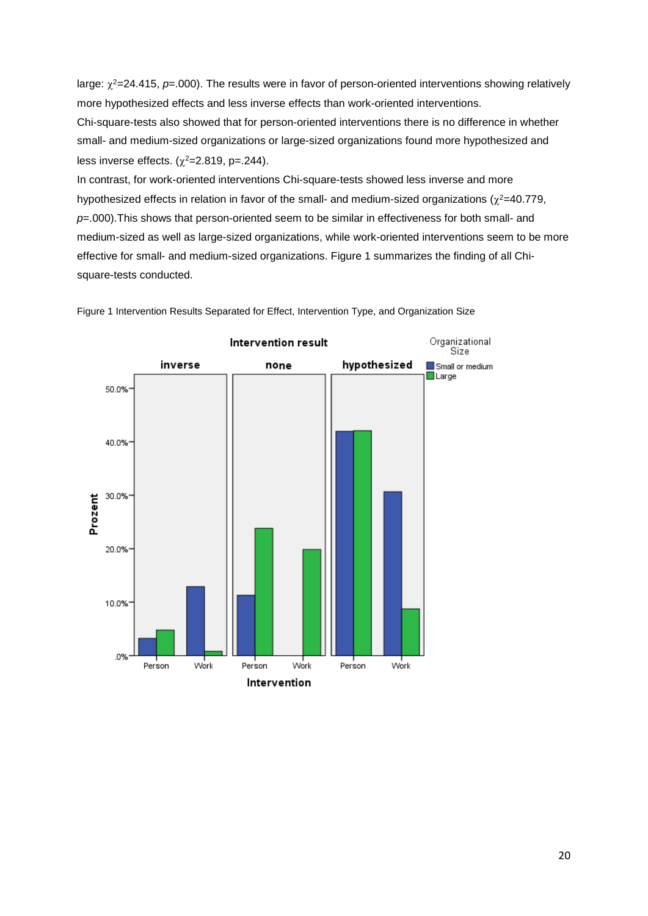large:  $\chi^2$ =24.415,  $p$ =.000). The results were in favor of person-oriented interventions showing relatively more hypothesized effects and less inverse effects than work-oriented interventions.

Chi-square-tests also showed that for person-oriented interventions there is no difference in whether small- and medium-sized organizations or large-sized organizations found more hypothesized and less inverse effects.  $(\chi^2=2.819, p=.244)$ .

In contrast, for work-oriented interventions Chi-square-tests showed less inverse and more hypothesized effects in relation in favor of the small- and medium-sized organizations ( $\chi^2$ =40.779, *p*=.000).This shows that person-oriented seem to be similar in effectiveness for both small- and medium-sized as well as large-sized organizations, while work-oriented interventions seem to be more effective for small- and medium-sized organizations. Figure 1 summarizes the finding of all Chisquare-tests conducted.



Figure 1 Intervention Results Separated for Effect, Intervention Type, and Organization Size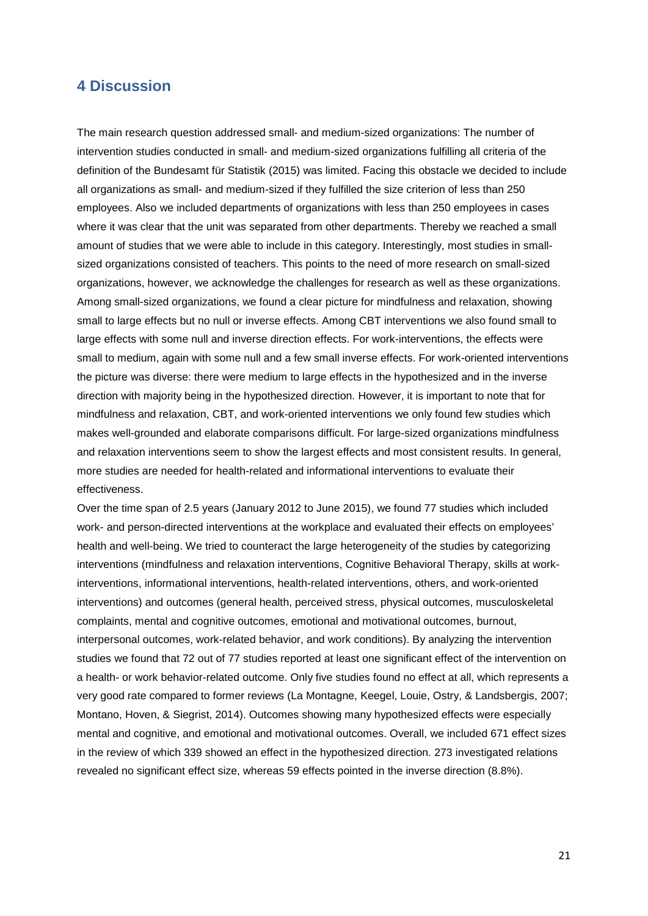### <span id="page-20-0"></span>**4 Discussion**

The main research question addressed small- and medium-sized organizations: The number of intervention studies conducted in small- and medium-sized organizations fulfilling all criteria of the definition of the Bundesamt für Statistik (2015) was limited. Facing this obstacle we decided to include all organizations as small- and medium-sized if they fulfilled the size criterion of less than 250 employees. Also we included departments of organizations with less than 250 employees in cases where it was clear that the unit was separated from other departments. Thereby we reached a small amount of studies that we were able to include in this category. Interestingly, most studies in smallsized organizations consisted of teachers. This points to the need of more research on small-sized organizations, however, we acknowledge the challenges for research as well as these organizations. Among small-sized organizations, we found a clear picture for mindfulness and relaxation, showing small to large effects but no null or inverse effects. Among CBT interventions we also found small to large effects with some null and inverse direction effects. For work-interventions, the effects were small to medium, again with some null and a few small inverse effects. For work-oriented interventions the picture was diverse: there were medium to large effects in the hypothesized and in the inverse direction with majority being in the hypothesized direction. However, it is important to note that for mindfulness and relaxation, CBT, and work-oriented interventions we only found few studies which makes well-grounded and elaborate comparisons difficult. For large-sized organizations mindfulness and relaxation interventions seem to show the largest effects and most consistent results. In general, more studies are needed for health-related and informational interventions to evaluate their effectiveness.

Over the time span of 2.5 years (January 2012 to June 2015), we found 77 studies which included work- and person-directed interventions at the workplace and evaluated their effects on employees' health and well-being. We tried to counteract the large heterogeneity of the studies by categorizing interventions (mindfulness and relaxation interventions, Cognitive Behavioral Therapy, skills at workinterventions, informational interventions, health-related interventions, others, and work-oriented interventions) and outcomes (general health, perceived stress, physical outcomes, musculoskeletal complaints, mental and cognitive outcomes, emotional and motivational outcomes, burnout, interpersonal outcomes, work-related behavior, and work conditions). By analyzing the intervention studies we found that 72 out of 77 studies reported at least one significant effect of the intervention on a health- or work behavior-related outcome. Only five studies found no effect at all, which represents a very good rate compared to former reviews (La Montagne, Keegel, Louie, Ostry, & Landsbergis, 2007; Montano, Hoven, & Siegrist, 2014). Outcomes showing many hypothesized effects were especially mental and cognitive, and emotional and motivational outcomes. Overall, we included 671 effect sizes in the review of which 339 showed an effect in the hypothesized direction. 273 investigated relations revealed no significant effect size, whereas 59 effects pointed in the inverse direction (8.8%).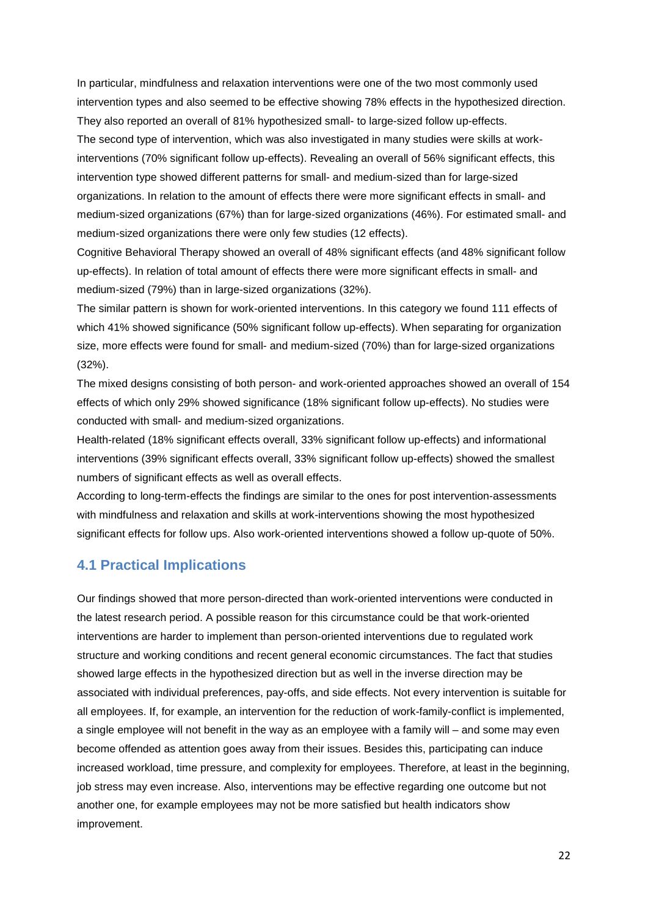In particular, mindfulness and relaxation interventions were one of the two most commonly used intervention types and also seemed to be effective showing 78% effects in the hypothesized direction. They also reported an overall of 81% hypothesized small- to large-sized follow up-effects. The second type of intervention, which was also investigated in many studies were skills at workinterventions (70% significant follow up-effects). Revealing an overall of 56% significant effects, this intervention type showed different patterns for small- and medium-sized than for large-sized organizations. In relation to the amount of effects there were more significant effects in small- and medium-sized organizations (67%) than for large-sized organizations (46%). For estimated small- and medium-sized organizations there were only few studies (12 effects).

Cognitive Behavioral Therapy showed an overall of 48% significant effects (and 48% significant follow up-effects). In relation of total amount of effects there were more significant effects in small- and medium-sized (79%) than in large-sized organizations (32%).

The similar pattern is shown for work-oriented interventions. In this category we found 111 effects of which 41% showed significance (50% significant follow up-effects). When separating for organization size, more effects were found for small- and medium-sized (70%) than for large-sized organizations (32%).

The mixed designs consisting of both person- and work-oriented approaches showed an overall of 154 effects of which only 29% showed significance (18% significant follow up-effects). No studies were conducted with small- and medium-sized organizations.

Health-related (18% significant effects overall, 33% significant follow up-effects) and informational interventions (39% significant effects overall, 33% significant follow up-effects) showed the smallest numbers of significant effects as well as overall effects.

According to long-term-effects the findings are similar to the ones for post intervention-assessments with mindfulness and relaxation and skills at work-interventions showing the most hypothesized significant effects for follow ups. Also work-oriented interventions showed a follow up-quote of 50%.

# <span id="page-21-0"></span>**4.1 Practical Implications**

Our findings showed that more person-directed than work-oriented interventions were conducted in the latest research period. A possible reason for this circumstance could be that work-oriented interventions are harder to implement than person-oriented interventions due to regulated work structure and working conditions and recent general economic circumstances. The fact that studies showed large effects in the hypothesized direction but as well in the inverse direction may be associated with individual preferences, pay-offs, and side effects. Not every intervention is suitable for all employees. If, for example, an intervention for the reduction of work-family-conflict is implemented, a single employee will not benefit in the way as an employee with a family will – and some may even become offended as attention goes away from their issues. Besides this, participating can induce increased workload, time pressure, and complexity for employees. Therefore, at least in the beginning, job stress may even increase. Also, interventions may be effective regarding one outcome but not another one, for example employees may not be more satisfied but health indicators show improvement.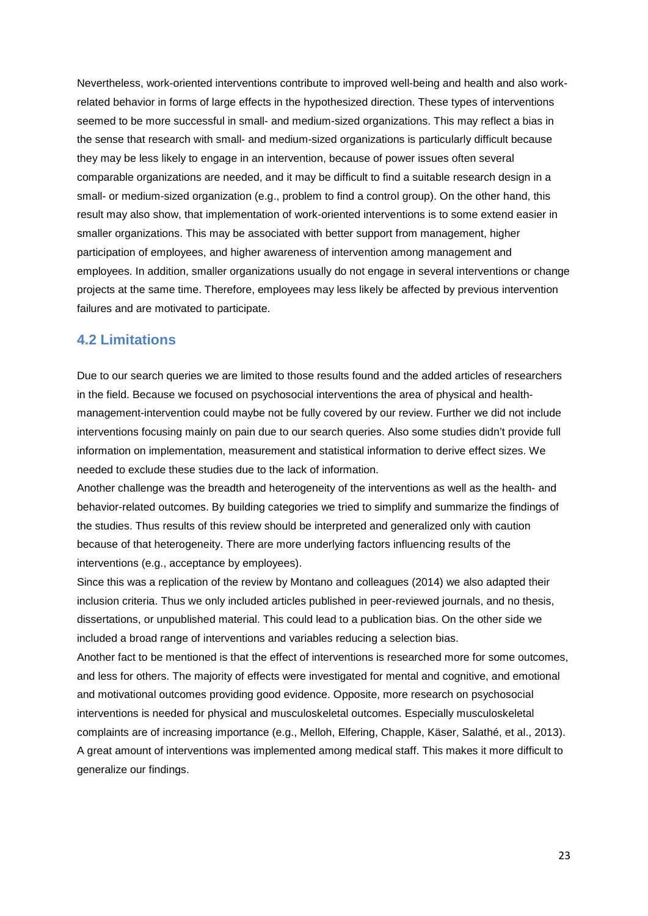Nevertheless, work-oriented interventions contribute to improved well-being and health and also workrelated behavior in forms of large effects in the hypothesized direction. These types of interventions seemed to be more successful in small- and medium-sized organizations. This may reflect a bias in the sense that research with small- and medium-sized organizations is particularly difficult because they may be less likely to engage in an intervention, because of power issues often several comparable organizations are needed, and it may be difficult to find a suitable research design in a small- or medium-sized organization (e.g., problem to find a control group). On the other hand, this result may also show, that implementation of work-oriented interventions is to some extend easier in smaller organizations. This may be associated with better support from management, higher participation of employees, and higher awareness of intervention among management and employees. In addition, smaller organizations usually do not engage in several interventions or change projects at the same time. Therefore, employees may less likely be affected by previous intervention failures and are motivated to participate.

## <span id="page-22-0"></span>**4.2 Limitations**

Due to our search queries we are limited to those results found and the added articles of researchers in the field. Because we focused on psychosocial interventions the area of physical and healthmanagement-intervention could maybe not be fully covered by our review. Further we did not include interventions focusing mainly on pain due to our search queries. Also some studies didn't provide full information on implementation, measurement and statistical information to derive effect sizes. We needed to exclude these studies due to the lack of information.

Another challenge was the breadth and heterogeneity of the interventions as well as the health- and behavior-related outcomes. By building categories we tried to simplify and summarize the findings of the studies. Thus results of this review should be interpreted and generalized only with caution because of that heterogeneity. There are more underlying factors influencing results of the interventions (e.g., acceptance by employees).

Since this was a replication of the review by Montano and colleagues (2014) we also adapted their inclusion criteria. Thus we only included articles published in peer-reviewed journals, and no thesis, dissertations, or unpublished material. This could lead to a publication bias. On the other side we included a broad range of interventions and variables reducing a selection bias.

Another fact to be mentioned is that the effect of interventions is researched more for some outcomes, and less for others. The majority of effects were investigated for mental and cognitive, and emotional and motivational outcomes providing good evidence. Opposite, more research on psychosocial interventions is needed for physical and musculoskeletal outcomes. Especially musculoskeletal complaints are of increasing importance (e.g., Melloh, Elfering, Chapple, Käser, Salathé, et al., 2013). A great amount of interventions was implemented among medical staff. This makes it more difficult to generalize our findings.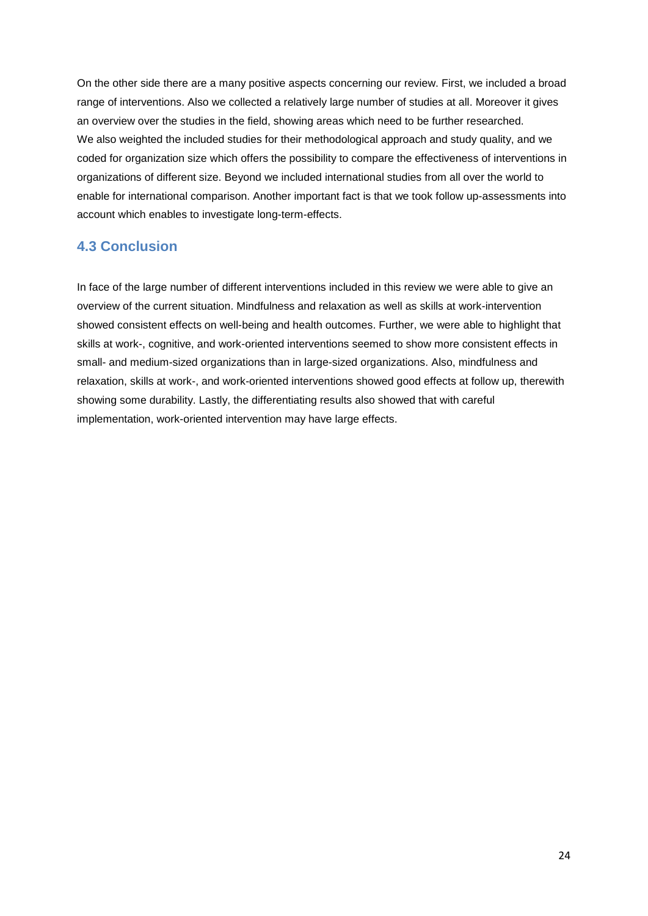On the other side there are a many positive aspects concerning our review. First, we included a broad range of interventions. Also we collected a relatively large number of studies at all. Moreover it gives an overview over the studies in the field, showing areas which need to be further researched. We also weighted the included studies for their methodological approach and study quality, and we coded for organization size which offers the possibility to compare the effectiveness of interventions in organizations of different size. Beyond we included international studies from all over the world to enable for international comparison. Another important fact is that we took follow up-assessments into account which enables to investigate long-term-effects.

# <span id="page-23-0"></span>**4.3 Conclusion**

In face of the large number of different interventions included in this review we were able to give an overview of the current situation. Mindfulness and relaxation as well as skills at work-intervention showed consistent effects on well-being and health outcomes. Further, we were able to highlight that skills at work-, cognitive, and work-oriented interventions seemed to show more consistent effects in small- and medium-sized organizations than in large-sized organizations. Also, mindfulness and relaxation, skills at work-, and work-oriented interventions showed good effects at follow up, therewith showing some durability. Lastly, the differentiating results also showed that with careful implementation, work-oriented intervention may have large effects.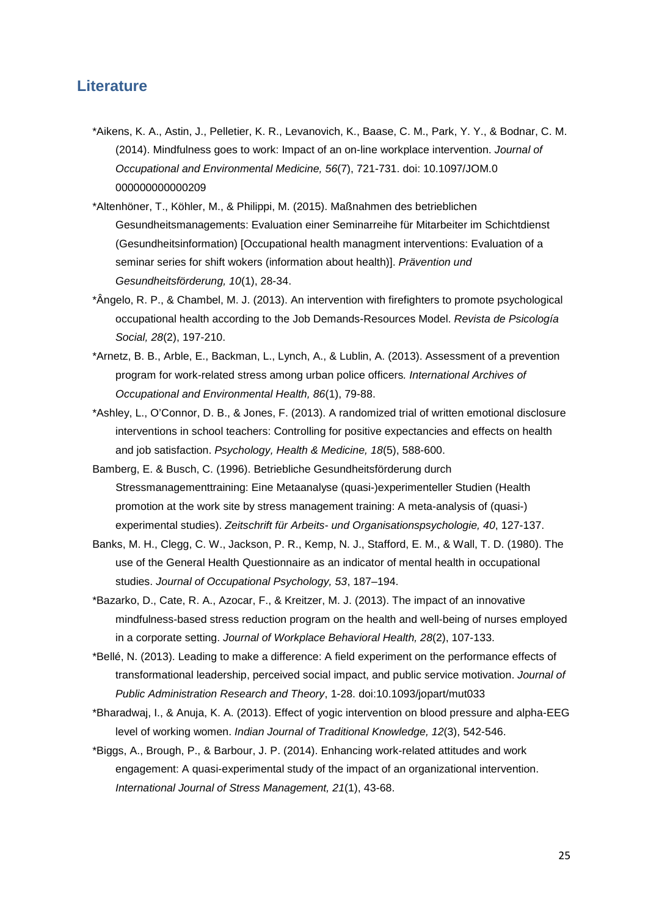## <span id="page-24-0"></span>**Literature**

- \*Aikens, K. A., Astin, J., Pelletier, K. R., Levanovich, K., Baase, C. M., Park, Y. Y., & Bodnar, C. M. (2014). Mindfulness goes to work: Impact of an on-line workplace intervention. *Journal of Occupational and Environmental Medicine, 56*(7), 721-731. doi: 10.1097/JOM.0 000000000000209
- \*Altenhöner, T., Köhler, M., & Philippi, M. (2015). Maßnahmen des betrieblichen Gesundheitsmanagements: Evaluation einer Seminarreihe für Mitarbeiter im Schichtdienst (Gesundheitsinformation) [Occupational health managment interventions: Evaluation of a seminar series for shift wokers (information about health)]. *Prävention und Gesundheitsförderung, 10*(1), 28-34.
- \*Ângelo, R. P., & Chambel, M. J. (2013). An intervention with firefighters to promote psychological occupational health according to the Job Demands-Resources Model. *Revista de Psicología Social, 28*(2), 197-210.
- \*Arnetz, B. B., Arble, E., Backman, L., Lynch, A., & Lublin, A. (2013). Assessment of a prevention program for work-related stress among urban police officers*. International Archives of Occupational and Environmental Health, 86*(1), 79-88.
- \*Ashley, L., O'Connor, D. B., & Jones, F. (2013). A randomized trial of written emotional disclosure interventions in school teachers: Controlling for positive expectancies and effects on health and job satisfaction. *Psychology, Health & Medicine, 18*(5), 588-600.
- Bamberg, E. & Busch, C. (1996). Betriebliche Gesundheitsförderung durch Stressmanagementtraining: Eine Metaanalyse (quasi-)experimenteller Studien (Health promotion at the work site by stress management training: A meta-analysis of (quasi-) experimental studies). *Zeitschrift für Arbeits- und Organisationspsychologie, 40*, 127-137.
- Banks, M. H., Clegg, C. W., Jackson, P. R., Kemp, N. J., Stafford, E. M., & Wall, T. D. (1980). The use of the General Health Questionnaire as an indicator of mental health in occupational studies. *Journal of Occupational Psychology, 53*, 187–194.
- \*Bazarko, D., Cate, R. A., Azocar, F., & Kreitzer, M. J. (2013). The impact of an innovative mindfulness-based stress reduction program on the health and well-being of nurses employed in a corporate setting. *Journal of Workplace Behavioral Health, 28*(2), 107-133.
- \*Bellé, N. (2013). Leading to make a difference: A field experiment on the performance effects of transformational leadership, perceived social impact, and public service motivation. *Journal of Public Administration Research and Theory*, 1-28. doi:10.1093/jopart/mut033
- \*Bharadwaj, I., & Anuja, K. A. (2013). Effect of yogic intervention on blood pressure and alpha-EEG level of working women. *Indian Journal of Traditional Knowledge, 12*(3), 542-546.
- \*Biggs, A., Brough, P., & Barbour, J. P. (2014). Enhancing work-related attitudes and work engagement: A quasi-experimental study of the impact of an organizational intervention. *International Journal of Stress Management, 21*(1), 43-68.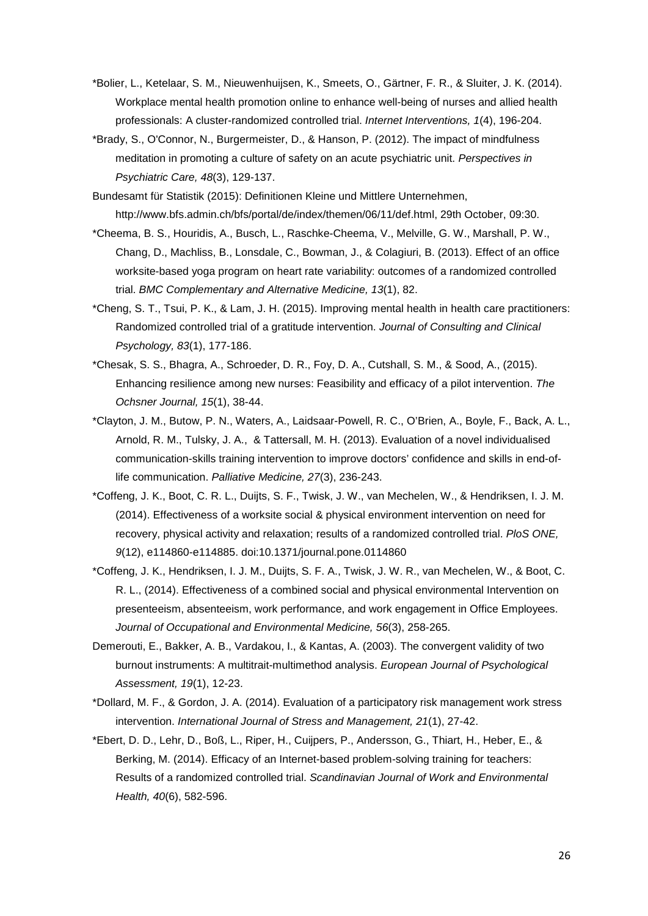- \*Bolier, L., Ketelaar, S. M., Nieuwenhuijsen, K., Smeets, O., Gärtner, F. R., & Sluiter, J. K. (2014). Workplace mental health promotion online to enhance well-being of nurses and allied health professionals: A cluster-randomized controlled trial. *Internet Interventions, 1*(4), 196-204.
- \*Brady, S., O'Connor, N., Burgermeister, D., & Hanson, P. (2012). The impact of mindfulness meditation in promoting a culture of safety on an acute psychiatric unit. *Perspectives in Psychiatric Care, 48*(3), 129-137.
- Bundesamt für Statistik (2015): Definitionen Kleine und Mittlere Unternehmen, [http://www.bfs.admin.ch/bfs/portal/de/index/themen/06/11/def.html,](http://www.bfs.admin.ch/bfs/portal/de/index/themen/06/11/def.html) 29th October, 09:30.
- \*Cheema, B. S., Houridis, A., Busch, L., Raschke-Cheema, V., Melville, G. W., Marshall, P. W., Chang, D., Machliss, B., Lonsdale, C., Bowman, J., & Colagiuri, B. (2013). Effect of an office worksite-based yoga program on heart rate variability: outcomes of a randomized controlled trial. *BMC Complementary and Alternative Medicine, 13*(1), 82.
- \*Cheng, S. T., Tsui, P. K., & Lam, J. H. (2015). Improving mental health in health care practitioners: Randomized controlled trial of a gratitude intervention. *Journal of Consulting and Clinical Psychology, 83*(1), 177-186.
- \*Chesak, S. S., Bhagra, A., Schroeder, D. R., Foy, D. A., Cutshall, S. M., & Sood, A., (2015). Enhancing resilience among new nurses: Feasibility and efficacy of a pilot intervention. *The Ochsner Journal, 15*(1), 38-44.
- \*Clayton, J. M., Butow, P. N., Waters, A., Laidsaar-Powell, R. C., O'Brien, A., Boyle, F., Back, A. L., Arnold, R. M., Tulsky, J. A., & Tattersall, M. H. (2013). Evaluation of a novel individualised communication-skills training intervention to improve doctors' confidence and skills in end-oflife communication. *Palliative Medicine, 27*(3), 236-243.
- \*Coffeng, J. K., Boot, C. R. L., Duijts, S. F., Twisk, J. W., van Mechelen, W., & Hendriksen, I. J. M. (2014). Effectiveness of a worksite social & physical environment intervention on need for recovery, physical activity and relaxation; results of a randomized controlled trial. *PloS ONE, 9*(12), e114860-e114885. doi:10.1371/journal.pone.0114860
- \*Coffeng, J. K., Hendriksen, I. J. M., Duijts, S. F. A., Twisk, J. W. R., van Mechelen, W., & Boot, C. R. L., (2014). Effectiveness of a combined social and physical environmental Intervention on presenteeism, absenteeism, work performance, and work engagement in Office Employees. *Journal of Occupational and Environmental Medicine, 56*(3), 258-265.
- Demerouti, E., Bakker, A. B., Vardakou, I., & Kantas, A. (2003). The convergent validity of two burnout instruments: A multitrait-multimethod analysis. *European Journal of Psychological Assessment, 19*(1), 12-23.
- \*Dollard, M. F., & Gordon, J. A. (2014). Evaluation of a participatory risk management work stress intervention. *International Journal of Stress and Management, 21*(1), 27-42.
- \*Ebert, D. D., Lehr, D., Boß, L., Riper, H., Cuijpers, P., Andersson, G., Thiart, H., Heber, E., & Berking, M. (2014). Efficacy of an Internet-based problem-solving training for teachers: Results of a randomized controlled trial. *Scandinavian Journal of Work and Environmental Health, 40*(6), 582-596.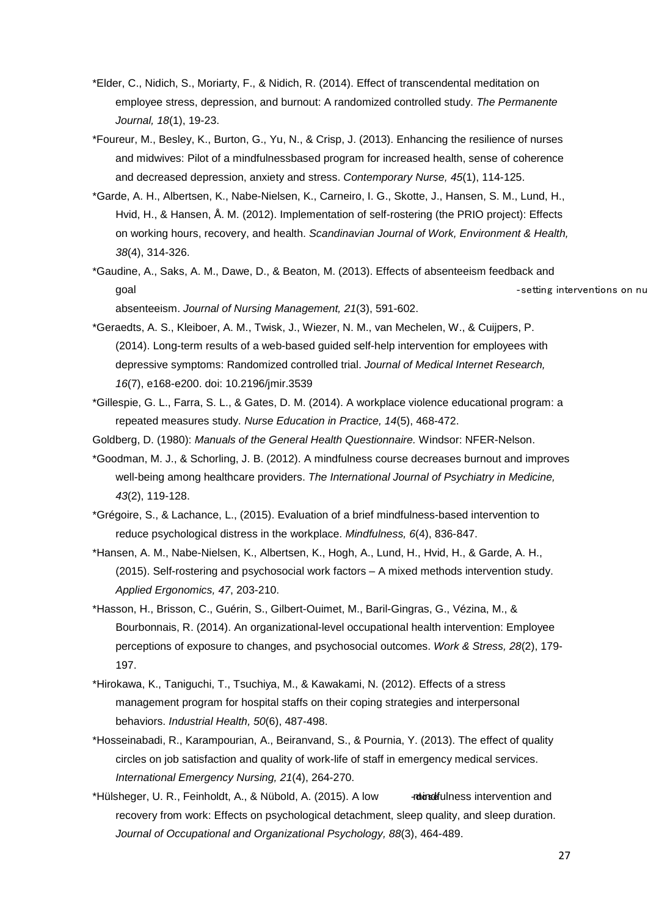- \*Elder, C., Nidich, S., Moriarty, F., & Nidich, R. (2014). Effect of transcendental meditation on employee stress, depression, and burnout: A randomized controlled study. *The Permanente Journal, 18*(1), 19-23.
- \*Foureur, M., Besley, K., Burton, G., Yu, N., & Crisp, J. (2013). Enhancing the resilience of nurses and midwives: Pilot of a mindfulnessbased program for increased health, sense of coherence and decreased depression, anxiety and stress. *Contemporary Nurse, 45*(1), 114-125.
- \*Garde, A. H., Albertsen, K., Nabe-Nielsen, K., Carneiro, I. G., Skotte, J., Hansen, S. M., Lund, H., Hvid, H., & Hansen, Å. M. (2012). Implementation of self-rostering (the PRIO project): Effects on working hours, recovery, and health. *Scandinavian Journal of Work, Environment & Health, 38*(4), 314-326.
- \*Gaudine, A., Saks, A. M., Dawe, D., & Beaton, M. (2013). Effects of absenteeism feedback and goal setting interventions on number of  $\sim$  setting interventions on number of  $\sim$

absenteeism. *Journal of Nursing Management, 21*(3), 591-602.

- \*Geraedts, A. S., Kleiboer, A. M., Twisk, J., Wiezer, N. M., van Mechelen, W., & Cuijpers, P. (2014). Long-term results of a web-based guided self-help intervention for employees with depressive symptoms: Randomized controlled trial. *Journal of Medical Internet Research, 16*(7), e168-e200. doi: [10.2196/jmir.3539](http://dx.doi.org/10.2196%2Fjmir.3539)
- \*Gillespie, G. L., Farra, S. L., & Gates, D. M. (2014). A workplace violence educational program: a repeated measures study. *Nurse Education in Practice, 14*(5), 468-472.
- Goldberg, D. (1980): *Manuals of the General Health Questionnaire.* Windsor: NFER-Nelson.
- \*Goodman, M. J., & Schorling, J. B. (2012). A mindfulness course decreases burnout and improves well-being among healthcare providers. *The International Journal of Psychiatry in Medicine, 43*(2), 119-128.
- \*Grégoire, S., & Lachance, L., (2015). Evaluation of a brief mindfulness-based intervention to reduce psychological distress in the workplace. *Mindfulness, 6*(4), 836-847.
- \*Hansen, A. M., Nabe-Nielsen, K., Albertsen, K., Hogh, A., Lund, H., Hvid, H., & Garde, A. H., (2015). Self-rostering and psychosocial work factors – A mixed methods intervention study. *Applied Ergonomics, 47*, 203-210.
- \*Hasson, H., Brisson, C., Guérin, S., Gilbert-Ouimet, M., Baril-Gingras, G., Vézina, M., & Bourbonnais, R. (2014). An organizational-level occupational health intervention: Employee perceptions of exposure to changes, and psychosocial outcomes. *Work & Stress, 28*(2), 179- 197.
- \*Hirokawa, K., Taniguchi, T., Tsuchiya, M., & Kawakami, N. (2012). Effects of a stress management program for hospital staffs on their coping strategies and interpersonal behaviors. *Industrial Health, 50*(6), 487-498.
- \*Hosseinabadi, R., Karampourian, A., Beiranvand, S., & Pournia, Y. (2013). The effect of quality circles on job satisfaction and quality of work-life of staff in emergency medical services. *International Emergency Nursing, 21*(4), 264-270.
- \*Hülsheger, U. R., Feinholdt, A., & Nübold, A. (2015). A low **critical and dost intervention and** recovery from work: Effects on psychological detachment, sleep quality, and sleep duration. *Journal of Occupational and Organizational Psychology, 88*(3), 464-489.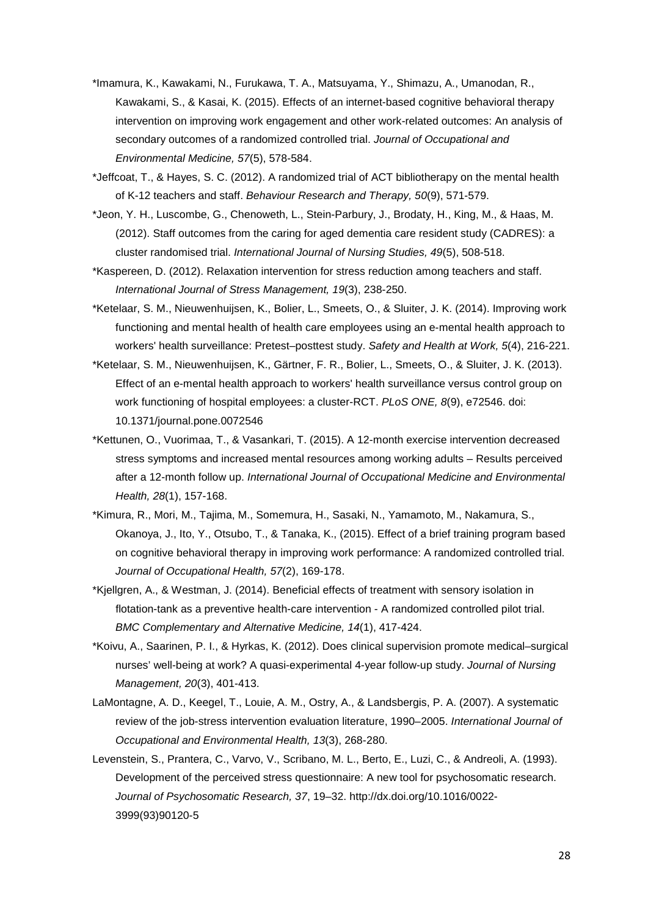- \*Imamura, K., Kawakami, N., Furukawa, T. A., Matsuyama, Y., Shimazu, A., Umanodan, R., Kawakami, S., & Kasai, K. (2015). Effects of an internet-based cognitive behavioral therapy intervention on improving work engagement and other work-related outcomes: An analysis of secondary outcomes of a randomized controlled trial. *Journal of Occupational and Environmental Medicine, 57*(5), 578-584.
- \*Jeffcoat, T., & Hayes, S. C. (2012). A randomized trial of ACT bibliotherapy on the mental health of K-12 teachers and staff. *Behaviour Research and Therapy, 50*(9), 571-579.
- \*Jeon, Y. H., Luscombe, G., Chenoweth, L., Stein-Parbury, J., Brodaty, H., King, M., & Haas, M. (2012). Staff outcomes from the caring for aged dementia care resident study (CADRES): a cluster randomised trial. *International Journal of Nursing Studies, 49*(5), 508-518.
- \*Kaspereen, D. (2012). Relaxation intervention for stress reduction among teachers and staff. *International Journal of Stress Management, 19*(3), 238-250.
- \*Ketelaar, S. M., Nieuwenhuijsen, K., Bolier, L., Smeets, O., & Sluiter, J. K. (2014). Improving work functioning and mental health of health care employees using an e-mental health approach to workers' health surveillance: Pretest–posttest study. *Safety and Health at Work, 5*(4), 216-221.
- \*Ketelaar, S. M., Nieuwenhuijsen, K., Gärtner, F. R., Bolier, L., Smeets, O., & Sluiter, J. K. (2013). Effect of an e-mental health approach to workers' health surveillance versus control group on work functioning of hospital employees: a cluster-RCT. *PLoS ONE, 8*(9), e72546. doi: 10.1371/journal.pone.0072546
- \*Kettunen, O., Vuorimaa, T., & Vasankari, T. (2015). A 12-month exercise intervention decreased stress symptoms and increased mental resources among working adults – Results perceived after a 12-month follow up. *International Journal of Occupational Medicine and Environmental Health, 28*(1), 157-168.
- \*Kimura, R., Mori, M., Tajima, M., Somemura, H., Sasaki, N., Yamamoto, M., Nakamura, S., Okanoya, J., Ito, Y., Otsubo, T., & Tanaka, K., (2015). Effect of a brief training program based on cognitive behavioral therapy in improving work performance: A randomized controlled trial. *Journal of Occupational Health, 57*(2), 169-178.
- \*Kjellgren, A., & Westman, J. (2014). Beneficial effects of treatment with sensory isolation in flotation-tank as a preventive health-care intervention - A randomized controlled pilot trial. *BMC Complementary and Alternative Medicine, 14*(1), 417-424.
- \*Koivu, A., Saarinen, P. I., & Hyrkas, K. (2012). Does clinical supervision promote medical–surgical nurses' well-being at work? A quasi-experimental 4-year follow-up study. *Journal of Nursing Management, 20*(3), 401-413.
- LaMontagne, A. D., Keegel, T., Louie, A. M., Ostry, A., & Landsbergis, P. A. (2007). A systematic review of the job-stress intervention evaluation literature, 1990–2005. *International Journal of Occupational and Environmental Health, 13*(3), 268-280.
- Levenstein, S., Prantera, C., Varvo, V., Scribano, M. L., Berto, E., Luzi, C., & Andreoli, A. (1993). Development of the perceived stress questionnaire: A new tool for psychosomatic research. *Journal of Psychosomatic Research, 37*, 19–32. http://dx.doi.org/10.1016/0022- 3999(93)90120-5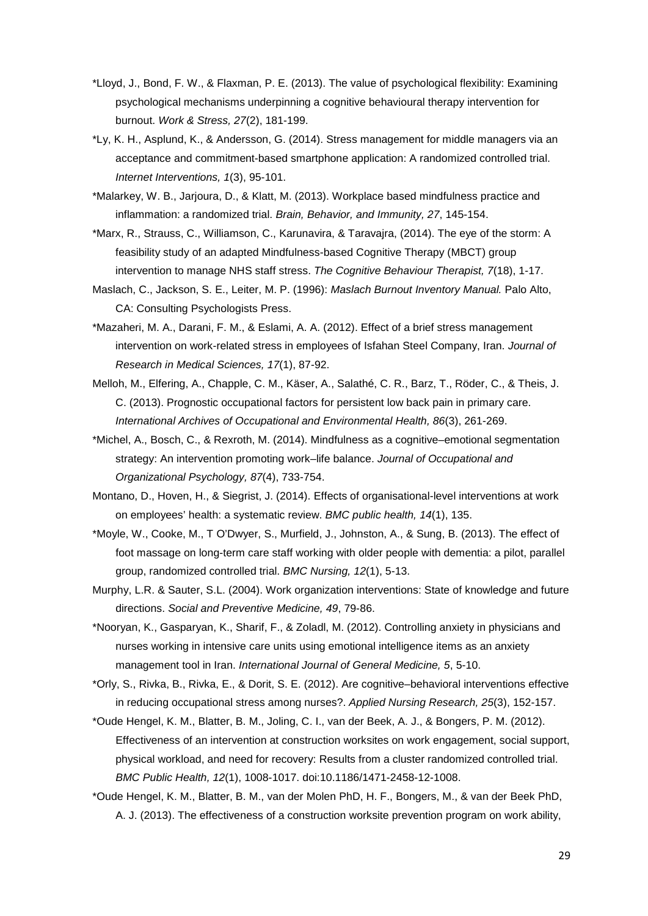- \*Lloyd, J., Bond, F. W., & Flaxman, P. E. (2013). The value of psychological flexibility: Examining psychological mechanisms underpinning a cognitive behavioural therapy intervention for burnout. *Work & Stress, 27*(2), 181-199.
- \*Ly, K. H., Asplund, K., & Andersson, G. (2014). Stress management for middle managers via an acceptance and commitment-based smartphone application: A randomized controlled trial. *Internet Interventions, 1*(3), 95-101.
- \*Malarkey, W. B., Jarjoura, D., & Klatt, M. (2013). Workplace based mindfulness practice and inflammation: a randomized trial. *Brain, Behavior, and Immunity, 27*, 145-154.
- \*Marx, R., Strauss, C., Williamson, C., Karunavira, & Taravajra, (2014). The eye of the storm: A feasibility study of an adapted Mindfulness-based Cognitive Therapy (MBCT) group intervention to manage NHS staff stress. *The Cognitive Behaviour Therapist, 7*(18), 1-17.
- Maslach, C., Jackson, S. E., Leiter, M. P. (1996): *Maslach Burnout Inventory Manual.* Palo Alto, CA: Consulting Psychologists Press.
- \*Mazaheri, M. A., Darani, F. M., & Eslami, A. A. (2012). Effect of a brief stress management intervention on work-related stress in employees of Isfahan Steel Company, Iran. *Journal of Research in Medical Sciences, 17*(1), 87-92.
- Melloh, M., Elfering, A., Chapple, C. M., Käser, A., Salathé, C. R., Barz, T., Röder, C., & Theis, J. C. (2013). Prognostic occupational factors for persistent low back pain in primary care. *International Archives of Occupational and Environmental Health, 86*(3), 261-269.
- \*Michel, A., Bosch, C., & Rexroth, M. (2014). Mindfulness as a cognitive–emotional segmentation strategy: An intervention promoting work–life balance. *Journal of Occupational and Organizational Psychology, 87*(4), 733-754.
- Montano, D., Hoven, H., & Siegrist, J. (2014). Effects of organisational-level interventions at work on employees' health: a systematic review. *BMC public health, 14*(1), 135.
- \*Moyle, W., Cooke, M., T O'Dwyer, S., Murfield, J., Johnston, A., & Sung, B. (2013). The effect of foot massage on long-term care staff working with older people with dementia: a pilot, parallel group, randomized controlled trial. *BMC Nursing, 12*(1), 5-13.
- Murphy, L.R. & Sauter, S.L. (2004). Work organization interventions: State of knowledge and future directions. *Social and Preventive Medicine, 49*, 79-86.
- \*Nooryan, K., Gasparyan, K., Sharif, F., & Zoladl, M. (2012). Controlling anxiety in physicians and nurses working in intensive care units using emotional intelligence items as an anxiety management tool in Iran. *International Journal of General Medicine, 5*, 5-10.
- \*Orly, S., Rivka, B., Rivka, E., & Dorit, S. E. (2012). Are cognitive–behavioral interventions effective in reducing occupational stress among nurses?. *Applied Nursing Research, 25*(3), 152-157.
- \*Oude Hengel, K. M., Blatter, B. M., Joling, C. I., van der Beek, A. J., & Bongers, P. M. (2012). Effectiveness of an intervention at construction worksites on work engagement, social support, physical workload, and need for recovery: Results from a cluster randomized controlled trial. *BMC Public Health, 12*(1), 1008-1017. doi:10.1186/1471-2458-12-1008.
- \*Oude Hengel, K. M., Blatter, B. M., van der Molen PhD, H. F., Bongers, M., & van der Beek PhD, A. J. (2013). The effectiveness of a construction worksite prevention program on work ability,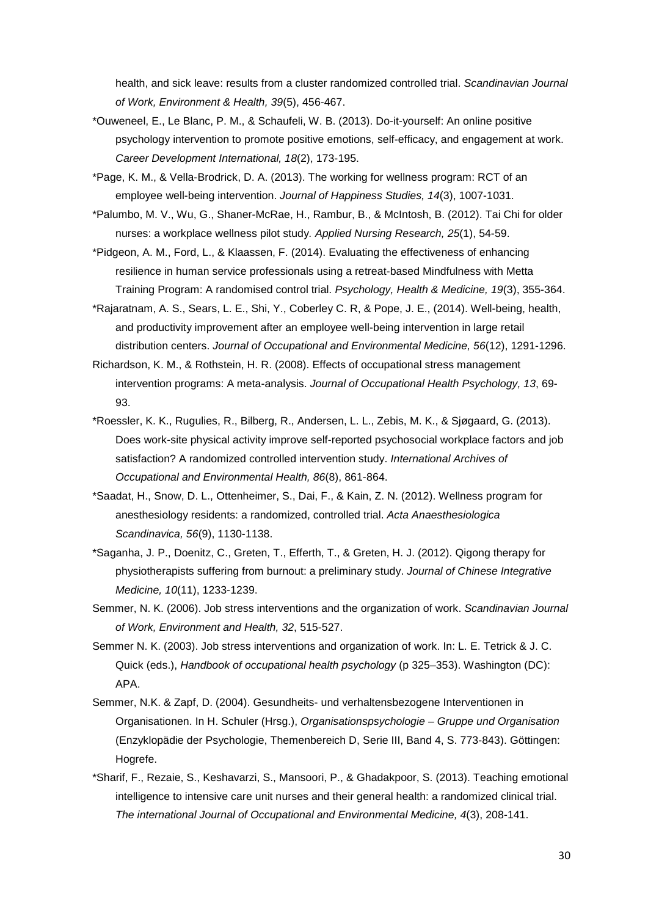health, and sick leave: results from a cluster randomized controlled trial. *Scandinavian Journal of Work, Environment & Health, 39*(5), 456-467.

- \*Ouweneel, E., Le Blanc, P. M., & Schaufeli, W. B. (2013). Do-it-yourself: An online positive psychology intervention to promote positive emotions, self-efficacy, and engagement at work. *Career Development International, 18*(2), 173-195.
- \*Page, K. M., & Vella-Brodrick, D. A. (2013). The working for wellness program: RCT of an employee well-being intervention. *Journal of Happiness Studies, 14*(3), 1007-1031.
- \*Palumbo, M. V., Wu, G., Shaner-McRae, H., Rambur, B., & McIntosh, B. (2012). Tai Chi for older nurses: a workplace wellness pilot study*. Applied Nursing Research, 25*(1), 54-59.
- \*Pidgeon, A. M., Ford, L., & Klaassen, F. (2014). Evaluating the effectiveness of enhancing resilience in human service professionals using a retreat-based Mindfulness with Metta Training Program: A randomised control trial. *Psychology, Health & Medicine, 19*(3), 355-364.
- \*Rajaratnam, A. S., Sears, L. E., Shi, Y., Coberley C. R, & Pope, J. E., (2014). Well-being, health, and productivity improvement after an employee well-being intervention in large retail distribution centers. *Journal of Occupational and Environmental Medicine, 56*(12), 1291-1296.
- Richardson, K. M., & Rothstein, H. R. (2008). Effects of occupational stress management intervention programs: A meta-analysis. *Journal of Occupational Health Psychology, 13*, 69- 93.
- \*Roessler, K. K., Rugulies, R., Bilberg, R., Andersen, L. L., Zebis, M. K., & Sjøgaard, G. (2013). Does work-site physical activity improve self-reported psychosocial workplace factors and job satisfaction? A randomized controlled intervention study. *International Archives of Occupational and Environmental Health, 86*(8), 861-864.
- \*Saadat, H., Snow, D. L., Ottenheimer, S., Dai, F., & Kain, Z. N. (2012). Wellness program for anesthesiology residents: a randomized, controlled trial. *Acta Anaesthesiologica Scandinavica, 56*(9), 1130-1138.
- \*Saganha, J. P., Doenitz, C., Greten, T., Efferth, T., & Greten, H. J. (2012). Qigong therapy for physiotherapists suffering from burnout: a preliminary study. *Journal of Chinese Integrative Medicine, 10*(11), 1233-1239.
- Semmer, N. K. (2006). Job stress interventions and the organization of work. *Scandinavian Journal of Work, Environment and Health, 32*, 515-527.
- Semmer N. K. (2003). Job stress interventions and organization of work. In: L. E. Tetrick & J. C. Quick (eds.), *Handbook of occupational health psychology* (p 325–353). Washington (DC): APA.
- Semmer, N.K. & Zapf, D. (2004). Gesundheits- und verhaltensbezogene Interventionen in Organisationen. In H. Schuler (Hrsg.), *Organisationspsychologie – Gruppe und Organisation* (Enzyklopädie der Psychologie, Themenbereich D, Serie III, Band 4, S. 773-843). Göttingen: Hogrefe.
- \*Sharif, F., Rezaie, S., Keshavarzi, S., Mansoori, P., & Ghadakpoor, S. (2013). Teaching emotional intelligence to intensive care unit nurses and their general health: a randomized clinical trial. *The international Journal of Occupational and Environmental Medicine, 4*(3), 208-141.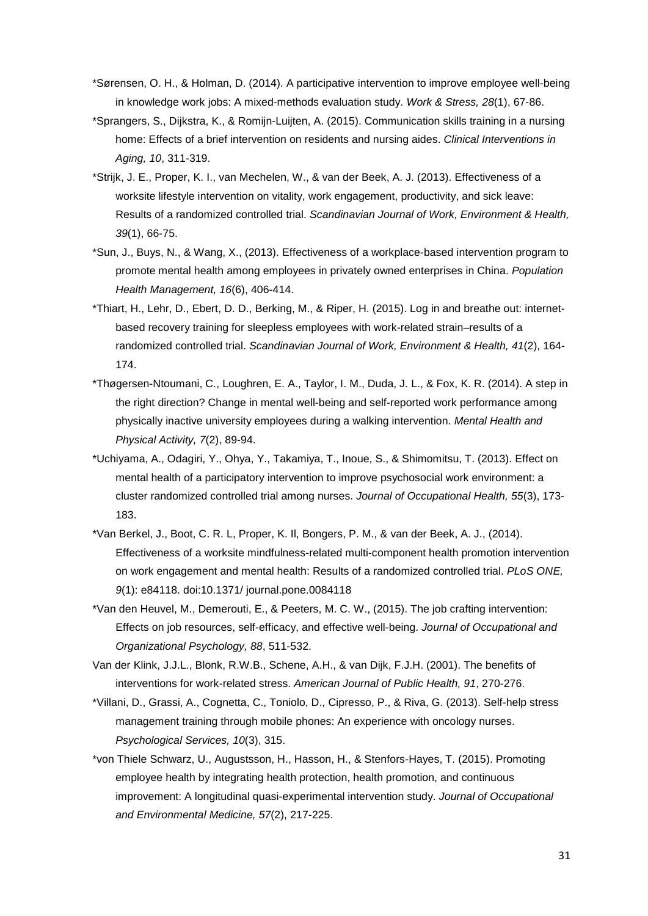- \*Sørensen, O. H., & Holman, D. (2014). A participative intervention to improve employee well-being in knowledge work jobs: A mixed-methods evaluation study. *Work & Stress, 28*(1), 67-86.
- \*Sprangers, S., Dijkstra, K., & Romijn-Luijten, A. (2015). Communication skills training in a nursing home: Effects of a brief intervention on residents and nursing aides. *Clinical Interventions in Aging, 10*, 311-319.
- \*Strijk, J. E., Proper, K. I., van Mechelen, W., & van der Beek, A. J. (2013). Effectiveness of a worksite lifestyle intervention on vitality, work engagement, productivity, and sick leave: Results of a randomized controlled trial. *Scandinavian Journal of Work, Environment & Health, 39*(1), 66-75.
- \*Sun, J., Buys, N., & Wang, X., (2013). Effectiveness of a workplace-based intervention program to promote mental health among employees in privately owned enterprises in China. *Population Health Management, 16*(6), 406-414.
- \*Thiart, H., Lehr, D., Ebert, D. D., Berking, M., & Riper, H. (2015). Log in and breathe out: internetbased recovery training for sleepless employees with work-related strain–results of a randomized controlled trial. *Scandinavian Journal of Work, Environment & Health, 41*(2), 164- 174.
- \*Thøgersen-Ntoumani, C., Loughren, E. A., Taylor, I. M., Duda, J. L., & Fox, K. R. (2014). A step in the right direction? Change in mental well-being and self-reported work performance among physically inactive university employees during a walking intervention. *Mental Health and Physical Activity, 7*(2), 89-94.
- \*Uchiyama, A., Odagiri, Y., Ohya, Y., Takamiya, T., Inoue, S., & Shimomitsu, T. (2013). Effect on mental health of a participatory intervention to improve psychosocial work environment: a cluster randomized controlled trial among nurses. *Journal of Occupational Health, 55*(3), 173- 183.
- \*Van Berkel, J., Boot, C. R. L, Proper, K. Il, Bongers, P. M., & van der Beek, A. J., (2014). Effectiveness of a worksite mindfulness-related multi-component health promotion intervention on work engagement and mental health: Results of a randomized controlled trial. *PLoS ONE, 9*(1): e84118. doi:10.1371/ journal.pone.0084118
- \*Van den Heuvel, M., Demerouti, E., & Peeters, M. C. W., (2015). The job crafting intervention: Effects on job resources, self-efficacy, and effective well-being. *Journal of Occupational and Organizational Psychology, 88*, 511-532.
- Van der Klink, J.J.L., Blonk, R.W.B., Schene, A.H., & van Dijk, F.J.H. (2001). The benefits of interventions for work-related stress. *American Journal of Public Health, 91*, 270-276.
- \*Villani, D., Grassi, A., Cognetta, C., Toniolo, D., Cipresso, P., & Riva, G. (2013). Self-help stress management training through mobile phones: An experience with oncology nurses. *Psychological Services, 10*(3), 315.
- \*von Thiele Schwarz, U., Augustsson, H., Hasson, H., & Stenfors-Hayes, T. (2015). Promoting employee health by integrating health protection, health promotion, and continuous improvement: A longitudinal quasi-experimental intervention study. *Journal of Occupational and Environmental Medicine, 57*(2), 217-225.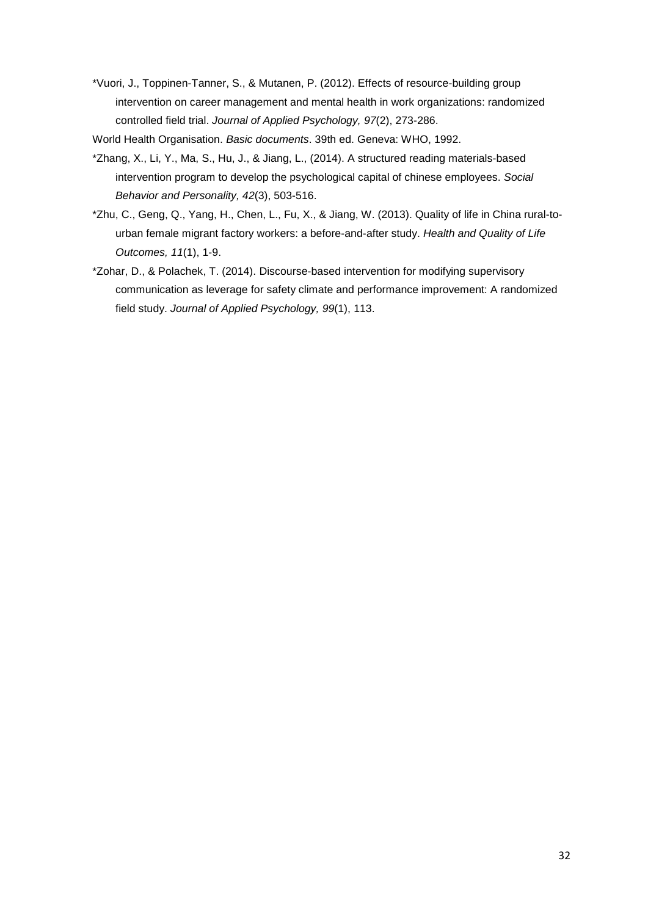\*Vuori, J., Toppinen-Tanner, S., & Mutanen, P. (2012). Effects of resource-building group intervention on career management and mental health in work organizations: randomized controlled field trial. *Journal of Applied Psychology, 97*(2), 273-286.

World Health Organisation. *Basic documents*. 39th ed. Geneva: WHO, 1992.

- \*Zhang, X., Li, Y., Ma, S., Hu, J., & Jiang, L., (2014). A structured reading materials-based intervention program to develop the psychological capital of chinese employees. *Social Behavior and Personality, 42*(3), 503-516.
- \*Zhu, C., Geng, Q., Yang, H., Chen, L., Fu, X., & Jiang, W. (2013). Quality of life in China rural-tourban female migrant factory workers: a before-and-after study. *Health and Quality of Life Outcomes, 11*(1), 1-9.
- \*Zohar, D., & Polachek, T. (2014). Discourse-based intervention for modifying supervisory communication as leverage for safety climate and performance improvement: A randomized field study. *Journal of Applied Psychology, 99*(1), 113.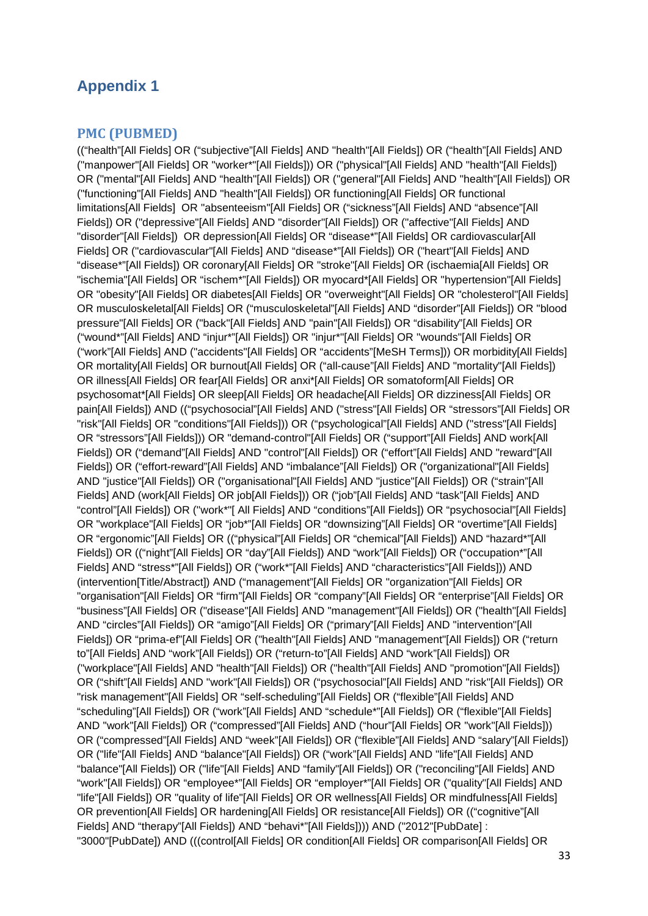# <span id="page-32-0"></span>**Appendix 1**

#### <span id="page-32-1"></span>**PMC (PUBMED)**

(("health"[All Fields] OR ("subjective"[All Fields] AND "health"[All Fields]) OR ("health"[All Fields] AND ("manpower"[All Fields] OR "worker\*"[All Fields])) OR ("physical"[All Fields] AND "health"[All Fields]) OR ("mental"[All Fields] AND "health"[All Fields]) OR ("general"[All Fields] AND "health"[All Fields]) OR ("functioning"[All Fields] AND "health"[All Fields]) OR functioning[All Fields] OR functional limitations[All Fields] OR "absenteeism"[All Fields] OR ("sickness"[All Fields] AND "absence"[All Fields]) OR ("depressive"[All Fields] AND "disorder"[All Fields]) OR ("affective"[All Fields] AND "disorder"[All Fields]) OR depression[All Fields] OR "disease\*"[All Fields] OR cardiovascular[All Fields] OR ("cardiovascular"[All Fields] AND "disease\*"[All Fields]) OR ("heart"[All Fields] AND "disease\*"[All Fields]) OR coronary[All Fields] OR "stroke"[All Fields] OR (ischaemia[All Fields] OR "ischemia"[All Fields] OR "ischem\*"[All Fields]) OR myocard\*[All Fields] OR "hypertension"[All Fields] OR "obesity"[All Fields] OR diabetes[All Fields] OR "overweight"[All Fields] OR "cholesterol"[All Fields] OR musculoskeletal[All Fields] OR ("musculoskeletal"[All Fields] AND "disorder"[All Fields]) OR "blood pressure"[All Fields] OR ("back"[All Fields] AND "pain"[All Fields]) OR "disability"[All Fields] OR ("wound\*"[All Fields] AND "injur\*"[All Fields]) OR "injur\*"[All Fields] OR "wounds"[All Fields] OR ("work"[All Fields] AND ("accidents"[All Fields] OR "accidents"[MeSH Terms])) OR morbidity[All Fields] OR mortality[All Fields] OR burnout[All Fields] OR ("all-cause"[All Fields] AND "mortality"[All Fields]) OR illness[All Fields] OR fear[All Fields] OR anxi\*[All Fields] OR somatoform[All Fields] OR psychosomat\*[All Fields] OR sleep[All Fields] OR headache[All Fields] OR dizziness[All Fields] OR pain[All Fields]) AND (("psychosocial"[All Fields] AND ("stress"[All Fields] OR "stressors"[All Fields] OR "risk"[All Fields] OR "conditions"[All Fields])) OR ("psychological"[All Fields] AND ("stress"[All Fields] OR "stressors"[All Fields])) OR "demand-control"[All Fields] OR ("support"[All Fields] AND work[All Fields]) OR ("demand"[All Fields] AND "control"[All Fields]) OR ("effort"[All Fields] AND "reward"[All Fields]) OR ("effort-reward"[All Fields] AND "imbalance"[All Fields]) OR ("organizational"[All Fields] AND "justice"[All Fields]) OR ("organisational"[All Fields] AND "justice"[All Fields]) OR ("strain"[All Fields] AND (work[All Fields] OR job[All Fields])) OR ("job"[All Fields] AND "task"[All Fields] AND "control"[All Fields]) OR ("work\*"[ All Fields] AND "conditions"[All Fields]) OR "psychosocial"[All Fields] OR "workplace"[All Fields] OR "job\*"[All Fields] OR "downsizing"[All Fields] OR "overtime"[All Fields] OR "ergonomic"[All Fields] OR (("physical"[All Fields] OR "chemical"[All Fields]) AND "hazard\*"[All Fields]) OR (("night"[All Fields] OR "day"[All Fields]) AND "work"[All Fields]) OR ("occupation\*"[All Fields] AND "stress\*"[All Fields]) OR ("work\*"[All Fields] AND "characteristics"[All Fields])) AND (intervention[Title/Abstract]) AND ("management"[All Fields] OR "organization"[All Fields] OR "organisation"[All Fields] OR "firm"[All Fields] OR "company"[All Fields] OR "enterprise"[All Fields] OR "business"[All Fields] OR ("disease"[All Fields] AND "management"[All Fields]) OR ("health"[All Fields] AND "circles"[All Fields]) OR "amigo"[All Fields] OR ("primary"[All Fields] AND "intervention"[All Fields]) OR "prima-ef"[All Fields] OR ("health"[All Fields] AND "management"[All Fields]) OR ("return to"[All Fields] AND "work"[All Fields]) OR ("return-to"[All Fields] AND "work"[All Fields]) OR ("workplace"[All Fields] AND "health"[All Fields]) OR ("health"[All Fields] AND "promotion"[All Fields]) OR ("shift"[All Fields] AND "work"[All Fields]) OR ("psychosocial"[All Fields] AND "risk"[All Fields]) OR "risk management"[All Fields] OR "self-scheduling"[All Fields] OR ("flexible"[All Fields] AND "scheduling"[All Fields]) OR ("work"[All Fields] AND "schedule\*"[All Fields]) OR ("flexible"[All Fields] AND "work"[All Fields]) OR ("compressed"[All Fields] AND ("hour"[All Fields] OR "work"[All Fields])) OR ("compressed"[All Fields] AND "week"[All Fields]) OR ("flexible"[All Fields] AND "salary"[All Fields]) OR ("life"[All Fields] AND "balance"[All Fields]) OR ("work"[All Fields] AND "life"[All Fields] AND "balance"[All Fields]) OR ("life"[All Fields] AND "family"[All Fields]) OR ("reconciling"[All Fields] AND "work"[All Fields]) OR "employee\*"[All Fields] OR "employer\*"[All Fields] OR ("quality"[All Fields] AND "life"[All Fields]) OR "quality of life"[All Fields] OR OR wellness[All Fields] OR mindfulness[All Fields] OR prevention[All Fields] OR hardening[All Fields] OR resistance[All Fields]) OR (("cognitive"[All Fields] AND "therapy"[All Fields]) AND "behavi\*"[All Fields]))) AND ("2012"[PubDate] : "3000"[PubDate]) AND (((control[All Fields] OR condition[All Fields] OR comparison[All Fields] OR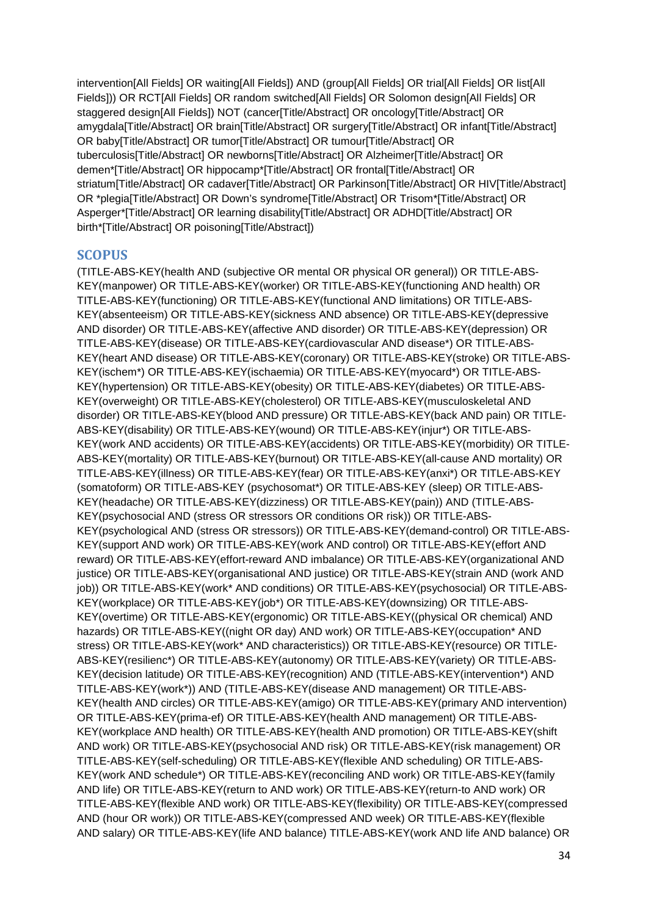intervention[All Fields] OR waiting[All Fields]) AND (group[All Fields] OR trial[All Fields] OR list[All Fields])) OR RCT[All Fields] OR random switched[All Fields] OR Solomon design[All Fields] OR staggered design[All Fields]) NOT (cancer[Title/Abstract] OR oncology[Title/Abstract] OR amygdala[Title/Abstract] OR brain[Title/Abstract] OR surgery[Title/Abstract] OR infant[Title/Abstract] OR baby[Title/Abstract] OR tumor[Title/Abstract] OR tumour[Title/Abstract] OR tuberculosis[Title/Abstract] OR newborns[Title/Abstract] OR Alzheimer[Title/Abstract] OR demen\*[Title/Abstract] OR hippocamp\*[Title/Abstract] OR frontal[Title/Abstract] OR striatum[Title/Abstract] OR cadaver[Title/Abstract] OR Parkinson[Title/Abstract] OR HIV[Title/Abstract] OR \*plegia[Title/Abstract] OR Down's syndrome[Title/Abstract] OR Trisom\*[Title/Abstract] OR Asperger\*[Title/Abstract] OR learning disability[Title/Abstract] OR ADHD[Title/Abstract] OR birth\*[Title/Abstract] OR poisoning[Title/Abstract])

#### <span id="page-33-0"></span>**SCOPUS**

(TITLE-ABS-KEY(health AND (subjective OR mental OR physical OR general)) OR TITLE-ABS-KEY(manpower) OR TITLE-ABS-KEY(worker) OR TITLE-ABS-KEY(functioning AND health) OR TITLE-ABS-KEY(functioning) OR TITLE-ABS-KEY(functional AND limitations) OR TITLE-ABS-KEY(absenteeism) OR TITLE-ABS-KEY(sickness AND absence) OR TITLE-ABS-KEY(depressive AND disorder) OR TITLE-ABS-KEY(affective AND disorder) OR TITLE-ABS-KEY(depression) OR TITLE-ABS-KEY(disease) OR TITLE-ABS-KEY(cardiovascular AND disease\*) OR TITLE-ABS-KEY(heart AND disease) OR TITLE-ABS-KEY(coronary) OR TITLE-ABS-KEY(stroke) OR TITLE-ABS-KEY(ischem\*) OR TITLE-ABS-KEY(ischaemia) OR TITLE-ABS-KEY(myocard\*) OR TITLE-ABS-KEY(hypertension) OR TITLE-ABS-KEY(obesity) OR TITLE-ABS-KEY(diabetes) OR TITLE-ABS-KEY(overweight) OR TITLE-ABS-KEY(cholesterol) OR TITLE-ABS-KEY(musculoskeletal AND disorder) OR TITLE-ABS-KEY(blood AND pressure) OR TITLE-ABS-KEY(back AND pain) OR TITLE-ABS-KEY(disability) OR TITLE-ABS-KEY(wound) OR TITLE-ABS-KEY(injur\*) OR TITLE-ABS-KEY(work AND accidents) OR TITLE-ABS-KEY(accidents) OR TITLE-ABS-KEY(morbidity) OR TITLE-ABS-KEY(mortality) OR TITLE-ABS-KEY(burnout) OR TITLE-ABS-KEY(all-cause AND mortality) OR TITLE-ABS-KEY(illness) OR TITLE-ABS-KEY(fear) OR TITLE-ABS-KEY(anxi\*) OR TITLE-ABS-KEY (somatoform) OR TITLE-ABS-KEY (psychosomat\*) OR TITLE-ABS-KEY (sleep) OR TITLE-ABS-KEY(headache) OR TITLE-ABS-KEY(dizziness) OR TITLE-ABS-KEY(pain)) AND (TITLE-ABS-KEY(psychosocial AND (stress OR stressors OR conditions OR risk)) OR TITLE-ABS-KEY(psychological AND (stress OR stressors)) OR TITLE-ABS-KEY(demand-control) OR TITLE-ABS-KEY(support AND work) OR TITLE-ABS-KEY(work AND control) OR TITLE-ABS-KEY(effort AND reward) OR TITLE-ABS-KEY(effort-reward AND imbalance) OR TITLE-ABS-KEY(organizational AND justice) OR TITLE-ABS-KEY(organisational AND justice) OR TITLE-ABS-KEY(strain AND (work AND job)) OR TITLE-ABS-KEY(work\* AND conditions) OR TITLE-ABS-KEY(psychosocial) OR TITLE-ABS-KEY(workplace) OR TITLE-ABS-KEY(job\*) OR TITLE-ABS-KEY(downsizing) OR TITLE-ABS-KEY(overtime) OR TITLE-ABS-KEY(ergonomic) OR TITLE-ABS-KEY((physical OR chemical) AND hazards) OR TITLE-ABS-KEY((night OR day) AND work) OR TITLE-ABS-KEY(occupation\* AND stress) OR TITLE-ABS-KEY(work\* AND characteristics)) OR TITLE-ABS-KEY(resource) OR TITLE-ABS-KEY(resilienc\*) OR TITLE-ABS-KEY(autonomy) OR TITLE-ABS-KEY(variety) OR TITLE-ABS-KEY(decision latitude) OR TITLE-ABS-KEY(recognition) AND (TITLE-ABS-KEY(intervention\*) AND TITLE-ABS-KEY(work\*)) AND (TITLE-ABS-KEY(disease AND management) OR TITLE-ABS-KEY(health AND circles) OR TITLE-ABS-KEY(amigo) OR TITLE-ABS-KEY(primary AND intervention) OR TITLE-ABS-KEY(prima-ef) OR TITLE-ABS-KEY(health AND management) OR TITLE-ABS-KEY(workplace AND health) OR TITLE-ABS-KEY(health AND promotion) OR TITLE-ABS-KEY(shift AND work) OR TITLE-ABS-KEY(psychosocial AND risk) OR TITLE-ABS-KEY(risk management) OR TITLE-ABS-KEY(self-scheduling) OR TITLE-ABS-KEY(flexible AND scheduling) OR TITLE-ABS-KEY(work AND schedule\*) OR TITLE-ABS-KEY(reconciling AND work) OR TITLE-ABS-KEY(family AND life) OR TITLE-ABS-KEY(return to AND work) OR TITLE-ABS-KEY(return-to AND work) OR TITLE-ABS-KEY(flexible AND work) OR TITLE-ABS-KEY(flexibility) OR TITLE-ABS-KEY(compressed AND (hour OR work)) OR TITLE-ABS-KEY(compressed AND week) OR TITLE-ABS-KEY(flexible AND salary) OR TITLE-ABS-KEY(life AND balance) TITLE-ABS-KEY(work AND life AND balance) OR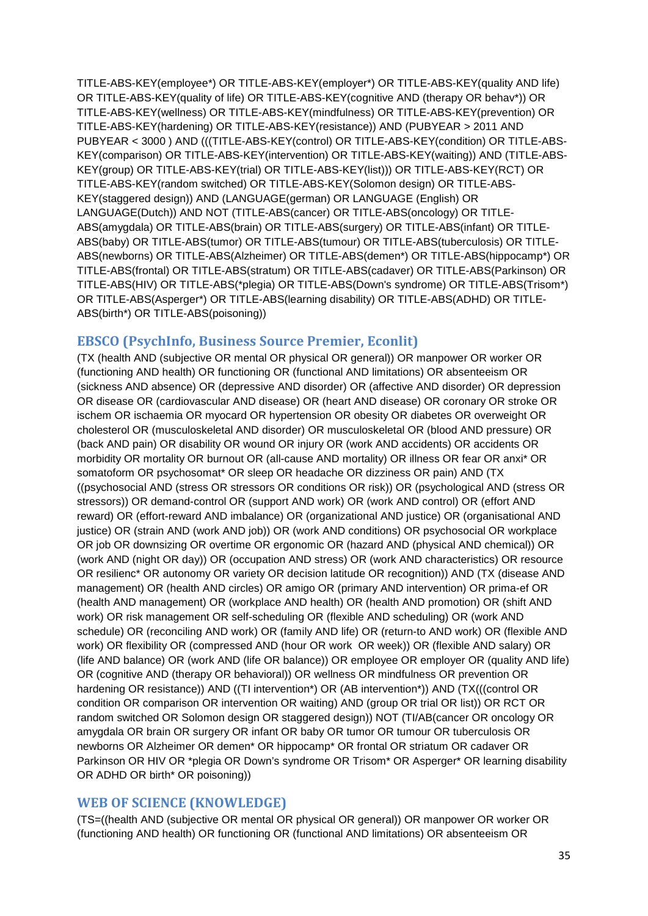TITLE-ABS-KEY(employee\*) OR TITLE-ABS-KEY(employer\*) OR TITLE-ABS-KEY(quality AND life) OR TITLE-ABS-KEY(quality of life) OR TITLE-ABS-KEY(cognitive AND (therapy OR behav\*)) OR TITLE-ABS-KEY(wellness) OR TITLE-ABS-KEY(mindfulness) OR TITLE-ABS-KEY(prevention) OR TITLE-ABS-KEY(hardening) OR TITLE-ABS-KEY(resistance)) AND (PUBYEAR > 2011 AND PUBYEAR < 3000 ) AND (((TITLE-ABS-KEY(control) OR TITLE-ABS-KEY(condition) OR TITLE-ABS-KEY(comparison) OR TITLE-ABS-KEY(intervention) OR TITLE-ABS-KEY(waiting)) AND (TITLE-ABS-KEY(group) OR TITLE-ABS-KEY(trial) OR TITLE-ABS-KEY(list))) OR TITLE-ABS-KEY(RCT) OR TITLE-ABS-KEY(random switched) OR TITLE-ABS-KEY(Solomon design) OR TITLE-ABS-KEY(staggered design)) AND (LANGUAGE(german) OR LANGUAGE (English) OR LANGUAGE(Dutch)) AND NOT (TITLE-ABS(cancer) OR TITLE-ABS(oncology) OR TITLE-ABS(amygdala) OR TITLE-ABS(brain) OR TITLE-ABS(surgery) OR TITLE-ABS(infant) OR TITLE-ABS(baby) OR TITLE-ABS(tumor) OR TITLE-ABS(tumour) OR TITLE-ABS(tuberculosis) OR TITLE-ABS(newborns) OR TITLE-ABS(Alzheimer) OR TITLE-ABS(demen\*) OR TITLE-ABS(hippocamp\*) OR TITLE-ABS(frontal) OR TITLE-ABS(stratum) OR TITLE-ABS(cadaver) OR TITLE-ABS(Parkinson) OR TITLE-ABS(HIV) OR TITLE-ABS(\*plegia) OR TITLE-ABS(Down's syndrome) OR TITLE-ABS(Trisom\*) OR TITLE-ABS(Asperger\*) OR TITLE-ABS(learning disability) OR TITLE-ABS(ADHD) OR TITLE-ABS(birth\*) OR TITLE-ABS(poisoning))

# <span id="page-34-0"></span>**EBSCO (PsychInfo, Business Source Premier, Econlit)**

(TX (health AND (subjective OR mental OR physical OR general)) OR manpower OR worker OR (functioning AND health) OR functioning OR (functional AND limitations) OR absenteeism OR (sickness AND absence) OR (depressive AND disorder) OR (affective AND disorder) OR depression OR disease OR (cardiovascular AND disease) OR (heart AND disease) OR coronary OR stroke OR ischem OR ischaemia OR myocard OR hypertension OR obesity OR diabetes OR overweight OR cholesterol OR (musculoskeletal AND disorder) OR musculoskeletal OR (blood AND pressure) OR (back AND pain) OR disability OR wound OR injury OR (work AND accidents) OR accidents OR morbidity OR mortality OR burnout OR (all-cause AND mortality) OR illness OR fear OR anxi\* OR somatoform OR psychosomat\* OR sleep OR headache OR dizziness OR pain) AND (TX ((psychosocial AND (stress OR stressors OR conditions OR risk)) OR (psychological AND (stress OR stressors)) OR demand-control OR (support AND work) OR (work AND control) OR (effort AND reward) OR (effort-reward AND imbalance) OR (organizational AND justice) OR (organisational AND justice) OR (strain AND (work AND job)) OR (work AND conditions) OR psychosocial OR workplace OR job OR downsizing OR overtime OR ergonomic OR (hazard AND (physical AND chemical)) OR (work AND (night OR day)) OR (occupation AND stress) OR (work AND characteristics) OR resource OR resilienc\* OR autonomy OR variety OR decision latitude OR recognition)) AND (TX (disease AND management) OR (health AND circles) OR amigo OR (primary AND intervention) OR prima-ef OR (health AND management) OR (workplace AND health) OR (health AND promotion) OR (shift AND work) OR risk management OR self-scheduling OR (flexible AND scheduling) OR (work AND schedule) OR (reconciling AND work) OR (family AND life) OR (return-to AND work) OR (flexible AND work) OR flexibility OR (compressed AND (hour OR work OR week)) OR (flexible AND salary) OR (life AND balance) OR (work AND (life OR balance)) OR employee OR employer OR (quality AND life) OR (cognitive AND (therapy OR behavioral)) OR wellness OR mindfulness OR prevention OR hardening OR resistance)) AND ((TI intervention\*) OR (AB intervention\*)) AND (TX(((control OR condition OR comparison OR intervention OR waiting) AND (group OR trial OR list)) OR RCT OR random switched OR Solomon design OR staggered design)) NOT (TI/AB(cancer OR oncology OR amygdala OR brain OR surgery OR infant OR baby OR tumor OR tumour OR tuberculosis OR newborns OR Alzheimer OR demen\* OR hippocamp\* OR frontal OR striatum OR cadaver OR Parkinson OR HIV OR \*plegia OR Down's syndrome OR Trisom\* OR Asperger\* OR learning disability OR ADHD OR birth\* OR poisoning))

#### <span id="page-34-1"></span>**WEB OF SCIENCE (KNOWLEDGE)**

(TS=((health AND (subjective OR mental OR physical OR general)) OR manpower OR worker OR (functioning AND health) OR functioning OR (functional AND limitations) OR absenteeism OR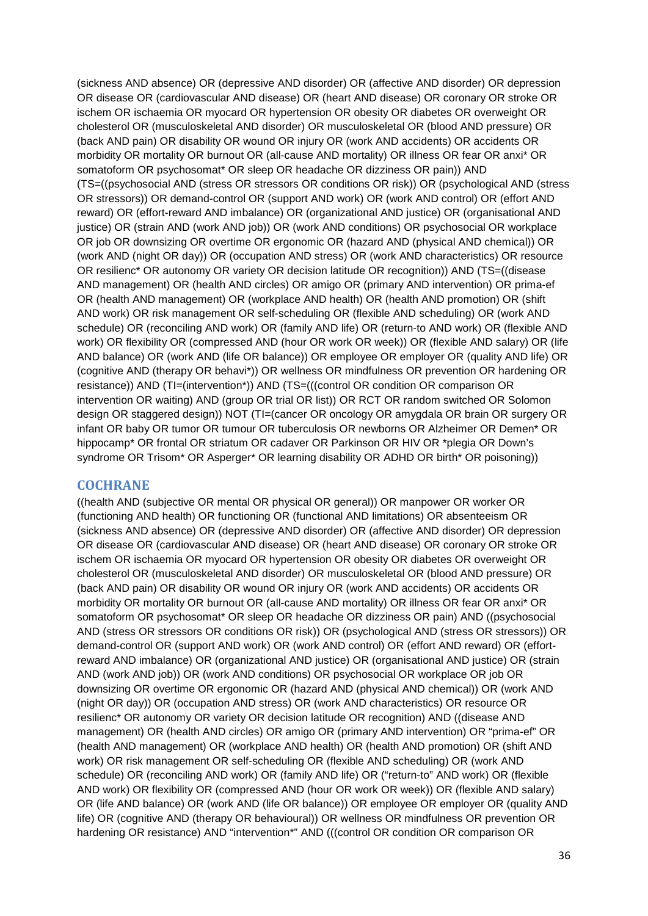(sickness AND absence) OR (depressive AND disorder) OR (affective AND disorder) OR depression OR disease OR (cardiovascular AND disease) OR (heart AND disease) OR coronary OR stroke OR ischem OR ischaemia OR myocard OR hypertension OR obesity OR diabetes OR overweight OR cholesterol OR (musculoskeletal AND disorder) OR musculoskeletal OR (blood AND pressure) OR (back AND pain) OR disability OR wound OR injury OR (work AND accidents) OR accidents OR morbidity OR mortality OR burnout OR (all-cause AND mortality) OR illness OR fear OR anxi\* OR somatoform OR psychosomat\* OR sleep OR headache OR dizziness OR pain)) AND (TS=((psychosocial AND (stress OR stressors OR conditions OR risk)) OR (psychological AND (stress OR stressors)) OR demand-control OR (support AND work) OR (work AND control) OR (effort AND reward) OR (effort-reward AND imbalance) OR (organizational AND justice) OR (organisational AND justice) OR (strain AND (work AND job)) OR (work AND conditions) OR psychosocial OR workplace OR job OR downsizing OR overtime OR ergonomic OR (hazard AND (physical AND chemical)) OR (work AND (night OR day)) OR (occupation AND stress) OR (work AND characteristics) OR resource OR resilienc\* OR autonomy OR variety OR decision latitude OR recognition)) AND (TS=((disease AND management) OR (health AND circles) OR amigo OR (primary AND intervention) OR prima-ef OR (health AND management) OR (workplace AND health) OR (health AND promotion) OR (shift AND work) OR risk management OR self-scheduling OR (flexible AND scheduling) OR (work AND schedule) OR (reconciling AND work) OR (family AND life) OR (return-to AND work) OR (flexible AND work) OR flexibility OR (compressed AND (hour OR work OR week)) OR (flexible AND salary) OR (life AND balance) OR (work AND (life OR balance)) OR employee OR employer OR (quality AND life) OR (cognitive AND (therapy OR behavi\*)) OR wellness OR mindfulness OR prevention OR hardening OR resistance)) AND (TI=(intervention\*)) AND (TS=(((control OR condition OR comparison OR intervention OR waiting) AND (group OR trial OR list)) OR RCT OR random switched OR Solomon design OR staggered design)) NOT (TI=(cancer OR oncology OR amygdala OR brain OR surgery OR infant OR baby OR tumor OR tumour OR tuberculosis OR newborns OR Alzheimer OR Demen\* OR hippocamp\* OR frontal OR striatum OR cadaver OR Parkinson OR HIV OR \*plegia OR Down's syndrome OR Trisom\* OR Asperger\* OR learning disability OR ADHD OR birth\* OR poisoning))

#### <span id="page-35-0"></span>**COCHRANE**

((health AND (subjective OR mental OR physical OR general)) OR manpower OR worker OR (functioning AND health) OR functioning OR (functional AND limitations) OR absenteeism OR (sickness AND absence) OR (depressive AND disorder) OR (affective AND disorder) OR depression OR disease OR (cardiovascular AND disease) OR (heart AND disease) OR coronary OR stroke OR ischem OR ischaemia OR myocard OR hypertension OR obesity OR diabetes OR overweight OR cholesterol OR (musculoskeletal AND disorder) OR musculoskeletal OR (blood AND pressure) OR (back AND pain) OR disability OR wound OR injury OR (work AND accidents) OR accidents OR morbidity OR mortality OR burnout OR (all-cause AND mortality) OR illness OR fear OR anxi\* OR somatoform OR psychosomat\* OR sleep OR headache OR dizziness OR pain) AND ((psychosocial AND (stress OR stressors OR conditions OR risk)) OR (psychological AND (stress OR stressors)) OR demand-control OR (support AND work) OR (work AND control) OR (effort AND reward) OR (effortreward AND imbalance) OR (organizational AND justice) OR (organisational AND justice) OR (strain AND (work AND job)) OR (work AND conditions) OR psychosocial OR workplace OR job OR downsizing OR overtime OR ergonomic OR (hazard AND (physical AND chemical)) OR (work AND (night OR day)) OR (occupation AND stress) OR (work AND characteristics) OR resource OR resilienc\* OR autonomy OR variety OR decision latitude OR recognition) AND ((disease AND management) OR (health AND circles) OR amigo OR (primary AND intervention) OR "prima-ef" OR (health AND management) OR (workplace AND health) OR (health AND promotion) OR (shift AND work) OR risk management OR self-scheduling OR (flexible AND scheduling) OR (work AND schedule) OR (reconciling AND work) OR (family AND life) OR ("return-to" AND work) OR (flexible AND work) OR flexibility OR (compressed AND (hour OR work OR week)) OR (flexible AND salary) OR (life AND balance) OR (work AND (life OR balance)) OR employee OR employer OR (quality AND life) OR (cognitive AND (therapy OR behavioural)) OR wellness OR mindfulness OR prevention OR hardening OR resistance) AND "intervention\*" AND (((control OR condition OR comparison OR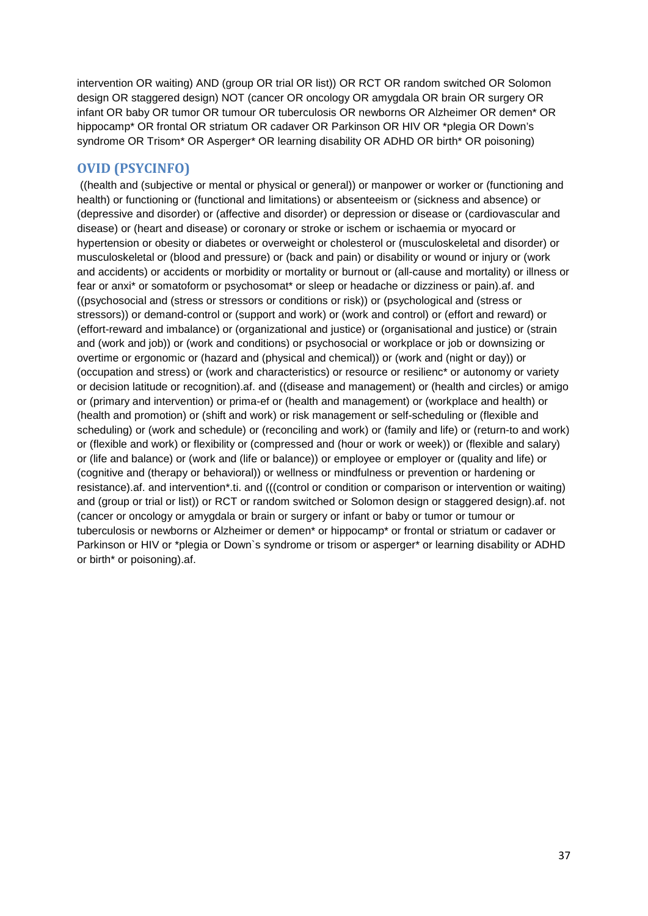intervention OR waiting) AND (group OR trial OR list)) OR RCT OR random switched OR Solomon design OR staggered design) NOT (cancer OR oncology OR amygdala OR brain OR surgery OR infant OR baby OR tumor OR tumour OR tuberculosis OR newborns OR Alzheimer OR demen\* OR hippocamp\* OR frontal OR striatum OR cadaver OR Parkinson OR HIV OR \*plegia OR Down's syndrome OR Trisom\* OR Asperger\* OR learning disability OR ADHD OR birth\* OR poisoning)

## **OVID (PSYCINFO)**

((health and (subjective or mental or physical or general)) or manpower or worker or (functioning and health) or functioning or (functional and limitations) or absenteeism or (sickness and absence) or (depressive and disorder) or (affective and disorder) or depression or disease or (cardiovascular and disease) or (heart and disease) or coronary or stroke or ischem or ischaemia or myocard or hypertension or obesity or diabetes or overweight or cholesterol or (musculoskeletal and disorder) or musculoskeletal or (blood and pressure) or (back and pain) or disability or wound or injury or (work and accidents) or accidents or morbidity or mortality or burnout or (all-cause and mortality) or illness or fear or anxi\* or somatoform or psychosomat\* or sleep or headache or dizziness or pain).af. and ((psychosocial and (stress or stressors or conditions or risk)) or (psychological and (stress or stressors)) or demand-control or (support and work) or (work and control) or (effort and reward) or (effort-reward and imbalance) or (organizational and justice) or (organisational and justice) or (strain and (work and job)) or (work and conditions) or psychosocial or workplace or job or downsizing or overtime or ergonomic or (hazard and (physical and chemical)) or (work and (night or day)) or (occupation and stress) or (work and characteristics) or resource or resilienc\* or autonomy or variety or decision latitude or recognition).af. and ((disease and management) or (health and circles) or amigo or (primary and intervention) or prima-ef or (health and management) or (workplace and health) or (health and promotion) or (shift and work) or risk management or self-scheduling or (flexible and scheduling) or (work and schedule) or (reconciling and work) or (family and life) or (return-to and work) or (flexible and work) or flexibility or (compressed and (hour or work or week)) or (flexible and salary) or (life and balance) or (work and (life or balance)) or employee or employer or (quality and life) or (cognitive and (therapy or behavioral)) or wellness or mindfulness or prevention or hardening or resistance).af. and intervention\*.ti. and (((control or condition or comparison or intervention or waiting) and (group or trial or list)) or RCT or random switched or Solomon design or staggered design).af. not (cancer or oncology or amygdala or brain or surgery or infant or baby or tumor or tumour or tuberculosis or newborns or Alzheimer or demen\* or hippocamp\* or frontal or striatum or cadaver or Parkinson or HIV or \*plegia or Down`s syndrome or trisom or asperger\* or learning disability or ADHD or birth\* or poisoning).af.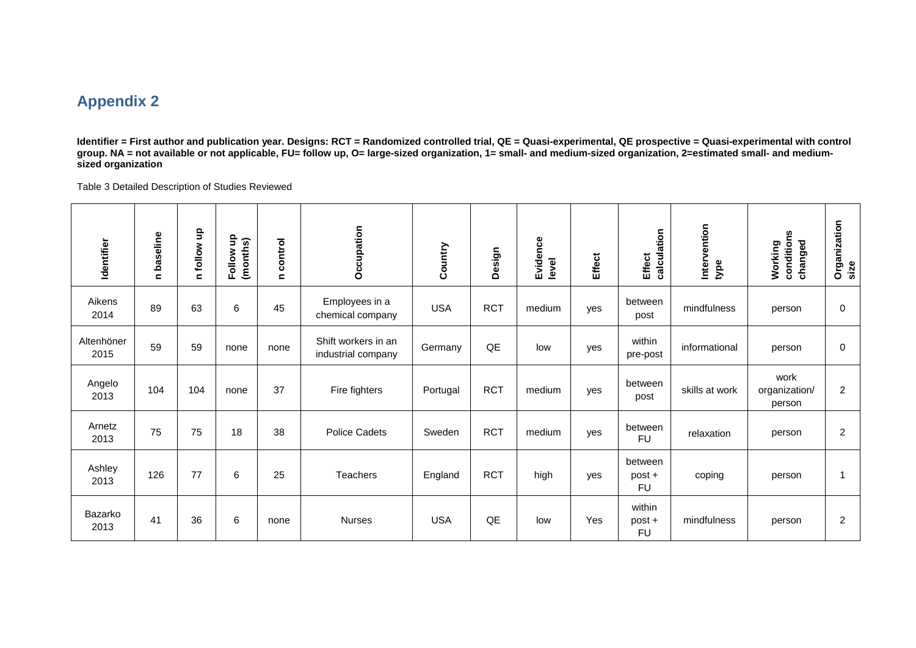## **Appendix 2**

**Identifier = First author and publication year. Designs: RCT = Randomized controlled trial, QE = Quasi-experimental, QE prospective = Quasi-experimental with control group. NA = not available or not applicable, FU= follow up, O= large-sized organization, 1= small- and medium-sized organization, 2=estimated small- and mediumsized organization**

Table 3 Detailed Description of Studies Reviewed

| Identifier         | baseline<br>$\blacksquare$ | $\frac{1}{2}$<br>n follow | 읔<br>(months)<br>Follow | n control | Occupation                                | Country    | Design     | Evidence<br>level | <b>Effect</b> | calculation<br><b>Effect</b>   | Intervention<br>type | conditions<br>changed<br>Working | Organization<br>size |
|--------------------|----------------------------|---------------------------|-------------------------|-----------|-------------------------------------------|------------|------------|-------------------|---------------|--------------------------------|----------------------|----------------------------------|----------------------|
| Aikens<br>2014     | 89                         | 63                        | 6                       | 45        | Employees in a<br>chemical company        | <b>USA</b> | <b>RCT</b> | medium            | yes           | between<br>post                | mindfulness          | person                           | 0                    |
| Altenhöner<br>2015 | 59                         | 59                        | none                    | none      | Shift workers in an<br>industrial company | Germany    | QE         | low               | yes           | within<br>pre-post             | informational        | person                           | 0                    |
| Angelo<br>2013     | 104                        | 104                       | none                    | 37        | Fire fighters                             | Portugal   | <b>RCT</b> | medium            | yes           | between<br>post                | skills at work       | work<br>organization/<br>person  | $\overline{2}$       |
| Arnetz<br>2013     | 75                         | 75                        | 18                      | 38        | Police Cadets                             | Sweden     | <b>RCT</b> | medium            | yes           | between<br><b>FU</b>           | relaxation           | person                           | $\overline{2}$       |
| Ashley<br>2013     | 126                        | 77                        | 6                       | 25        | Teachers                                  | England    | <b>RCT</b> | high              | yes           | between<br>post +<br><b>FU</b> | coping               | person                           |                      |
| Bazarko<br>2013    | 41                         | 36                        | 6                       | none      | <b>Nurses</b>                             | <b>USA</b> | QE         | low               | Yes           | within<br>post +<br><b>FU</b>  | mindfulness          | person                           | $\overline{2}$       |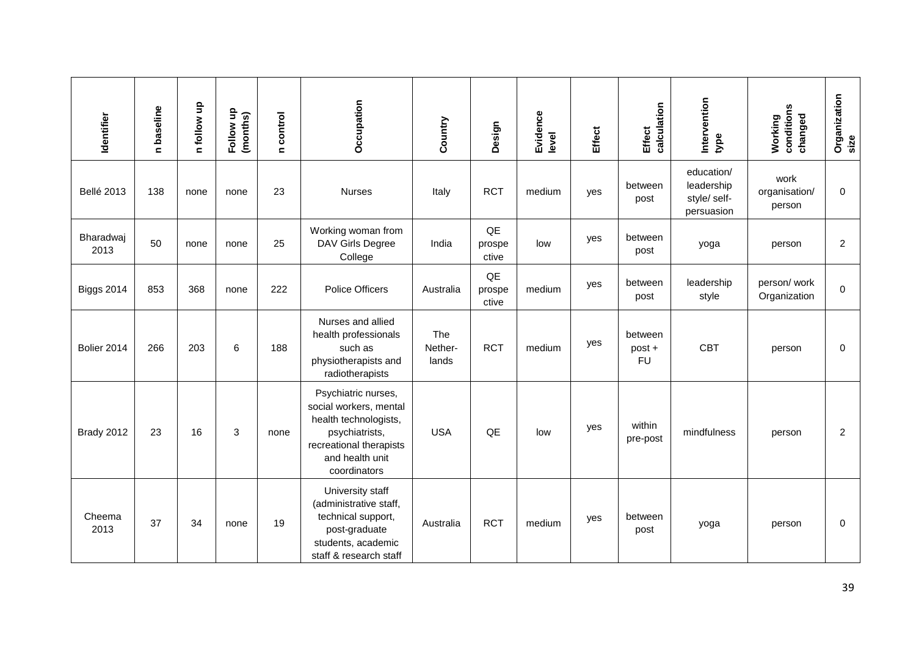| Identifier        | n baseline | n follow up | 음<br>(months)<br>Follow I | n control | Occupation                                                                                                                                             | Country                 | Design                | Evidence<br>level | <b>Effect</b> | calculation<br><b>Effect</b>   | Intervention<br>type                                   | conditions<br>changed<br>Working | Organization<br>size |
|-------------------|------------|-------------|---------------------------|-----------|--------------------------------------------------------------------------------------------------------------------------------------------------------|-------------------------|-----------------------|-------------------|---------------|--------------------------------|--------------------------------------------------------|----------------------------------|----------------------|
| <b>Bellé 2013</b> | 138        | none        | none                      | 23        | <b>Nurses</b>                                                                                                                                          | Italy                   | <b>RCT</b>            | medium            | yes           | between<br>post                | education/<br>leadership<br>style/ self-<br>persuasion | work<br>organisation/<br>person  | $\mathbf 0$          |
| Bharadwaj<br>2013 | 50         | none        | none                      | 25        | Working woman from<br>DAV Girls Degree<br>College                                                                                                      | India                   | QE<br>prospe<br>ctive | low               | yes           | between<br>post                | yoga                                                   | person                           | $\overline{c}$       |
| <b>Biggs 2014</b> | 853        | 368         | none                      | 222       | <b>Police Officers</b>                                                                                                                                 | Australia               | QE<br>prospe<br>ctive | medium            | yes           | between<br>post                | leadership<br>style                                    | person/work<br>Organization      | $\mathbf 0$          |
| Bolier 2014       | 266        | 203         | 6                         | 188       | Nurses and allied<br>health professionals<br>such as<br>physiotherapists and<br>radiotherapists                                                        | The<br>Nether-<br>lands | <b>RCT</b>            | medium            | yes           | between<br>post +<br><b>FU</b> | <b>CBT</b>                                             | person                           | 0                    |
| Brady 2012        | 23         | 16          | 3                         | none      | Psychiatric nurses,<br>social workers, mental<br>health technologists,<br>psychiatrists,<br>recreational therapists<br>and health unit<br>coordinators | <b>USA</b>              | QE                    | low               | yes           | within<br>pre-post             | mindfulness                                            | person                           | $\overline{c}$       |
| Cheema<br>2013    | 37         | 34          | none                      | 19        | University staff<br>(administrative staff,<br>technical support,<br>post-graduate<br>students, academic<br>staff & research staff                      | Australia               | <b>RCT</b>            | medium            | yes           | between<br>post                | yoga                                                   | person                           | 0                    |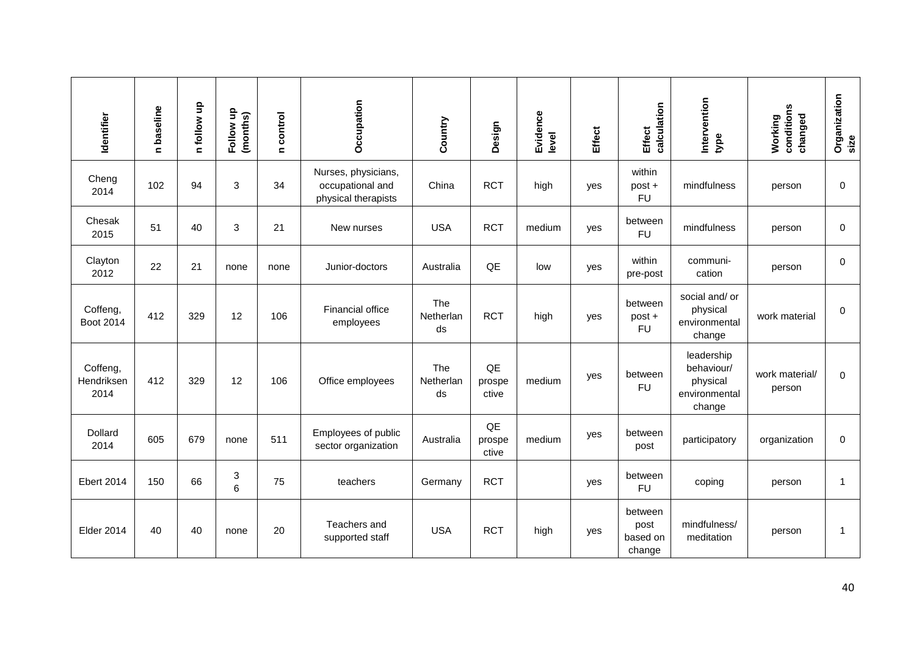| Identifier                     | n baseline | n follow up | Follow up<br>(months)          | control<br>$\blacksquare$ | Occupation                                                     | Country                | Design                | Evidence<br>level | <b>Effect</b> | calculation<br><b>Effect</b>          | Intervention<br>type                                            | Working<br>conditions<br>changed | Organization<br>size |
|--------------------------------|------------|-------------|--------------------------------|---------------------------|----------------------------------------------------------------|------------------------|-----------------------|-------------------|---------------|---------------------------------------|-----------------------------------------------------------------|----------------------------------|----------------------|
| Cheng<br>2014                  | 102        | 94          | 3                              | 34                        | Nurses, physicians,<br>occupational and<br>physical therapists | China                  | <b>RCT</b>            | high              | yes           | within<br>post +<br><b>FU</b>         | mindfulness                                                     | person                           | $\mathbf 0$          |
| Chesak<br>2015                 | 51         | 40          | 3                              | 21                        | New nurses                                                     | <b>USA</b>             | <b>RCT</b>            | medium            | yes           | between<br><b>FU</b>                  | mindfulness                                                     | person                           | 0                    |
| Clayton<br>2012                | 22         | 21          | none                           | none                      | Junior-doctors                                                 | Australia              | QE                    | low               | yes           | within<br>pre-post                    | communi-<br>cation                                              | person                           | $\mathbf 0$          |
| Coffeng,<br>Boot 2014          | 412        | 329         | 12                             | 106                       | Financial office<br>employees                                  | The<br>Netherlan<br>ds | <b>RCT</b>            | high              | yes           | between<br>post +<br><b>FU</b>        | social and/or<br>physical<br>environmental<br>change            | work material                    | 0                    |
| Coffeng,<br>Hendriksen<br>2014 | 412        | 329         | 12                             | 106                       | Office employees                                               | The<br>Netherlan<br>ds | QE<br>prospe<br>ctive | medium            | yes           | between<br><b>FU</b>                  | leadership<br>behaviour/<br>physical<br>environmental<br>change | work material/<br>person         | $\Omega$             |
| Dollard<br>2014                | 605        | 679         | none                           | 511                       | Employees of public<br>sector organization                     | Australia              | QE<br>prospe<br>ctive | medium            | yes           | between<br>post                       | participatory                                                   | organization                     | $\mathbf 0$          |
| <b>Ebert 2014</b>              | 150        | 66          | $\ensuremath{\mathsf{3}}$<br>6 | 75                        | teachers                                                       | Germany                | <b>RCT</b>            |                   | yes           | between<br><b>FU</b>                  | coping                                                          | person                           | $\mathbf 1$          |
| <b>Elder 2014</b>              | 40         | 40          | none                           | 20                        | Teachers and<br>supported staff                                | <b>USA</b>             | <b>RCT</b>            | high              | yes           | between<br>post<br>based on<br>change | mindfulness/<br>meditation                                      | person                           | $\mathbf{1}$         |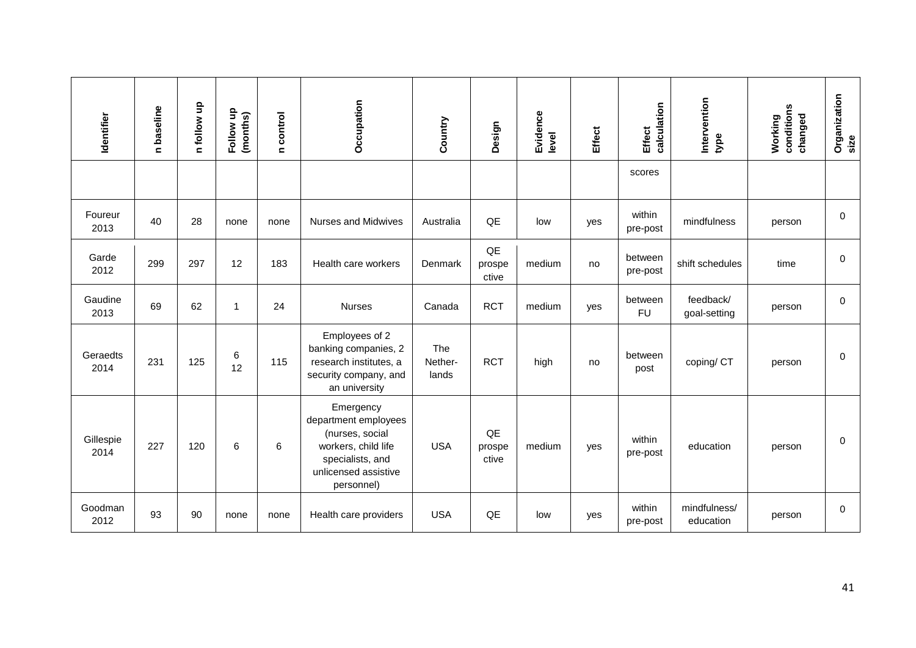| Identifier        | n baseline | n follow up | Follow up<br>(months) | n control | Occupation                                                                                                                            | Country                 | Design                                                                                                                                          | Evidence<br>level | <b>Effect</b> | calculation<br><b>Effect</b> | Intervention<br>type      | Working<br>conditions<br>changed | Organization<br>size |
|-------------------|------------|-------------|-----------------------|-----------|---------------------------------------------------------------------------------------------------------------------------------------|-------------------------|-------------------------------------------------------------------------------------------------------------------------------------------------|-------------------|---------------|------------------------------|---------------------------|----------------------------------|----------------------|
|                   |            |             |                       |           |                                                                                                                                       |                         |                                                                                                                                                 |                   |               | scores                       |                           |                                  |                      |
| Foureur<br>2013   | 40         | 28          | none                  | none      | <b>Nurses and Midwives</b>                                                                                                            | Australia               | QE                                                                                                                                              | low               | yes           | within<br>pre-post           | mindfulness               | person                           | $\pmb{0}$            |
| Garde<br>2012     | 299        | 297         | 12                    | 183       | Health care workers                                                                                                                   | Denmark                 | QE<br>prospe<br>ctive                                                                                                                           | medium            | no            | between<br>pre-post          | shift schedules           | time                             | 0                    |
| Gaudine<br>2013   | 69         | 62          | $\mathbf 1$           | 24        | <b>Nurses</b>                                                                                                                         | Canada                  | <b>RCT</b>                                                                                                                                      | medium            | yes           | between<br><b>FU</b>         | feedback/<br>goal-setting | person                           | $\pmb{0}$            |
| Geraedts<br>2014  | 231        | 125         | 6<br>12               | 115       | Employees of 2<br>banking companies, 2<br>research institutes, a<br>security company, and<br>an university                            | The<br>Nether-<br>lands | <b>RCT</b>                                                                                                                                      | high              | no            | between<br>post              | coping/ CT                | person                           | 0                    |
| Gillespie<br>2014 | 227        | 120         | 6                     | 6         | Emergency<br>department employees<br>(nurses, social<br>workers, child life<br>specialists, and<br>unlicensed assistive<br>personnel) | <b>USA</b>              | QE<br>prospe<br>ctive                                                                                                                           | medium            | yes           | within<br>pre-post           | education                 | person                           | 0                    |
| Goodman<br>2012   | 93         | 90          | none                  | none      | Health care providers                                                                                                                 | <b>USA</b>              | $\mathsf{QE}% _{T}=\mathsf{KL}_{T}\!\left( a,b\right) ,\ \mathsf{KL}_{T}=\mathsf{KL}_{T}\!\left( a,b\right) ,\ \mathsf{KL}_{T}=\mathsf{KL}_{T}$ | low               | yes           | within<br>pre-post           | mindfulness/<br>education | person                           | 0                    |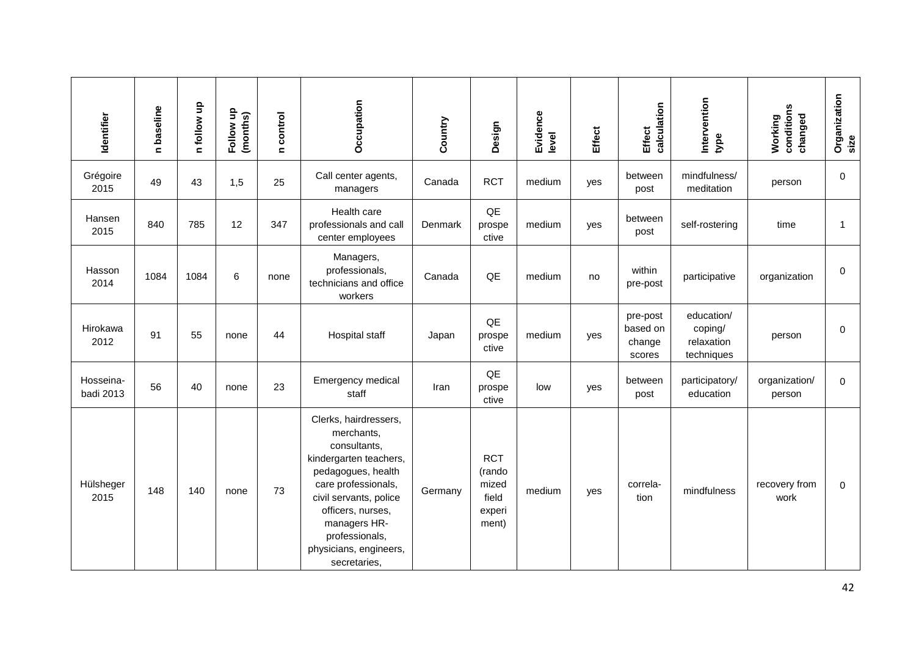| Identifier             | n baseline | n follow up | Follow up<br>(months) | n control | Occupation                                                                                                                                                                                                                                            | Country | Design                                                                                                                                                             | Evidence<br>level | Effect | calculation<br>Effect                    | Intervention<br>type                              | Working<br>conditions<br>changed | Organization<br>size |
|------------------------|------------|-------------|-----------------------|-----------|-------------------------------------------------------------------------------------------------------------------------------------------------------------------------------------------------------------------------------------------------------|---------|--------------------------------------------------------------------------------------------------------------------------------------------------------------------|-------------------|--------|------------------------------------------|---------------------------------------------------|----------------------------------|----------------------|
| Grégoire<br>2015       | 49         | 43          | 1,5                   | 25        | Call center agents,<br>managers                                                                                                                                                                                                                       | Canada  | <b>RCT</b>                                                                                                                                                         | medium            | yes    | between<br>post                          | mindfulness/<br>meditation                        | person                           | 0                    |
| Hansen<br>2015         | 840        | 785         | 12                    | 347       | Health care<br>professionals and call<br>center employees                                                                                                                                                                                             | Denmark | QE<br>prospe<br>ctive                                                                                                                                              | medium            | yes    | between<br>post                          | self-rostering                                    | time                             | $\mathbf{1}$         |
| Hasson<br>2014         | 1084       | 1084        | 6                     | none      | Managers,<br>professionals,<br>technicians and office<br>workers                                                                                                                                                                                      | Canada  | $\mathsf{QE}% _{T}=\mathsf{KL}_{T}\!\left( a,b\right) ,\ \mathsf{KL}_{T}=\mathsf{KL}_{T}\!\left( a,b\right) ,\ \mathsf{KL}_{T}=\mathsf{KL}_{T}$                    | medium            | no     | within<br>pre-post                       | participative                                     | organization                     | 0                    |
| Hirokawa<br>2012       | 91         | 55          | none                  | 44        | <b>Hospital staff</b>                                                                                                                                                                                                                                 | Japan   | $\mathsf{QE}% _{T}=\mathsf{KL}_{T}\!\left( a,b\right) ,\ \mathsf{KL}_{T}=\mathsf{KL}_{T}\!\left( a,b\right) ,\ \mathsf{KL}_{T}=\mathsf{KL}_{T}$<br>prospe<br>ctive | medium            | yes    | pre-post<br>based on<br>change<br>scores | education/<br>coping/<br>relaxation<br>techniques | person                           | 0                    |
| Hosseina-<br>badi 2013 | 56         | 40          | none                  | 23        | Emergency medical<br>staff                                                                                                                                                                                                                            | Iran    | QE<br>prospe<br>ctive                                                                                                                                              | low               | yes    | between<br>post                          | participatory/<br>education                       | organization/<br>person          | $\mathbf 0$          |
| Hülsheger<br>2015      | 148        | 140         | none                  | 73        | Clerks, hairdressers,<br>merchants,<br>consultants,<br>kindergarten teachers,<br>pedagogues, health<br>care professionals,<br>civil servants, police<br>officers, nurses,<br>managers HR-<br>professionals,<br>physicians, engineers,<br>secretaries, | Germany | <b>RCT</b><br>(rando<br>mized<br>field<br>experi<br>ment)                                                                                                          | medium            | yes    | correla-<br>tion                         | mindfulness                                       | recovery from<br>work            | $\mathbf 0$          |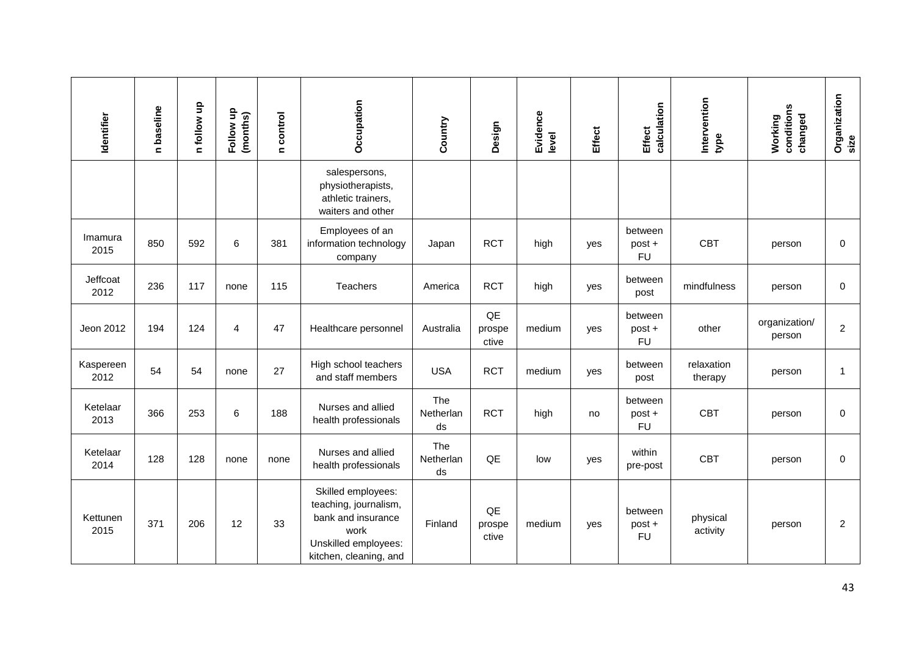| Identifier        | n baseline | n follow up | Follow up<br>(months) | n control | Occupation                                                                                                                  | Country                       | Design                                                                                                                                                             | Evidence<br>level | <b>Effect</b> | calculation<br><b>Effect</b>   | Intervention<br>type  | conditions<br>changed<br>Working | Organization<br>size |
|-------------------|------------|-------------|-----------------------|-----------|-----------------------------------------------------------------------------------------------------------------------------|-------------------------------|--------------------------------------------------------------------------------------------------------------------------------------------------------------------|-------------------|---------------|--------------------------------|-----------------------|----------------------------------|----------------------|
|                   |            |             |                       |           | salespersons,<br>physiotherapists,<br>athletic trainers,<br>waiters and other                                               |                               |                                                                                                                                                                    |                   |               |                                |                       |                                  |                      |
| Imamura<br>2015   | 850        | 592         | 6                     | 381       | Employees of an<br>information technology<br>company                                                                        | Japan                         | <b>RCT</b>                                                                                                                                                         | high              | yes           | between<br>post +<br><b>FU</b> | <b>CBT</b>            | person                           | $\mathbf 0$          |
| Jeffcoat<br>2012  | 236        | 117         | none                  | 115       | Teachers                                                                                                                    | America                       | <b>RCT</b>                                                                                                                                                         | high              | yes           | between<br>post                | mindfulness           | person                           | 0                    |
| Jeon 2012         | 194        | 124         | $\overline{4}$        | 47        | Healthcare personnel                                                                                                        | Australia                     | $\mathsf{QE}% _{T}=\mathsf{KL}_{T}\!\left( a,b\right) ,\ \mathsf{KL}_{T}=\mathsf{KL}_{T}\!\left( a,b\right) ,\ \mathsf{KL}_{T}=\mathsf{KL}_{T}$<br>prospe<br>ctive | medium            | yes           | between<br>post +<br><b>FU</b> | other                 | organization/<br>person          | $\overline{c}$       |
| Kaspereen<br>2012 | 54         | 54          | none                  | 27        | High school teachers<br>and staff members                                                                                   | <b>USA</b>                    | <b>RCT</b>                                                                                                                                                         | medium            | yes           | between<br>post                | relaxation<br>therapy | person                           | $\mathbf{1}$         |
| Ketelaar<br>2013  | 366        | 253         | 6                     | 188       | Nurses and allied<br>health professionals                                                                                   | <b>The</b><br>Netherlan<br>ds | <b>RCT</b>                                                                                                                                                         | high              | no            | between<br>post +<br><b>FU</b> | <b>CBT</b>            | person                           | 0                    |
| Ketelaar<br>2014  | 128        | 128         | none                  | none      | Nurses and allied<br>health professionals                                                                                   | <b>The</b><br>Netherlan<br>ds | QE                                                                                                                                                                 | low               | yes           | within<br>pre-post             | <b>CBT</b>            | person                           | 0                    |
| Kettunen<br>2015  | 371        | 206         | 12                    | 33        | Skilled employees:<br>teaching, journalism,<br>bank and insurance<br>work<br>Unskilled employees:<br>kitchen, cleaning, and | Finland                       | QE<br>prospe<br>ctive                                                                                                                                              | medium            | yes           | between<br>post +<br><b>FU</b> | physical<br>activity  | person                           | $\overline{2}$       |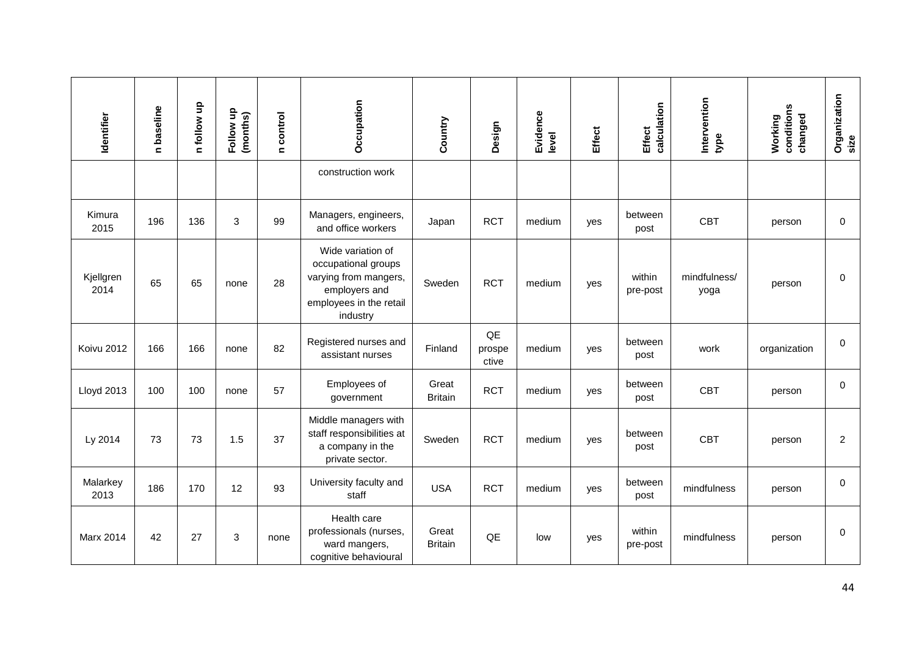| Identifier        | n baseline | n follow up | Follow up<br>(months) | n control | Occupation                                                                                                                | Country                 | Design                | Evidence<br>level | <b>Effect</b> | calculation<br>Effect | Intervention<br>type | conditions<br>changed<br>Working | Organization<br>size |
|-------------------|------------|-------------|-----------------------|-----------|---------------------------------------------------------------------------------------------------------------------------|-------------------------|-----------------------|-------------------|---------------|-----------------------|----------------------|----------------------------------|----------------------|
|                   |            |             |                       |           | construction work                                                                                                         |                         |                       |                   |               |                       |                      |                                  |                      |
| Kimura<br>2015    | 196        | 136         | 3                     | 99        | Managers, engineers,<br>and office workers                                                                                | Japan                   | <b>RCT</b>            | medium            | yes           | between<br>post       | <b>CBT</b>           | person                           | 0                    |
| Kjellgren<br>2014 | 65         | 65          | none                  | 28        | Wide variation of<br>occupational groups<br>varying from mangers,<br>employers and<br>employees in the retail<br>industry | Sweden                  | <b>RCT</b>            | medium            | yes           | within<br>pre-post    | mindfulness/<br>yoga | person                           | 0                    |
| Koivu 2012        | 166        | 166         | none                  | 82        | Registered nurses and<br>assistant nurses                                                                                 | Finland                 | QE<br>prospe<br>ctive | medium            | yes           | between<br>post       | work                 | organization                     | 0                    |
| <b>Lloyd 2013</b> | 100        | 100         | none                  | 57        | Employees of<br>government                                                                                                | Great<br><b>Britain</b> | <b>RCT</b>            | medium            | yes           | between<br>post       | <b>CBT</b>           | person                           | 0                    |
| Ly 2014           | 73         | 73          | 1.5                   | 37        | Middle managers with<br>staff responsibilities at<br>a company in the<br>private sector.                                  | Sweden                  | <b>RCT</b>            | medium            | yes           | between<br>post       | <b>CBT</b>           | person                           | $\overline{c}$       |
| Malarkey<br>2013  | 186        | 170         | 12                    | 93        | University faculty and<br>staff                                                                                           | <b>USA</b>              | <b>RCT</b>            | medium            | yes           | between<br>post       | mindfulness          | person                           | $\mathbf 0$          |
| <b>Marx 2014</b>  | 42         | 27          | 3                     | none      | Health care<br>professionals (nurses,<br>ward mangers,<br>cognitive behavioural                                           | Great<br><b>Britain</b> | QE                    | low               | yes           | within<br>pre-post    | mindfulness          | person                           | 0                    |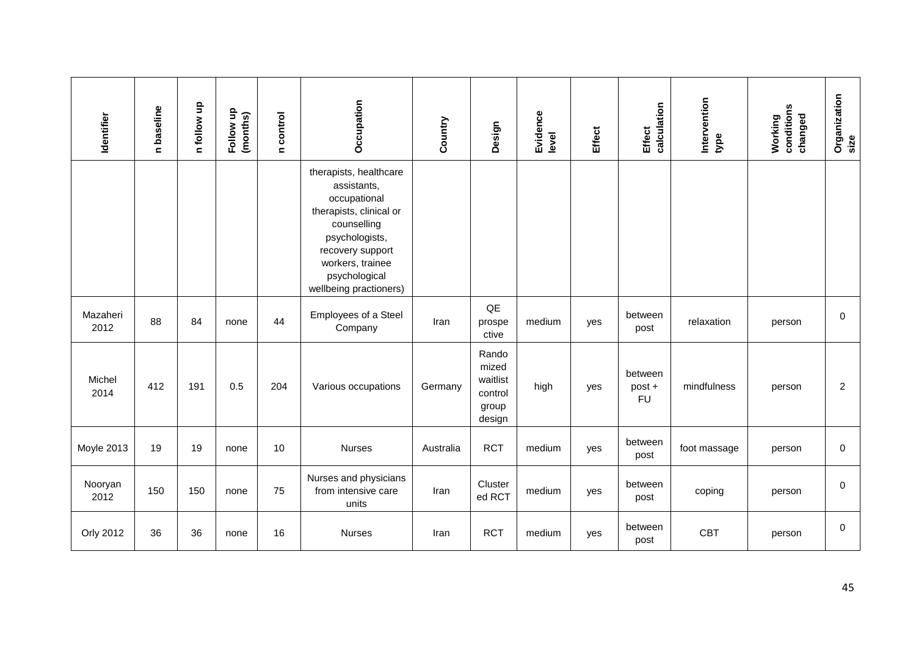| Identifier       | n baseline | n follow up | Follow up<br>(months) | n control | Occupation                                                                                                                                                                                           | Country   | Design                                                   | Evidence<br>level | <b>Effect</b> | calculation<br>Effect          | Intervention<br>type | conditions<br>changed<br>Working | Organization<br>size |
|------------------|------------|-------------|-----------------------|-----------|------------------------------------------------------------------------------------------------------------------------------------------------------------------------------------------------------|-----------|----------------------------------------------------------|-------------------|---------------|--------------------------------|----------------------|----------------------------------|----------------------|
|                  |            |             |                       |           | therapists, healthcare<br>assistants,<br>occupational<br>therapists, clinical or<br>counselling<br>psychologists,<br>recovery support<br>workers, trainee<br>psychological<br>wellbeing practioners) |           |                                                          |                   |               |                                |                      |                                  |                      |
| Mazaheri<br>2012 | 88         | 84          | none                  | 44        | Employees of a Steel<br>Company                                                                                                                                                                      | Iran      | QE<br>prospe<br>ctive                                    | medium            | yes           | between<br>post                | relaxation           | person                           | 0                    |
| Michel<br>2014   | 412        | 191         | 0.5                   | 204       | Various occupations                                                                                                                                                                                  | Germany   | Rando<br>mized<br>waitlist<br>control<br>group<br>design | high              | yes           | between<br>post +<br><b>FU</b> | mindfulness          | person                           | $\overline{2}$       |
| Moyle 2013       | 19         | 19          | none                  | 10        | <b>Nurses</b>                                                                                                                                                                                        | Australia | <b>RCT</b>                                               | medium            | yes           | between<br>post                | foot massage         | person                           | 0                    |
| Nooryan<br>2012  | 150        | 150         | none                  | 75        | Nurses and physicians<br>from intensive care<br>units                                                                                                                                                | Iran      | Cluster<br>ed RCT                                        | medium            | yes           | between<br>post                | coping               | person                           | 0                    |
| Orly 2012        | 36         | 36          | none                  | 16        | <b>Nurses</b>                                                                                                                                                                                        | Iran      | <b>RCT</b>                                               | medium            | yes           | between<br>post                | <b>CBT</b>           | person                           | $\pmb{0}$            |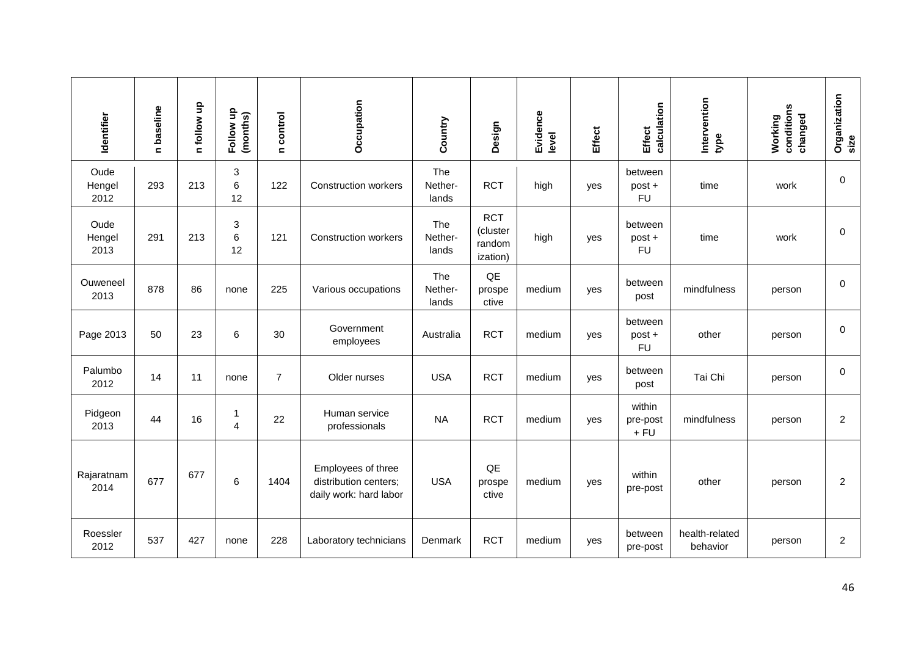| Identifier             | n baseline | n follow up | Follow up<br>(months) | n control      | Occupation                                                            | Country                 | Design                                       | Evidence<br>level | Effect | calculation<br><b>Effect</b>   | Intervention<br>type       | conditions<br>changed<br>Working | Organization<br>size |
|------------------------|------------|-------------|-----------------------|----------------|-----------------------------------------------------------------------|-------------------------|----------------------------------------------|-------------------|--------|--------------------------------|----------------------------|----------------------------------|----------------------|
| Oude<br>Hengel<br>2012 | 293        | 213         | 3<br>6<br>12          | 122            | <b>Construction workers</b>                                           | The<br>Nether-<br>lands | <b>RCT</b>                                   | high              | yes    | between<br>post +<br><b>FU</b> | time                       | work                             | 0                    |
| Oude<br>Hengel<br>2013 | 291        | 213         | 3<br>6<br>12          | 121            | <b>Construction workers</b>                                           | The<br>Nether-<br>lands | <b>RCT</b><br>(cluster<br>random<br>ization) | high              | yes    | between<br>post +<br><b>FU</b> | time                       | work                             | 0                    |
| Ouweneel<br>2013       | 878        | 86          | none                  | 225            | Various occupations                                                   | The<br>Nether-<br>lands | $\mathsf{Q}\mathsf{E}$<br>prospe<br>ctive    | medium            | yes    | between<br>post                | mindfulness                | person                           | 0                    |
| Page 2013              | 50         | 23          | 6                     | 30             | Government<br>employees                                               | Australia               | <b>RCT</b>                                   | medium            | yes    | between<br>post +<br><b>FU</b> | other                      | person                           | $\mathbf 0$          |
| Palumbo<br>2012        | 14         | 11          | none                  | $\overline{7}$ | Older nurses                                                          | <b>USA</b>              | <b>RCT</b>                                   | medium            | yes    | between<br>post                | Tai Chi                    | person                           | 0                    |
| Pidgeon<br>2013        | 44         | 16          | 1<br>$\overline{4}$   | 22             | Human service<br>professionals                                        | <b>NA</b>               | <b>RCT</b>                                   | medium            | yes    | within<br>pre-post<br>$+ FU$   | mindfulness                | person                           | $\overline{c}$       |
| Rajaratnam<br>2014     | 677        | 677         | 6                     | 1404           | Employees of three<br>distribution centers;<br>daily work: hard labor | <b>USA</b>              | QE<br>prospe<br>ctive                        | medium            | yes    | within<br>pre-post             | other                      | person                           | $\overline{c}$       |
| Roessler<br>2012       | 537        | 427         | none                  | 228            | Laboratory technicians                                                | Denmark                 | <b>RCT</b>                                   | medium            | yes    | between<br>pre-post            | health-related<br>behavior | person                           | $\overline{c}$       |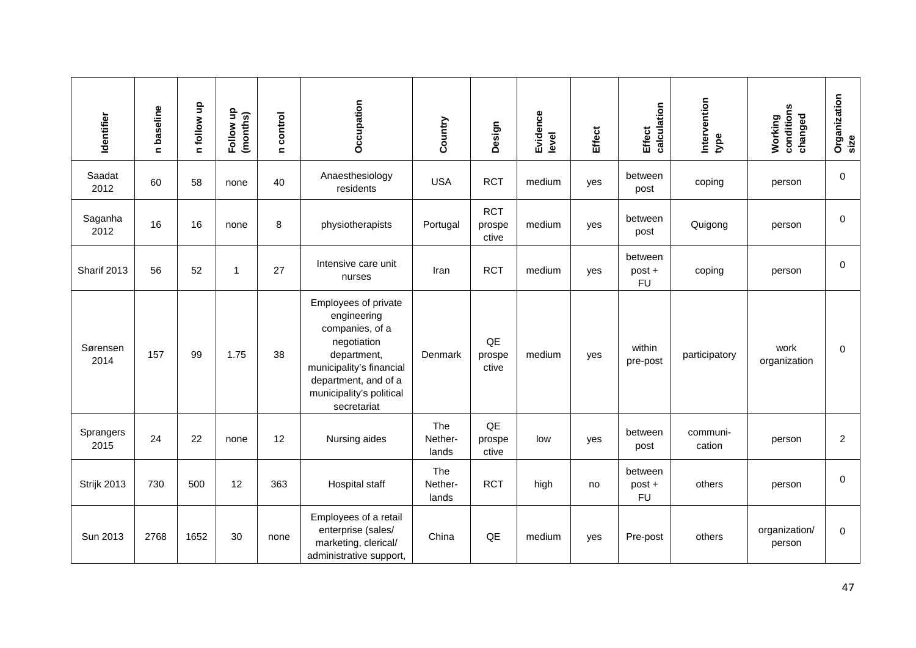| Identifier        | n baseline | n follow up | Follow up<br>(months) | n control | Occupation                                                                                                                                                                          | Country                 | Design                        | Evidence<br>level | <b>Effect</b> | calculation<br><b>Effect</b>   | Intervention<br>type | conditions<br>changed<br>Working | Organization<br>size |
|-------------------|------------|-------------|-----------------------|-----------|-------------------------------------------------------------------------------------------------------------------------------------------------------------------------------------|-------------------------|-------------------------------|-------------------|---------------|--------------------------------|----------------------|----------------------------------|----------------------|
| Saadat<br>2012    | 60         | 58          | none                  | 40        | Anaesthesiology<br>residents                                                                                                                                                        | <b>USA</b>              | <b>RCT</b>                    | medium            | yes           | between<br>post                | coping               | person                           | $\mathbf 0$          |
| Saganha<br>2012   | 16         | 16          | none                  | 8         | physiotherapists                                                                                                                                                                    | Portugal                | <b>RCT</b><br>prospe<br>ctive | medium            | yes           | between<br>post                | Quigong              | person                           | 0                    |
| Sharif 2013       | 56         | 52          | $\overline{1}$        | 27        | Intensive care unit<br>nurses                                                                                                                                                       | Iran                    | <b>RCT</b>                    | medium            | yes           | between<br>post +<br><b>FU</b> | coping               | person                           | $\mathbf 0$          |
| Sørensen<br>2014  | 157        | 99          | 1.75                  | 38        | Employees of private<br>engineering<br>companies, of a<br>negotiation<br>department,<br>municipality's financial<br>department, and of a<br>municipality's political<br>secretariat | Denmark                 | QE<br>prospe<br>ctive         | medium            | yes           | within<br>pre-post             | participatory        | work<br>organization             | 0                    |
| Sprangers<br>2015 | 24         | 22          | none                  | 12        | Nursing aides                                                                                                                                                                       | The<br>Nether-<br>lands | QE<br>prospe<br>ctive         | low               | yes           | between<br>post                | communi-<br>cation   | person                           | $\overline{c}$       |
| Strijk 2013       | 730        | 500         | 12                    | 363       | Hospital staff                                                                                                                                                                      | The<br>Nether-<br>lands | <b>RCT</b>                    | high              | no            | between<br>post +<br><b>FU</b> | others               | person                           | 0                    |
| Sun 2013          | 2768       | 1652        | 30                    | none      | Employees of a retail<br>enterprise (sales/<br>marketing, clerical/<br>administrative support,                                                                                      | China                   | QE                            | medium            | yes           | Pre-post                       | others               | organization/<br>person          | 0                    |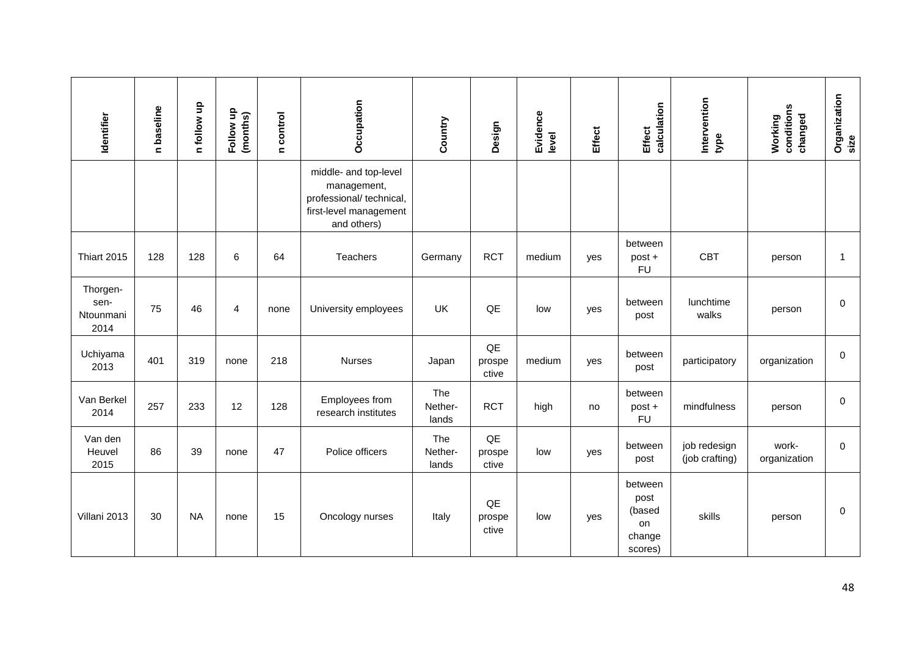| Identifier                            | n baseline | n follow up | Follow up<br>(months) | n control | Occupation                                                                                                | Country                 | Design                | Evidence<br>level | <b>Effect</b> | calculation<br><b>Effect</b>                         | Intervention<br>type           | conditions<br>changed<br>Working | Organization<br>size |
|---------------------------------------|------------|-------------|-----------------------|-----------|-----------------------------------------------------------------------------------------------------------|-------------------------|-----------------------|-------------------|---------------|------------------------------------------------------|--------------------------------|----------------------------------|----------------------|
|                                       |            |             |                       |           | middle- and top-level<br>management,<br>professional/ technical,<br>first-level management<br>and others) |                         |                       |                   |               |                                                      |                                |                                  |                      |
| Thiart 2015                           | 128        | 128         | 6                     | 64        | Teachers                                                                                                  | Germany                 | <b>RCT</b>            | medium            | yes           | between<br>post +<br><b>FU</b>                       | <b>CBT</b>                     | person                           | $\mathbf{1}$         |
| Thorgen-<br>sen-<br>Ntounmani<br>2014 | 75         | 46          | $\overline{4}$        | none      | University employees                                                                                      | UK                      | QE                    | low               | yes           | between<br>post                                      | lunchtime<br>walks             | person                           | 0                    |
| Uchiyama<br>2013                      | 401        | 319         | none                  | 218       | <b>Nurses</b>                                                                                             | Japan                   | QE<br>prospe<br>ctive | medium            | yes           | between<br>post                                      | participatory                  | organization                     | 0                    |
| Van Berkel<br>2014                    | 257        | 233         | 12                    | 128       | Employees from<br>research institutes                                                                     | The<br>Nether-<br>lands | <b>RCT</b>            | high              | no            | between<br>post +<br><b>FU</b>                       | mindfulness                    | person                           | 0                    |
| Van den<br>Heuvel<br>2015             | 86         | 39          | none                  | 47        | Police officers                                                                                           | The<br>Nether-<br>lands | QE<br>prospe<br>ctive | low               | yes           | between<br>post                                      | job redesign<br>(job crafting) | work-<br>organization            | $\mathbf 0$          |
| Villani 2013                          | 30         | <b>NA</b>   | none                  | 15        | Oncology nurses                                                                                           | Italy                   | QE<br>prospe<br>ctive | low               | yes           | between<br>post<br>(based<br>on<br>change<br>scores) | skills                         | person                           | 0                    |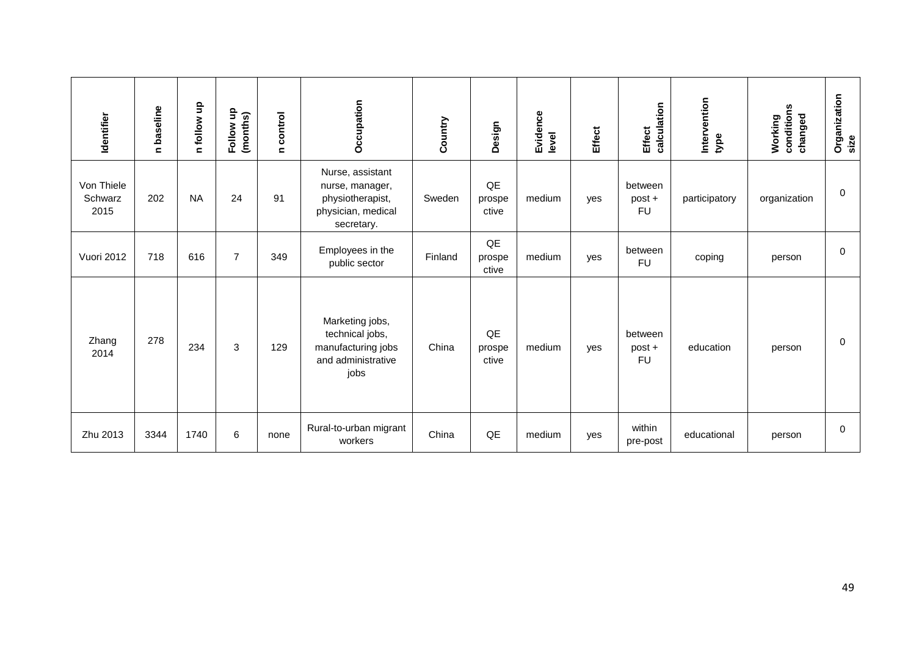| Identifier                    | n baseline | ę<br>n follow | 음<br>(months)<br>Follow | n control | Occupation                                                                                  | Country | Design                | Evidence<br>level | <b>Effect</b> | calculation<br><b>Effect</b>   | Intervention<br>type | conditions<br>changed<br>Working | Organization<br>size |
|-------------------------------|------------|---------------|-------------------------|-----------|---------------------------------------------------------------------------------------------|---------|-----------------------|-------------------|---------------|--------------------------------|----------------------|----------------------------------|----------------------|
| Von Thiele<br>Schwarz<br>2015 | 202        | <b>NA</b>     | 24                      | 91        | Nurse, assistant<br>nurse, manager,<br>physiotherapist,<br>physician, medical<br>secretary. | Sweden  | QE<br>prospe<br>ctive | medium            | yes           | between<br>post +<br><b>FU</b> | participatory        | organization                     | 0                    |
| Vuori 2012                    | 718        | 616           | $\overline{7}$          | 349       | Employees in the<br>public sector                                                           | Finland | QE<br>prospe<br>ctive | medium            | yes           | between<br><b>FU</b>           | coping               | person                           | 0                    |
| Zhang<br>2014                 | 278        | 234           | 3                       | 129       | Marketing jobs,<br>technical jobs,<br>manufacturing jobs<br>and administrative<br>jobs      | China   | QE<br>prospe<br>ctive | medium            | yes           | between<br>post +<br><b>FU</b> | education            | person                           | 0                    |
| Zhu 2013                      | 3344       | 1740          | 6                       | none      | Rural-to-urban migrant<br>workers                                                           | China   | QE                    | medium            | yes           | within<br>pre-post             | educational          | person                           | 0                    |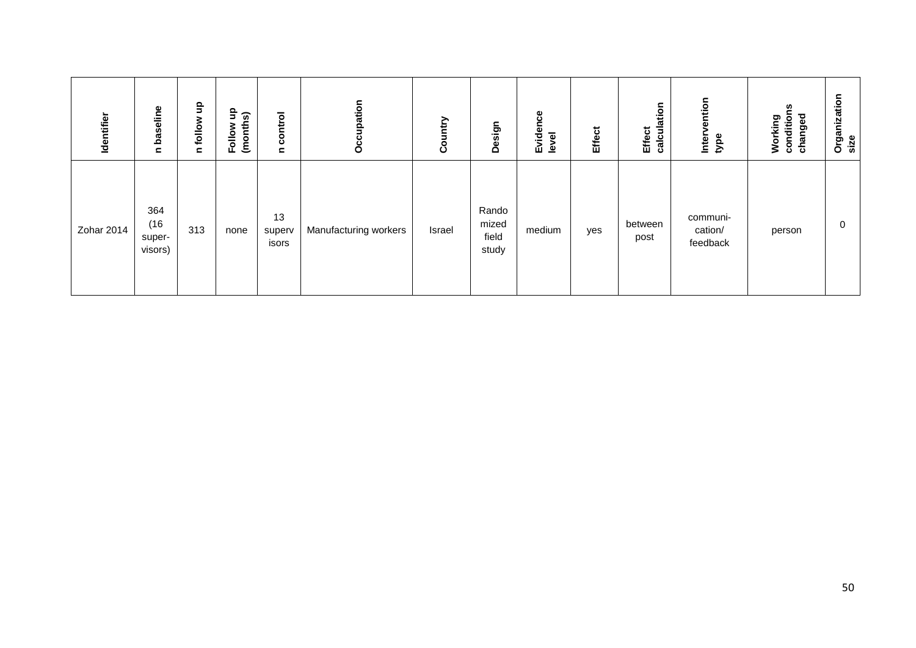| Identifier | baseline<br>$\blacksquare$       | $\frac{1}{2}$<br>follow<br>$\mathbf{C}$ | 읔<br>Follow up<br>(months) | control<br>$\mathbf{C}$ | pation<br>ő           | ntry<br>ت | Design                           | Evidence<br>level | <b>Effect</b> | calculation<br>Effect | vention<br>Inter<br>type        | ပ္က<br>condition<br>changed<br>Working | Organization<br>size |
|------------|----------------------------------|-----------------------------------------|----------------------------|-------------------------|-----------------------|-----------|----------------------------------|-------------------|---------------|-----------------------|---------------------------------|----------------------------------------|----------------------|
| Zohar 2014 | 364<br>(16)<br>super-<br>visors) | 313                                     | none                       | 13<br>superv<br>isors   | Manufacturing workers | Israel    | Rando<br>mized<br>field<br>study | medium            | yes           | between<br>post       | communi-<br>cation/<br>feedback | person                                 | $\mathbf 0$          |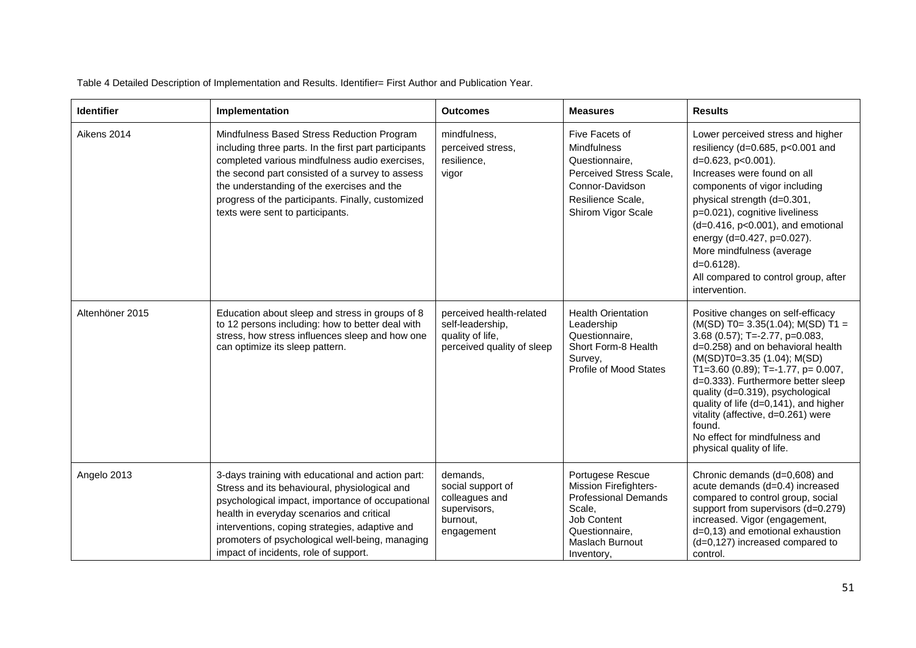Table 4 Detailed Description of Implementation and Results. Identifier= First Author and Publication Year.

| <b>Identifier</b> | Implementation                                                                                                                                                                                                                                                                                                                                    | <b>Outcomes</b>                                                                                | <b>Measures</b>                                                                                                                                             | <b>Results</b>                                                                                                                                                                                                                                                                                                                                                                                                                                        |
|-------------------|---------------------------------------------------------------------------------------------------------------------------------------------------------------------------------------------------------------------------------------------------------------------------------------------------------------------------------------------------|------------------------------------------------------------------------------------------------|-------------------------------------------------------------------------------------------------------------------------------------------------------------|-------------------------------------------------------------------------------------------------------------------------------------------------------------------------------------------------------------------------------------------------------------------------------------------------------------------------------------------------------------------------------------------------------------------------------------------------------|
| Aikens 2014       | Mindfulness Based Stress Reduction Program<br>including three parts. In the first part participants<br>completed various mindfulness audio exercises,<br>the second part consisted of a survey to assess<br>the understanding of the exercises and the<br>progress of the participants. Finally, customized<br>texts were sent to participants.   | mindfulness,<br>perceived stress,<br>resilience,<br>vigor                                      | Five Facets of<br><b>Mindfulness</b><br>Questionnaire,<br>Perceived Stress Scale,<br>Connor-Davidson<br>Resilience Scale,<br>Shirom Vigor Scale             | Lower perceived stress and higher<br>resiliency (d=0.685, $p<0.001$ and<br>d=0.623, p<0.001).<br>Increases were found on all<br>components of vigor including<br>physical strength (d=0.301,<br>p=0.021), cognitive liveliness<br>$(d=0.416, p<0.001)$ , and emotional<br>energy (d=0.427, p=0.027).<br>More mindfulness (average<br>$d=0.6128$ ).<br>All compared to control group, after<br>intervention.                                           |
| Altenhöner 2015   | Education about sleep and stress in groups of 8<br>to 12 persons including: how to better deal with<br>stress, how stress influences sleep and how one<br>can optimize its sleep pattern.                                                                                                                                                         | perceived health-related<br>self-leadership,<br>quality of life,<br>perceived quality of sleep | <b>Health Orientation</b><br>Leadership<br>Questionnaire.<br>Short Form-8 Health<br>Survey,<br>Profile of Mood States                                       | Positive changes on self-efficacy<br>$(M(SD) T0= 3.35(1.04); M(SD) T1 =$<br>3.68 (0.57); T=-2.77, p=0.083,<br>d=0.258) and on behavioral health<br>(M(SD)T0=3.35 (1.04); M(SD)<br>T1=3.60 (0.89); T=-1.77, p= 0.007,<br>d=0.333). Furthermore better sleep<br>quality (d=0.319), psychological<br>quality of life (d=0,141), and higher<br>vitality (affective, d=0.261) were<br>found.<br>No effect for mindfulness and<br>physical quality of life. |
| Angelo 2013       | 3-days training with educational and action part:<br>Stress and its behavioural, physiological and<br>psychological impact, importance of occupational<br>health in everyday scenarios and critical<br>interventions, coping strategies, adaptive and<br>promoters of psychological well-being, managing<br>impact of incidents, role of support. | demands,<br>social support of<br>colleagues and<br>supervisors,<br>burnout,<br>engagement      | Portugese Rescue<br>Mission Firefighters-<br><b>Professional Demands</b><br>Scale.<br>Job Content<br>Questionnaire,<br><b>Maslach Burnout</b><br>Inventory, | Chronic demands (d=0,608) and<br>acute demands (d=0.4) increased<br>compared to control group, social<br>support from supervisors (d=0.279)<br>increased. Vigor (engagement,<br>d=0,13) and emotional exhaustion<br>$(d=0.127)$ increased compared to<br>control.                                                                                                                                                                                     |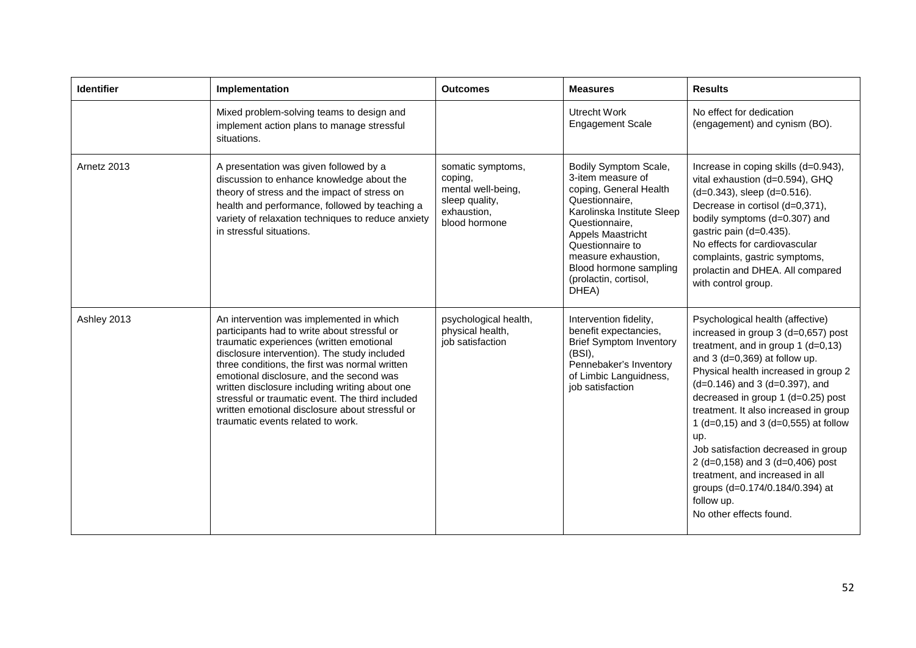| <b>Identifier</b> | Implementation                                                                                                                                                                                                                                                                                                                                                                                                                                                                   | <b>Outcomes</b>                                                                                      | <b>Measures</b>                                                                                                                                                                                                                                                    | <b>Results</b>                                                                                                                                                                                                                                                                                                                                                                                                                                                                                                                                     |
|-------------------|----------------------------------------------------------------------------------------------------------------------------------------------------------------------------------------------------------------------------------------------------------------------------------------------------------------------------------------------------------------------------------------------------------------------------------------------------------------------------------|------------------------------------------------------------------------------------------------------|--------------------------------------------------------------------------------------------------------------------------------------------------------------------------------------------------------------------------------------------------------------------|----------------------------------------------------------------------------------------------------------------------------------------------------------------------------------------------------------------------------------------------------------------------------------------------------------------------------------------------------------------------------------------------------------------------------------------------------------------------------------------------------------------------------------------------------|
|                   | Mixed problem-solving teams to design and<br>implement action plans to manage stressful<br>situations.                                                                                                                                                                                                                                                                                                                                                                           |                                                                                                      | <b>Utrecht Work</b><br><b>Engagement Scale</b>                                                                                                                                                                                                                     | No effect for dedication<br>(engagement) and cynism (BO).                                                                                                                                                                                                                                                                                                                                                                                                                                                                                          |
| Arnetz 2013       | A presentation was given followed by a<br>discussion to enhance knowledge about the<br>theory of stress and the impact of stress on<br>health and performance, followed by teaching a<br>variety of relaxation techniques to reduce anxiety<br>in stressful situations.                                                                                                                                                                                                          | somatic symptoms,<br>coping,<br>mental well-being,<br>sleep quality,<br>exhaustion,<br>blood hormone | Bodily Symptom Scale,<br>3-item measure of<br>coping, General Health<br>Questionnaire,<br>Karolinska Institute Sleep<br>Questionnaire,<br>Appels Maastricht<br>Questionnaire to<br>measure exhaustion,<br>Blood hormone sampling<br>(prolactin, cortisol,<br>DHEA) | Increase in coping skills (d=0.943),<br>vital exhaustion (d=0.594), GHQ<br>(d=0.343), sleep (d=0.516).<br>Decrease in cortisol (d=0,371),<br>bodily symptoms (d=0.307) and<br>gastric pain (d=0.435).<br>No effects for cardiovascular<br>complaints, gastric symptoms,<br>prolactin and DHEA. All compared<br>with control group.                                                                                                                                                                                                                 |
| Ashley 2013       | An intervention was implemented in which<br>participants had to write about stressful or<br>traumatic experiences (written emotional<br>disclosure intervention). The study included<br>three conditions, the first was normal written<br>emotional disclosure, and the second was<br>written disclosure including writing about one<br>stressful or traumatic event. The third included<br>written emotional disclosure about stressful or<br>traumatic events related to work. | psychological health,<br>physical health,<br>job satisfaction                                        | Intervention fidelity,<br>benefit expectancies,<br><b>Brief Symptom Inventory</b><br>$(BSI)$ ,<br>Pennebaker's Inventory<br>of Limbic Languidness,<br>job satisfaction                                                                                             | Psychological health (affective)<br>increased in group 3 (d=0,657) post<br>treatment, and in group 1 (d=0,13)<br>and $3$ (d=0,369) at follow up.<br>Physical health increased in group 2<br>(d=0.146) and 3 (d=0.397), and<br>decreased in group 1 (d=0.25) post<br>treatment. It also increased in group<br>1 (d=0,15) and 3 (d=0,555) at follow<br>up.<br>Job satisfaction decreased in group<br>2 (d=0,158) and 3 (d=0,406) post<br>treatment, and increased in all<br>groups (d=0.174/0.184/0.394) at<br>follow up.<br>No other effects found. |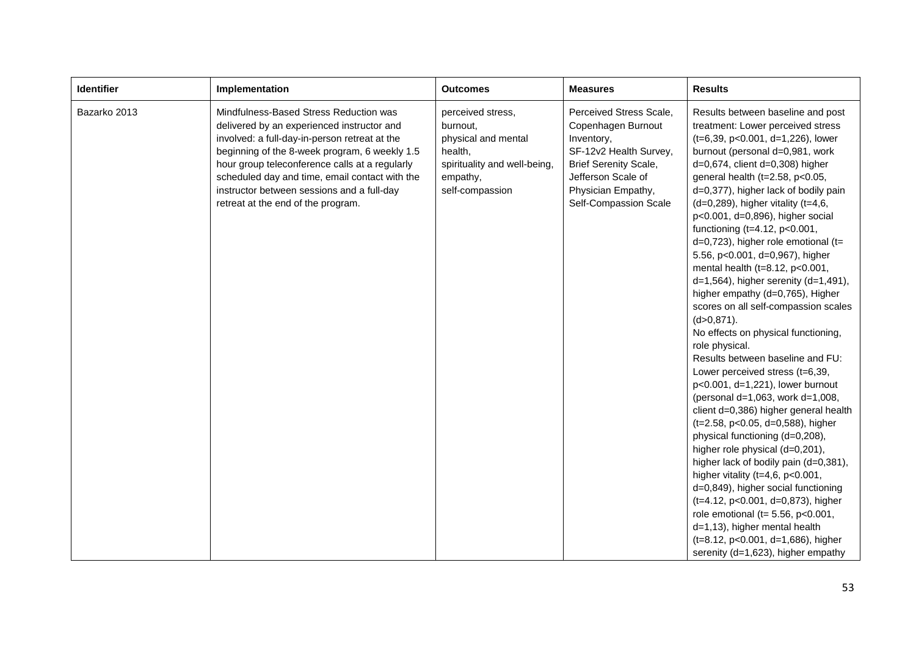| <b>Identifier</b> | Implementation                                                                                                                                                                                                                                                                                                                                                                 | <b>Outcomes</b>                                                                                                                | <b>Measures</b>                                                                                                                                                                            | <b>Results</b>                                                                                                                                                                                                                                                                                                                                                                                                                                                                                                                                                                                                                                                                                                                                                                                                                                                                                                                                                                                                                                                                                                                                                                                                                                                                                                                         |
|-------------------|--------------------------------------------------------------------------------------------------------------------------------------------------------------------------------------------------------------------------------------------------------------------------------------------------------------------------------------------------------------------------------|--------------------------------------------------------------------------------------------------------------------------------|--------------------------------------------------------------------------------------------------------------------------------------------------------------------------------------------|----------------------------------------------------------------------------------------------------------------------------------------------------------------------------------------------------------------------------------------------------------------------------------------------------------------------------------------------------------------------------------------------------------------------------------------------------------------------------------------------------------------------------------------------------------------------------------------------------------------------------------------------------------------------------------------------------------------------------------------------------------------------------------------------------------------------------------------------------------------------------------------------------------------------------------------------------------------------------------------------------------------------------------------------------------------------------------------------------------------------------------------------------------------------------------------------------------------------------------------------------------------------------------------------------------------------------------------|
| Bazarko 2013      | Mindfulness-Based Stress Reduction was<br>delivered by an experienced instructor and<br>involved: a full-day-in-person retreat at the<br>beginning of the 8-week program, 6 weekly 1.5<br>hour group teleconference calls at a regularly<br>scheduled day and time, email contact with the<br>instructor between sessions and a full-day<br>retreat at the end of the program. | perceived stress,<br>burnout,<br>physical and mental<br>health,<br>spirituality and well-being,<br>empathy,<br>self-compassion | Perceived Stress Scale,<br>Copenhagen Burnout<br>Inventory,<br>SF-12v2 Health Survey,<br><b>Brief Serenity Scale,</b><br>Jefferson Scale of<br>Physician Empathy,<br>Self-Compassion Scale | Results between baseline and post<br>treatment: Lower perceived stress<br>(t=6,39, p<0.001, d=1,226), lower<br>burnout (personal d=0,981, work<br>$d=0,674$ , client $d=0,308$ ) higher<br>general health (t=2.58, p<0.05,<br>d=0,377), higher lack of bodily pain<br>$(d=0,289)$ , higher vitality $(t=4,6,$<br>p<0.001, d=0,896), higher social<br>functioning $(t=4.12, p<0.001,$<br>$d=0,723$ ), higher role emotional (t=<br>5.56, p<0.001, d=0,967), higher<br>mental health (t=8.12, p<0.001,<br>$d=1,564$ , higher serenity $(d=1,491)$ ,<br>higher empathy (d=0,765), Higher<br>scores on all self-compassion scales<br>$(d>0, 871)$ .<br>No effects on physical functioning,<br>role physical.<br>Results between baseline and FU:<br>Lower perceived stress (t=6,39,<br>p<0.001, d=1,221), lower burnout<br>(personal d=1,063, work d=1,008,<br>client d=0,386) higher general health<br>(t=2.58, p<0.05, d=0,588), higher<br>physical functioning (d=0,208),<br>higher role physical (d=0,201),<br>higher lack of bodily pain (d=0,381),<br>higher vitality ( $t=4,6$ , $p<0.001$ ,<br>d=0,849), higher social functioning<br>(t=4.12, p<0.001, d=0,873), higher<br>role emotional (t= $5.56$ , $p < 0.001$ ,<br>d=1,13), higher mental health<br>(t=8.12, p<0.001, d=1,686), higher<br>serenity (d=1,623), higher empathy |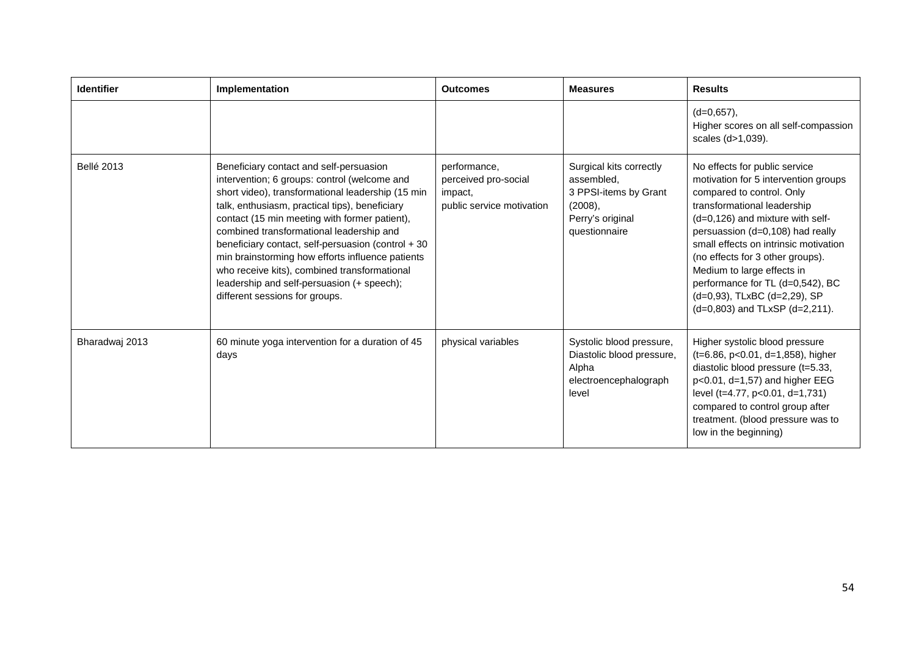| <b>Identifier</b> | Implementation                                                                                                                                                                                                                                                                                                                                                                                                                                                                                                                        | <b>Outcomes</b>                                                              | <b>Measures</b>                                                                                                   | <b>Results</b>                                                                                                                                                                                                                                                                                                                                                                                                                  |
|-------------------|---------------------------------------------------------------------------------------------------------------------------------------------------------------------------------------------------------------------------------------------------------------------------------------------------------------------------------------------------------------------------------------------------------------------------------------------------------------------------------------------------------------------------------------|------------------------------------------------------------------------------|-------------------------------------------------------------------------------------------------------------------|---------------------------------------------------------------------------------------------------------------------------------------------------------------------------------------------------------------------------------------------------------------------------------------------------------------------------------------------------------------------------------------------------------------------------------|
|                   |                                                                                                                                                                                                                                                                                                                                                                                                                                                                                                                                       |                                                                              |                                                                                                                   | $(d=0,657)$ ,<br>Higher scores on all self-compassion<br>scales (d>1,039).                                                                                                                                                                                                                                                                                                                                                      |
| <b>Bellé 2013</b> | Beneficiary contact and self-persuasion<br>intervention; 6 groups: control (welcome and<br>short video), transformational leadership (15 min<br>talk, enthusiasm, practical tips), beneficiary<br>contact (15 min meeting with former patient),<br>combined transformational leadership and<br>beneficiary contact, self-persuasion (control + 30<br>min brainstorming how efforts influence patients<br>who receive kits), combined transformational<br>leadership and self-persuasion (+ speech);<br>different sessions for groups. | performance,<br>perceived pro-social<br>impact,<br>public service motivation | Surgical kits correctly<br>assembled,<br>3 PPSI-items by Grant<br>$(2008)$ ,<br>Perry's original<br>questionnaire | No effects for public service<br>motivation for 5 intervention groups<br>compared to control. Only<br>transformational leadership<br>(d=0,126) and mixture with self-<br>persuassion (d=0,108) had really<br>small effects on intrinsic motivation<br>(no effects for 3 other groups).<br>Medium to large effects in<br>performance for TL (d=0,542), BC<br>(d=0,93), TLxBC (d=2,29), SP<br>$(d=0,803)$ and TLxSP $(d=2,211)$ . |
| Bharadwaj 2013    | 60 minute yoga intervention for a duration of 45<br>days                                                                                                                                                                                                                                                                                                                                                                                                                                                                              | physical variables                                                           | Systolic blood pressure,<br>Diastolic blood pressure,<br>Alpha<br>electroencephalograph<br>level                  | Higher systolic blood pressure<br>(t=6.86, p<0.01, d=1,858), higher<br>diastolic blood pressure (t=5.33,<br>$p<0.01$ , d=1,57) and higher EEG<br>level (t=4.77, p<0.01, d=1,731)<br>compared to control group after<br>treatment. (blood pressure was to<br>low in the beginning)                                                                                                                                               |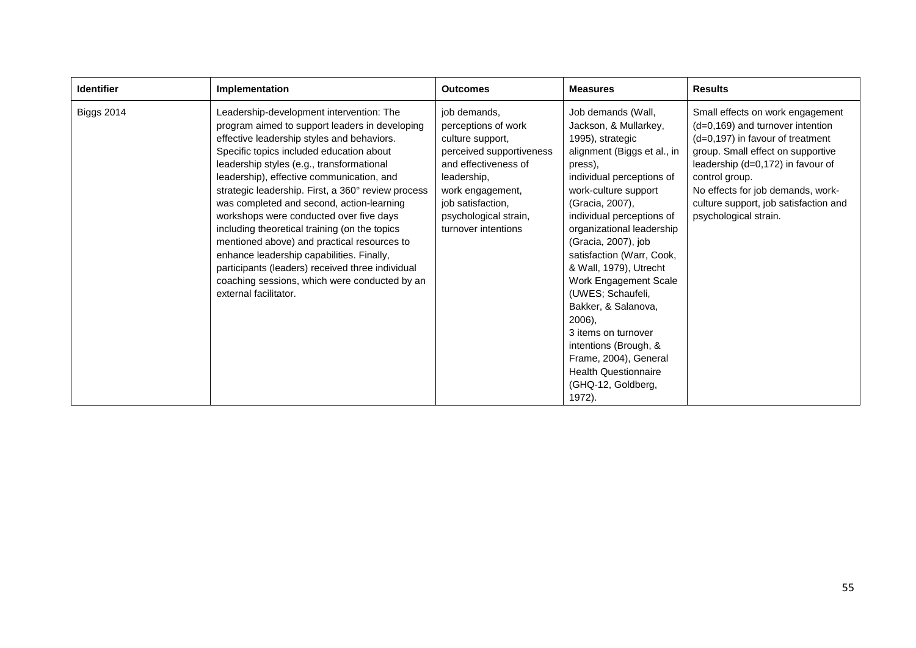| <b>Identifier</b> | Implementation                                                                                                                                                                                                                                                                                                                                                                                                                                                                                                                                                                                                                                                                                          | <b>Outcomes</b>                                                                                                                                                                                                     | <b>Measures</b>                                                                                                                                                                                                                                                                                                                                                                                                                                                                                                                                  | <b>Results</b>                                                                                                                                                                                                                                                                                                  |
|-------------------|---------------------------------------------------------------------------------------------------------------------------------------------------------------------------------------------------------------------------------------------------------------------------------------------------------------------------------------------------------------------------------------------------------------------------------------------------------------------------------------------------------------------------------------------------------------------------------------------------------------------------------------------------------------------------------------------------------|---------------------------------------------------------------------------------------------------------------------------------------------------------------------------------------------------------------------|--------------------------------------------------------------------------------------------------------------------------------------------------------------------------------------------------------------------------------------------------------------------------------------------------------------------------------------------------------------------------------------------------------------------------------------------------------------------------------------------------------------------------------------------------|-----------------------------------------------------------------------------------------------------------------------------------------------------------------------------------------------------------------------------------------------------------------------------------------------------------------|
| <b>Biggs 2014</b> | Leadership-development intervention: The<br>program aimed to support leaders in developing<br>effective leadership styles and behaviors.<br>Specific topics included education about<br>leadership styles (e.g., transformational<br>leadership), effective communication, and<br>strategic leadership. First, a 360° review process<br>was completed and second, action-learning<br>workshops were conducted over five days<br>including theoretical training (on the topics<br>mentioned above) and practical resources to<br>enhance leadership capabilities. Finally,<br>participants (leaders) received three individual<br>coaching sessions, which were conducted by an<br>external facilitator. | job demands,<br>perceptions of work<br>culture support,<br>perceived supportiveness<br>and effectiveness of<br>leadership,<br>work engagement,<br>job satisfaction,<br>psychological strain,<br>turnover intentions | Job demands (Wall,<br>Jackson, & Mullarkey,<br>1995), strategic<br>alignment (Biggs et al., in<br>press),<br>individual perceptions of<br>work-culture support<br>(Gracia, 2007),<br>individual perceptions of<br>organizational leadership<br>(Gracia, 2007), job<br>satisfaction (Warr, Cook,<br>& Wall, 1979), Utrecht<br>Work Engagement Scale<br>(UWES; Schaufeli,<br>Bakker, & Salanova,<br>2006),<br>3 items on turnover<br>intentions (Brough, &<br>Frame, 2004), General<br><b>Health Questionnaire</b><br>(GHQ-12, Goldberg,<br>1972). | Small effects on work engagement<br>$(d=0,169)$ and turnover intention<br>$(d=0,197)$ in favour of treatment<br>group. Small effect on supportive<br>leadership (d=0,172) in favour of<br>control group.<br>No effects for job demands, work-<br>culture support, job satisfaction and<br>psychological strain. |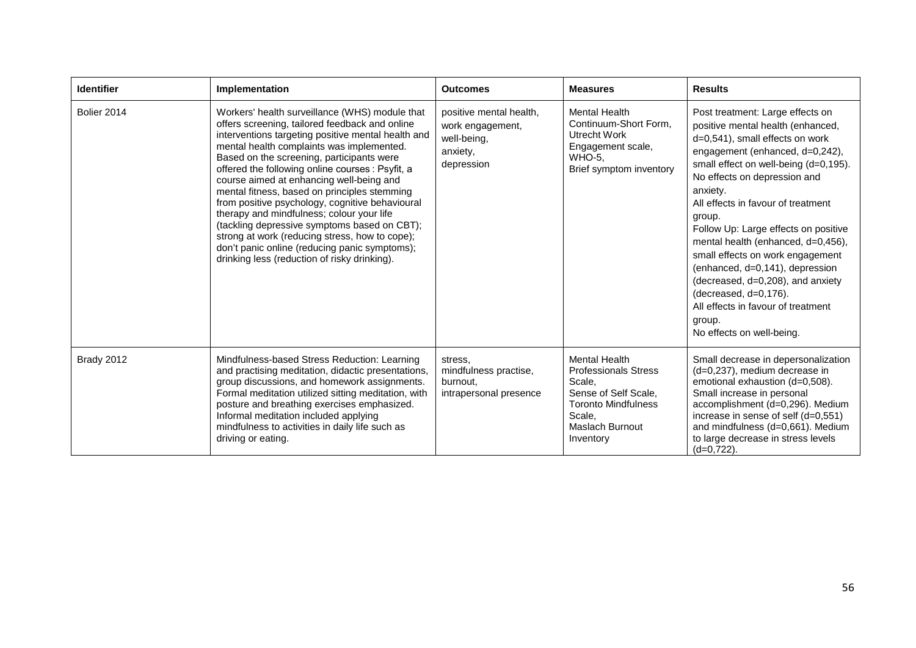| <b>Identifier</b> | Implementation                                                                                                                                                                                                                                                                                                                                                                                                                                                                                                                                                                                                                                                                                      | <b>Outcomes</b>                                                                      | <b>Measures</b>                                                                                                                                                      | <b>Results</b>                                                                                                                                                                                                                                                                                                                                                                                                                                                                                                                                                                   |
|-------------------|-----------------------------------------------------------------------------------------------------------------------------------------------------------------------------------------------------------------------------------------------------------------------------------------------------------------------------------------------------------------------------------------------------------------------------------------------------------------------------------------------------------------------------------------------------------------------------------------------------------------------------------------------------------------------------------------------------|--------------------------------------------------------------------------------------|----------------------------------------------------------------------------------------------------------------------------------------------------------------------|----------------------------------------------------------------------------------------------------------------------------------------------------------------------------------------------------------------------------------------------------------------------------------------------------------------------------------------------------------------------------------------------------------------------------------------------------------------------------------------------------------------------------------------------------------------------------------|
| Bolier 2014       | Workers' health surveillance (WHS) module that<br>offers screening, tailored feedback and online<br>interventions targeting positive mental health and<br>mental health complaints was implemented.<br>Based on the screening, participants were<br>offered the following online courses : Psyfit, a<br>course aimed at enhancing well-being and<br>mental fitness, based on principles stemming<br>from positive psychology, cognitive behavioural<br>therapy and mindfulness; colour your life<br>(tackling depressive symptoms based on CBT);<br>strong at work (reducing stress, how to cope);<br>don't panic online (reducing panic symptoms);<br>drinking less (reduction of risky drinking). | positive mental health,<br>work engagement,<br>well-being,<br>anxiety,<br>depression | <b>Mental Health</b><br>Continuum-Short Form,<br>Utrecht Work<br>Engagement scale,<br><b>WHO-5.</b><br>Brief symptom inventory                                       | Post treatment: Large effects on<br>positive mental health (enhanced,<br>d=0,541), small effects on work<br>engagement (enhanced, d=0,242),<br>small effect on well-being (d=0,195).<br>No effects on depression and<br>anxiety.<br>All effects in favour of treatment<br>group.<br>Follow Up: Large effects on positive<br>mental health (enhanced, d=0,456),<br>small effects on work engagement<br>(enhanced, d=0,141), depression<br>(decreased, d=0,208), and anxiety<br>(decreased, d=0,176).<br>All effects in favour of treatment<br>group.<br>No effects on well-being. |
| Brady 2012        | Mindfulness-based Stress Reduction: Learning<br>and practising meditation, didactic presentations,<br>group discussions, and homework assignments.<br>Formal meditation utilized sitting meditation, with<br>posture and breathing exercises emphasized.<br>Informal meditation included applying<br>mindfulness to activities in daily life such as<br>driving or eating.                                                                                                                                                                                                                                                                                                                          | stress.<br>mindfulness practise,<br>burnout.<br>intrapersonal presence               | <b>Mental Health</b><br><b>Professionals Stress</b><br>Scale.<br>Sense of Self Scale,<br><b>Toronto Mindfulness</b><br>Scale.<br><b>Maslach Burnout</b><br>Inventory | Small decrease in depersonalization<br>(d=0,237), medium decrease in<br>emotional exhaustion (d=0,508).<br>Small increase in personal<br>accomplishment (d=0,296). Medium<br>increase in sense of self (d=0,551)<br>and mindfulness (d=0,661). Medium<br>to large decrease in stress levels<br>$(d=0.722)$ .                                                                                                                                                                                                                                                                     |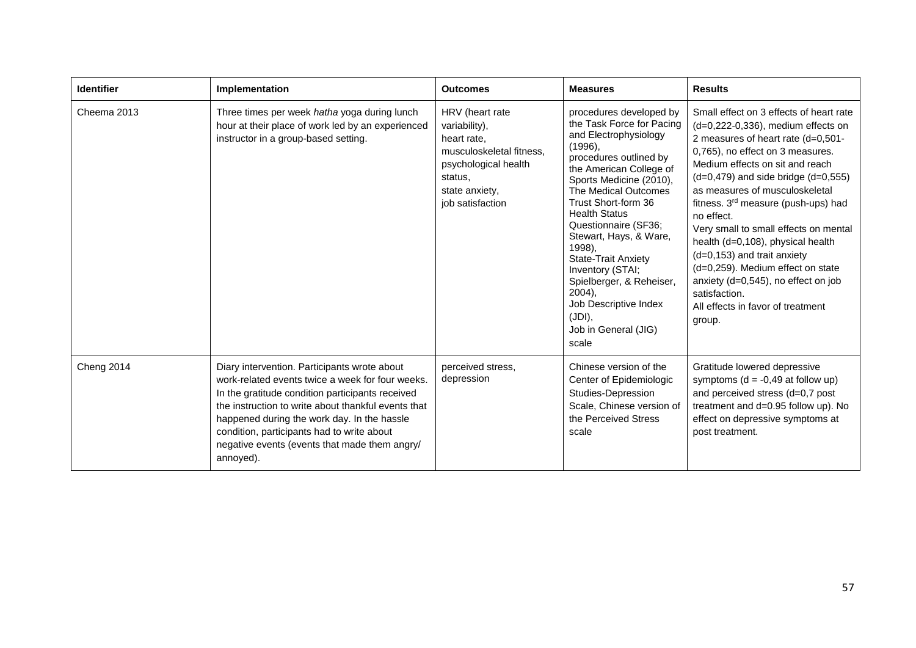| <b>Identifier</b> | Implementation                                                                                                                                                                                                                                                                                                                                                         | <b>Outcomes</b>                                                                                                                                      | <b>Measures</b>                                                                                                                                                                                                                                                                                                                                                                                                                                                            | <b>Results</b>                                                                                                                                                                                                                                                                                                                                                                                                                                                                                                                                                                                          |
|-------------------|------------------------------------------------------------------------------------------------------------------------------------------------------------------------------------------------------------------------------------------------------------------------------------------------------------------------------------------------------------------------|------------------------------------------------------------------------------------------------------------------------------------------------------|----------------------------------------------------------------------------------------------------------------------------------------------------------------------------------------------------------------------------------------------------------------------------------------------------------------------------------------------------------------------------------------------------------------------------------------------------------------------------|---------------------------------------------------------------------------------------------------------------------------------------------------------------------------------------------------------------------------------------------------------------------------------------------------------------------------------------------------------------------------------------------------------------------------------------------------------------------------------------------------------------------------------------------------------------------------------------------------------|
| Cheema 2013       | Three times per week hatha yoga during lunch<br>hour at their place of work led by an experienced<br>instructor in a group-based setting.                                                                                                                                                                                                                              | HRV (heart rate<br>variability),<br>heart rate,<br>musculoskeletal fitness.<br>psychological health<br>status,<br>state anxiety,<br>job satisfaction | procedures developed by<br>the Task Force for Pacing<br>and Electrophysiology<br>(1996),<br>procedures outlined by<br>the American College of<br>Sports Medicine (2010),<br>The Medical Outcomes<br>Trust Short-form 36<br><b>Health Status</b><br>Questionnaire (SF36;<br>Stewart, Hays, & Ware,<br>1998),<br><b>State-Trait Anxiety</b><br>Inventory (STAI;<br>Spielberger, & Reheiser,<br>$2004$ ).<br>Job Descriptive Index<br>(JDI),<br>Job in General (JIG)<br>scale | Small effect on 3 effects of heart rate<br>$(d=0,222-0,336)$ , medium effects on<br>2 measures of heart rate (d=0,501-<br>0,765), no effect on 3 measures.<br>Medium effects on sit and reach<br>$(d=0,479)$ and side bridge $(d=0,555)$<br>as measures of musculoskeletal<br>fitness. 3 <sup>rd</sup> measure (push-ups) had<br>no effect.<br>Very small to small effects on mental<br>health (d=0,108), physical health<br>$(d=0, 153)$ and trait anxiety<br>(d=0,259). Medium effect on state<br>anxiety (d=0,545), no effect on job<br>satisfaction.<br>All effects in favor of treatment<br>group. |
| <b>Cheng 2014</b> | Diary intervention. Participants wrote about<br>work-related events twice a week for four weeks.<br>In the gratitude condition participants received<br>the instruction to write about thankful events that<br>happened during the work day. In the hassle<br>condition, participants had to write about<br>negative events (events that made them angry/<br>annoyed). | perceived stress,<br>depression                                                                                                                      | Chinese version of the<br>Center of Epidemiologic<br>Studies-Depression<br>Scale, Chinese version of<br>the Perceived Stress<br>scale                                                                                                                                                                                                                                                                                                                                      | Gratitude lowered depressive<br>symptoms ( $d = -0.49$ at follow up)<br>and perceived stress (d=0,7 post<br>treatment and d=0.95 follow up). No<br>effect on depressive symptoms at<br>post treatment.                                                                                                                                                                                                                                                                                                                                                                                                  |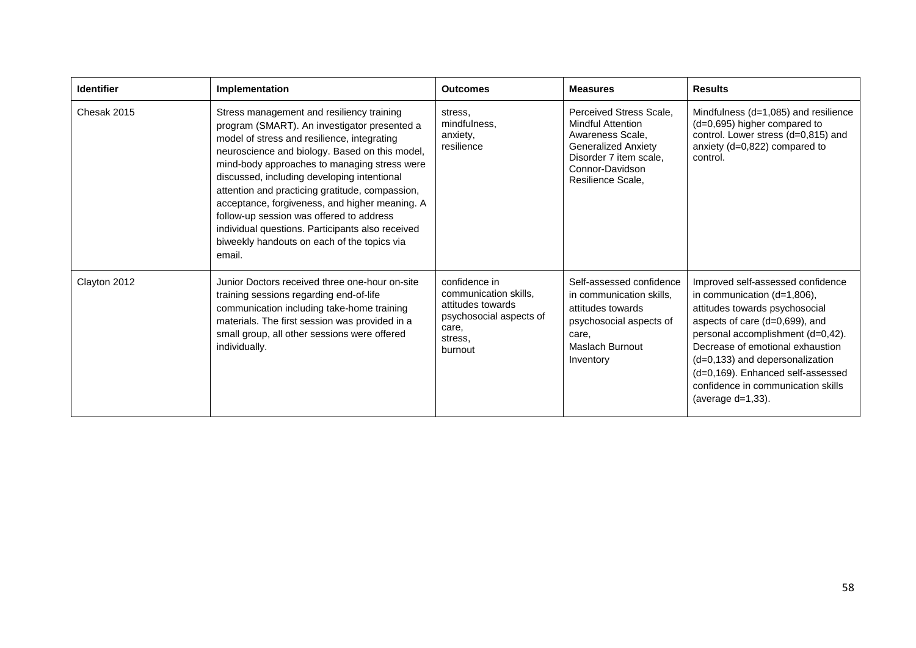| <b>Identifier</b> | Implementation                                                                                                                                                                                                                                                                                                                                                                                                                                                                                                                                          | <b>Outcomes</b>                                                                                                       | <b>Measures</b>                                                                                                                                                         | <b>Results</b>                                                                                                                                                                                                                                                                                                                                      |
|-------------------|---------------------------------------------------------------------------------------------------------------------------------------------------------------------------------------------------------------------------------------------------------------------------------------------------------------------------------------------------------------------------------------------------------------------------------------------------------------------------------------------------------------------------------------------------------|-----------------------------------------------------------------------------------------------------------------------|-------------------------------------------------------------------------------------------------------------------------------------------------------------------------|-----------------------------------------------------------------------------------------------------------------------------------------------------------------------------------------------------------------------------------------------------------------------------------------------------------------------------------------------------|
| Chesak 2015       | Stress management and resiliency training<br>program (SMART). An investigator presented a<br>model of stress and resilience, integrating<br>neuroscience and biology. Based on this model,<br>mind-body approaches to managing stress were<br>discussed, including developing intentional<br>attention and practicing gratitude, compassion,<br>acceptance, forgiveness, and higher meaning. A<br>follow-up session was offered to address<br>individual questions. Participants also received<br>biweekly handouts on each of the topics via<br>email. | stress.<br>mindfulness,<br>anxiety,<br>resilience                                                                     | Perceived Stress Scale.<br><b>Mindful Attention</b><br>Awareness Scale.<br><b>Generalized Anxiety</b><br>Disorder 7 item scale,<br>Connor-Davidson<br>Resilience Scale, | Mindfulness $(d=1,085)$ and resilience<br>(d=0,695) higher compared to<br>control. Lower stress (d=0,815) and<br>anxiety (d=0,822) compared to<br>control.                                                                                                                                                                                          |
| Clayton 2012      | Junior Doctors received three one-hour on-site<br>training sessions regarding end-of-life<br>communication including take-home training<br>materials. The first session was provided in a<br>small group, all other sessions were offered<br>individually.                                                                                                                                                                                                                                                                                              | confidence in<br>communication skills,<br>attitudes towards<br>psychosocial aspects of<br>care,<br>stress.<br>burnout | Self-assessed confidence<br>in communication skills,<br>attitudes towards<br>psychosocial aspects of<br>care,<br>Maslach Burnout<br>Inventory                           | Improved self-assessed confidence<br>in communication (d=1,806),<br>attitudes towards psychosocial<br>aspects of care (d=0,699), and<br>personal accomplishment (d=0,42).<br>Decrease of emotional exhaustion<br>(d=0,133) and depersonalization<br>(d=0,169). Enhanced self-assessed<br>confidence in communication skills<br>(average $d=1,33$ ). |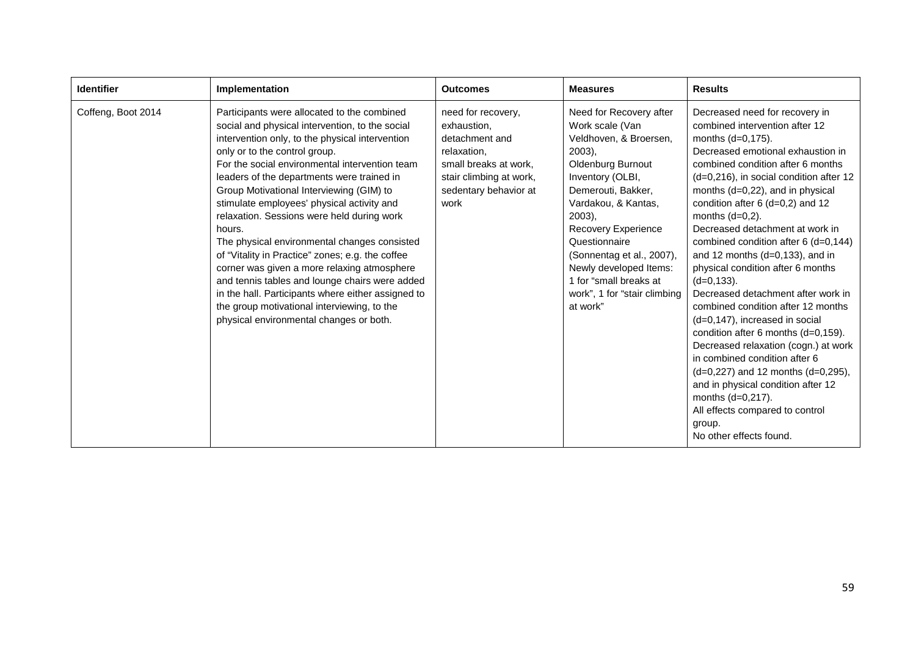| <b>Identifier</b>  | Implementation                                                                                                                                                                                                                                                                                                                                                                                                                                                                                                                                                                                                                                                                                                                                                                            | <b>Outcomes</b>                                                                                                                                         | <b>Measures</b>                                                                                                                                                                                                                                                                                                                                                   | <b>Results</b>                                                                                                                                                                                                                                                                                                                                                                                                                                                                                                                                                                                                                                                                                                                                                                                                                                                                                   |
|--------------------|-------------------------------------------------------------------------------------------------------------------------------------------------------------------------------------------------------------------------------------------------------------------------------------------------------------------------------------------------------------------------------------------------------------------------------------------------------------------------------------------------------------------------------------------------------------------------------------------------------------------------------------------------------------------------------------------------------------------------------------------------------------------------------------------|---------------------------------------------------------------------------------------------------------------------------------------------------------|-------------------------------------------------------------------------------------------------------------------------------------------------------------------------------------------------------------------------------------------------------------------------------------------------------------------------------------------------------------------|--------------------------------------------------------------------------------------------------------------------------------------------------------------------------------------------------------------------------------------------------------------------------------------------------------------------------------------------------------------------------------------------------------------------------------------------------------------------------------------------------------------------------------------------------------------------------------------------------------------------------------------------------------------------------------------------------------------------------------------------------------------------------------------------------------------------------------------------------------------------------------------------------|
| Coffeng, Boot 2014 | Participants were allocated to the combined<br>social and physical intervention, to the social<br>intervention only, to the physical intervention<br>only or to the control group.<br>For the social environmental intervention team<br>leaders of the departments were trained in<br>Group Motivational Interviewing (GIM) to<br>stimulate employees' physical activity and<br>relaxation. Sessions were held during work<br>hours.<br>The physical environmental changes consisted<br>of "Vitality in Practice" zones; e.g. the coffee<br>corner was given a more relaxing atmosphere<br>and tennis tables and lounge chairs were added<br>in the hall. Participants where either assigned to<br>the group motivational interviewing, to the<br>physical environmental changes or both. | need for recovery,<br>exhaustion,<br>detachment and<br>relaxation,<br>small breaks at work,<br>stair climbing at work,<br>sedentary behavior at<br>work | Need for Recovery after<br>Work scale (Van<br>Veldhoven, & Broersen,<br>$2003$ ),<br>Oldenburg Burnout<br>Inventory (OLBI,<br>Demerouti, Bakker,<br>Vardakou, & Kantas,<br>$2003$ ),<br><b>Recovery Experience</b><br>Questionnaire<br>(Sonnentag et al., 2007),<br>Newly developed Items:<br>1 for "small breaks at<br>work", 1 for "stair climbing"<br>at work" | Decreased need for recovery in<br>combined intervention after 12<br>months $(d=0,175)$ .<br>Decreased emotional exhaustion in<br>combined condition after 6 months<br>(d=0,216), in social condition after 12<br>months (d=0,22), and in physical<br>condition after $6$ (d=0,2) and 12<br>months $(d=0,2)$ .<br>Decreased detachment at work in<br>combined condition after 6 (d=0,144)<br>and 12 months $(d=0,133)$ , and in<br>physical condition after 6 months<br>$(d=0, 133)$ .<br>Decreased detachment after work in<br>combined condition after 12 months<br>$(d=0, 147)$ , increased in social<br>condition after 6 months (d=0,159).<br>Decreased relaxation (cogn.) at work<br>in combined condition after 6<br>(d=0,227) and 12 months (d=0,295),<br>and in physical condition after 12<br>months (d=0,217).<br>All effects compared to control<br>group.<br>No other effects found. |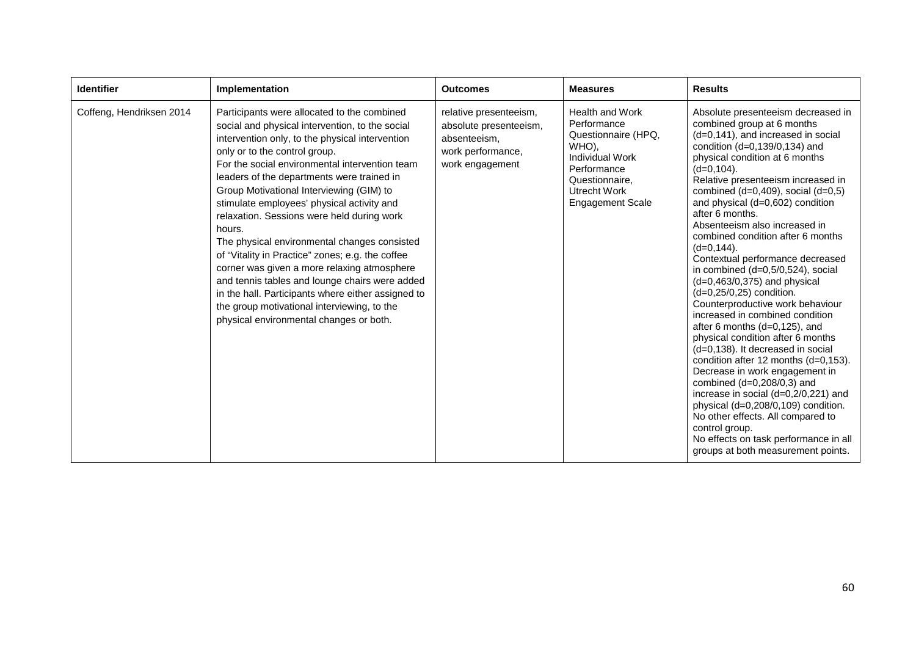| <b>Identifier</b>        | Implementation                                                                                                                                                                                                                                                                                                                                                                                                                                                                                                                                                                                                                                                                                                                                                                            | <b>Outcomes</b>                                                                                          | <b>Measures</b>                                                                                                                                                      | <b>Results</b>                                                                                                                                                                                                                                                                                                                                                                                                                                                                                                                                                                                                                                                                                                                                                                                                                                                                                                                                                                                                                                                                       |
|--------------------------|-------------------------------------------------------------------------------------------------------------------------------------------------------------------------------------------------------------------------------------------------------------------------------------------------------------------------------------------------------------------------------------------------------------------------------------------------------------------------------------------------------------------------------------------------------------------------------------------------------------------------------------------------------------------------------------------------------------------------------------------------------------------------------------------|----------------------------------------------------------------------------------------------------------|----------------------------------------------------------------------------------------------------------------------------------------------------------------------|--------------------------------------------------------------------------------------------------------------------------------------------------------------------------------------------------------------------------------------------------------------------------------------------------------------------------------------------------------------------------------------------------------------------------------------------------------------------------------------------------------------------------------------------------------------------------------------------------------------------------------------------------------------------------------------------------------------------------------------------------------------------------------------------------------------------------------------------------------------------------------------------------------------------------------------------------------------------------------------------------------------------------------------------------------------------------------------|
| Coffeng, Hendriksen 2014 | Participants were allocated to the combined<br>social and physical intervention, to the social<br>intervention only, to the physical intervention<br>only or to the control group.<br>For the social environmental intervention team<br>leaders of the departments were trained in<br>Group Motivational Interviewing (GIM) to<br>stimulate employees' physical activity and<br>relaxation. Sessions were held during work<br>hours.<br>The physical environmental changes consisted<br>of "Vitality in Practice" zones; e.g. the coffee<br>corner was given a more relaxing atmosphere<br>and tennis tables and lounge chairs were added<br>in the hall. Participants where either assigned to<br>the group motivational interviewing, to the<br>physical environmental changes or both. | relative presenteeism,<br>absolute presenteeism,<br>absenteeism.<br>work performance,<br>work engagement | <b>Health and Work</b><br>Performance<br>Questionnaire (HPQ,<br>WHO).<br>Individual Work<br>Performance<br>Questionnaire,<br>Utrecht Work<br><b>Engagement Scale</b> | Absolute presenteeism decreased in<br>combined group at 6 months<br>(d=0,141), and increased in social<br>condition (d=0,139/0,134) and<br>physical condition at 6 months<br>$(d=0,104)$ .<br>Relative presenteeism increased in<br>combined $(d=0,409)$ , social $(d=0,5)$<br>and physical (d=0,602) condition<br>after 6 months.<br>Absenteeism also increased in<br>combined condition after 6 months<br>$(d=0, 144)$ .<br>Contextual performance decreased<br>in combined (d=0,5/0,524), social<br>(d=0,463/0,375) and physical<br>(d=0,25/0,25) condition.<br>Counterproductive work behaviour<br>increased in combined condition<br>after 6 months $(d=0, 125)$ , and<br>physical condition after 6 months<br>(d=0,138). It decreased in social<br>condition after 12 months (d=0,153).<br>Decrease in work engagement in<br>combined $(d=0,208/0,3)$ and<br>increase in social (d=0,2/0,221) and<br>physical (d=0,208/0,109) condition.<br>No other effects. All compared to<br>control group.<br>No effects on task performance in all<br>groups at both measurement points. |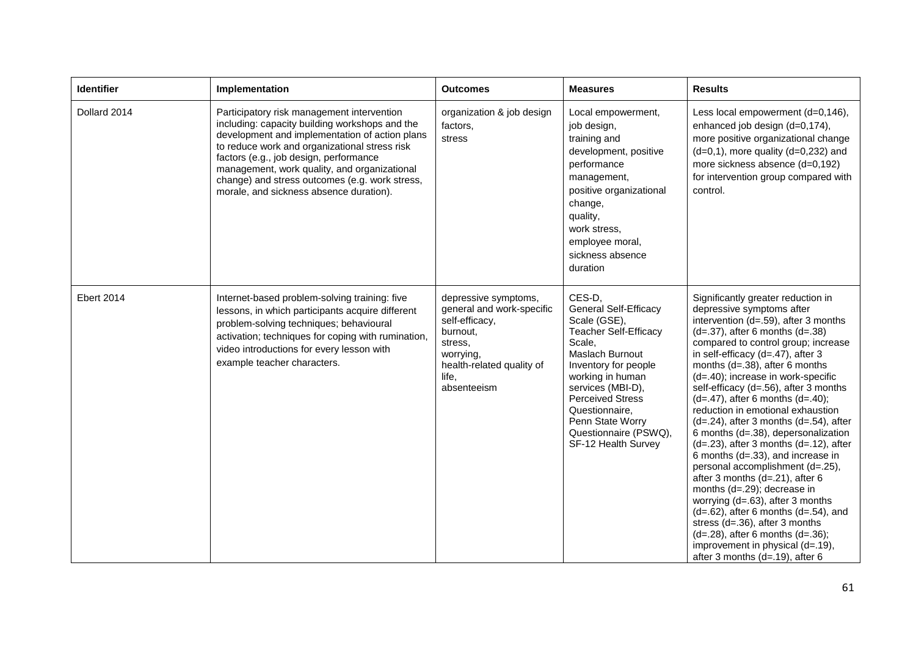| Identifier        | Implementation                                                                                                                                                                                                                                                                                                                                                                         | <b>Outcomes</b>                                                                                                                                              | <b>Measures</b>                                                                                                                                                                                                                                                                                       | <b>Results</b>                                                                                                                                                                                                                                                                                                                                                                                                                                                                                                                                                                                                                                                                                                                                                                                                                                                                                                                                              |
|-------------------|----------------------------------------------------------------------------------------------------------------------------------------------------------------------------------------------------------------------------------------------------------------------------------------------------------------------------------------------------------------------------------------|--------------------------------------------------------------------------------------------------------------------------------------------------------------|-------------------------------------------------------------------------------------------------------------------------------------------------------------------------------------------------------------------------------------------------------------------------------------------------------|-------------------------------------------------------------------------------------------------------------------------------------------------------------------------------------------------------------------------------------------------------------------------------------------------------------------------------------------------------------------------------------------------------------------------------------------------------------------------------------------------------------------------------------------------------------------------------------------------------------------------------------------------------------------------------------------------------------------------------------------------------------------------------------------------------------------------------------------------------------------------------------------------------------------------------------------------------------|
| Dollard 2014      | Participatory risk management intervention<br>including: capacity building workshops and the<br>development and implementation of action plans<br>to reduce work and organizational stress risk<br>factors (e.g., job design, performance<br>management, work quality, and organizational<br>change) and stress outcomes (e.g. work stress,<br>morale, and sickness absence duration). | organization & job design<br>factors.<br>stress                                                                                                              | Local empowerment,<br>job design,<br>training and<br>development, positive<br>performance<br>management,<br>positive organizational<br>change,<br>quality,<br>work stress,<br>employee moral,<br>sickness absence<br>duration                                                                         | Less local empowerment (d=0,146),<br>enhanced job design (d=0,174),<br>more positive organizational change<br>$(d=0,1)$ , more quality $(d=0,232)$ and<br>more sickness absence (d=0,192)<br>for intervention group compared with<br>control.                                                                                                                                                                                                                                                                                                                                                                                                                                                                                                                                                                                                                                                                                                               |
| <b>Ebert 2014</b> | Internet-based problem-solving training: five<br>lessons, in which participants acquire different<br>problem-solving techniques; behavioural<br>activation; techniques for coping with rumination,<br>video introductions for every lesson with<br>example teacher characters.                                                                                                         | depressive symptoms,<br>general and work-specific<br>self-efficacy,<br>burnout,<br>stress.<br>worrying,<br>health-related quality of<br>life,<br>absenteeism | CES-D,<br><b>General Self-Efficacy</b><br>Scale (GSE),<br><b>Teacher Self-Efficacy</b><br>Scale,<br>Maslach Burnout<br>Inventory for people<br>working in human<br>services (MBI-D),<br><b>Perceived Stress</b><br>Questionnaire,<br>Penn State Worry<br>Questionnaire (PSWQ),<br>SF-12 Health Survey | Significantly greater reduction in<br>depressive symptoms after<br>intervention (d=.59), after 3 months<br>$(d=.37)$ , after 6 months $(d=.38)$<br>compared to control group; increase<br>in self-efficacy $(d=.47)$ , after 3<br>months $(d=.38)$ , after 6 months<br>(d=.40); increase in work-specific<br>self-efficacy (d=.56), after 3 months<br>$(d=.47)$ , after 6 months $(d=.40)$ ;<br>reduction in emotional exhaustion<br>$(d=.24)$ , after 3 months $(d=.54)$ , after<br>6 months (d=.38), depersonalization<br>$(d=.23)$ , after 3 months $(d=.12)$ , after<br>6 months (d=.33), and increase in<br>personal accomplishment (d=.25),<br>after 3 months (d=.21), after 6<br>months (d=.29); decrease in<br>worrying $(d=.63)$ , after 3 months<br>$(d=.62)$ , after 6 months $(d=.54)$ , and<br>stress (d=.36), after 3 months<br>$(d=.28)$ , after 6 months $(d=.36)$ ;<br>improvement in physical (d=.19),<br>after 3 months (d=.19), after 6 |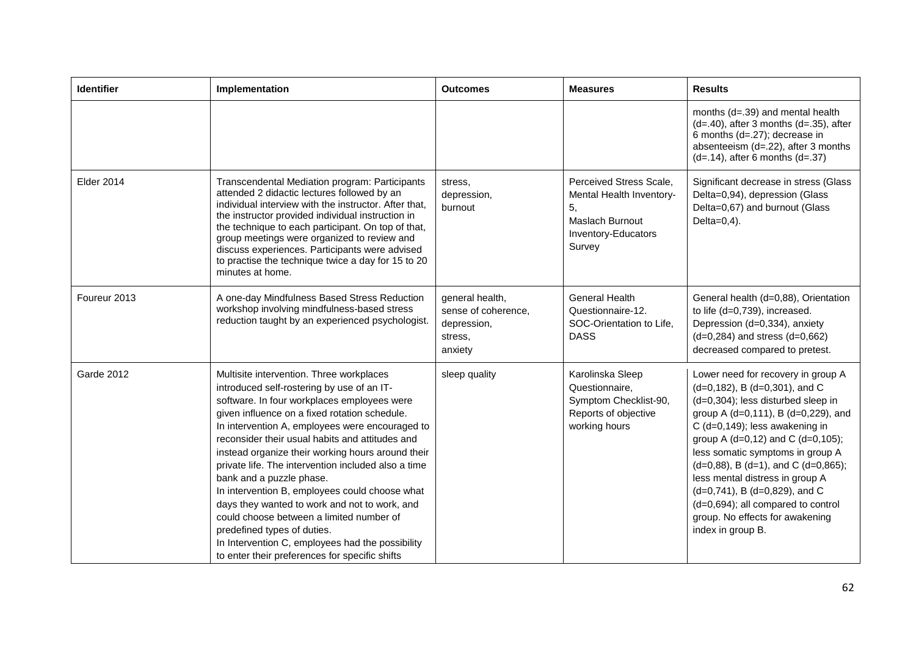| <b>Identifier</b> | Implementation                                                                                                                                                                                                                                                                                                                                                                                                                                                                                                                                                                                                                                                                                                           | <b>Outcomes</b>                                                             | <b>Measures</b>                                                                                               | <b>Results</b>                                                                                                                                                                                                                                                                                                                                                                                                                                                                            |
|-------------------|--------------------------------------------------------------------------------------------------------------------------------------------------------------------------------------------------------------------------------------------------------------------------------------------------------------------------------------------------------------------------------------------------------------------------------------------------------------------------------------------------------------------------------------------------------------------------------------------------------------------------------------------------------------------------------------------------------------------------|-----------------------------------------------------------------------------|---------------------------------------------------------------------------------------------------------------|-------------------------------------------------------------------------------------------------------------------------------------------------------------------------------------------------------------------------------------------------------------------------------------------------------------------------------------------------------------------------------------------------------------------------------------------------------------------------------------------|
|                   |                                                                                                                                                                                                                                                                                                                                                                                                                                                                                                                                                                                                                                                                                                                          |                                                                             |                                                                                                               | months (d=.39) and mental health<br>$(d=.40)$ , after 3 months $(d=.35)$ , after<br>6 months (d=.27); decrease in<br>absenteeism (d=.22), after 3 months<br>$(d=.14)$ , after 6 months $(d=.37)$                                                                                                                                                                                                                                                                                          |
| <b>Elder 2014</b> | Transcendental Mediation program: Participants<br>attended 2 didactic lectures followed by an<br>individual interview with the instructor. After that,<br>the instructor provided individual instruction in<br>the technique to each participant. On top of that,<br>group meetings were organized to review and<br>discuss experiences. Participants were advised<br>to practise the technique twice a day for 15 to 20<br>minutes at home.                                                                                                                                                                                                                                                                             | stress.<br>depression,<br>burnout                                           | Perceived Stress Scale,<br>Mental Health Inventory-<br>5,<br>Maslach Burnout<br>Inventory-Educators<br>Survey | Significant decrease in stress (Glass<br>Delta=0,94), depression (Glass<br>Delta=0,67) and burnout (Glass<br>Delta= $0,4$ ).                                                                                                                                                                                                                                                                                                                                                              |
| Foureur 2013      | A one-day Mindfulness Based Stress Reduction<br>workshop involving mindfulness-based stress<br>reduction taught by an experienced psychologist.                                                                                                                                                                                                                                                                                                                                                                                                                                                                                                                                                                          | general health,<br>sense of coherence,<br>depression,<br>stress,<br>anxiety | <b>General Health</b><br>Questionnaire-12.<br>SOC-Orientation to Life,<br><b>DASS</b>                         | General health (d=0,88), Orientation<br>to life (d=0,739), increased.<br>Depression (d=0,334), anxiety<br>$(d=0,284)$ and stress $(d=0,662)$<br>decreased compared to pretest.                                                                                                                                                                                                                                                                                                            |
| Garde 2012        | Multisite intervention. Three workplaces<br>introduced self-rostering by use of an IT-<br>software. In four workplaces employees were<br>given influence on a fixed rotation schedule.<br>In intervention A, employees were encouraged to<br>reconsider their usual habits and attitudes and<br>instead organize their working hours around their<br>private life. The intervention included also a time<br>bank and a puzzle phase.<br>In intervention B, employees could choose what<br>days they wanted to work and not to work, and<br>could choose between a limited number of<br>predefined types of duties.<br>In Intervention C, employees had the possibility<br>to enter their preferences for specific shifts | sleep quality                                                               | Karolinska Sleep<br>Questionnaire,<br>Symptom Checklist-90,<br>Reports of objective<br>working hours          | Lower need for recovery in group A<br>$(d=0, 182)$ , B $(d=0, 301)$ , and C<br>(d=0,304); less disturbed sleep in<br>group A (d=0,111), B (d=0,229), and<br>C $(d=0, 149)$ ; less awakening in<br>group A (d=0,12) and C (d=0,105);<br>less somatic symptoms in group A<br>$(d=0,88)$ , B $(d=1)$ , and C $(d=0,865)$ ;<br>less mental distress in group A<br>(d=0,741), B (d=0,829), and C<br>(d=0,694); all compared to control<br>group. No effects for awakening<br>index in group B. |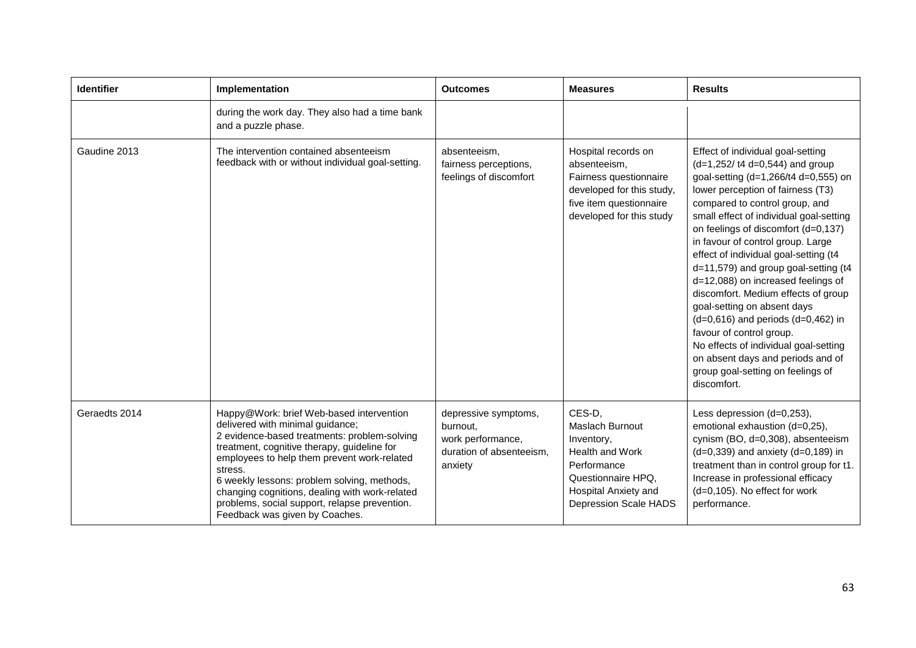| <b>Identifier</b> | Implementation                                                                                                                                                                                                                                                                                                                                                                                                            | <b>Outcomes</b>                                                                              | <b>Measures</b>                                                                                                                                                | <b>Results</b>                                                                                                                                                                                                                                                                                                                                                                                                                                                                                                                                                                                                                                                                                                    |
|-------------------|---------------------------------------------------------------------------------------------------------------------------------------------------------------------------------------------------------------------------------------------------------------------------------------------------------------------------------------------------------------------------------------------------------------------------|----------------------------------------------------------------------------------------------|----------------------------------------------------------------------------------------------------------------------------------------------------------------|-------------------------------------------------------------------------------------------------------------------------------------------------------------------------------------------------------------------------------------------------------------------------------------------------------------------------------------------------------------------------------------------------------------------------------------------------------------------------------------------------------------------------------------------------------------------------------------------------------------------------------------------------------------------------------------------------------------------|
|                   | during the work day. They also had a time bank<br>and a puzzle phase.                                                                                                                                                                                                                                                                                                                                                     |                                                                                              |                                                                                                                                                                |                                                                                                                                                                                                                                                                                                                                                                                                                                                                                                                                                                                                                                                                                                                   |
| Gaudine 2013      | The intervention contained absenteeism<br>feedback with or without individual goal-setting.                                                                                                                                                                                                                                                                                                                               | absenteeism,<br>fairness perceptions,<br>feelings of discomfort                              | Hospital records on<br>absenteeism,<br>Fairness questionnaire<br>developed for this study,<br>five item questionnaire<br>developed for this study              | Effect of individual goal-setting<br>$(d=1,252/ t4 d=0,544)$ and group<br>goal-setting (d=1,266/t4 d=0,555) on<br>lower perception of fairness (T3)<br>compared to control group, and<br>small effect of individual goal-setting<br>on feelings of discomfort (d=0,137)<br>in favour of control group. Large<br>effect of individual goal-setting (t4<br>d=11,579) and group goal-setting (t4<br>d=12,088) on increased feelings of<br>discomfort. Medium effects of group<br>goal-setting on absent days<br>$(d=0,616)$ and periods $(d=0,462)$ in<br>favour of control group.<br>No effects of individual goal-setting<br>on absent days and periods and of<br>group goal-setting on feelings of<br>discomfort. |
| Geraedts 2014     | Happy@Work: brief Web-based intervention<br>delivered with minimal guidance;<br>2 evidence-based treatments: problem-solving<br>treatment, cognitive therapy, guideline for<br>employees to help them prevent work-related<br>stress.<br>6 weekly lessons: problem solving, methods,<br>changing cognitions, dealing with work-related<br>problems, social support, relapse prevention.<br>Feedback was given by Coaches. | depressive symptoms,<br>burnout,<br>work performance,<br>duration of absenteeism,<br>anxiety | CES-D,<br>Maslach Burnout<br>Inventory,<br><b>Health and Work</b><br>Performance<br>Questionnaire HPQ,<br>Hospital Anxiety and<br><b>Depression Scale HADS</b> | Less depression (d=0,253),<br>emotional exhaustion (d=0,25),<br>cynism (BO, d=0,308), absenteeism<br>$(d=0,339)$ and anxiety $(d=0,189)$ in<br>treatment than in control group for t1.<br>Increase in professional efficacy<br>(d=0,105). No effect for work<br>performance.                                                                                                                                                                                                                                                                                                                                                                                                                                      |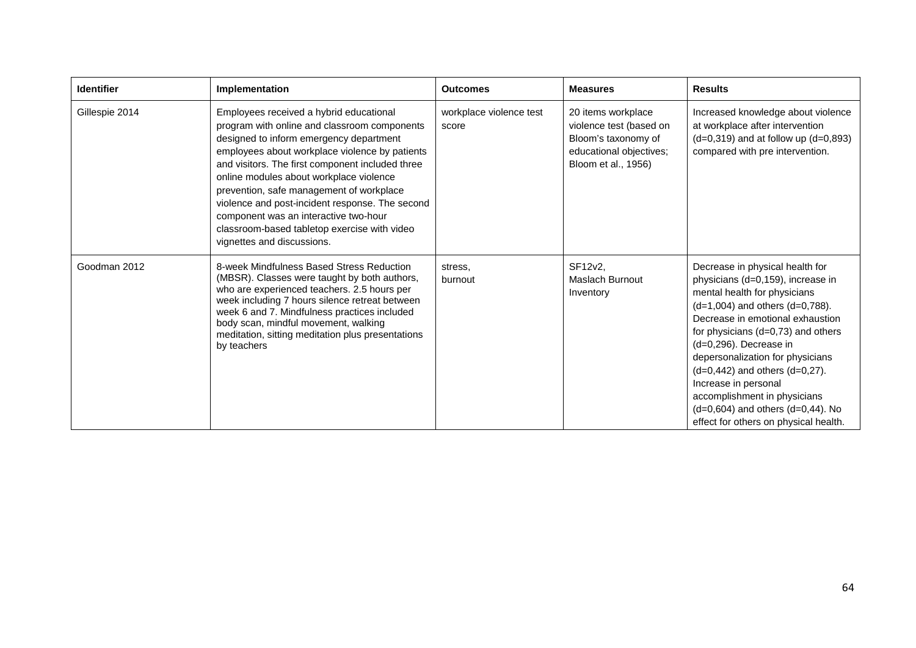| <b>Identifier</b> | Implementation                                                                                                                                                                                                                                                                                                                                                                                                                                                                                            | <b>Outcomes</b>                  | <b>Measures</b>                                                                                                        | <b>Results</b>                                                                                                                                                                                                                                                                                                                                                                                                                                                            |
|-------------------|-----------------------------------------------------------------------------------------------------------------------------------------------------------------------------------------------------------------------------------------------------------------------------------------------------------------------------------------------------------------------------------------------------------------------------------------------------------------------------------------------------------|----------------------------------|------------------------------------------------------------------------------------------------------------------------|---------------------------------------------------------------------------------------------------------------------------------------------------------------------------------------------------------------------------------------------------------------------------------------------------------------------------------------------------------------------------------------------------------------------------------------------------------------------------|
| Gillespie 2014    | Employees received a hybrid educational<br>program with online and classroom components<br>designed to inform emergency department<br>employees about workplace violence by patients<br>and visitors. The first component included three<br>online modules about workplace violence<br>prevention, safe management of workplace<br>violence and post-incident response. The second<br>component was an interactive two-hour<br>classroom-based tabletop exercise with video<br>vignettes and discussions. | workplace violence test<br>score | 20 items workplace<br>violence test (based on<br>Bloom's taxonomy of<br>educational objectives;<br>Bloom et al., 1956) | Increased knowledge about violence<br>at workplace after intervention<br>$(d=0,319)$ and at follow up $(d=0,893)$<br>compared with pre intervention.                                                                                                                                                                                                                                                                                                                      |
| Goodman 2012      | 8-week Mindfulness Based Stress Reduction<br>(MBSR). Classes were taught by both authors,<br>who are experienced teachers. 2.5 hours per<br>week including 7 hours silence retreat between<br>week 6 and 7. Mindfulness practices included<br>body scan, mindful movement, walking<br>meditation, sitting meditation plus presentations<br>by teachers                                                                                                                                                    | stress.<br>burnout               | SF12v2,<br>Maslach Burnout<br>Inventory                                                                                | Decrease in physical health for<br>physicians (d=0,159), increase in<br>mental health for physicians<br>$(d=1,004)$ and others $(d=0,788)$ .<br>Decrease in emotional exhaustion<br>for physicians (d=0,73) and others<br>$(d=0,296)$ . Decrease in<br>depersonalization for physicians<br>$(d=0,442)$ and others $(d=0,27)$ .<br>Increase in personal<br>accomplishment in physicians<br>$(d=0,604)$ and others $(d=0,44)$ . No<br>effect for others on physical health. |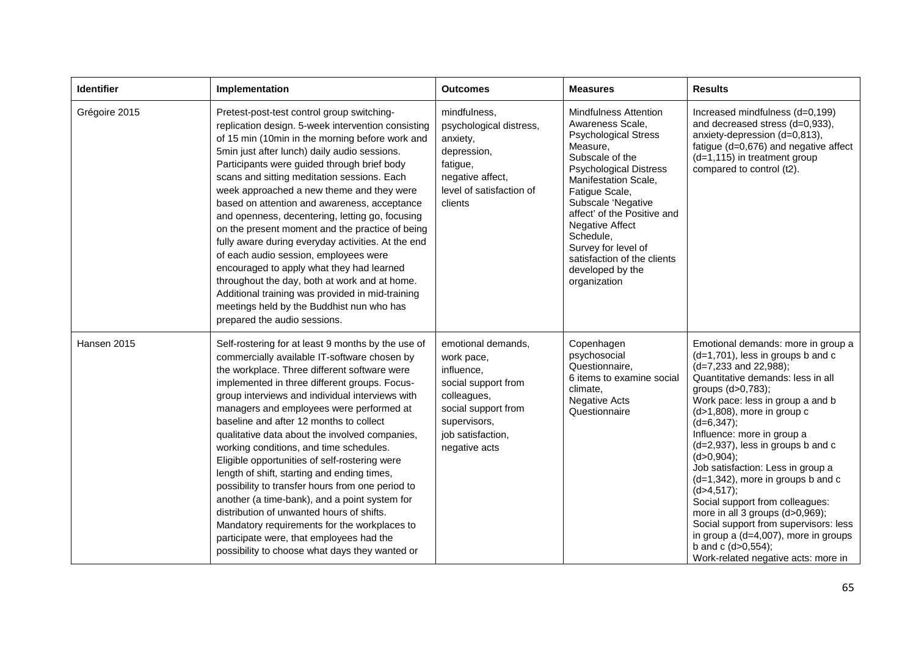| Identifier    | Implementation                                                                                                                                                                                                                                                                                                                                                                                                                                                                                                                                                                                                                                                                                                                                                                                                                             | <b>Outcomes</b>                                                                                                                                                   | <b>Measures</b>                                                                                                                                                                                                                                                                                                                                                                 | <b>Results</b>                                                                                                                                                                                                                                                                                                                                                                                                                                                                                                                                                                                                                                                |
|---------------|--------------------------------------------------------------------------------------------------------------------------------------------------------------------------------------------------------------------------------------------------------------------------------------------------------------------------------------------------------------------------------------------------------------------------------------------------------------------------------------------------------------------------------------------------------------------------------------------------------------------------------------------------------------------------------------------------------------------------------------------------------------------------------------------------------------------------------------------|-------------------------------------------------------------------------------------------------------------------------------------------------------------------|---------------------------------------------------------------------------------------------------------------------------------------------------------------------------------------------------------------------------------------------------------------------------------------------------------------------------------------------------------------------------------|---------------------------------------------------------------------------------------------------------------------------------------------------------------------------------------------------------------------------------------------------------------------------------------------------------------------------------------------------------------------------------------------------------------------------------------------------------------------------------------------------------------------------------------------------------------------------------------------------------------------------------------------------------------|
| Grégoire 2015 | Pretest-post-test control group switching-<br>replication design. 5-week intervention consisting<br>of 15 min (10min in the morning before work and<br>5min just after lunch) daily audio sessions.<br>Participants were guided through brief body<br>scans and sitting meditation sessions. Each<br>week approached a new theme and they were<br>based on attention and awareness, acceptance<br>and openness, decentering, letting go, focusing<br>on the present moment and the practice of being<br>fully aware during everyday activities. At the end<br>of each audio session, employees were<br>encouraged to apply what they had learned<br>throughout the day, both at work and at home.<br>Additional training was provided in mid-training<br>meetings held by the Buddhist nun who has<br>prepared the audio sessions.         | mindfulness,<br>psychological distress,<br>anxiety,<br>depression,<br>fatigue,<br>negative affect,<br>level of satisfaction of<br>clients                         | <b>Mindfulness Attention</b><br>Awareness Scale,<br><b>Psychological Stress</b><br>Measure,<br>Subscale of the<br><b>Psychological Distress</b><br>Manifestation Scale,<br>Fatigue Scale,<br>Subscale 'Negative<br>affect' of the Positive and<br><b>Negative Affect</b><br>Schedule,<br>Survey for level of<br>satisfaction of the clients<br>developed by the<br>organization | Increased mindfulness (d=0,199)<br>and decreased stress (d=0,933),<br>anxiety-depression (d=0,813),<br>fatigue (d=0,676) and negative affect<br>$(d=1, 115)$ in treatment group<br>compared to control (t2).                                                                                                                                                                                                                                                                                                                                                                                                                                                  |
| Hansen 2015   | Self-rostering for at least 9 months by the use of<br>commercially available IT-software chosen by<br>the workplace. Three different software were<br>implemented in three different groups. Focus-<br>group interviews and individual interviews with<br>managers and employees were performed at<br>baseline and after 12 months to collect<br>qualitative data about the involved companies,<br>working conditions, and time schedules.<br>Eligible opportunities of self-rostering were<br>length of shift, starting and ending times,<br>possibility to transfer hours from one period to<br>another (a time-bank), and a point system for<br>distribution of unwanted hours of shifts.<br>Mandatory requirements for the workplaces to<br>participate were, that employees had the<br>possibility to choose what days they wanted or | emotional demands,<br>work pace,<br>influence,<br>social support from<br>colleagues,<br>social support from<br>supervisors,<br>job satisfaction,<br>negative acts | Copenhagen<br>psychosocial<br>Questionnaire,<br>6 items to examine social<br>climate,<br><b>Negative Acts</b><br>Questionnaire                                                                                                                                                                                                                                                  | Emotional demands: more in group a<br>$(d=1,701)$ , less in groups b and c<br>(d=7,233 and 22,988);<br>Quantitative demands: less in all<br>groups (d>0,783);<br>Work pace: less in group a and b<br>$(d>1,808)$ , more in group c<br>$(d=6,347);$<br>Influence: more in group a<br>(d=2,937), less in groups b and c<br>$(d>0, 904)$ ;<br>Job satisfaction: Less in group a<br>(d=1,342), more in groups b and c<br>(d > 4, 517);<br>Social support from colleagues:<br>more in all 3 groups (d>0,969);<br>Social support from supervisors: less<br>in group a $(d=4,007)$ , more in groups<br>b and c $(d>0, 554)$ ;<br>Work-related negative acts: more in |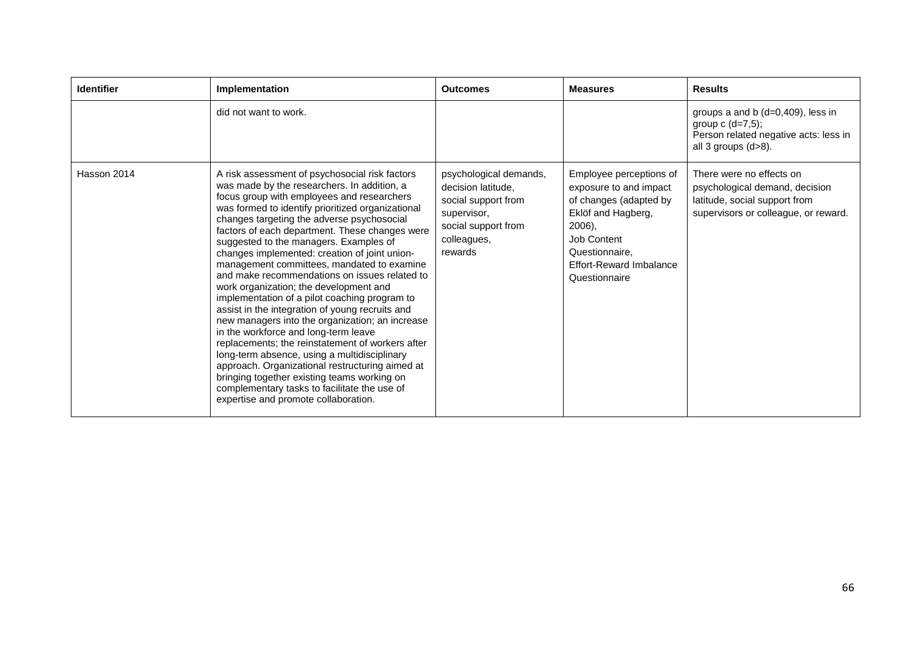| <b>Identifier</b> | Implementation                                                                                                                                                                                                                                                                                                                                                                                                                                                                                                                                                                                                                                                                                                                                                                                                                                                                                                                                                                                                                    | <b>Outcomes</b>                                                                                                                     | <b>Measures</b>                                                                                                                                                                          | <b>Results</b>                                                                                                                      |
|-------------------|-----------------------------------------------------------------------------------------------------------------------------------------------------------------------------------------------------------------------------------------------------------------------------------------------------------------------------------------------------------------------------------------------------------------------------------------------------------------------------------------------------------------------------------------------------------------------------------------------------------------------------------------------------------------------------------------------------------------------------------------------------------------------------------------------------------------------------------------------------------------------------------------------------------------------------------------------------------------------------------------------------------------------------------|-------------------------------------------------------------------------------------------------------------------------------------|------------------------------------------------------------------------------------------------------------------------------------------------------------------------------------------|-------------------------------------------------------------------------------------------------------------------------------------|
|                   | did not want to work.                                                                                                                                                                                                                                                                                                                                                                                                                                                                                                                                                                                                                                                                                                                                                                                                                                                                                                                                                                                                             |                                                                                                                                     |                                                                                                                                                                                          | groups a and b $(d=0,409)$ , less in<br>group $c$ (d=7,5);<br>Person related negative acts: less in<br>all 3 groups (d>8).          |
| Hasson 2014       | A risk assessment of psychosocial risk factors<br>was made by the researchers. In addition, a<br>focus group with employees and researchers<br>was formed to identify prioritized organizational<br>changes targeting the adverse psychosocial<br>factors of each department. These changes were<br>suggested to the managers. Examples of<br>changes implemented: creation of joint union-<br>management committees, mandated to examine<br>and make recommendations on issues related to<br>work organization; the development and<br>implementation of a pilot coaching program to<br>assist in the integration of young recruits and<br>new managers into the organization; an increase<br>in the workforce and long-term leave<br>replacements; the reinstatement of workers after<br>long-term absence, using a multidisciplinary<br>approach. Organizational restructuring aimed at<br>bringing together existing teams working on<br>complementary tasks to facilitate the use of<br>expertise and promote collaboration. | psychological demands,<br>decision latitude,<br>social support from<br>supervisor,<br>social support from<br>colleagues,<br>rewards | Employee perceptions of<br>exposure to and impact<br>of changes (adapted by<br>Eklöf and Hagberg,<br>2006),<br>Job Content<br>Questionnaire.<br>Effort-Reward Imbalance<br>Questionnaire | There were no effects on<br>psychological demand, decision<br>latitude, social support from<br>supervisors or colleague, or reward. |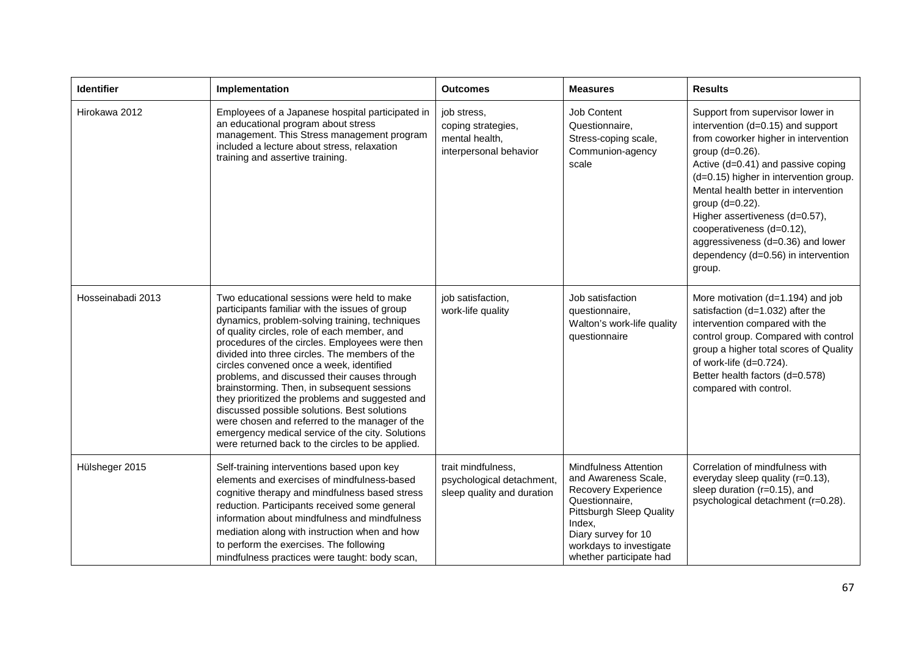| Identifier        | Implementation                                                                                                                                                                                                                                                                                                                                                                                                                                                                                                                                                                                                                                                                                             | <b>Outcomes</b>                                                               | <b>Measures</b>                                                                                                                                                                                                  | <b>Results</b>                                                                                                                                                                                                                                                                                                                                                                                                                   |
|-------------------|------------------------------------------------------------------------------------------------------------------------------------------------------------------------------------------------------------------------------------------------------------------------------------------------------------------------------------------------------------------------------------------------------------------------------------------------------------------------------------------------------------------------------------------------------------------------------------------------------------------------------------------------------------------------------------------------------------|-------------------------------------------------------------------------------|------------------------------------------------------------------------------------------------------------------------------------------------------------------------------------------------------------------|----------------------------------------------------------------------------------------------------------------------------------------------------------------------------------------------------------------------------------------------------------------------------------------------------------------------------------------------------------------------------------------------------------------------------------|
| Hirokawa 2012     | Employees of a Japanese hospital participated in<br>an educational program about stress<br>management. This Stress management program<br>included a lecture about stress, relaxation<br>training and assertive training.                                                                                                                                                                                                                                                                                                                                                                                                                                                                                   | job stress,<br>coping strategies,<br>mental health,<br>interpersonal behavior | <b>Job Content</b><br>Questionnaire,<br>Stress-coping scale,<br>Communion-agency<br>scale                                                                                                                        | Support from supervisor lower in<br>intervention (d=0.15) and support<br>from coworker higher in intervention<br>group (d=0.26).<br>Active (d=0.41) and passive coping<br>(d=0.15) higher in intervention group.<br>Mental health better in intervention<br>group (d=0.22).<br>Higher assertiveness (d=0.57),<br>cooperativeness (d=0.12),<br>aggressiveness (d=0.36) and lower<br>dependency (d=0.56) in intervention<br>group. |
| Hosseinabadi 2013 | Two educational sessions were held to make<br>participants familiar with the issues of group<br>dynamics, problem-solving training, techniques<br>of quality circles, role of each member, and<br>procedures of the circles. Employees were then<br>divided into three circles. The members of the<br>circles convened once a week, identified<br>problems, and discussed their causes through<br>brainstorming. Then, in subsequent sessions<br>they prioritized the problems and suggested and<br>discussed possible solutions. Best solutions<br>were chosen and referred to the manager of the<br>emergency medical service of the city. Solutions<br>were returned back to the circles to be applied. | job satisfaction,<br>work-life quality                                        | Job satisfaction<br>questionnaire,<br>Walton's work-life quality<br>questionnaire                                                                                                                                | More motivation (d=1.194) and job<br>satisfaction (d=1.032) after the<br>intervention compared with the<br>control group. Compared with control<br>group a higher total scores of Quality<br>of work-life (d=0.724).<br>Better health factors (d=0.578)<br>compared with control.                                                                                                                                                |
| Hülsheger 2015    | Self-training interventions based upon key<br>elements and exercises of mindfulness-based<br>cognitive therapy and mindfulness based stress<br>reduction. Participants received some general<br>information about mindfulness and mindfulness<br>mediation along with instruction when and how<br>to perform the exercises. The following<br>mindfulness practices were taught: body scan,                                                                                                                                                                                                                                                                                                                 | trait mindfulness,<br>psychological detachment,<br>sleep quality and duration | <b>Mindfulness Attention</b><br>and Awareness Scale,<br>Recovery Experience<br>Questionnaire,<br>Pittsburgh Sleep Quality<br>Index.<br>Diary survey for 10<br>workdays to investigate<br>whether participate had | Correlation of mindfulness with<br>everyday sleep quality (r=0.13),<br>sleep duration (r=0.15), and<br>psychological detachment (r=0.28).                                                                                                                                                                                                                                                                                        |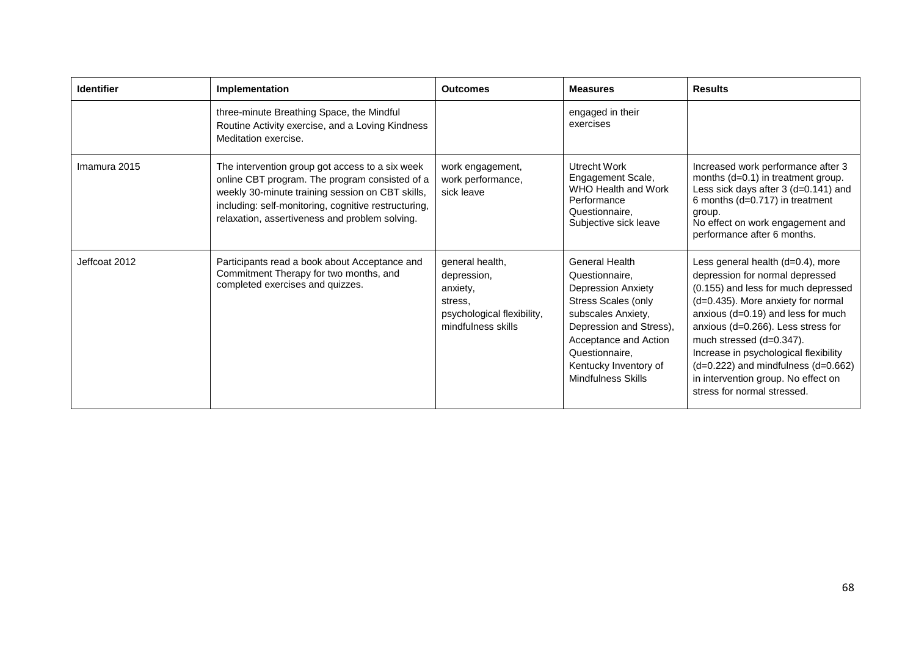| <b>Identifier</b> | Implementation                                                                                                                                                                                                                                                  | <b>Outcomes</b>                                                                                           | <b>Measures</b>                                                                                                                                                                                                                        | <b>Results</b>                                                                                                                                                                                                                                                                                                                                                                                                      |
|-------------------|-----------------------------------------------------------------------------------------------------------------------------------------------------------------------------------------------------------------------------------------------------------------|-----------------------------------------------------------------------------------------------------------|----------------------------------------------------------------------------------------------------------------------------------------------------------------------------------------------------------------------------------------|---------------------------------------------------------------------------------------------------------------------------------------------------------------------------------------------------------------------------------------------------------------------------------------------------------------------------------------------------------------------------------------------------------------------|
|                   | three-minute Breathing Space, the Mindful<br>Routine Activity exercise, and a Loving Kindness<br>Meditation exercise.                                                                                                                                           |                                                                                                           | engaged in their<br>exercises                                                                                                                                                                                                          |                                                                                                                                                                                                                                                                                                                                                                                                                     |
| Imamura 2015      | The intervention group got access to a six week<br>online CBT program. The program consisted of a<br>weekly 30-minute training session on CBT skills,<br>including: self-monitoring, cognitive restructuring,<br>relaxation, assertiveness and problem solving. | work engagement,<br>work performance,<br>sick leave                                                       | Utrecht Work<br>Engagement Scale,<br>WHO Health and Work<br>Performance<br>Questionnaire,<br>Subjective sick leave                                                                                                                     | Increased work performance after 3<br>months (d=0.1) in treatment group.<br>Less sick days after 3 (d=0.141) and<br>6 months $(d=0.717)$ in treatment<br>group.<br>No effect on work engagement and<br>performance after 6 months.                                                                                                                                                                                  |
| Jeffcoat 2012     | Participants read a book about Acceptance and<br>Commitment Therapy for two months, and<br>completed exercises and quizzes.                                                                                                                                     | general health,<br>depression,<br>anxiety,<br>stress.<br>psychological flexibility,<br>mindfulness skills | <b>General Health</b><br>Questionnaire,<br><b>Depression Anxiety</b><br>Stress Scales (only<br>subscales Anxiety,<br>Depression and Stress),<br>Acceptance and Action<br>Questionnaire,<br>Kentucky Inventory of<br>Mindfulness Skills | Less general health (d=0.4), more<br>depression for normal depressed<br>(0.155) and less for much depressed<br>(d=0.435). More anxiety for normal<br>anxious (d=0.19) and less for much<br>anxious (d=0.266). Less stress for<br>much stressed (d=0.347).<br>Increase in psychological flexibility<br>$(d=0.222)$ and mindfulness $(d=0.662)$<br>in intervention group. No effect on<br>stress for normal stressed. |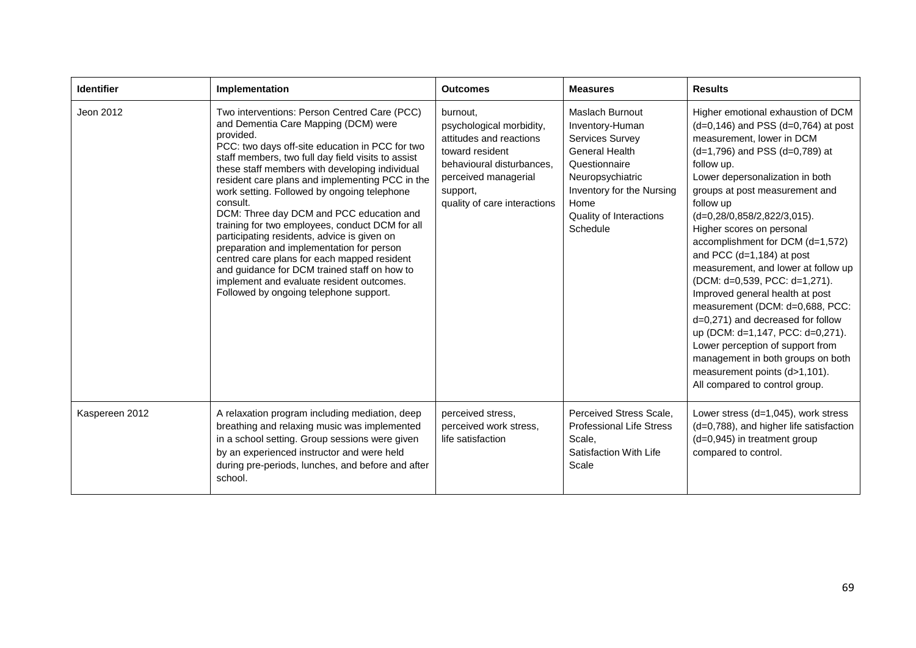| <b>Identifier</b> | Implementation                                                                                                                                                                                                                                                                                                                                                                                                                                                                                                                                                                                                                                                                                                                                              | <b>Outcomes</b>                                                                                                                                                                     | <b>Measures</b>                                                                                                                                                                                        | <b>Results</b>                                                                                                                                                                                                                                                                                                                                                                                                                                                                                                                                                                                                                                                                                                                                        |
|-------------------|-------------------------------------------------------------------------------------------------------------------------------------------------------------------------------------------------------------------------------------------------------------------------------------------------------------------------------------------------------------------------------------------------------------------------------------------------------------------------------------------------------------------------------------------------------------------------------------------------------------------------------------------------------------------------------------------------------------------------------------------------------------|-------------------------------------------------------------------------------------------------------------------------------------------------------------------------------------|--------------------------------------------------------------------------------------------------------------------------------------------------------------------------------------------------------|-------------------------------------------------------------------------------------------------------------------------------------------------------------------------------------------------------------------------------------------------------------------------------------------------------------------------------------------------------------------------------------------------------------------------------------------------------------------------------------------------------------------------------------------------------------------------------------------------------------------------------------------------------------------------------------------------------------------------------------------------------|
| Jeon 2012         | Two interventions: Person Centred Care (PCC)<br>and Dementia Care Mapping (DCM) were<br>provided.<br>PCC: two days off-site education in PCC for two<br>staff members, two full day field visits to assist<br>these staff members with developing individual<br>resident care plans and implementing PCC in the<br>work setting. Followed by ongoing telephone<br>consult.<br>DCM: Three day DCM and PCC education and<br>training for two employees, conduct DCM for all<br>participating residents, advice is given on<br>preparation and implementation for person<br>centred care plans for each mapped resident<br>and guidance for DCM trained staff on how to<br>implement and evaluate resident outcomes.<br>Followed by ongoing telephone support. | burnout.<br>psychological morbidity,<br>attitudes and reactions<br>toward resident<br>behavioural disturbances,<br>perceived managerial<br>support,<br>quality of care interactions | Maslach Burnout<br>Inventory-Human<br><b>Services Survey</b><br><b>General Health</b><br>Questionnaire<br>Neuropsychiatric<br>Inventory for the Nursing<br>Home<br>Quality of Interactions<br>Schedule | Higher emotional exhaustion of DCM<br>$(d=0, 146)$ and PSS $(d=0, 764)$ at post<br>measurement, lower in DCM<br>$(d=1,796)$ and PSS $(d=0,789)$ at<br>follow up.<br>Lower depersonalization in both<br>groups at post measurement and<br>follow up<br>(d=0,28/0,858/2,822/3,015).<br>Higher scores on personal<br>accomplishment for DCM (d=1,572)<br>and PCC $(d=1, 184)$ at post<br>measurement, and lower at follow up<br>(DCM: d=0,539, PCC: d=1,271).<br>Improved general health at post<br>measurement (DCM: d=0,688, PCC:<br>d=0,271) and decreased for follow<br>up (DCM: d=1,147, PCC: d=0,271).<br>Lower perception of support from<br>management in both groups on both<br>measurement points (d>1,101).<br>All compared to control group. |
| Kaspereen 2012    | A relaxation program including mediation, deep<br>breathing and relaxing music was implemented<br>in a school setting. Group sessions were given<br>by an experienced instructor and were held<br>during pre-periods, lunches, and before and after<br>school.                                                                                                                                                                                                                                                                                                                                                                                                                                                                                              | perceived stress.<br>perceived work stress,<br>life satisfaction                                                                                                                    | Perceived Stress Scale,<br><b>Professional Life Stress</b><br>Scale,<br>Satisfaction With Life<br>Scale                                                                                                | Lower stress $(d=1.045)$ , work stress<br>(d=0,788), and higher life satisfaction<br>(d=0,945) in treatment group<br>compared to control.                                                                                                                                                                                                                                                                                                                                                                                                                                                                                                                                                                                                             |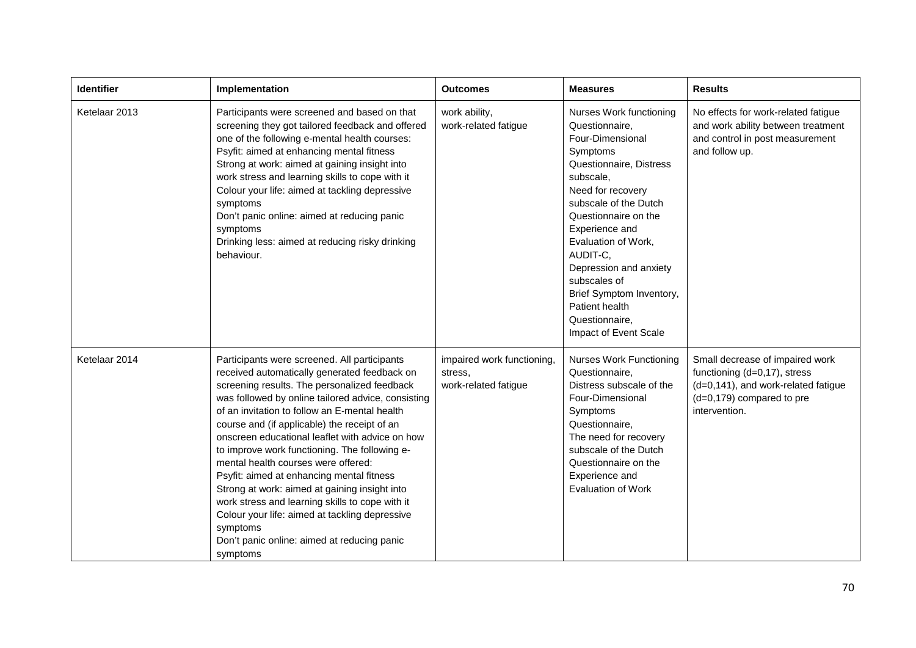| <b>Identifier</b> | Implementation                                                                                                                                                                                                                                                                                                                                                                                                                                                                                                                                                                                                                                                                                                           | <b>Outcomes</b>                                               | <b>Measures</b>                                                                                                                                                                                                                                                                                                                                                                 | <b>Results</b>                                                                                                                                       |
|-------------------|--------------------------------------------------------------------------------------------------------------------------------------------------------------------------------------------------------------------------------------------------------------------------------------------------------------------------------------------------------------------------------------------------------------------------------------------------------------------------------------------------------------------------------------------------------------------------------------------------------------------------------------------------------------------------------------------------------------------------|---------------------------------------------------------------|---------------------------------------------------------------------------------------------------------------------------------------------------------------------------------------------------------------------------------------------------------------------------------------------------------------------------------------------------------------------------------|------------------------------------------------------------------------------------------------------------------------------------------------------|
| Ketelaar 2013     | Participants were screened and based on that<br>screening they got tailored feedback and offered<br>one of the following e-mental health courses:<br>Psyfit: aimed at enhancing mental fitness<br>Strong at work: aimed at gaining insight into<br>work stress and learning skills to cope with it<br>Colour your life: aimed at tackling depressive<br>symptoms<br>Don't panic online: aimed at reducing panic<br>symptoms<br>Drinking less: aimed at reducing risky drinking<br>behaviour.                                                                                                                                                                                                                             | work ability,<br>work-related fatigue                         | Nurses Work functioning<br>Questionnaire,<br>Four-Dimensional<br>Symptoms<br>Questionnaire, Distress<br>subscale,<br>Need for recovery<br>subscale of the Dutch<br>Questionnaire on the<br>Experience and<br>Evaluation of Work,<br>AUDIT-C,<br>Depression and anxiety<br>subscales of<br>Brief Symptom Inventory,<br>Patient health<br>Questionnaire,<br>Impact of Event Scale | No effects for work-related fatigue<br>and work ability between treatment<br>and control in post measurement<br>and follow up.                       |
| Ketelaar 2014     | Participants were screened. All participants<br>received automatically generated feedback on<br>screening results. The personalized feedback<br>was followed by online tailored advice, consisting<br>of an invitation to follow an E-mental health<br>course and (if applicable) the receipt of an<br>onscreen educational leaflet with advice on how<br>to improve work functioning. The following e-<br>mental health courses were offered:<br>Psyfit: aimed at enhancing mental fitness<br>Strong at work: aimed at gaining insight into<br>work stress and learning skills to cope with it<br>Colour your life: aimed at tackling depressive<br>symptoms<br>Don't panic online: aimed at reducing panic<br>symptoms | impaired work functioning,<br>stress,<br>work-related fatigue | <b>Nurses Work Functioning</b><br>Questionnaire,<br>Distress subscale of the<br>Four-Dimensional<br>Symptoms<br>Questionnaire,<br>The need for recovery<br>subscale of the Dutch<br>Questionnaire on the<br>Experience and<br><b>Evaluation of Work</b>                                                                                                                         | Small decrease of impaired work<br>functioning (d=0,17), stress<br>(d=0,141), and work-related fatigue<br>(d=0,179) compared to pre<br>intervention. |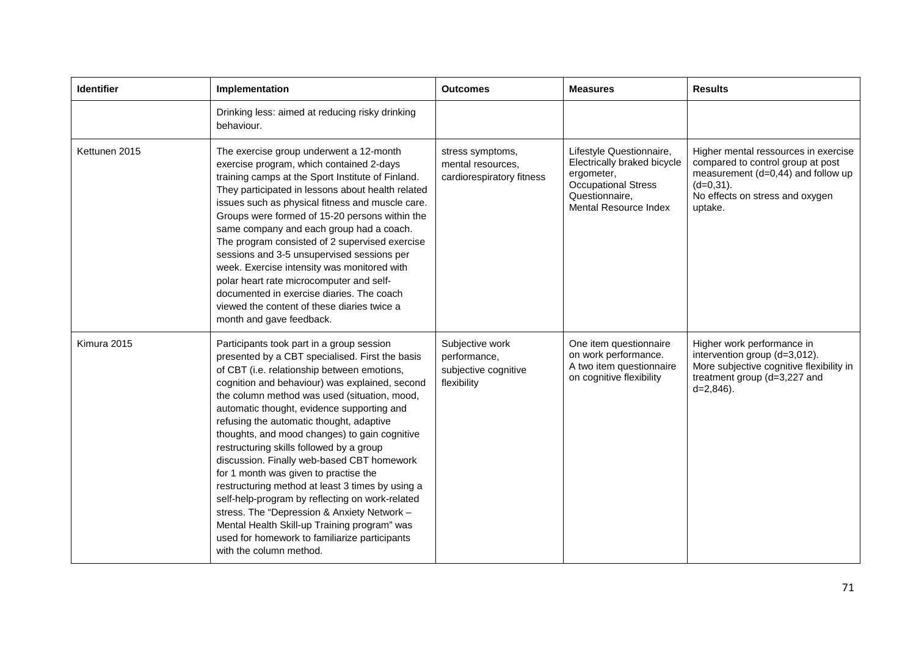| <b>Identifier</b> | Implementation                                                                                                                                                                                                                                                                                                                                                                                                                                                                                                                                                                                                                                                                                                                                                                                                | <b>Outcomes</b>                                                        | <b>Measures</b>                                                                                                                                | <b>Results</b>                                                                                                                                                                  |
|-------------------|---------------------------------------------------------------------------------------------------------------------------------------------------------------------------------------------------------------------------------------------------------------------------------------------------------------------------------------------------------------------------------------------------------------------------------------------------------------------------------------------------------------------------------------------------------------------------------------------------------------------------------------------------------------------------------------------------------------------------------------------------------------------------------------------------------------|------------------------------------------------------------------------|------------------------------------------------------------------------------------------------------------------------------------------------|---------------------------------------------------------------------------------------------------------------------------------------------------------------------------------|
|                   | Drinking less: aimed at reducing risky drinking<br>behaviour.                                                                                                                                                                                                                                                                                                                                                                                                                                                                                                                                                                                                                                                                                                                                                 |                                                                        |                                                                                                                                                |                                                                                                                                                                                 |
| Kettunen 2015     | The exercise group underwent a 12-month<br>exercise program, which contained 2-days<br>training camps at the Sport Institute of Finland.<br>They participated in lessons about health related<br>issues such as physical fitness and muscle care.<br>Groups were formed of 15-20 persons within the<br>same company and each group had a coach.<br>The program consisted of 2 supervised exercise<br>sessions and 3-5 unsupervised sessions per<br>week. Exercise intensity was monitored with<br>polar heart rate microcomputer and self-<br>documented in exercise diaries. The coach<br>viewed the content of these diaries twice a<br>month and gave feedback.                                                                                                                                            | stress symptoms,<br>mental resources,<br>cardiorespiratory fitness     | Lifestyle Questionnaire,<br>Electrically braked bicycle<br>ergometer,<br><b>Occupational Stress</b><br>Questionnaire,<br>Mental Resource Index | Higher mental ressources in exercise<br>compared to control group at post<br>measurement $(d=0,44)$ and follow up<br>$(d=0,31)$ .<br>No effects on stress and oxygen<br>uptake. |
| Kimura 2015       | Participants took part in a group session<br>presented by a CBT specialised. First the basis<br>of CBT (i.e. relationship between emotions,<br>cognition and behaviour) was explained, second<br>the column method was used (situation, mood,<br>automatic thought, evidence supporting and<br>refusing the automatic thought, adaptive<br>thoughts, and mood changes) to gain cognitive<br>restructuring skills followed by a group<br>discussion. Finally web-based CBT homework<br>for 1 month was given to practise the<br>restructuring method at least 3 times by using a<br>self-help-program by reflecting on work-related<br>stress. The "Depression & Anxiety Network -<br>Mental Health Skill-up Training program" was<br>used for homework to familiarize participants<br>with the column method. | Subjective work<br>performance,<br>subjective cognitive<br>flexibility | One item questionnaire<br>on work performance.<br>A two item questionnaire<br>on cognitive flexibility                                         | Higher work performance in<br>intervention group (d=3,012).<br>More subjective cognitive flexibility in<br>treatment group (d=3,227 and<br>$d=2,846$ ).                         |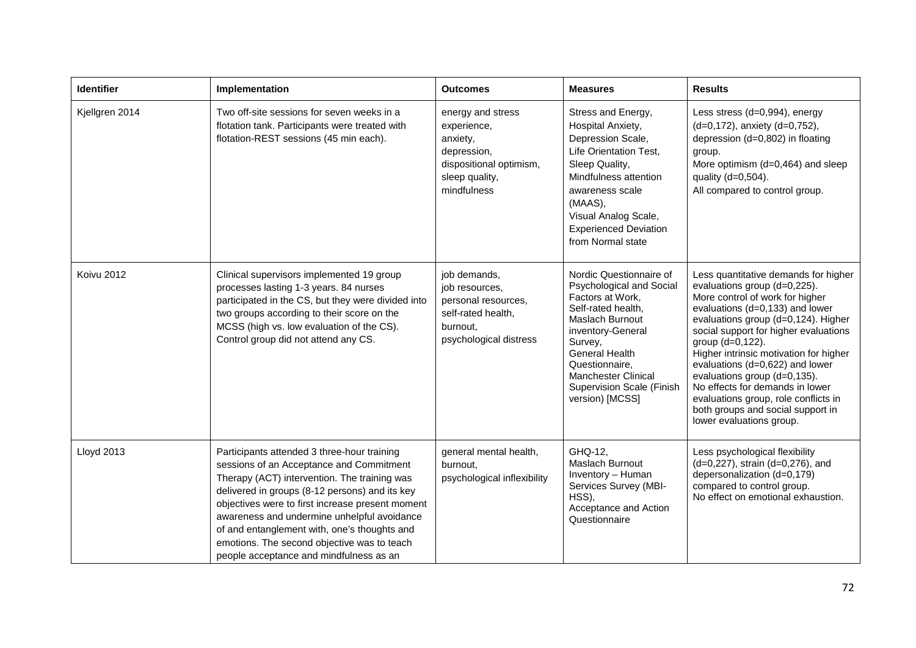| <b>Identifier</b> | Implementation                                                                                                                                                                                                                                                                                                                                                                                                                         | <b>Outcomes</b>                                                                                                         | <b>Measures</b>                                                                                                                                                                                                                                                           | <b>Results</b>                                                                                                                                                                                                                                                                                                                                                                                                                                                                                          |
|-------------------|----------------------------------------------------------------------------------------------------------------------------------------------------------------------------------------------------------------------------------------------------------------------------------------------------------------------------------------------------------------------------------------------------------------------------------------|-------------------------------------------------------------------------------------------------------------------------|---------------------------------------------------------------------------------------------------------------------------------------------------------------------------------------------------------------------------------------------------------------------------|---------------------------------------------------------------------------------------------------------------------------------------------------------------------------------------------------------------------------------------------------------------------------------------------------------------------------------------------------------------------------------------------------------------------------------------------------------------------------------------------------------|
| Kjellgren 2014    | Two off-site sessions for seven weeks in a<br>flotation tank. Participants were treated with<br>flotation-REST sessions (45 min each).                                                                                                                                                                                                                                                                                                 | energy and stress<br>experience,<br>anxiety,<br>depression,<br>dispositional optimism,<br>sleep quality,<br>mindfulness | Stress and Energy,<br>Hospital Anxiety,<br>Depression Scale,<br>Life Orientation Test,<br>Sleep Quality,<br>Mindfulness attention<br>awareness scale<br>(MAAS),<br>Visual Analog Scale,<br><b>Experienced Deviation</b><br>from Normal state                              | Less stress (d=0,994), energy<br>(d=0,172), anxiety (d=0,752),<br>depression (d=0,802) in floating<br>group.<br>More optimism (d=0,464) and sleep<br>quality (d=0,504).<br>All compared to control group.                                                                                                                                                                                                                                                                                               |
| <b>Koivu 2012</b> | Clinical supervisors implemented 19 group<br>processes lasting 1-3 years. 84 nurses<br>participated in the CS, but they were divided into<br>two groups according to their score on the<br>MCSS (high vs. low evaluation of the CS).<br>Control group did not attend any CS.                                                                                                                                                           | job demands,<br>job resources,<br>personal resources,<br>self-rated health,<br>burnout,<br>psychological distress       | Nordic Questionnaire of<br>Psychological and Social<br>Factors at Work,<br>Self-rated health,<br>Maslach Burnout<br>inventory-General<br>Survey,<br>General Health<br>Questionnaire,<br><b>Manchester Clinical</b><br><b>Supervision Scale (Finish</b><br>version) [MCSS] | Less quantitative demands for higher<br>evaluations group (d=0,225).<br>More control of work for higher<br>evaluations (d=0,133) and lower<br>evaluations group (d=0,124). Higher<br>social support for higher evaluations<br>group (d=0,122).<br>Higher intrinsic motivation for higher<br>evaluations (d=0,622) and lower<br>evaluations group (d=0,135).<br>No effects for demands in lower<br>evaluations group, role conflicts in<br>both groups and social support in<br>lower evaluations group. |
| Lloyd 2013        | Participants attended 3 three-hour training<br>sessions of an Acceptance and Commitment<br>Therapy (ACT) intervention. The training was<br>delivered in groups (8-12 persons) and its key<br>objectives were to first increase present moment<br>awareness and undermine unhelpful avoidance<br>of and entanglement with, one's thoughts and<br>emotions. The second objective was to teach<br>people acceptance and mindfulness as an | general mental health,<br>burnout,<br>psychological inflexibility                                                       | GHQ-12,<br>Maslach Burnout<br>Inventory - Human<br>Services Survey (MBI-<br>HSS),<br>Acceptance and Action<br>Questionnaire                                                                                                                                               | Less psychological flexibility<br>(d=0,227), strain (d=0,276), and<br>depersonalization (d=0,179)<br>compared to control group.<br>No effect on emotional exhaustion.                                                                                                                                                                                                                                                                                                                                   |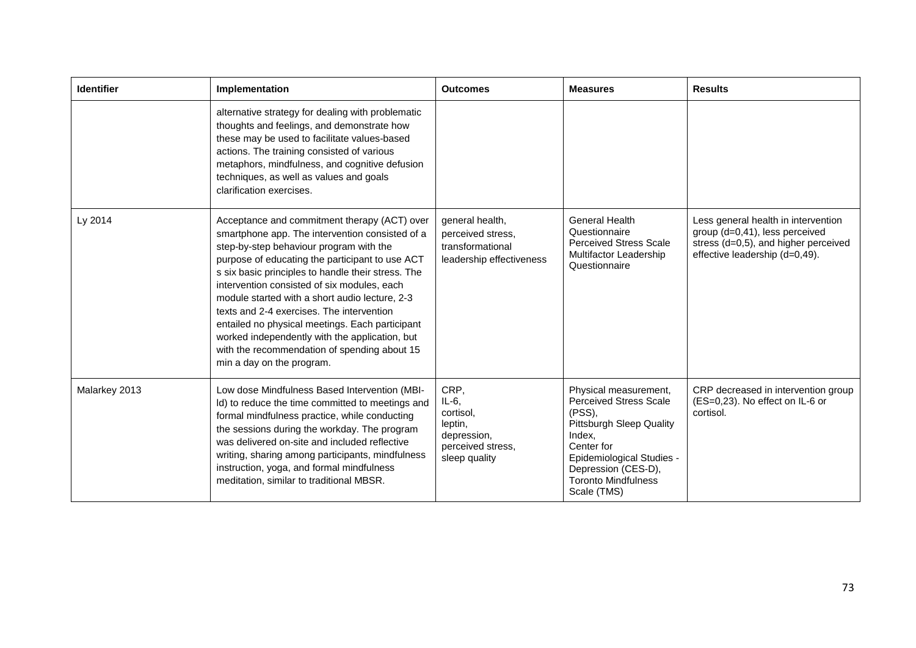| <b>Identifier</b> | Implementation                                                                                                                                                                                                                                                                                                                                                                                                                                                                                                                                                                      | <b>Outcomes</b>                                                                               | <b>Measures</b>                                                                                                                                                                                                                 | <b>Results</b>                                                                                                                                  |
|-------------------|-------------------------------------------------------------------------------------------------------------------------------------------------------------------------------------------------------------------------------------------------------------------------------------------------------------------------------------------------------------------------------------------------------------------------------------------------------------------------------------------------------------------------------------------------------------------------------------|-----------------------------------------------------------------------------------------------|---------------------------------------------------------------------------------------------------------------------------------------------------------------------------------------------------------------------------------|-------------------------------------------------------------------------------------------------------------------------------------------------|
|                   | alternative strategy for dealing with problematic<br>thoughts and feelings, and demonstrate how<br>these may be used to facilitate values-based<br>actions. The training consisted of various<br>metaphors, mindfulness, and cognitive defusion<br>techniques, as well as values and goals<br>clarification exercises.                                                                                                                                                                                                                                                              |                                                                                               |                                                                                                                                                                                                                                 |                                                                                                                                                 |
| Ly 2014           | Acceptance and commitment therapy (ACT) over<br>smartphone app. The intervention consisted of a<br>step-by-step behaviour program with the<br>purpose of educating the participant to use ACT<br>s six basic principles to handle their stress. The<br>intervention consisted of six modules, each<br>module started with a short audio lecture, 2-3<br>texts and 2-4 exercises. The intervention<br>entailed no physical meetings. Each participant<br>worked independently with the application, but<br>with the recommendation of spending about 15<br>min a day on the program. | general health,<br>perceived stress,<br>transformational<br>leadership effectiveness          | <b>General Health</b><br>Questionnaire<br><b>Perceived Stress Scale</b><br>Multifactor Leadership<br>Questionnaire                                                                                                              | Less general health in intervention<br>group (d=0,41), less perceived<br>stress (d=0,5), and higher perceived<br>effective leadership (d=0,49). |
| Malarkey 2013     | Low dose Mindfulness Based Intervention (MBI-<br>Id) to reduce the time committed to meetings and<br>formal mindfulness practice, while conducting<br>the sessions during the workday. The program<br>was delivered on-site and included reflective<br>writing, sharing among participants, mindfulness<br>instruction, yoga, and formal mindfulness<br>meditation, similar to traditional MBSR.                                                                                                                                                                                    | CRP,<br>$IL-6$ ,<br>cortisol,<br>leptin,<br>depression,<br>perceived stress,<br>sleep quality | Physical measurement,<br><b>Perceived Stress Scale</b><br>$(PSS)$ ,<br><b>Pittsburgh Sleep Quality</b><br>Index.<br>Center for<br>Epidemiological Studies -<br>Depression (CES-D),<br><b>Toronto Mindfulness</b><br>Scale (TMS) | CRP decreased in intervention group<br>(ES=0,23). No effect on IL-6 or<br>cortisol.                                                             |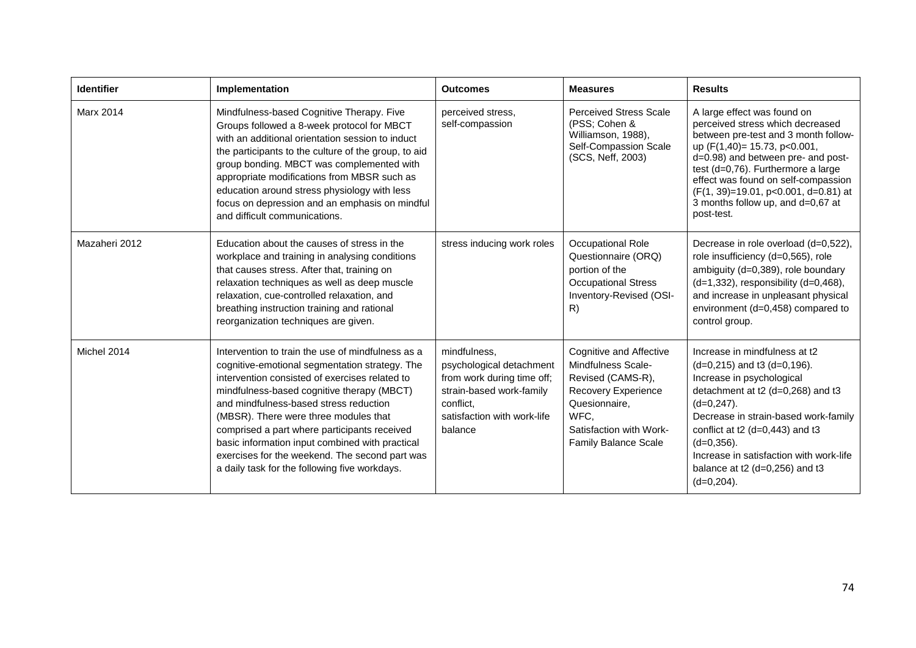| <b>Identifier</b> | Implementation                                                                                                                                                                                                                                                                                                                                                                                                                                                                               | <b>Outcomes</b>                                                                                                                                           | <b>Measures</b>                                                                                                                                                              | <b>Results</b>                                                                                                                                                                                                                                                                                                                                          |
|-------------------|----------------------------------------------------------------------------------------------------------------------------------------------------------------------------------------------------------------------------------------------------------------------------------------------------------------------------------------------------------------------------------------------------------------------------------------------------------------------------------------------|-----------------------------------------------------------------------------------------------------------------------------------------------------------|------------------------------------------------------------------------------------------------------------------------------------------------------------------------------|---------------------------------------------------------------------------------------------------------------------------------------------------------------------------------------------------------------------------------------------------------------------------------------------------------------------------------------------------------|
| Marx 2014         | Mindfulness-based Cognitive Therapy. Five<br>Groups followed a 8-week protocol for MBCT<br>with an additional orientation session to induct<br>the participants to the culture of the group, to aid<br>group bonding. MBCT was complemented with<br>appropriate modifications from MBSR such as<br>education around stress physiology with less<br>focus on depression and an emphasis on mindful<br>and difficult communications.                                                           | perceived stress.<br>self-compassion                                                                                                                      | <b>Perceived Stress Scale</b><br>(PSS; Cohen &<br>Williamson, 1988),<br>Self-Compassion Scale<br>(SCS, Neff, 2003)                                                           | A large effect was found on<br>perceived stress which decreased<br>between pre-test and 3 month follow-<br>up (F(1,40)= 15.73, p<0.001,<br>d=0.98) and between pre- and post-<br>test (d=0,76). Furthermore a large<br>effect was found on self-compassion<br>(F(1, 39)=19.01, p<0.001, d=0.81) at<br>3 months follow up, and d=0,67 at<br>post-test.   |
| Mazaheri 2012     | Education about the causes of stress in the<br>workplace and training in analysing conditions<br>that causes stress. After that, training on<br>relaxation techniques as well as deep muscle<br>relaxation, cue-controlled relaxation, and<br>breathing instruction training and rational<br>reorganization techniques are given.                                                                                                                                                            | stress inducing work roles                                                                                                                                | Occupational Role<br>Questionnaire (ORQ)<br>portion of the<br><b>Occupational Stress</b><br>Inventory-Revised (OSI-<br>R)                                                    | Decrease in role overload (d=0,522),<br>role insufficiency (d=0,565), role<br>ambiguity (d=0,389), role boundary<br>$(d=1,332)$ , responsibility $(d=0,468)$ ,<br>and increase in unpleasant physical<br>environment (d=0,458) compared to<br>control group.                                                                                            |
| Michel 2014       | Intervention to train the use of mindfulness as a<br>cognitive-emotional segmentation strategy. The<br>intervention consisted of exercises related to<br>mindfulness-based cognitive therapy (MBCT)<br>and mindfulness-based stress reduction<br>(MBSR). There were three modules that<br>comprised a part where participants received<br>basic information input combined with practical<br>exercises for the weekend. The second part was<br>a daily task for the following five workdays. | mindfulness,<br>psychological detachment<br>from work during time off;<br>strain-based work-family<br>conflict,<br>satisfaction with work-life<br>balance | Cognitive and Affective<br>Mindfulness Scale-<br>Revised (CAMS-R),<br>Recovery Experience<br>Quesionnaire,<br>WFC,<br>Satisfaction with Work-<br><b>Family Balance Scale</b> | Increase in mindfulness at t2<br>$(d=0,215)$ and t3 $(d=0,196)$ .<br>Increase in psychological<br>detachment at t2 (d=0,268) and t3<br>$(d=0, 247)$ .<br>Decrease in strain-based work-family<br>conflict at t2 ( $d=0,443$ ) and t3<br>$(d=0,356)$ .<br>Increase in satisfaction with work-life<br>balance at $t2$ (d=0,256) and $t3$<br>$(d=0,204)$ . |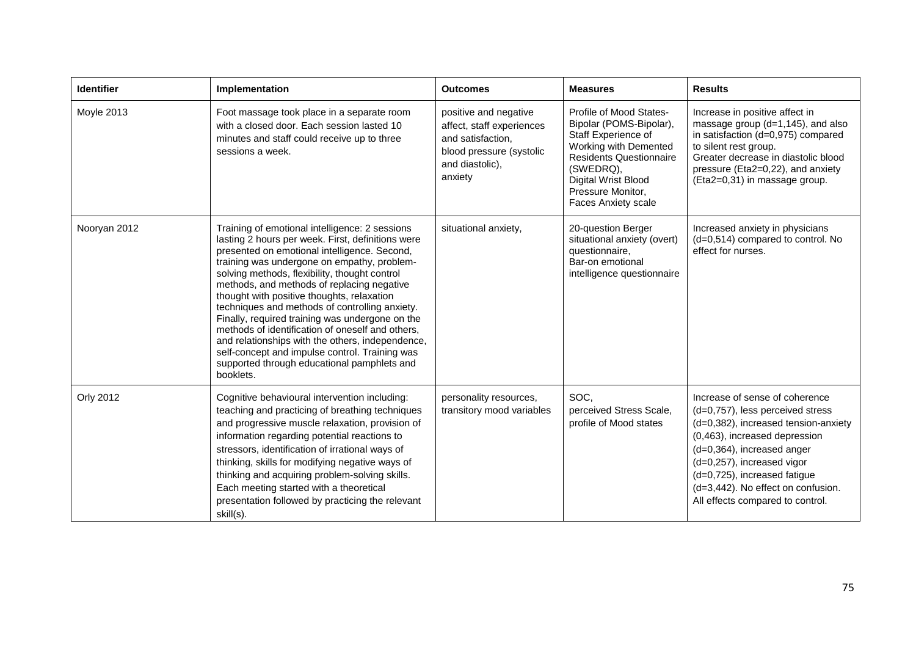| Identifier   | Implementation                                                                                                                                                                                                                                                                                                                                                                                                                                                                                                                                                                                                                                                             | <b>Outcomes</b>                                                                                                                   | <b>Measures</b>                                                                                                                                                                                                      | <b>Results</b>                                                                                                                                                                                                                                                                                                    |
|--------------|----------------------------------------------------------------------------------------------------------------------------------------------------------------------------------------------------------------------------------------------------------------------------------------------------------------------------------------------------------------------------------------------------------------------------------------------------------------------------------------------------------------------------------------------------------------------------------------------------------------------------------------------------------------------------|-----------------------------------------------------------------------------------------------------------------------------------|----------------------------------------------------------------------------------------------------------------------------------------------------------------------------------------------------------------------|-------------------------------------------------------------------------------------------------------------------------------------------------------------------------------------------------------------------------------------------------------------------------------------------------------------------|
| Moyle 2013   | Foot massage took place in a separate room<br>with a closed door. Each session lasted 10<br>minutes and staff could receive up to three<br>sessions a week.                                                                                                                                                                                                                                                                                                                                                                                                                                                                                                                | positive and negative<br>affect, staff experiences<br>and satisfaction,<br>blood pressure (systolic<br>and diastolic),<br>anxiety | Profile of Mood States-<br>Bipolar (POMS-Bipolar),<br>Staff Experience of<br>Working with Demented<br><b>Residents Questionnaire</b><br>(SWEDRQ),<br>Digital Wrist Blood<br>Pressure Monitor,<br>Faces Anxiety scale | Increase in positive affect in<br>massage group $(d=1, 145)$ , and also<br>in satisfaction (d=0,975) compared<br>to silent rest group.<br>Greater decrease in diastolic blood<br>pressure (Eta2=0,22), and anxiety<br>(Eta2=0,31) in massage group.                                                               |
| Nooryan 2012 | Training of emotional intelligence: 2 sessions<br>lasting 2 hours per week. First, definitions were<br>presented on emotional intelligence. Second,<br>training was undergone on empathy, problem-<br>solving methods, flexibility, thought control<br>methods, and methods of replacing negative<br>thought with positive thoughts, relaxation<br>techniques and methods of controlling anxiety.<br>Finally, required training was undergone on the<br>methods of identification of oneself and others,<br>and relationships with the others, independence,<br>self-concept and impulse control. Training was<br>supported through educational pamphlets and<br>booklets. | situational anxiety,                                                                                                              | 20-question Berger<br>situational anxiety (overt)<br>questionnaire,<br>Bar-on emotional<br>intelligence questionnaire                                                                                                | Increased anxiety in physicians<br>(d=0,514) compared to control. No<br>effect for nurses.                                                                                                                                                                                                                        |
| Orly 2012    | Cognitive behavioural intervention including:<br>teaching and practicing of breathing techniques<br>and progressive muscle relaxation, provision of<br>information regarding potential reactions to<br>stressors, identification of irrational ways of<br>thinking, skills for modifying negative ways of<br>thinking and acquiring problem-solving skills.<br>Each meeting started with a theoretical<br>presentation followed by practicing the relevant<br>skill(s).                                                                                                                                                                                                    | personality resources,<br>transitory mood variables                                                                               | SOC.<br>perceived Stress Scale,<br>profile of Mood states                                                                                                                                                            | Increase of sense of coherence<br>(d=0,757), less perceived stress<br>(d=0,382), increased tension-anxiety<br>(0,463), increased depression<br>(d=0,364), increased anger<br>(d=0,257), increased vigor<br>(d=0,725), increased fatigue<br>(d=3,442). No effect on confusion.<br>All effects compared to control. |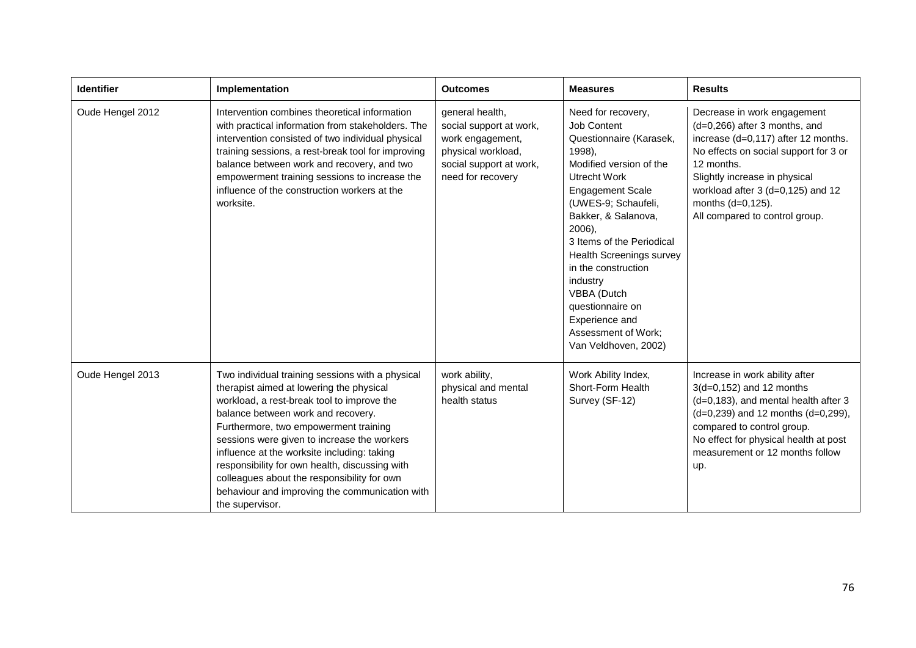| <b>Identifier</b> | Implementation                                                                                                                                                                                                                                                                                                                                                                                                                                                                                | <b>Outcomes</b>                                                                                                                      | <b>Measures</b>                                                                                                                                                                                                                                                                                                                                                                                             | <b>Results</b>                                                                                                                                                                                                                                                                            |
|-------------------|-----------------------------------------------------------------------------------------------------------------------------------------------------------------------------------------------------------------------------------------------------------------------------------------------------------------------------------------------------------------------------------------------------------------------------------------------------------------------------------------------|--------------------------------------------------------------------------------------------------------------------------------------|-------------------------------------------------------------------------------------------------------------------------------------------------------------------------------------------------------------------------------------------------------------------------------------------------------------------------------------------------------------------------------------------------------------|-------------------------------------------------------------------------------------------------------------------------------------------------------------------------------------------------------------------------------------------------------------------------------------------|
| Oude Hengel 2012  | Intervention combines theoretical information<br>with practical information from stakeholders. The<br>intervention consisted of two individual physical<br>training sessions, a rest-break tool for improving<br>balance between work and recovery, and two<br>empowerment training sessions to increase the<br>influence of the construction workers at the<br>worksite.                                                                                                                     | general health,<br>social support at work,<br>work engagement,<br>physical workload,<br>social support at work,<br>need for recovery | Need for recovery,<br>Job Content<br>Questionnaire (Karasek,<br>1998),<br>Modified version of the<br>Utrecht Work<br><b>Engagement Scale</b><br>(UWES-9; Schaufeli,<br>Bakker, & Salanova,<br>2006),<br>3 Items of the Periodical<br><b>Health Screenings survey</b><br>in the construction<br>industry<br>VBBA (Dutch<br>questionnaire on<br>Experience and<br>Assessment of Work;<br>Van Veldhoven, 2002) | Decrease in work engagement<br>$(d=0,266)$ after 3 months, and<br>increase (d=0,117) after 12 months.<br>No effects on social support for 3 or<br>12 months.<br>Slightly increase in physical<br>workload after 3 (d=0,125) and 12<br>months (d=0,125).<br>All compared to control group. |
| Oude Hengel 2013  | Two individual training sessions with a physical<br>therapist aimed at lowering the physical<br>workload, a rest-break tool to improve the<br>balance between work and recovery.<br>Furthermore, two empowerment training<br>sessions were given to increase the workers<br>influence at the worksite including: taking<br>responsibility for own health, discussing with<br>colleagues about the responsibility for own<br>behaviour and improving the communication with<br>the supervisor. | work ability,<br>physical and mental<br>health status                                                                                | Work Ability Index,<br>Short-Form Health<br>Survey (SF-12)                                                                                                                                                                                                                                                                                                                                                  | Increase in work ability after<br>$3(d=0, 152)$ and 12 months<br>(d=0,183), and mental health after 3<br>$(d=0,239)$ and 12 months $(d=0,299)$ ,<br>compared to control group.<br>No effect for physical health at post<br>measurement or 12 months follow<br>up.                         |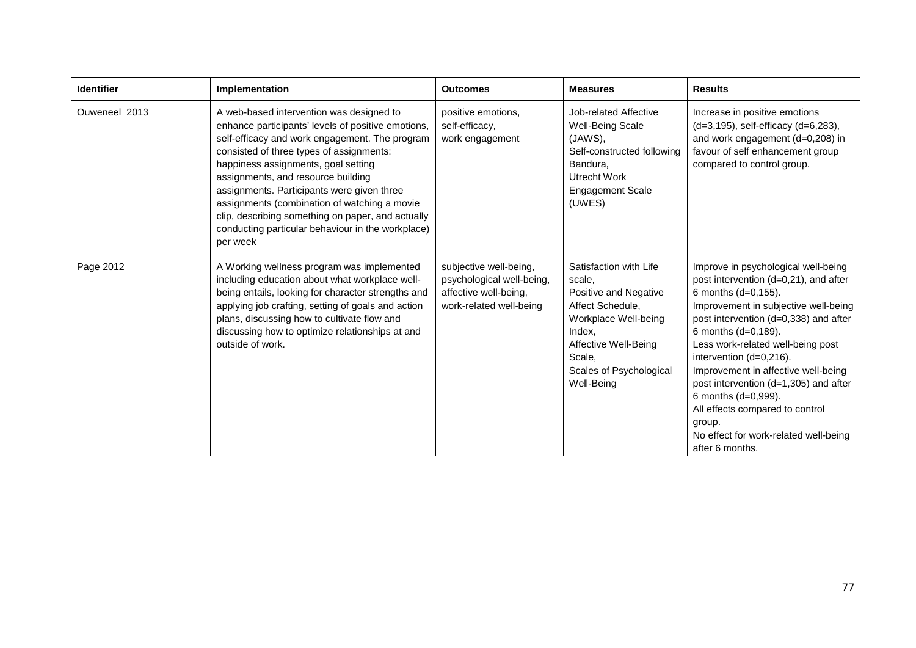| <b>Identifier</b> | Implementation                                                                                                                                                                                                                                                                                                                                                                                                                                                                                | <b>Outcomes</b>                                                                                         | <b>Measures</b>                                                                                                                                                                            | <b>Results</b>                                                                                                                                                                                                                                                                                                                                                                                                                                                                              |
|-------------------|-----------------------------------------------------------------------------------------------------------------------------------------------------------------------------------------------------------------------------------------------------------------------------------------------------------------------------------------------------------------------------------------------------------------------------------------------------------------------------------------------|---------------------------------------------------------------------------------------------------------|--------------------------------------------------------------------------------------------------------------------------------------------------------------------------------------------|---------------------------------------------------------------------------------------------------------------------------------------------------------------------------------------------------------------------------------------------------------------------------------------------------------------------------------------------------------------------------------------------------------------------------------------------------------------------------------------------|
| Ouweneel 2013     | A web-based intervention was designed to<br>enhance participants' levels of positive emotions,<br>self-efficacy and work engagement. The program<br>consisted of three types of assignments:<br>happiness assignments, goal setting<br>assignments, and resource building<br>assignments. Participants were given three<br>assignments (combination of watching a movie<br>clip, describing something on paper, and actually<br>conducting particular behaviour in the workplace)<br>per week | positive emotions,<br>self-efficacy,<br>work engagement                                                 | Job-related Affective<br><b>Well-Being Scale</b><br>(JAWS),<br>Self-constructed following<br>Bandura,<br>Utrecht Work<br><b>Engagement Scale</b><br>(UWES)                                 | Increase in positive emotions<br>(d=3,195), self-efficacy (d=6,283),<br>and work engagement (d=0,208) in<br>favour of self enhancement group<br>compared to control group.                                                                                                                                                                                                                                                                                                                  |
| Page 2012         | A Working wellness program was implemented<br>including education about what workplace well-<br>being entails, looking for character strengths and<br>applying job crafting, setting of goals and action<br>plans, discussing how to cultivate flow and<br>discussing how to optimize relationships at and<br>outside of work.                                                                                                                                                                | subjective well-being,<br>psychological well-being,<br>affective well-being,<br>work-related well-being | Satisfaction with Life<br>scale,<br>Positive and Negative<br>Affect Schedule,<br>Workplace Well-being<br>Index.<br>Affective Well-Being<br>Scale,<br>Scales of Psychological<br>Well-Being | Improve in psychological well-being<br>post intervention (d=0,21), and after<br>6 months (d=0,155).<br>Improvement in subjective well-being<br>post intervention (d=0,338) and after<br>6 months (d=0,189).<br>Less work-related well-being post<br>intervention (d=0,216).<br>Improvement in affective well-being<br>post intervention (d=1,305) and after<br>6 months (d=0,999).<br>All effects compared to control<br>group.<br>No effect for work-related well-being<br>after 6 months. |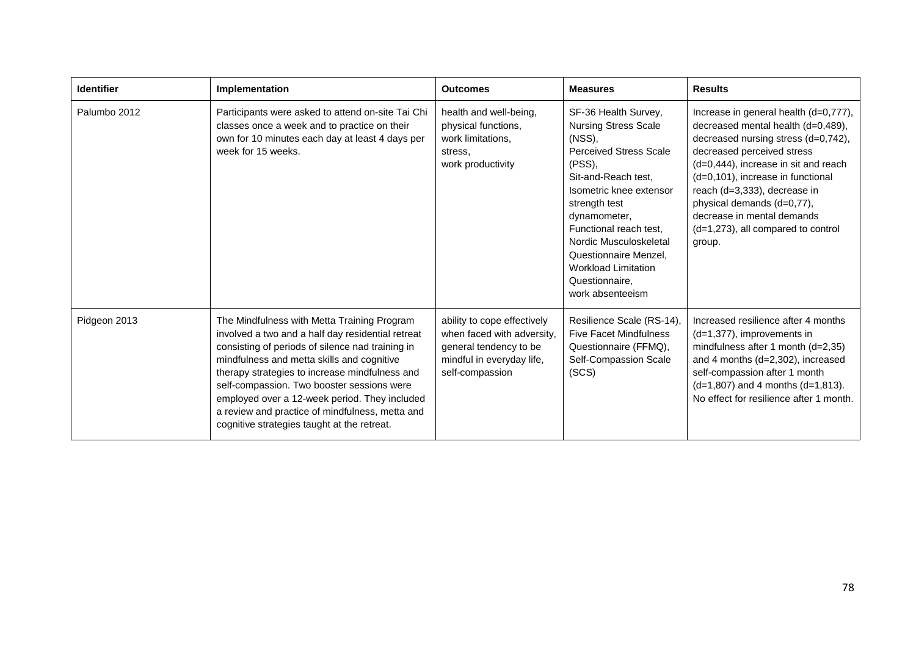| <b>Identifier</b> | Implementation                                                                                                                                                                                                                                                                                                                                                                                                                                        | <b>Outcomes</b>                                                                                                                     | <b>Measures</b>                                                                                                                                                                                                                                                                                                                             | <b>Results</b>                                                                                                                                                                                                                                                                                                                                                               |
|-------------------|-------------------------------------------------------------------------------------------------------------------------------------------------------------------------------------------------------------------------------------------------------------------------------------------------------------------------------------------------------------------------------------------------------------------------------------------------------|-------------------------------------------------------------------------------------------------------------------------------------|---------------------------------------------------------------------------------------------------------------------------------------------------------------------------------------------------------------------------------------------------------------------------------------------------------------------------------------------|------------------------------------------------------------------------------------------------------------------------------------------------------------------------------------------------------------------------------------------------------------------------------------------------------------------------------------------------------------------------------|
| Palumbo 2012      | Participants were asked to attend on-site Tai Chi<br>classes once a week and to practice on their<br>own for 10 minutes each day at least 4 days per<br>week for 15 weeks.                                                                                                                                                                                                                                                                            | health and well-being,<br>physical functions,<br>work limitations,<br>stress.<br>work productivity                                  | SF-36 Health Survey,<br><b>Nursing Stress Scale</b><br>(NS),<br><b>Perceived Stress Scale</b><br>(PSS),<br>Sit-and-Reach test.<br>Isometric knee extensor<br>strength test<br>dynamometer,<br>Functional reach test.<br>Nordic Musculoskeletal<br>Questionnaire Menzel,<br><b>Workload Limitation</b><br>Questionnaire,<br>work absenteeism | Increase in general health (d=0,777),<br>decreased mental health (d=0,489),<br>decreased nursing stress (d=0,742),<br>decreased perceived stress<br>(d=0,444), increase in sit and reach<br>(d=0,101), increase in functional<br>reach (d=3,333), decrease in<br>physical demands (d=0,77),<br>decrease in mental demands<br>$(d=1,273)$ , all compared to control<br>group. |
| Pidgeon 2013      | The Mindfulness with Metta Training Program<br>involved a two and a half day residential retreat<br>consisting of periods of silence nad training in<br>mindfulness and metta skills and cognitive<br>therapy strategies to increase mindfulness and<br>self-compassion. Two booster sessions were<br>employed over a 12-week period. They included<br>a review and practice of mindfulness, metta and<br>cognitive strategies taught at the retreat. | ability to cope effectively<br>when faced with adversity,<br>general tendency to be<br>mindful in everyday life,<br>self-compassion | Resilience Scale (RS-14),<br><b>Five Facet Mindfulness</b><br>Questionnaire (FFMQ),<br>Self-Compassion Scale<br>(SCS)                                                                                                                                                                                                                       | Increased resilience after 4 months<br>$(d=1,377)$ , improvements in<br>mindfulness after 1 month $(d=2,35)$<br>and 4 months (d=2,302), increased<br>self-compassion after 1 month<br>$(d=1,807)$ and 4 months $(d=1,813)$ .<br>No effect for resilience after 1 month.                                                                                                      |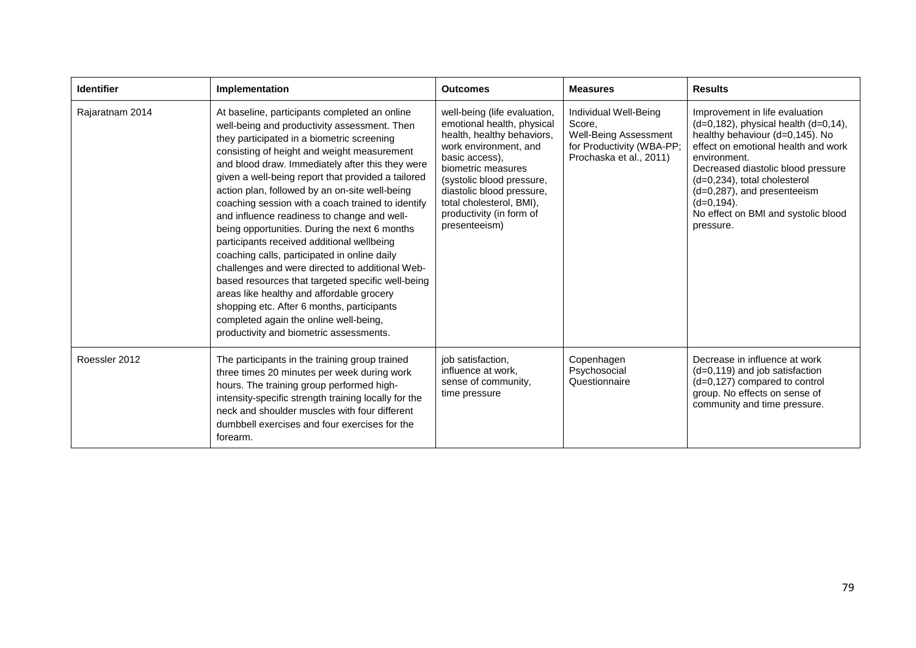| <b>Identifier</b> | Implementation                                                                                                                                                                                                                                                                                                                                                                                                                                                                                                                                                                                                                                                                                                                                                                                                                                                                                    | <b>Outcomes</b>                                                                                                                                                                                                                                                                              | <b>Measures</b>                                                                                                  | <b>Results</b>                                                                                                                                                                                                                                                                                                                                         |
|-------------------|---------------------------------------------------------------------------------------------------------------------------------------------------------------------------------------------------------------------------------------------------------------------------------------------------------------------------------------------------------------------------------------------------------------------------------------------------------------------------------------------------------------------------------------------------------------------------------------------------------------------------------------------------------------------------------------------------------------------------------------------------------------------------------------------------------------------------------------------------------------------------------------------------|----------------------------------------------------------------------------------------------------------------------------------------------------------------------------------------------------------------------------------------------------------------------------------------------|------------------------------------------------------------------------------------------------------------------|--------------------------------------------------------------------------------------------------------------------------------------------------------------------------------------------------------------------------------------------------------------------------------------------------------------------------------------------------------|
| Rajaratnam 2014   | At baseline, participants completed an online<br>well-being and productivity assessment. Then<br>they participated in a biometric screening<br>consisting of height and weight measurement<br>and blood draw. Immediately after this they were<br>given a well-being report that provided a tailored<br>action plan, followed by an on-site well-being<br>coaching session with a coach trained to identify<br>and influence readiness to change and well-<br>being opportunities. During the next 6 months<br>participants received additional wellbeing<br>coaching calls, participated in online daily<br>challenges and were directed to additional Web-<br>based resources that targeted specific well-being<br>areas like healthy and affordable grocery<br>shopping etc. After 6 months, participants<br>completed again the online well-being,<br>productivity and biometric assessments. | well-being (life evaluation,<br>emotional health, physical<br>health, healthy behaviors,<br>work environment, and<br>basic access).<br>biometric measures<br>(systolic blood pressure,<br>diastolic blood pressure,<br>total cholesterol, BMI),<br>productivity (in form of<br>presenteeism) | Individual Well-Being<br>Score.<br>Well-Being Assessment<br>for Productivity (WBA-PP;<br>Prochaska et al., 2011) | Improvement in life evaluation<br>$(d=0, 182)$ , physical health $(d=0, 14)$ ,<br>healthy behaviour (d=0,145). No<br>effect on emotional health and work<br>environment.<br>Decreased diastolic blood pressure<br>$(d=0,234)$ , total cholesterol<br>(d=0,287), and presenteeism<br>$(d=0, 194)$ .<br>No effect on BMI and systolic blood<br>pressure. |
| Roessler 2012     | The participants in the training group trained<br>three times 20 minutes per week during work<br>hours. The training group performed high-<br>intensity-specific strength training locally for the<br>neck and shoulder muscles with four different<br>dumbbell exercises and four exercises for the<br>forearm.                                                                                                                                                                                                                                                                                                                                                                                                                                                                                                                                                                                  | job satisfaction,<br>influence at work,<br>sense of community,<br>time pressure                                                                                                                                                                                                              | Copenhagen<br>Psychosocial<br>Questionnaire                                                                      | Decrease in influence at work<br>$(d=0, 119)$ and job satisfaction<br>(d=0,127) compared to control<br>group. No effects on sense of<br>community and time pressure.                                                                                                                                                                                   |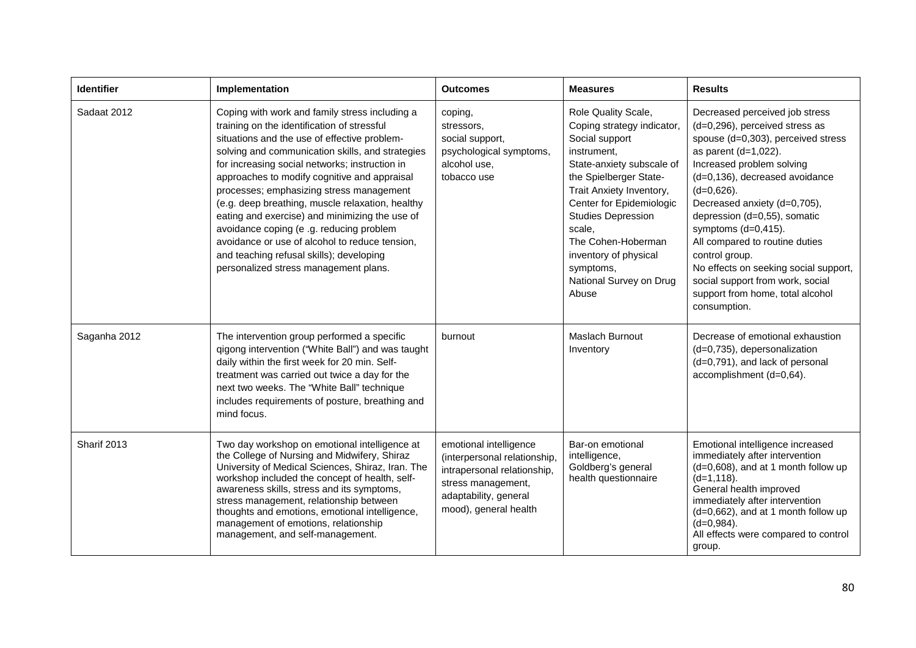| <b>Identifier</b> | Implementation                                                                                                                                                                                                                                                                                                                                                                                                                                                                                                                                                                                                                           | <b>Outcomes</b>                                                                                                                                               | <b>Measures</b>                                                                                                                                                                                                                                                                                                                          | <b>Results</b>                                                                                                                                                                                                                                                                                                                                                                                                                                                                                   |
|-------------------|------------------------------------------------------------------------------------------------------------------------------------------------------------------------------------------------------------------------------------------------------------------------------------------------------------------------------------------------------------------------------------------------------------------------------------------------------------------------------------------------------------------------------------------------------------------------------------------------------------------------------------------|---------------------------------------------------------------------------------------------------------------------------------------------------------------|------------------------------------------------------------------------------------------------------------------------------------------------------------------------------------------------------------------------------------------------------------------------------------------------------------------------------------------|--------------------------------------------------------------------------------------------------------------------------------------------------------------------------------------------------------------------------------------------------------------------------------------------------------------------------------------------------------------------------------------------------------------------------------------------------------------------------------------------------|
| Sadaat 2012       | Coping with work and family stress including a<br>training on the identification of stressful<br>situations and the use of effective problem-<br>solving and communication skills, and strategies<br>for increasing social networks; instruction in<br>approaches to modify cognitive and appraisal<br>processes; emphasizing stress management<br>(e.g. deep breathing, muscle relaxation, healthy<br>eating and exercise) and minimizing the use of<br>avoidance coping (e .g. reducing problem<br>avoidance or use of alcohol to reduce tension,<br>and teaching refusal skills); developing<br>personalized stress management plans. | coping,<br>stressors,<br>social support,<br>psychological symptoms,<br>alcohol use,<br>tobacco use                                                            | Role Quality Scale,<br>Coping strategy indicator,<br>Social support<br>instrument,<br>State-anxiety subscale of<br>the Spielberger State-<br>Trait Anxiety Inventory,<br>Center for Epidemiologic<br><b>Studies Depression</b><br>scale,<br>The Cohen-Hoberman<br>inventory of physical<br>symptoms,<br>National Survey on Drug<br>Abuse | Decreased perceived job stress<br>(d=0,296), perceived stress as<br>spouse (d=0,303), perceived stress<br>as parent $(d=1,022)$ .<br>Increased problem solving<br>(d=0,136), decreased avoidance<br>$(d=0,626)$ .<br>Decreased anxiety (d=0,705),<br>depression (d=0,55), somatic<br>symptoms $(d=0,415)$ .<br>All compared to routine duties<br>control group.<br>No effects on seeking social support,<br>social support from work, social<br>support from home, total alcohol<br>consumption. |
| Saganha 2012      | The intervention group performed a specific<br>qigong intervention ("White Ball") and was taught<br>daily within the first week for 20 min. Self-<br>treatment was carried out twice a day for the<br>next two weeks. The "White Ball" technique<br>includes requirements of posture, breathing and<br>mind focus.                                                                                                                                                                                                                                                                                                                       | burnout                                                                                                                                                       | Maslach Burnout<br>Inventory                                                                                                                                                                                                                                                                                                             | Decrease of emotional exhaustion<br>(d=0,735), depersonalization<br>(d=0,791), and lack of personal<br>accomplishment (d=0,64).                                                                                                                                                                                                                                                                                                                                                                  |
| Sharif 2013       | Two day workshop on emotional intelligence at<br>the College of Nursing and Midwifery, Shiraz<br>University of Medical Sciences, Shiraz, Iran. The<br>workshop included the concept of health, self-<br>awareness skills, stress and its symptoms,<br>stress management, relationship between<br>thoughts and emotions, emotional intelligence,<br>management of emotions, relationship<br>management, and self-management.                                                                                                                                                                                                              | emotional intelligence<br>(interpersonal relationship,<br>intrapersonal relationship,<br>stress management,<br>adaptability, general<br>mood), general health | Bar-on emotional<br>intelligence,<br>Goldberg's general<br>health questionnaire                                                                                                                                                                                                                                                          | Emotional intelligence increased<br>immediately after intervention<br>(d=0,608), and at 1 month follow up<br>$(d=1, 118)$ .<br>General health improved<br>immediately after intervention<br>(d=0,662), and at 1 month follow up<br>$(d=0,984)$ .<br>All effects were compared to control<br>group.                                                                                                                                                                                               |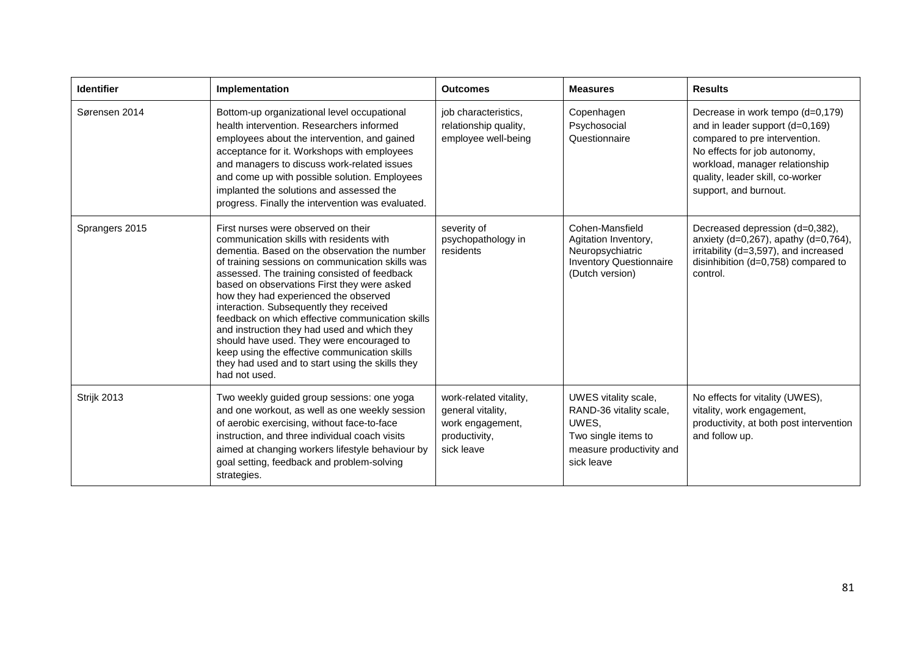| <b>Identifier</b> | Implementation                                                                                                                                                                                                                                                                                                                                                                                                                                                                                                                                                                                                                                 | <b>Outcomes</b>                                                                                | <b>Measures</b>                                                                                                           | <b>Results</b>                                                                                                                                                                                                                      |
|-------------------|------------------------------------------------------------------------------------------------------------------------------------------------------------------------------------------------------------------------------------------------------------------------------------------------------------------------------------------------------------------------------------------------------------------------------------------------------------------------------------------------------------------------------------------------------------------------------------------------------------------------------------------------|------------------------------------------------------------------------------------------------|---------------------------------------------------------------------------------------------------------------------------|-------------------------------------------------------------------------------------------------------------------------------------------------------------------------------------------------------------------------------------|
| Sørensen 2014     | Bottom-up organizational level occupational<br>health intervention. Researchers informed<br>employees about the intervention, and gained<br>acceptance for it. Workshops with employees<br>and managers to discuss work-related issues<br>and come up with possible solution. Employees<br>implanted the solutions and assessed the<br>progress. Finally the intervention was evaluated.                                                                                                                                                                                                                                                       | job characteristics,<br>relationship quality,<br>employee well-being                           | Copenhagen<br>Psychosocial<br>Questionnaire                                                                               | Decrease in work tempo (d=0,179)<br>and in leader support (d=0,169)<br>compared to pre intervention.<br>No effects for job autonomy,<br>workload, manager relationship<br>quality, leader skill, co-worker<br>support, and burnout. |
| Sprangers 2015    | First nurses were observed on their<br>communication skills with residents with<br>dementia. Based on the observation the number<br>of training sessions on communication skills was<br>assessed. The training consisted of feedback<br>based on observations First they were asked<br>how they had experienced the observed<br>interaction. Subsequently they received<br>feedback on which effective communication skills<br>and instruction they had used and which they<br>should have used. They were encouraged to<br>keep using the effective communication skills<br>they had used and to start using the skills they<br>had not used. | severity of<br>psychopathology in<br>residents                                                 | Cohen-Mansfield<br>Agitation Inventory,<br>Neuropsychiatric<br><b>Inventory Questionnaire</b><br>(Dutch version)          | Decreased depression (d=0,382),<br>anxiety (d=0,267), apathy (d=0,764),<br>irritability (d=3,597), and increased<br>disinhibition (d=0,758) compared to<br>control.                                                                 |
| Strijk 2013       | Two weekly guided group sessions: one yoga<br>and one workout, as well as one weekly session<br>of aerobic exercising, without face-to-face<br>instruction, and three individual coach visits<br>aimed at changing workers lifestyle behaviour by<br>goal setting, feedback and problem-solving<br>strategies.                                                                                                                                                                                                                                                                                                                                 | work-related vitality,<br>general vitality,<br>work engagement,<br>productivity,<br>sick leave | UWES vitality scale,<br>RAND-36 vitality scale,<br>UWES,<br>Two single items to<br>measure productivity and<br>sick leave | No effects for vitality (UWES),<br>vitality, work engagement,<br>productivity, at both post intervention<br>and follow up.                                                                                                          |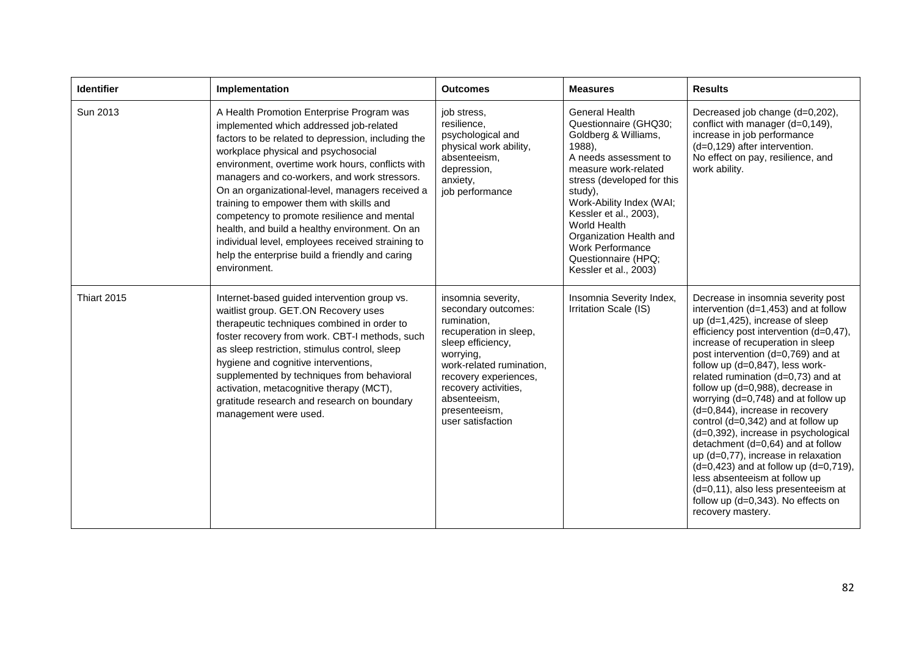| <b>Identifier</b> | Implementation                                                                                                                                                                                                                                                                                                                                                                                                                                                                                                                                                                                                | <b>Outcomes</b>                                                                                                                                                                                                                                         | <b>Measures</b>                                                                                                                                                                                                                                                                                                                                 | <b>Results</b>                                                                                                                                                                                                                                                                                                                                                                                                                                                                                                                                                                                                                                                                                                                                                               |
|-------------------|---------------------------------------------------------------------------------------------------------------------------------------------------------------------------------------------------------------------------------------------------------------------------------------------------------------------------------------------------------------------------------------------------------------------------------------------------------------------------------------------------------------------------------------------------------------------------------------------------------------|---------------------------------------------------------------------------------------------------------------------------------------------------------------------------------------------------------------------------------------------------------|-------------------------------------------------------------------------------------------------------------------------------------------------------------------------------------------------------------------------------------------------------------------------------------------------------------------------------------------------|------------------------------------------------------------------------------------------------------------------------------------------------------------------------------------------------------------------------------------------------------------------------------------------------------------------------------------------------------------------------------------------------------------------------------------------------------------------------------------------------------------------------------------------------------------------------------------------------------------------------------------------------------------------------------------------------------------------------------------------------------------------------------|
| Sun 2013          | A Health Promotion Enterprise Program was<br>implemented which addressed job-related<br>factors to be related to depression, including the<br>workplace physical and psychosocial<br>environment, overtime work hours, conflicts with<br>managers and co-workers, and work stressors.<br>On an organizational-level, managers received a<br>training to empower them with skills and<br>competency to promote resilience and mental<br>health, and build a healthy environment. On an<br>individual level, employees received straining to<br>help the enterprise build a friendly and caring<br>environment. | job stress.<br>resilience,<br>psychological and<br>physical work ability,<br>absenteeism,<br>depression,<br>anxiety,<br>job performance                                                                                                                 | <b>General Health</b><br>Questionnaire (GHQ30;<br>Goldberg & Williams,<br>1988),<br>A needs assessment to<br>measure work-related<br>stress (developed for this<br>study).<br>Work-Ability Index (WAI;<br>Kessler et al., 2003),<br>World Health<br>Organization Health and<br>Work Performance<br>Questionnaire (HPQ;<br>Kessler et al., 2003) | Decreased job change (d=0,202),<br>conflict with manager (d=0,149),<br>increase in job performance<br>(d=0,129) after intervention.<br>No effect on pay, resilience, and<br>work ability.                                                                                                                                                                                                                                                                                                                                                                                                                                                                                                                                                                                    |
| Thiart 2015       | Internet-based guided intervention group vs.<br>waitlist group. GET.ON Recovery uses<br>therapeutic techniques combined in order to<br>foster recovery from work. CBT-I methods, such<br>as sleep restriction, stimulus control, sleep<br>hygiene and cognitive interventions,<br>supplemented by techniques from behavioral<br>activation, metacognitive therapy (MCT),<br>gratitude research and research on boundary<br>management were used.                                                                                                                                                              | insomnia severity,<br>secondary outcomes:<br>rumination,<br>recuperation in sleep,<br>sleep efficiency,<br>worrying,<br>work-related rumination.<br>recovery experiences,<br>recovery activities,<br>absenteeism,<br>presenteeism,<br>user satisfaction | Insomnia Severity Index,<br>Irritation Scale (IS)                                                                                                                                                                                                                                                                                               | Decrease in insomnia severity post<br>intervention $(d=1,453)$ and at follow<br>up (d=1,425), increase of sleep<br>efficiency post intervention (d=0,47),<br>increase of recuperation in sleep<br>post intervention (d=0,769) and at<br>follow up (d=0,847), less work-<br>related rumination (d=0,73) and at<br>follow up (d=0,988), decrease in<br>worrying $(d=0,748)$ and at follow up<br>(d=0,844), increase in recovery<br>control $(d=0,342)$ and at follow up<br>(d=0,392), increase in psychological<br>detachment (d=0,64) and at follow<br>up (d=0,77), increase in relaxation<br>$(d=0, 423)$ and at follow up $(d=0, 719)$ ,<br>less absenteeism at follow up<br>(d=0,11), also less presenteeism at<br>follow up (d=0,343). No effects on<br>recovery mastery. |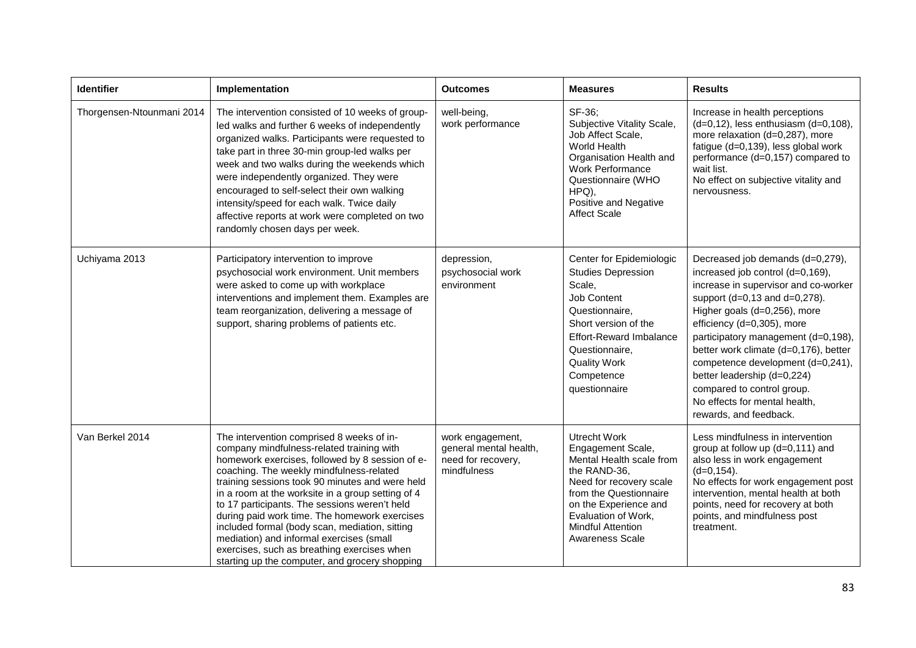| <b>Identifier</b>         | Implementation                                                                                                                                                                                                                                                                                                                                                                                                                                                                                                                                                                                 | <b>Outcomes</b>                                                                 | <b>Measures</b>                                                                                                                                                                                                                          | <b>Results</b>                                                                                                                                                                                                                                                                                                                                                                                                                                           |
|---------------------------|------------------------------------------------------------------------------------------------------------------------------------------------------------------------------------------------------------------------------------------------------------------------------------------------------------------------------------------------------------------------------------------------------------------------------------------------------------------------------------------------------------------------------------------------------------------------------------------------|---------------------------------------------------------------------------------|------------------------------------------------------------------------------------------------------------------------------------------------------------------------------------------------------------------------------------------|----------------------------------------------------------------------------------------------------------------------------------------------------------------------------------------------------------------------------------------------------------------------------------------------------------------------------------------------------------------------------------------------------------------------------------------------------------|
| Thorgensen-Ntounmani 2014 | The intervention consisted of 10 weeks of group-<br>led walks and further 6 weeks of independently<br>organized walks. Participants were requested to<br>take part in three 30-min group-led walks per<br>week and two walks during the weekends which<br>were independently organized. They were<br>encouraged to self-select their own walking<br>intensity/speed for each walk. Twice daily<br>affective reports at work were completed on two<br>randomly chosen days per week.                                                                                                            | well-being,<br>work performance                                                 | SF-36:<br>Subjective Vitality Scale,<br>Job Affect Scale,<br>World Health<br>Organisation Health and<br><b>Work Performance</b><br>Questionnaire (WHO<br>HPQ),<br>Positive and Negative<br><b>Affect Scale</b>                           | Increase in health perceptions<br>$(d=0, 12)$ , less enthusiasm $(d=0, 108)$ ,<br>more relaxation (d=0,287), more<br>fatigue (d=0,139), less global work<br>performance (d=0,157) compared to<br>wait list.<br>No effect on subjective vitality and<br>nervousness.                                                                                                                                                                                      |
| Uchiyama 2013             | Participatory intervention to improve<br>psychosocial work environment. Unit members<br>were asked to come up with workplace<br>interventions and implement them. Examples are<br>team reorganization, delivering a message of<br>support, sharing problems of patients etc.                                                                                                                                                                                                                                                                                                                   | depression,<br>psychosocial work<br>environment                                 | Center for Epidemiologic<br><b>Studies Depression</b><br>Scale,<br>Job Content<br>Questionnaire,<br>Short version of the<br><b>Effort-Reward Imbalance</b><br>Questionnaire,<br><b>Quality Work</b><br>Competence<br>questionnaire       | Decreased job demands (d=0,279),<br>increased job control (d=0,169),<br>increase in supervisor and co-worker<br>support (d=0,13 and d=0,278).<br>Higher goals (d=0,256), more<br>efficiency (d=0,305), more<br>participatory management (d=0,198),<br>better work climate (d=0,176), better<br>competence development (d=0,241),<br>better leadership (d=0,224)<br>compared to control group.<br>No effects for mental health,<br>rewards, and feedback. |
| Van Berkel 2014           | The intervention comprised 8 weeks of in-<br>company mindfulness-related training with<br>homework exercises, followed by 8 session of e-<br>coaching. The weekly mindfulness-related<br>training sessions took 90 minutes and were held<br>in a room at the worksite in a group setting of 4<br>to 17 participants. The sessions weren't held<br>during paid work time. The homework exercises<br>included formal (body scan, mediation, sitting<br>mediation) and informal exercises (small<br>exercises, such as breathing exercises when<br>starting up the computer, and grocery shopping | work engagement,<br>general mental health,<br>need for recovery,<br>mindfulness | <b>Utrecht Work</b><br>Engagement Scale,<br>Mental Health scale from<br>the RAND-36,<br>Need for recovery scale<br>from the Questionnaire<br>on the Experience and<br>Evaluation of Work,<br><b>Mindful Attention</b><br>Awareness Scale | Less mindfulness in intervention<br>group at follow up (d=0,111) and<br>also less in work engagement<br>$(d=0, 154)$ .<br>No effects for work engagement post<br>intervention, mental health at both<br>points, need for recovery at both<br>points, and mindfulness post<br>treatment.                                                                                                                                                                  |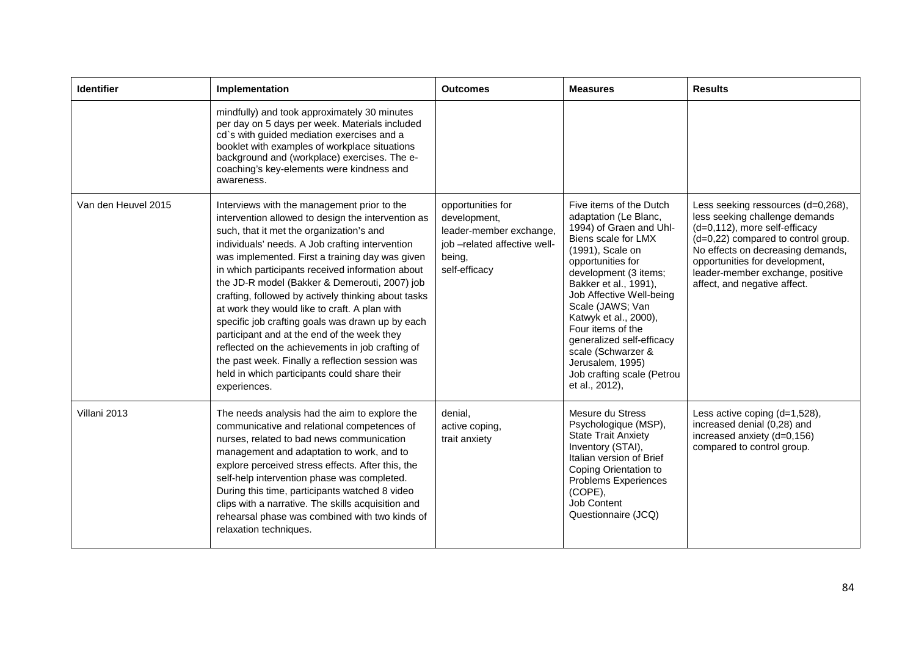| <b>Identifier</b>   | Implementation                                                                                                                                                                                                                                                                                                                                                                                                                                                                                                                                                                                                                                                                                                                             | <b>Outcomes</b>                                                                                                         | <b>Measures</b>                                                                                                                                                                                                                                                                                                                                                                                                    | <b>Results</b>                                                                                                                                                                                                                                                                          |
|---------------------|--------------------------------------------------------------------------------------------------------------------------------------------------------------------------------------------------------------------------------------------------------------------------------------------------------------------------------------------------------------------------------------------------------------------------------------------------------------------------------------------------------------------------------------------------------------------------------------------------------------------------------------------------------------------------------------------------------------------------------------------|-------------------------------------------------------------------------------------------------------------------------|--------------------------------------------------------------------------------------------------------------------------------------------------------------------------------------------------------------------------------------------------------------------------------------------------------------------------------------------------------------------------------------------------------------------|-----------------------------------------------------------------------------------------------------------------------------------------------------------------------------------------------------------------------------------------------------------------------------------------|
|                     | mindfully) and took approximately 30 minutes<br>per day on 5 days per week. Materials included<br>cd's with guided mediation exercises and a<br>booklet with examples of workplace situations<br>background and (workplace) exercises. The e-<br>coaching's key-elements were kindness and<br>awareness.                                                                                                                                                                                                                                                                                                                                                                                                                                   |                                                                                                                         |                                                                                                                                                                                                                                                                                                                                                                                                                    |                                                                                                                                                                                                                                                                                         |
| Van den Heuvel 2015 | Interviews with the management prior to the<br>intervention allowed to design the intervention as<br>such, that it met the organization's and<br>individuals' needs. A Job crafting intervention<br>was implemented. First a training day was given<br>in which participants received information about<br>the JD-R model (Bakker & Demerouti, 2007) job<br>crafting, followed by actively thinking about tasks<br>at work they would like to craft. A plan with<br>specific job crafting goals was drawn up by each<br>participant and at the end of the week they<br>reflected on the achievements in job crafting of<br>the past week. Finally a reflection session was<br>held in which participants could share their<br>experiences. | opportunities for<br>development,<br>leader-member exchange,<br>job -related affective well-<br>being,<br>self-efficacy | Five items of the Dutch<br>adaptation (Le Blanc,<br>1994) of Graen and Uhl-<br>Biens scale for LMX<br>(1991), Scale on<br>opportunities for<br>development (3 items;<br>Bakker et al., 1991),<br>Job Affective Well-being<br>Scale (JAWS; Van<br>Katwyk et al., 2000),<br>Four items of the<br>generalized self-efficacy<br>scale (Schwarzer &<br>Jerusalem, 1995)<br>Job crafting scale (Petrou<br>et al., 2012), | Less seeking ressources (d=0,268),<br>less seeking challenge demands<br>(d=0,112), more self-efficacy<br>(d=0,22) compared to control group.<br>No effects on decreasing demands,<br>opportunities for development,<br>leader-member exchange, positive<br>affect, and negative affect. |
| Villani 2013        | The needs analysis had the aim to explore the<br>communicative and relational competences of<br>nurses, related to bad news communication<br>management and adaptation to work, and to<br>explore perceived stress effects. After this, the<br>self-help intervention phase was completed.<br>During this time, participants watched 8 video<br>clips with a narrative. The skills acquisition and<br>rehearsal phase was combined with two kinds of<br>relaxation techniques.                                                                                                                                                                                                                                                             | denial.<br>active coping,<br>trait anxiety                                                                              | Mesure du Stress<br>Psychologique (MSP),<br><b>State Trait Anxiety</b><br>Inventory (STAI),<br>Italian version of Brief<br>Coping Orientation to<br>Problems Experiences<br>(COPE),<br>Job Content<br>Questionnaire (JCQ)                                                                                                                                                                                          | Less active coping (d=1,528),<br>increased denial (0,28) and<br>increased anxiety (d=0,156)<br>compared to control group.                                                                                                                                                               |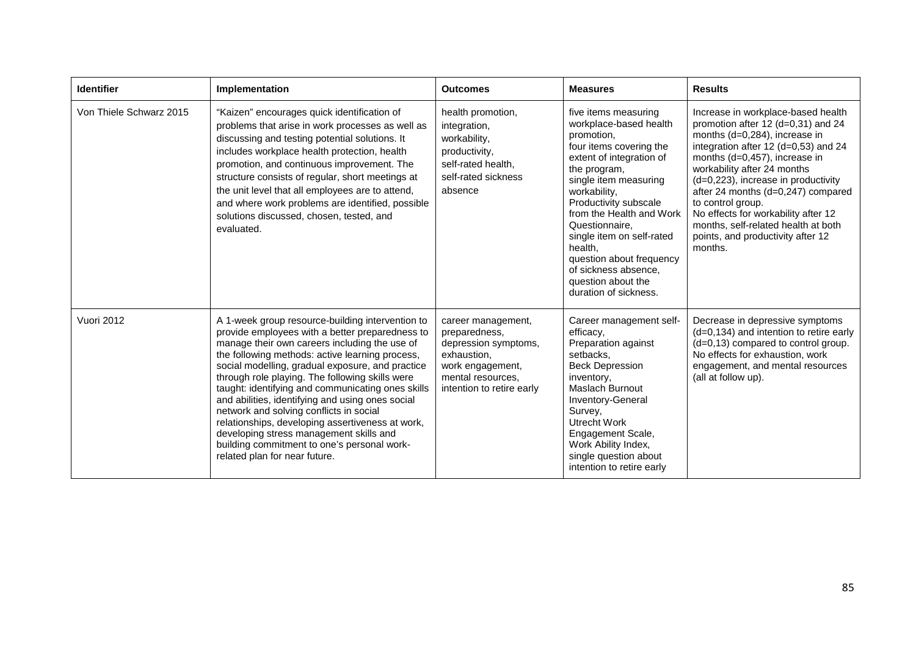| <b>Identifier</b>       | Implementation                                                                                                                                                                                                                                                                                                                                                                                                                                                                                                                                                                                                                                    | <b>Outcomes</b>                                                                                                                                  | <b>Measures</b>                                                                                                                                                                                                                                                                                                                                                                                | <b>Results</b>                                                                                                                                                                                                                                                                                                                                                                                                                                    |
|-------------------------|---------------------------------------------------------------------------------------------------------------------------------------------------------------------------------------------------------------------------------------------------------------------------------------------------------------------------------------------------------------------------------------------------------------------------------------------------------------------------------------------------------------------------------------------------------------------------------------------------------------------------------------------------|--------------------------------------------------------------------------------------------------------------------------------------------------|------------------------------------------------------------------------------------------------------------------------------------------------------------------------------------------------------------------------------------------------------------------------------------------------------------------------------------------------------------------------------------------------|---------------------------------------------------------------------------------------------------------------------------------------------------------------------------------------------------------------------------------------------------------------------------------------------------------------------------------------------------------------------------------------------------------------------------------------------------|
| Von Thiele Schwarz 2015 | "Kaizen" encourages quick identification of<br>problems that arise in work processes as well as<br>discussing and testing potential solutions. It<br>includes workplace health protection, health<br>promotion, and continuous improvement. The<br>structure consists of regular, short meetings at<br>the unit level that all employees are to attend,<br>and where work problems are identified, possible<br>solutions discussed, chosen, tested, and<br>evaluated.                                                                                                                                                                             | health promotion,<br>integration,<br>workability,<br>productivity,<br>self-rated health,<br>self-rated sickness<br>absence                       | five items measuring<br>workplace-based health<br>promotion,<br>four items covering the<br>extent of integration of<br>the program,<br>single item measuring<br>workability,<br>Productivity subscale<br>from the Health and Work<br>Questionnaire,<br>single item on self-rated<br>health,<br>question about frequency<br>of sickness absence,<br>question about the<br>duration of sickness. | Increase in workplace-based health<br>promotion after 12 (d=0,31) and 24<br>months (d=0,284), increase in<br>integration after 12 (d=0,53) and 24<br>months (d=0,457), increase in<br>workability after 24 months<br>(d=0,223), increase in productivity<br>after 24 months (d=0,247) compared<br>to control group.<br>No effects for workability after 12<br>months, self-related health at both<br>points, and productivity after 12<br>months. |
| Vuori 2012              | A 1-week group resource-building intervention to<br>provide employees with a better preparedness to<br>manage their own careers including the use of<br>the following methods: active learning process,<br>social modelling, gradual exposure, and practice<br>through role playing. The following skills were<br>taught: identifying and communicating ones skills<br>and abilities, identifying and using ones social<br>network and solving conflicts in social<br>relationships, developing assertiveness at work,<br>developing stress management skills and<br>building commitment to one's personal work-<br>related plan for near future. | career management,<br>preparedness,<br>depression symptoms,<br>exhaustion.<br>work engagement,<br>mental resources,<br>intention to retire early | Career management self-<br>efficacy,<br>Preparation against<br>setbacks,<br><b>Beck Depression</b><br>inventory,<br><b>Maslach Burnout</b><br>Inventory-General<br>Survey,<br>Utrecht Work<br>Engagement Scale,<br>Work Ability Index,<br>single question about<br>intention to retire early                                                                                                   | Decrease in depressive symptoms<br>$(d=0, 134)$ and intention to retire early<br>(d=0,13) compared to control group.<br>No effects for exhaustion, work<br>engagement, and mental resources<br>(all at follow up).                                                                                                                                                                                                                                |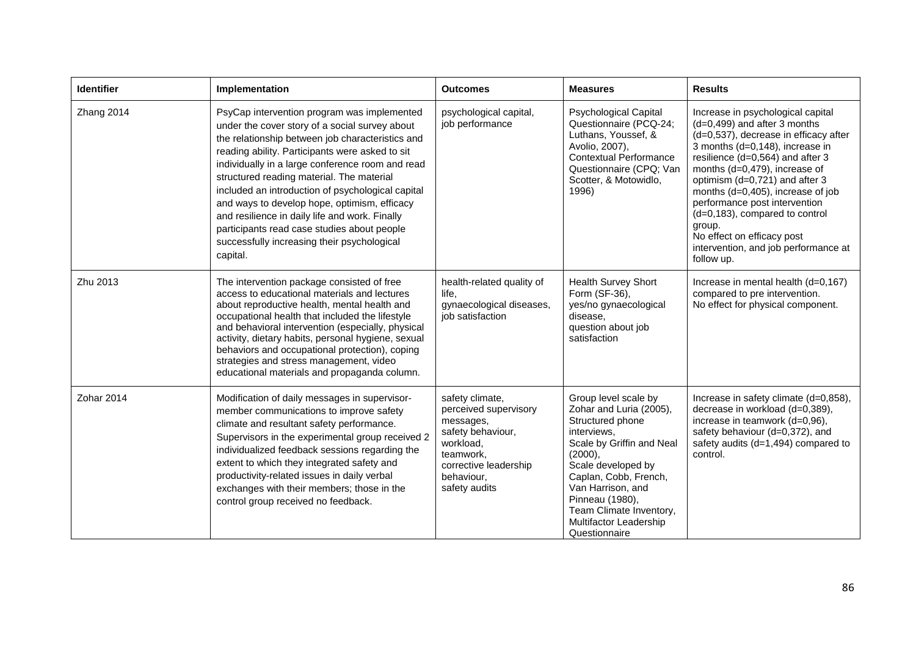| <b>Identifier</b> | Implementation                                                                                                                                                                                                                                                                                                                                                                                                                                                                                                                                                         | <b>Outcomes</b>                                                                                                                                              | <b>Measures</b>                                                                                                                                                                                                                                                                         | <b>Results</b>                                                                                                                                                                                                                                                                                                                                                                                                                                               |
|-------------------|------------------------------------------------------------------------------------------------------------------------------------------------------------------------------------------------------------------------------------------------------------------------------------------------------------------------------------------------------------------------------------------------------------------------------------------------------------------------------------------------------------------------------------------------------------------------|--------------------------------------------------------------------------------------------------------------------------------------------------------------|-----------------------------------------------------------------------------------------------------------------------------------------------------------------------------------------------------------------------------------------------------------------------------------------|--------------------------------------------------------------------------------------------------------------------------------------------------------------------------------------------------------------------------------------------------------------------------------------------------------------------------------------------------------------------------------------------------------------------------------------------------------------|
| Zhang 2014        | PsyCap intervention program was implemented<br>under the cover story of a social survey about<br>the relationship between job characteristics and<br>reading ability. Participants were asked to sit<br>individually in a large conference room and read<br>structured reading material. The material<br>included an introduction of psychological capital<br>and ways to develop hope, optimism, efficacy<br>and resilience in daily life and work. Finally<br>participants read case studies about people<br>successfully increasing their psychological<br>capital. | psychological capital,<br>job performance                                                                                                                    | <b>Psychological Capital</b><br>Questionnaire (PCQ-24;<br>Luthans, Youssef, &<br>Avolio, 2007),<br><b>Contextual Performance</b><br>Questionnaire (CPQ; Van<br>Scotter, & Motowidlo,<br>1996)                                                                                           | Increase in psychological capital<br>$(d=0,499)$ and after 3 months<br>(d=0,537), decrease in efficacy after<br>3 months (d=0,148), increase in<br>resilience (d=0,564) and after 3<br>months (d=0,479), increase of<br>optimism (d=0,721) and after 3<br>months (d=0,405), increase of job<br>performance post intervention<br>(d=0,183), compared to control<br>group.<br>No effect on efficacy post<br>intervention, and job performance at<br>follow up. |
| Zhu 2013          | The intervention package consisted of free<br>access to educational materials and lectures<br>about reproductive health, mental health and<br>occupational health that included the lifestyle<br>and behavioral intervention (especially, physical<br>activity, dietary habits, personal hygiene, sexual<br>behaviors and occupational protection), coping<br>strategies and stress management, video<br>educational materials and propaganda column.                                                                                                                  | health-related quality of<br>life.<br>gynaecological diseases,<br>job satisfaction                                                                           | Health Survey Short<br>Form (SF-36),<br>yes/no gynaecological<br>disease,<br>question about job<br>satisfaction                                                                                                                                                                         | Increase in mental health (d=0,167)<br>compared to pre intervention.<br>No effect for physical component.                                                                                                                                                                                                                                                                                                                                                    |
| Zohar 2014        | Modification of daily messages in supervisor-<br>member communications to improve safety<br>climate and resultant safety performance.<br>Supervisors in the experimental group received 2<br>individualized feedback sessions regarding the<br>extent to which they integrated safety and<br>productivity-related issues in daily verbal<br>exchanges with their members; those in the<br>control group received no feedback.                                                                                                                                          | safety climate,<br>perceived supervisory<br>messages,<br>safety behaviour,<br>workload,<br>teamwork.<br>corrective leadership<br>behaviour,<br>safety audits | Group level scale by<br>Zohar and Luria (2005),<br>Structured phone<br>interviews.<br>Scale by Griffin and Neal<br>(2000),<br>Scale developed by<br>Caplan, Cobb, French,<br>Van Harrison, and<br>Pinneau (1980),<br>Team Climate Inventory,<br>Multifactor Leadership<br>Questionnaire | Increase in safety climate (d=0,858),<br>decrease in workload (d=0,389),<br>increase in teamwork (d=0,96),<br>safety behaviour (d=0,372), and<br>safety audits (d=1,494) compared to<br>control.                                                                                                                                                                                                                                                             |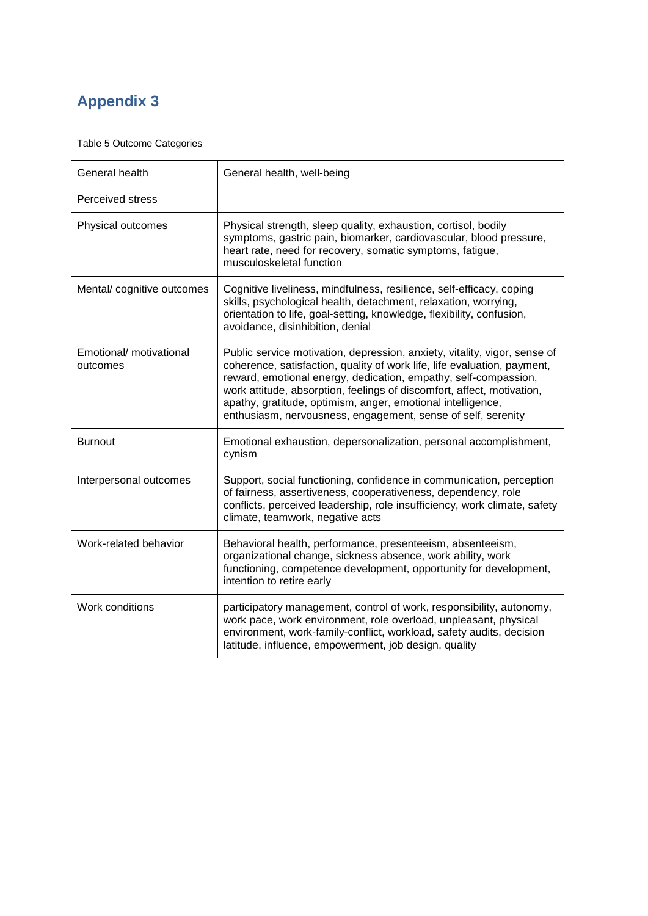# **Appendix 3**

Table 5 Outcome Categories

| General health                      | General health, well-being                                                                                                                                                                                                                                                                                                                                                                                                        |
|-------------------------------------|-----------------------------------------------------------------------------------------------------------------------------------------------------------------------------------------------------------------------------------------------------------------------------------------------------------------------------------------------------------------------------------------------------------------------------------|
| Perceived stress                    |                                                                                                                                                                                                                                                                                                                                                                                                                                   |
| Physical outcomes                   | Physical strength, sleep quality, exhaustion, cortisol, bodily<br>symptoms, gastric pain, biomarker, cardiovascular, blood pressure,<br>heart rate, need for recovery, somatic symptoms, fatigue,<br>musculoskeletal function                                                                                                                                                                                                     |
| Mental/ cognitive outcomes          | Cognitive liveliness, mindfulness, resilience, self-efficacy, coping<br>skills, psychological health, detachment, relaxation, worrying,<br>orientation to life, goal-setting, knowledge, flexibility, confusion,<br>avoidance, disinhibition, denial                                                                                                                                                                              |
| Emotional/ motivational<br>outcomes | Public service motivation, depression, anxiety, vitality, vigor, sense of<br>coherence, satisfaction, quality of work life, life evaluation, payment,<br>reward, emotional energy, dedication, empathy, self-compassion,<br>work attitude, absorption, feelings of discomfort, affect, motivation,<br>apathy, gratitude, optimism, anger, emotional intelligence,<br>enthusiasm, nervousness, engagement, sense of self, serenity |
| <b>Burnout</b>                      | Emotional exhaustion, depersonalization, personal accomplishment,<br>cynism                                                                                                                                                                                                                                                                                                                                                       |
| Interpersonal outcomes              | Support, social functioning, confidence in communication, perception<br>of fairness, assertiveness, cooperativeness, dependency, role<br>conflicts, perceived leadership, role insufficiency, work climate, safety<br>climate, teamwork, negative acts                                                                                                                                                                            |
| Work-related behavior               | Behavioral health, performance, presenteeism, absenteeism,<br>organizational change, sickness absence, work ability, work<br>functioning, competence development, opportunity for development,<br>intention to retire early                                                                                                                                                                                                       |
| Work conditions                     | participatory management, control of work, responsibility, autonomy,<br>work pace, work environment, role overload, unpleasant, physical<br>environment, work-family-conflict, workload, safety audits, decision<br>latitude, influence, empowerment, job design, quality                                                                                                                                                         |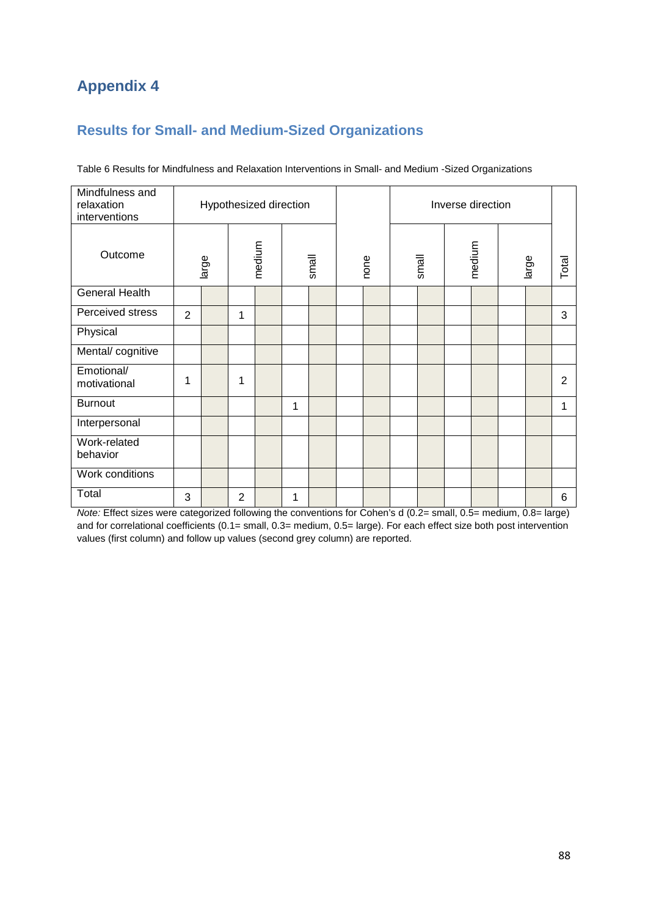## **Appendix 4**

### **Results for Small- and Medium-Sized Organizations**

| Mindfulness and<br>relaxation<br>interventions |                |       |                | Hypothesized direction |   |       |      |       | Inverse direction |       |                |
|------------------------------------------------|----------------|-------|----------------|------------------------|---|-------|------|-------|-------------------|-------|----------------|
| Outcome                                        |                | large |                | medium                 |   | small | none | small | medium            | large | Total          |
| <b>General Health</b>                          |                |       |                |                        |   |       |      |       |                   |       |                |
| Perceived stress                               | $\overline{2}$ |       | 1              |                        |   |       |      |       |                   |       | 3              |
| Physical                                       |                |       |                |                        |   |       |      |       |                   |       |                |
| Mental/cognitive                               |                |       |                |                        |   |       |      |       |                   |       |                |
| Emotional/<br>motivational                     | 1              |       | 1              |                        |   |       |      |       |                   |       | $\overline{2}$ |
| <b>Burnout</b>                                 |                |       |                |                        | 1 |       |      |       |                   |       | 1              |
| Interpersonal                                  |                |       |                |                        |   |       |      |       |                   |       |                |
| Work-related<br>behavior                       |                |       |                |                        |   |       |      |       |                   |       |                |
| Work conditions                                |                |       |                |                        |   |       |      |       |                   |       |                |
| Total                                          | 3              |       | $\overline{2}$ |                        | 1 |       |      |       |                   |       | 6              |

Table 6 Results for Mindfulness and Relaxation Interventions in Small- and Medium -Sized Organizations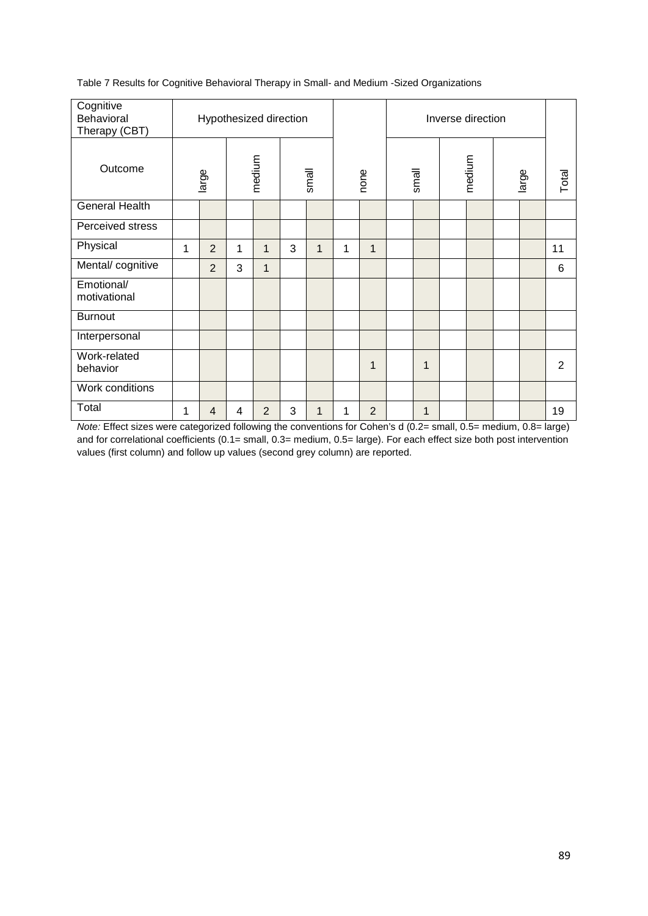| Table 7 Results for Cognitive Behavioral Therapy in Small- and Medium -Sized Organizations |  |  |
|--------------------------------------------------------------------------------------------|--|--|
|--------------------------------------------------------------------------------------------|--|--|

| Cognitive<br>Behavioral<br>Therapy (CBT) |                               | Hypothesized direction |   |   |       |              |      |                |       |              |  |       |       |    |
|------------------------------------------|-------------------------------|------------------------|---|---|-------|--------------|------|----------------|-------|--------------|--|-------|-------|----|
| Outcome                                  |                               | medium<br>large        |   |   | small |              | none |                | small | medium       |  | large | Total |    |
| <b>General Health</b>                    |                               |                        |   |   |       |              |      |                |       |              |  |       |       |    |
| Perceived stress                         |                               |                        |   |   |       |              |      |                |       |              |  |       |       |    |
| Physical                                 | $\overline{2}$<br>1<br>1<br>1 |                        |   |   | 3     | $\mathbf{1}$ | 1    | $\mathbf{1}$   |       |              |  |       |       | 11 |
| Mental/cognitive                         |                               | 2                      | 3 | 1 |       |              |      |                |       |              |  |       |       | 6  |
| Emotional/<br>motivational               |                               |                        |   |   |       |              |      |                |       |              |  |       |       |    |
| <b>Burnout</b>                           |                               |                        |   |   |       |              |      |                |       |              |  |       |       |    |
| Interpersonal                            |                               |                        |   |   |       |              |      |                |       |              |  |       |       |    |
| Work-related<br>behavior                 |                               |                        |   |   |       |              |      | 1              |       | $\mathbf{1}$ |  |       |       | 2  |
| Work conditions                          |                               |                        |   |   |       |              |      |                |       |              |  |       |       |    |
| Total                                    | 1                             | 4                      | 4 | 2 | 3     | 1            | 1    | $\overline{2}$ |       | $\mathbf 1$  |  |       |       | 19 |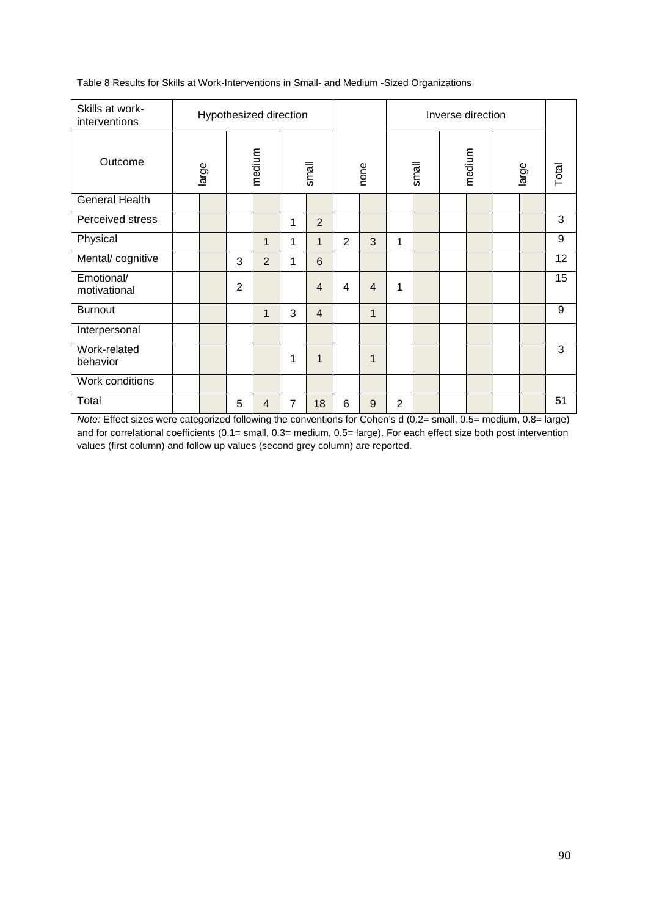| Skills at work-<br>interventions |       |                | Hypothesized direction |                |                |                |                |                |       | Inverse direction |       |       |
|----------------------------------|-------|----------------|------------------------|----------------|----------------|----------------|----------------|----------------|-------|-------------------|-------|-------|
| Outcome                          | large | medium         |                        |                | small          |                | none           |                | small | medium            | large | Total |
| <b>General Health</b>            |       |                |                        |                |                |                |                |                |       |                   |       |       |
| Perceived stress                 |       |                |                        | 1              | $\overline{2}$ |                |                |                |       |                   |       | 3     |
| Physical                         |       |                | $\mathbf{1}$           | 1              | $\mathbf 1$    | $\overline{2}$ | 3              | 1              |       |                   |       | 9     |
| Mental/cognitive                 |       | 3              | 2                      | 1              | 6              |                |                |                |       |                   |       | 12    |
| Emotional/<br>motivational       |       | $\overline{2}$ |                        |                | $\overline{4}$ | $\overline{4}$ | $\overline{4}$ | 1              |       |                   |       | 15    |
| <b>Burnout</b>                   |       |                | $\mathbf 1$            | 3              | $\overline{4}$ |                | 1              |                |       |                   |       | 9     |
| Interpersonal                    |       |                |                        |                |                |                |                |                |       |                   |       |       |
| Work-related<br>behavior         |       |                |                        | 1              | 1              |                | 1              |                |       |                   |       | 3     |
| Work conditions                  |       |                |                        |                |                |                |                |                |       |                   |       |       |
| Total                            |       | 5              | $\overline{4}$         | $\overline{7}$ | 18             | 6              | 9              | $\overline{2}$ |       |                   |       | 51    |

Table 8 Results for Skills at Work-Interventions in Small- and Medium -Sized Organizations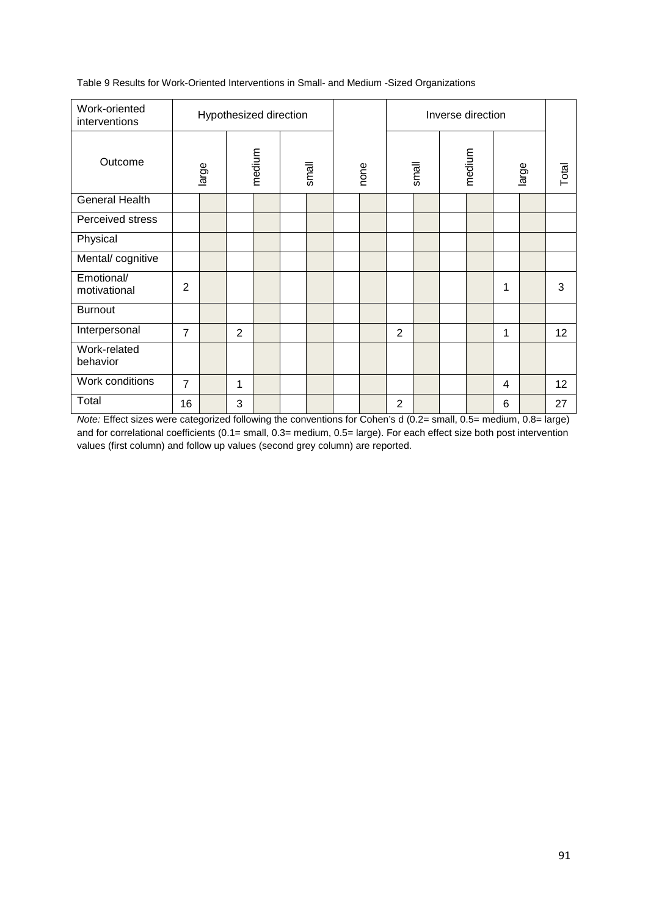Table 9 Results for Work-Oriented Interventions in Small- and Medium -Sized Organizations

| Work-oriented<br>interventions |                 | Hypothesized direction |       |  |      |  |                |        | Inverse direction |                |       |    |
|--------------------------------|-----------------|------------------------|-------|--|------|--|----------------|--------|-------------------|----------------|-------|----|
| Outcome                        | medium<br>large |                        | small |  | none |  | small          | medium |                   | large          | Total |    |
| <b>General Health</b>          |                 |                        |       |  |      |  |                |        |                   |                |       |    |
| Perceived stress               |                 |                        |       |  |      |  |                |        |                   |                |       |    |
| Physical                       |                 |                        |       |  |      |  |                |        |                   |                |       |    |
| Mental/cognitive               |                 |                        |       |  |      |  |                |        |                   |                |       |    |
| Emotional/<br>motivational     | $\overline{2}$  |                        |       |  |      |  |                |        |                   | 1              |       | 3  |
| <b>Burnout</b>                 |                 |                        |       |  |      |  |                |        |                   |                |       |    |
| Interpersonal                  | $\overline{7}$  |                        | 2     |  |      |  | $\overline{2}$ |        |                   | 1              |       | 12 |
| Work-related<br>behavior       |                 |                        |       |  |      |  |                |        |                   |                |       |    |
| Work conditions                | $\overline{7}$  |                        | 1     |  |      |  |                |        |                   | $\overline{4}$ |       | 12 |
| Total                          | 16              |                        | 3     |  |      |  | $\overline{2}$ |        |                   | 6              |       | 27 |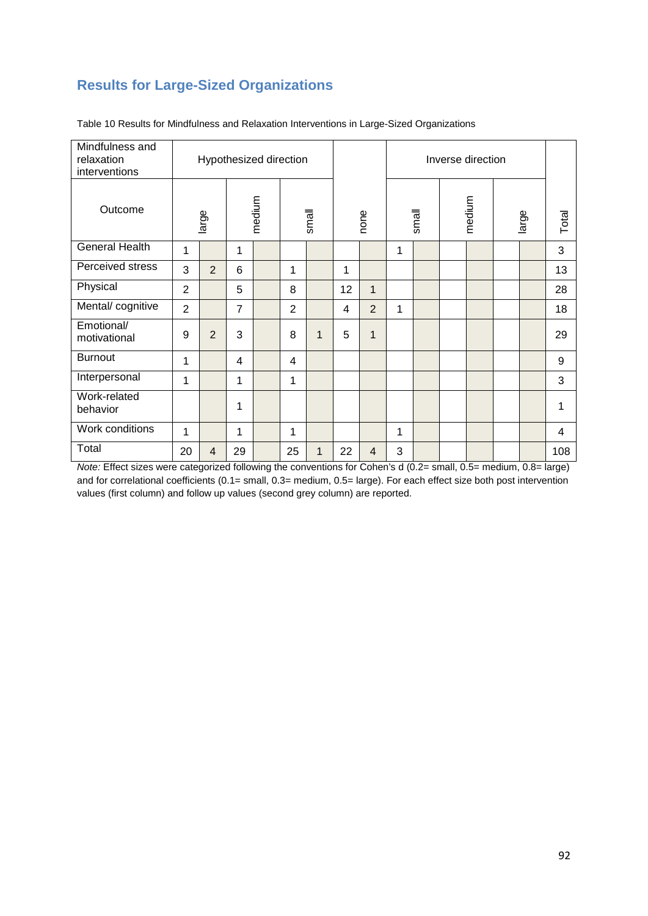### **Results for Large-Sized Organizations**

| Mindfulness and<br>relaxation<br>interventions |                           | Hypothesized direction |                |  |                |              |    |                |   |       | Inverse direction |       |       |
|------------------------------------------------|---------------------------|------------------------|----------------|--|----------------|--------------|----|----------------|---|-------|-------------------|-------|-------|
| Outcome                                        | medium<br>large<br>1<br>1 |                        |                |  |                | small        |    | none           |   | small | medium            | large | Total |
| <b>General Health</b>                          |                           |                        |                |  |                |              |    |                | 1 |       |                   |       | 3     |
| Perceived stress                               | 3                         | $\overline{2}$         | 6              |  | 1              |              | 1  |                |   |       |                   |       | 13    |
| Physical                                       | $\overline{2}$            |                        | 5              |  | 8              |              | 12 | $\mathbf{1}$   |   |       |                   |       | 28    |
| Mental/cognitive                               | $\overline{2}$            |                        | $\overline{7}$ |  | $\overline{2}$ |              | 4  | $\overline{2}$ | 1 |       |                   |       | 18    |
| Emotional/<br>motivational                     | 9                         | $\overline{2}$         | 3              |  | 8              | $\mathbf{1}$ | 5  | $\mathbf{1}$   |   |       |                   |       | 29    |
| <b>Burnout</b>                                 | 1                         |                        | 4              |  | 4              |              |    |                |   |       |                   |       | 9     |
| Interpersonal                                  | 1                         |                        | 1              |  | 1              |              |    |                |   |       |                   |       | 3     |
| Work-related<br>behavior                       |                           |                        | 1              |  |                |              |    |                |   |       |                   |       |       |
| Work conditions                                | 1                         |                        | 1              |  | 1              |              |    |                | 1 |       |                   |       | 4     |
| Total                                          | 20                        | $\overline{4}$         | 29             |  | 25             | $\mathbf 1$  | 22 | $\overline{4}$ | 3 |       |                   |       | 108   |

Table 10 Results for Mindfulness and Relaxation Interventions in Large-Sized Organizations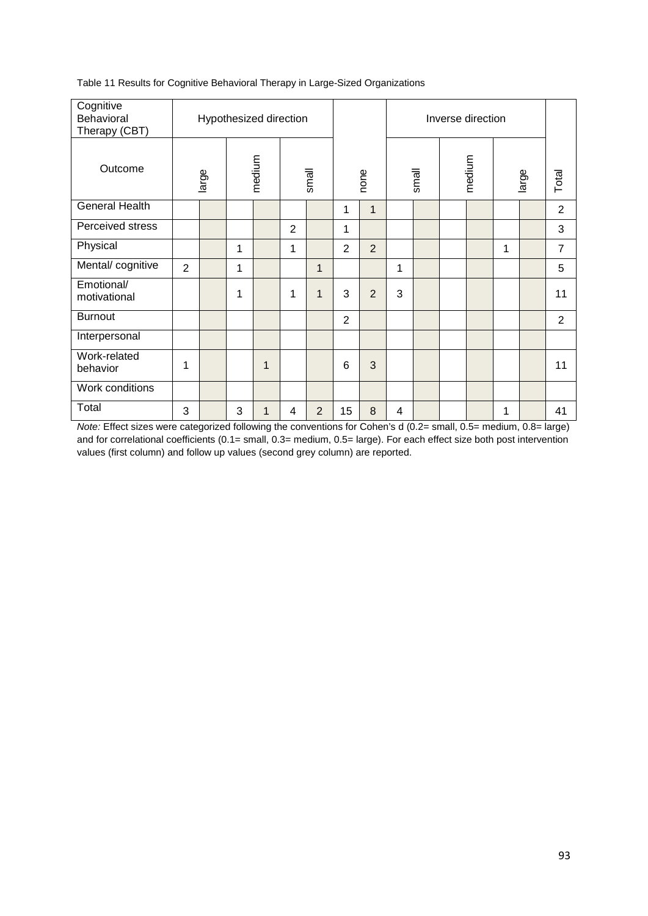| Cognitive<br>Behavioral<br>Therapy (CBT) |       | Hypothesized direction |   |       |      |       | Inverse direction |       |       |
|------------------------------------------|-------|------------------------|---|-------|------|-------|-------------------|-------|-------|
| Outcome                                  | large | medium                 |   | small | none | small | medium            | large | Total |
| <b>General Health</b>                    |       |                        |   |       | и    |       |                   |       | 2     |
| Perceived stress                         |       |                        | 2 |       |      |       |                   |       | 3     |
|                                          |       |                        |   |       |      |       |                   |       |       |

Physical 1 1 2 2 1 7 Mental/ cognitive 2 1 1 1 1 1 1 1 1 1 5

 $\frac{2}{\text{motivational}}$  1 1 1 1 1 3 2 3 1 1 1

Burnout 2 2

behavior | 1 | | | 1 | | | | 6 | 3 | | | | | | | | | | 11

Total 3 3 1 4 2 15 8 4 1 41

Table 11 Results for Cognitive Behavioral Therapy in Large-Sized Organizations

Emotional/

Interpersonal

Work-related<br>behavior

Work conditions

*Note:* Effect sizes were categorized following the conventions for Cohen's d (0.2= small, 0.5= medium, 0.8= large) and for correlational coefficients (0.1= small, 0.3= medium, 0.5= large). For each effect size both post intervention values (first column) and follow up values (second grey column) are reported.

Total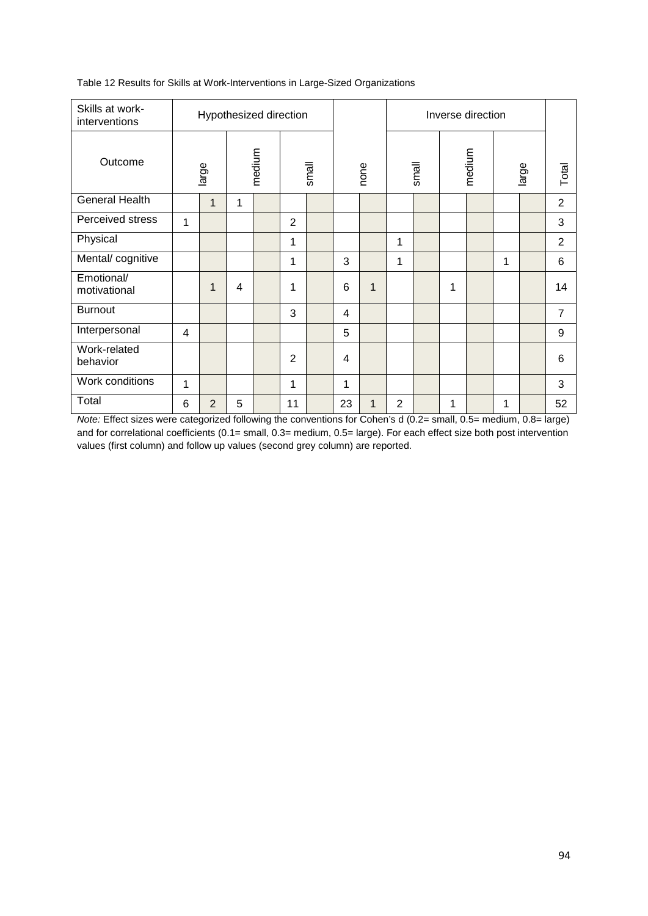| Skills at work-<br>interventions |                                      |                |   | Hypothesized direction |                |       |    |      |                |       |   | Inverse direction |   |       |                |
|----------------------------------|--------------------------------------|----------------|---|------------------------|----------------|-------|----|------|----------------|-------|---|-------------------|---|-------|----------------|
| Outcome                          | medium<br>large<br>$\mathbf{1}$<br>1 |                |   |                        |                | small |    | none |                | small |   | medium            |   | large | Total          |
| General Health                   |                                      |                |   |                        |                |       |    |      |                |       |   |                   |   |       | $\overline{2}$ |
| Perceived stress                 | 1                                    |                |   |                        | $\overline{2}$ |       |    |      |                |       |   |                   |   |       | 3              |
| Physical                         |                                      |                |   |                        | 1              |       |    |      | 1              |       |   |                   |   |       | 2              |
| Mental/cognitive                 |                                      |                |   |                        | 1              |       | 3  |      | 1              |       |   |                   | 1 |       | 6              |
| Emotional/<br>motivational       |                                      | 1              | 4 |                        | 1              |       | 6  | 1    |                |       | 1 |                   |   |       | 14             |
| <b>Burnout</b>                   |                                      |                |   |                        | 3              |       | 4  |      |                |       |   |                   |   |       | $\overline{7}$ |
| Interpersonal                    | 4                                    |                |   |                        |                |       | 5  |      |                |       |   |                   |   |       | 9              |
| Work-related<br>behavior         |                                      |                |   |                        | $\overline{2}$ |       | 4  |      |                |       |   |                   |   |       | 6              |
| Work conditions                  | 1                                    |                |   |                        | 1              |       | 1  |      |                |       |   |                   |   |       | 3              |
| Total                            | 6                                    | $\overline{2}$ | 5 |                        | 11             |       | 23 | 1    | $\overline{2}$ |       | 1 |                   | 1 |       | 52             |

Table 12 Results for Skills at Work-Interventions in Large-Sized Organizations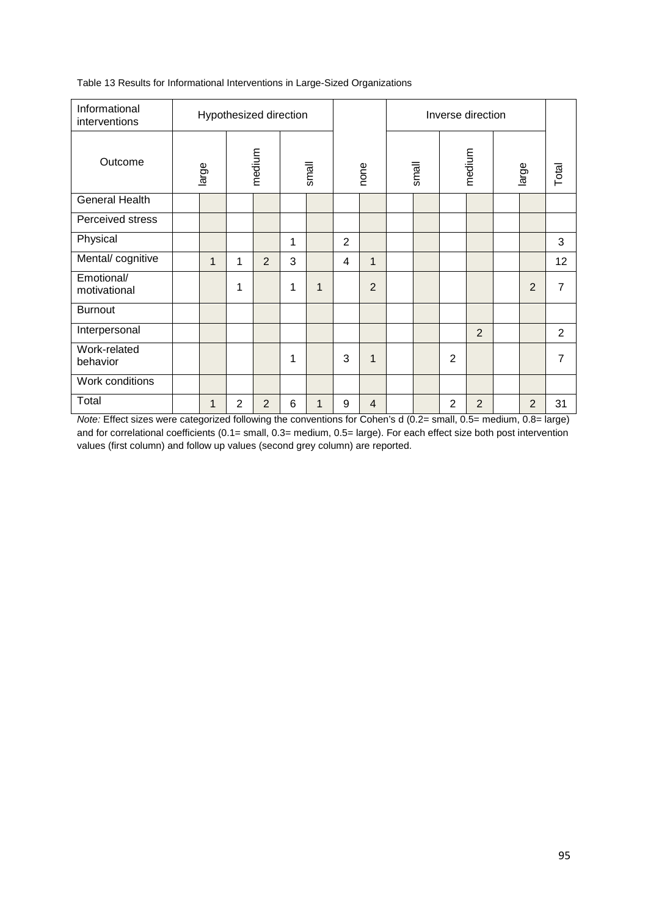| Informational<br>interventions |             |                 |   | Hypothesized direction |   |   |                |                | Inverse direction |                |                |                |       |                |    |
|--------------------------------|-------------|-----------------|---|------------------------|---|---|----------------|----------------|-------------------|----------------|----------------|----------------|-------|----------------|----|
| Outcome                        |             | medium<br>large |   | small                  |   |   | none           |                | small             |                | medium         |                | large | Total          |    |
| <b>General Health</b>          |             |                 |   |                        |   |   |                |                |                   |                |                |                |       |                |    |
| Perceived stress               |             |                 |   |                        |   |   |                |                |                   |                |                |                |       |                |    |
| Physical                       |             |                 |   |                        | 1 |   | $\overline{2}$ |                |                   |                |                |                |       |                | 3  |
| Mental/cognitive               |             | $\mathbf{1}$    | 1 | $\overline{2}$         | 3 |   | 4              | $\mathbf{1}$   |                   |                |                |                |       |                | 12 |
| Emotional/<br>motivational     |             |                 | 1 |                        | 1 | 1 |                | $\overline{2}$ |                   |                |                |                |       | $\overline{2}$ | 7  |
| <b>Burnout</b>                 |             |                 |   |                        |   |   |                |                |                   |                |                |                |       |                |    |
| Interpersonal                  |             |                 |   |                        |   |   |                |                |                   |                |                | $\overline{2}$ |       |                | 2  |
| Work-related<br>behavior       |             |                 |   |                        | 1 |   | 3              | $\mathbf{1}$   |                   |                | $\overline{2}$ |                |       |                | 7  |
| Work conditions                |             |                 |   |                        |   |   |                |                |                   |                |                |                |       |                |    |
| Total<br>- - -                 | 2<br>2<br>1 |                 |   | 6                      | 1 | 9 | $\overline{4}$ |                |                   | $\overline{2}$ | $\overline{2}$ |                | 2     | 31             |    |

Table 13 Results for Informational Interventions in Large-Sized Organizations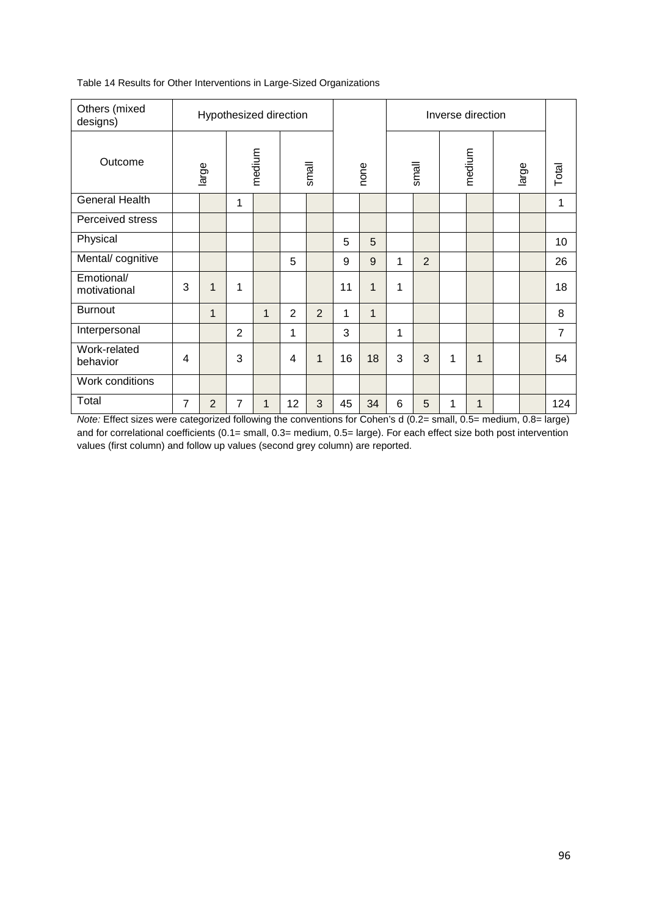| Others (mixed<br>designs)  |                | Hypothesized direction |   |              |    |             |    |      |   |                |   | Inverse direction |       |                |
|----------------------------|----------------|------------------------|---|--------------|----|-------------|----|------|---|----------------|---|-------------------|-------|----------------|
| Outcome                    |                | large                  |   | medium       |    | small       |    | none |   | small          |   | medium            | large | Total          |
| <b>General Health</b>      |                |                        | 1 |              |    |             |    |      |   |                |   |                   |       | 1              |
| Perceived stress           |                |                        |   |              |    |             |    |      |   |                |   |                   |       |                |
| Physical                   |                |                        |   |              |    |             | 5  | 5    |   |                |   |                   |       | 10             |
| Mental/cognitive           |                |                        |   |              | 5  |             | 9  | 9    | 1 | $\overline{2}$ |   |                   |       | 26             |
| Emotional/<br>motivational | 3              | 1                      | 1 |              |    |             | 11 | 1    | 1 |                |   |                   |       | 18             |
| <b>Burnout</b>             |                | $\mathbf{1}$           |   | $\mathbf{1}$ | 2  | 2           | 1  | 1    |   |                |   |                   |       | 8              |
| Interpersonal              |                |                        | 2 |              | 1  |             | 3  |      | 1 |                |   |                   |       | $\overline{7}$ |
| Work-related<br>behavior   | $\overline{4}$ |                        | 3 |              | 4  | $\mathbf 1$ | 16 | 18   | 3 | 3              | 1 | 1                 |       | 54             |
| Work conditions            |                |                        |   |              |    |             |    |      |   |                |   |                   |       |                |
| Total                      | $\overline{7}$ | 2                      | 7 | $\mathbf 1$  | 12 | 3           | 45 | 34   | 6 | 5              | 1 | 1                 |       | 124            |

Table 14 Results for Other Interventions in Large-Sized Organizations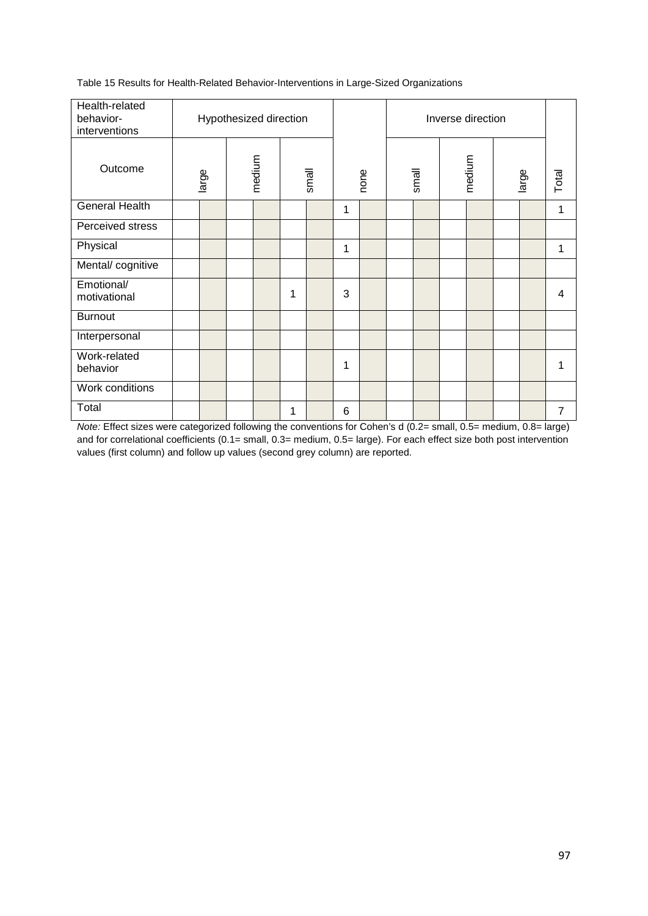Table 15 Results for Health-Related Behavior-Interventions in Large-Sized Organizations

| Health-related<br>behavior-<br>interventions |       | Hypothesized direction |   |       |   |      |       | Inverse direction |       |       |
|----------------------------------------------|-------|------------------------|---|-------|---|------|-------|-------------------|-------|-------|
| Outcome                                      | large | medium                 |   | small |   | none | small | medium            | large | Total |
| General Health                               |       |                        |   |       | 1 |      |       |                   |       | 1     |
| Perceived stress                             |       |                        |   |       |   |      |       |                   |       |       |
| Physical                                     |       |                        |   |       | 1 |      |       |                   |       | 1     |
| Mental/cognitive                             |       |                        |   |       |   |      |       |                   |       |       |
| Emotional/<br>motivational                   |       |                        | 1 |       | 3 |      |       |                   |       | 4     |
| <b>Burnout</b>                               |       |                        |   |       |   |      |       |                   |       |       |
| Interpersonal                                |       |                        |   |       |   |      |       |                   |       |       |
| Work-related<br>behavior                     |       |                        |   |       | 1 |      |       |                   |       |       |
| Work conditions                              |       |                        |   |       |   |      |       |                   |       |       |
| Total                                        |       |                        | 1 |       | 6 |      |       |                   |       | 7     |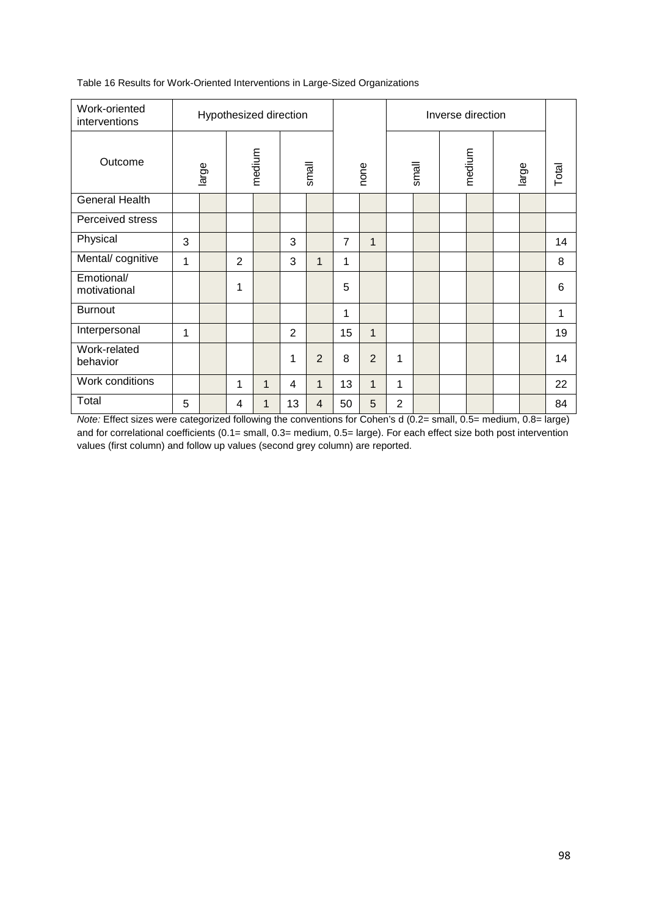| Work-oriented<br>interventions |   | Hypothesized direction |   |        |                |                |                |                |                |       | Inverse direction |       |       |
|--------------------------------|---|------------------------|---|--------|----------------|----------------|----------------|----------------|----------------|-------|-------------------|-------|-------|
| Outcome                        |   | large                  |   | medium |                | small          |                | none           |                | small | medium            | large | Total |
| <b>General Health</b>          |   |                        |   |        |                |                |                |                |                |       |                   |       |       |
| Perceived stress               |   |                        |   |        |                |                |                |                |                |       |                   |       |       |
| Physical                       | 3 |                        |   |        | 3              |                | $\overline{7}$ | $\mathbf{1}$   |                |       |                   |       | 14    |
| Mental/cognitive               | 1 |                        | 2 |        | 3              | $\mathbf{1}$   | 1              |                |                |       |                   |       | 8     |
| Emotional/<br>motivational     |   |                        | 1 |        |                |                | 5              |                |                |       |                   |       | 6     |
| <b>Burnout</b>                 |   |                        |   |        |                |                | 1              |                |                |       |                   |       | 1     |
| Interpersonal                  | 1 |                        |   |        | $\overline{2}$ |                | 15             | $\mathbf{1}$   |                |       |                   |       | 19    |
| Work-related<br>behavior       |   |                        |   |        | 1              | $\overline{2}$ | 8              | $\overline{2}$ | 1              |       |                   |       | 14    |
| Work conditions                |   |                        | 1 | 1      | 4              | 1              | 13             | 1              | 1              |       |                   |       | 22    |
| Total                          | 5 |                        | 4 | 1      | 13             | 4              | 50             | 5              | $\overline{2}$ |       |                   |       | 84    |

Table 16 Results for Work-Oriented Interventions in Large-Sized Organizations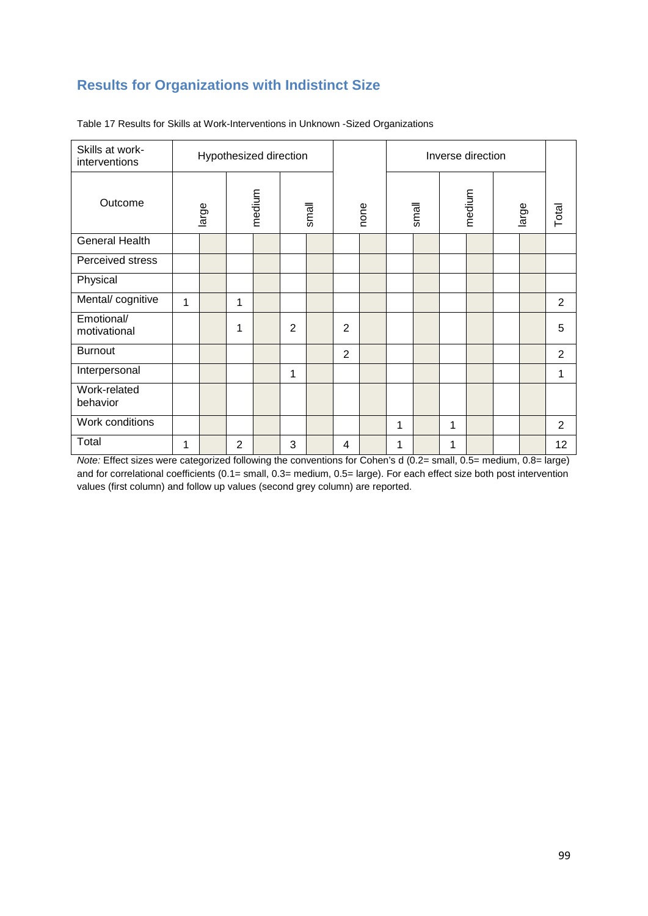### **Results for Organizations with Indistinct Size**

| Skills at work-<br>interventions |   |       |                | Hypothesized direction |                |       |                |      |   |       |   | Inverse direction |       |                |
|----------------------------------|---|-------|----------------|------------------------|----------------|-------|----------------|------|---|-------|---|-------------------|-------|----------------|
| Outcome                          |   | large |                | medium                 |                | small |                | none |   | small |   | medium            | large | Total          |
| <b>General Health</b>            |   |       |                |                        |                |       |                |      |   |       |   |                   |       |                |
| Perceived stress                 |   |       |                |                        |                |       |                |      |   |       |   |                   |       |                |
| Physical                         |   |       |                |                        |                |       |                |      |   |       |   |                   |       |                |
| Mental/ cognitive                | 1 |       | 1              |                        |                |       |                |      |   |       |   |                   |       | 2              |
| Emotional/<br>motivational       |   |       | 1              |                        | $\overline{2}$ |       | $\overline{2}$ |      |   |       |   |                   |       | 5              |
| <b>Burnout</b>                   |   |       |                |                        |                |       | $\overline{2}$ |      |   |       |   |                   |       | $\overline{2}$ |
| Interpersonal                    |   |       |                |                        | 1              |       |                |      |   |       |   |                   |       | 1              |
| Work-related<br>behavior         |   |       |                |                        |                |       |                |      |   |       |   |                   |       |                |
| Work conditions                  |   |       |                |                        |                |       |                |      | 1 |       | 1 |                   |       | $\overline{2}$ |
| Total                            | 1 |       | $\overline{2}$ |                        | 3              |       | 4              |      | 1 |       | 1 |                   |       | 12             |

Table 17 Results for Skills at Work-Interventions in Unknown -Sized Organizations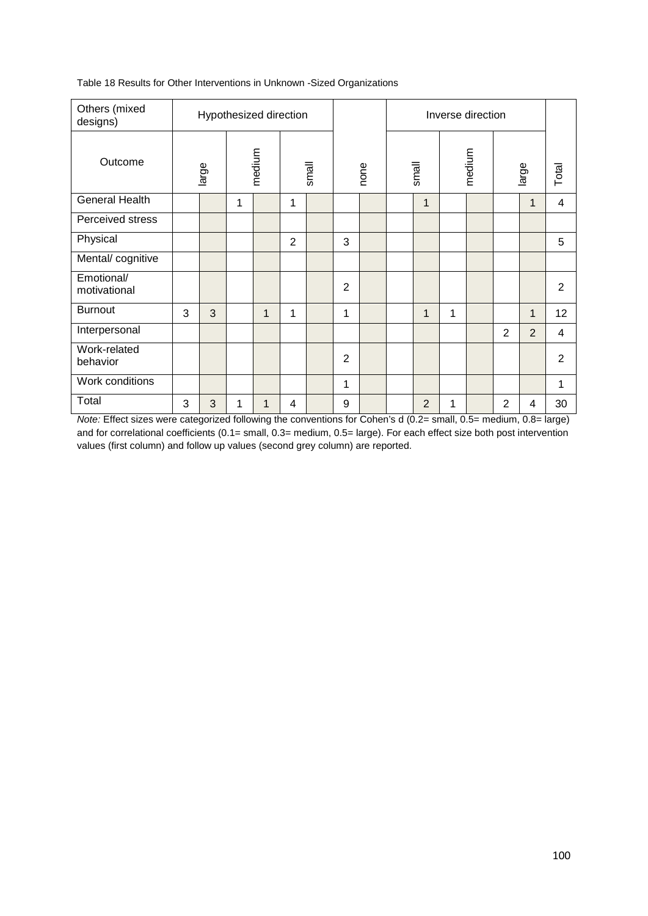| Others (mixed<br>designs)  |   | Hypothesized direction |   |              |                |       |                |      |                |   | Inverse direction |                |                |                 |
|----------------------------|---|------------------------|---|--------------|----------------|-------|----------------|------|----------------|---|-------------------|----------------|----------------|-----------------|
| Outcome                    |   | large                  |   | medium       |                | small |                | none | small          |   | medium            |                | large          | Total           |
| <b>General Health</b>      |   |                        | 1 |              | 1              |       |                |      | $\mathbf{1}$   |   |                   |                | 1              | 4               |
| Perceived stress           |   |                        |   |              |                |       |                |      |                |   |                   |                |                |                 |
| Physical                   |   |                        |   |              | $\overline{2}$ |       | 3              |      |                |   |                   |                |                | 5               |
| Mental/cognitive           |   |                        |   |              |                |       |                |      |                |   |                   |                |                |                 |
| Emotional/<br>motivational |   |                        |   |              |                |       | 2              |      |                |   |                   |                |                | $\overline{2}$  |
| <b>Burnout</b>             | 3 | 3                      |   | $\mathbf{1}$ | 1              |       | 1              |      | $\mathbf{1}$   | 1 |                   |                | 1              | 12 <sub>2</sub> |
| Interpersonal              |   |                        |   |              |                |       |                |      |                |   |                   | $\overline{2}$ | $\overline{2}$ | 4               |
| Work-related<br>behavior   |   |                        |   |              |                |       | $\overline{2}$ |      |                |   |                   |                |                | $\overline{2}$  |
| Work conditions            |   |                        |   |              |                |       | 1              |      |                |   |                   |                |                | 1               |
| Total                      | 3 | 3                      | 1 | 1            | 4              |       | 9              |      | $\overline{2}$ | 1 |                   | $\overline{2}$ | 4              | 30              |

Table 18 Results for Other Interventions in Unknown -Sized Organizations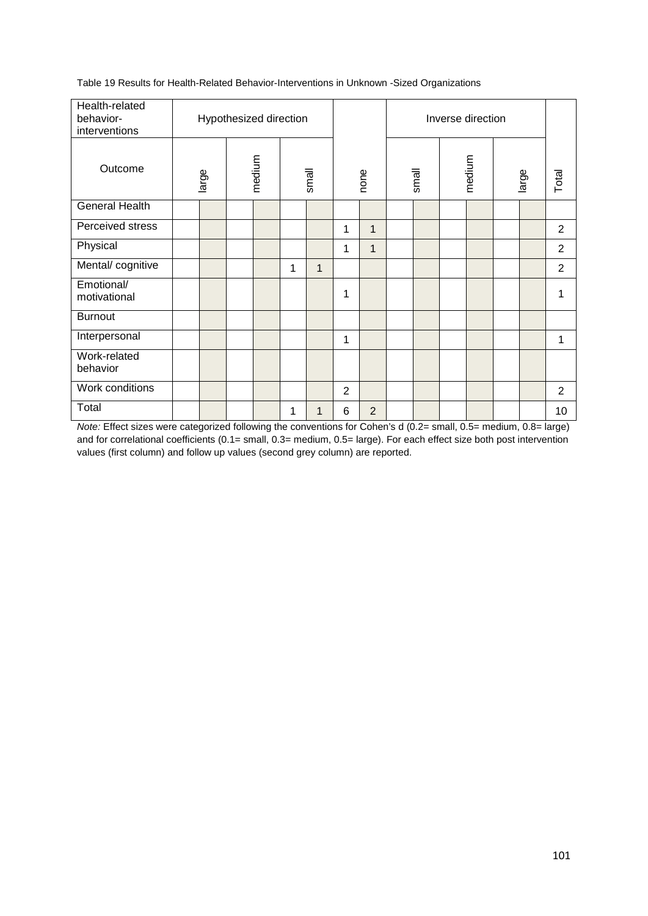Table 19 Results for Health-Related Behavior-Interventions in Unknown -Sized Organizations

| Health-related<br>behavior-<br>interventions |       |        | Hypothesized direction |   |       |   |                |       | Inverse direction |       |                |
|----------------------------------------------|-------|--------|------------------------|---|-------|---|----------------|-------|-------------------|-------|----------------|
| Outcome                                      | large | medium |                        |   | small |   | none           | small | medium            | large | Total          |
| <b>General Health</b>                        |       |        |                        |   |       |   |                |       |                   |       |                |
| Perceived stress                             |       |        |                        |   |       | 1 | $\mathbf 1$    |       |                   |       | $\overline{2}$ |
| Physical                                     |       |        |                        |   |       | 1 | $\mathbf{1}$   |       |                   |       | $\overline{2}$ |
| Mental/cognitive                             |       |        |                        | 1 | 1     |   |                |       |                   |       | $\overline{2}$ |
| Emotional/<br>motivational                   |       |        |                        |   |       | 1 |                |       |                   |       |                |
| <b>Burnout</b>                               |       |        |                        |   |       |   |                |       |                   |       |                |
| Interpersonal                                |       |        |                        |   |       | 1 |                |       |                   |       | 1              |
| Work-related<br>behavior                     |       |        |                        |   |       |   |                |       |                   |       |                |
| Work conditions                              |       |        |                        |   |       | 2 |                |       |                   |       | 2              |
| Total                                        |       |        |                        | 1 | 1     | 6 | $\overline{2}$ |       |                   |       | 10             |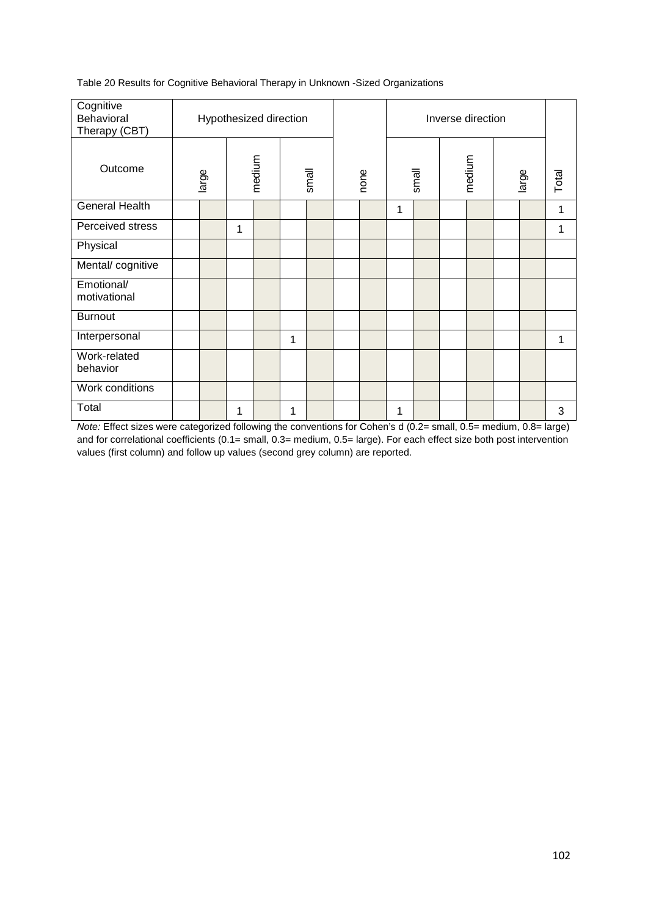Table 20 Results for Cognitive Behavioral Therapy in Unknown -Sized Organizations

| Cognitive<br>Behavioral<br>Therapy (CBT) | Hypothesized direction |              |        |   |       |      |   |       | Inverse direction |       |       |
|------------------------------------------|------------------------|--------------|--------|---|-------|------|---|-------|-------------------|-------|-------|
| Outcome                                  | large                  |              | medium |   | small | none |   | small | medium            | large | Total |
| <b>General Health</b>                    |                        |              |        |   |       |      | 1 |       |                   |       | 1     |
| Perceived stress                         |                        | $\mathbf{1}$ |        |   |       |      |   |       |                   |       | 1     |
| Physical                                 |                        |              |        |   |       |      |   |       |                   |       |       |
| Mental/cognitive                         |                        |              |        |   |       |      |   |       |                   |       |       |
| Emotional/<br>motivational               |                        |              |        |   |       |      |   |       |                   |       |       |
| <b>Burnout</b>                           |                        |              |        |   |       |      |   |       |                   |       |       |
| Interpersonal                            |                        |              |        | 1 |       |      |   |       |                   |       | 1     |
| Work-related<br>behavior                 |                        |              |        |   |       |      |   |       |                   |       |       |
| Work conditions                          |                        |              |        |   |       |      |   |       |                   |       |       |
| Total                                    |                        | 1            |        | 1 |       |      | 1 |       |                   |       | 3     |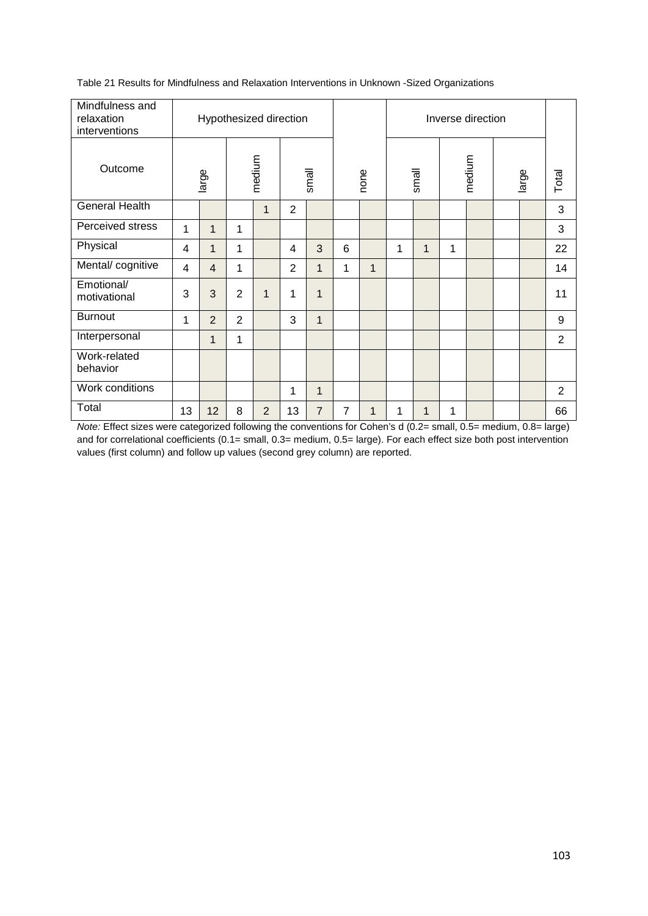| Mindfulness and<br>relaxation<br>interventions |    |                |                | Hypothesized direction |                |                |   |      |   |       |   | Inverse direction |       |       |
|------------------------------------------------|----|----------------|----------------|------------------------|----------------|----------------|---|------|---|-------|---|-------------------|-------|-------|
| Outcome                                        |    | large          |                | medium                 |                | small          |   | none |   | small |   | medium            | large | Total |
| General Health                                 |    |                |                | $\mathbf{1}$           | $\overline{2}$ |                |   |      |   |       |   |                   |       | 3     |
| Perceived stress                               | 1  | 1              | 1              |                        |                |                |   |      |   |       |   |                   |       | 3     |
| Physical                                       | 4  | 1              | 1              |                        | 4              | 3              | 6 |      | 1 | 1     | 1 |                   |       | 22    |
| Mental/cognitive                               | 4  | $\overline{4}$ | 1              |                        | 2              | $\mathbf{1}$   | 1 | 1    |   |       |   |                   |       | 14    |
| Emotional/<br>motivational                     | 3  | 3              | $\overline{2}$ | $\mathbf{1}$           | 1              | 1              |   |      |   |       |   |                   |       | 11    |
| <b>Burnout</b>                                 | 1  | $\overline{2}$ | $\overline{2}$ |                        | 3              | 1              |   |      |   |       |   |                   |       | 9     |
| Interpersonal                                  |    | 1              | 1              |                        |                |                |   |      |   |       |   |                   |       | 2     |
| Work-related<br>behavior                       |    |                |                |                        |                |                |   |      |   |       |   |                   |       |       |
| Work conditions                                |    |                |                |                        | 1              | $\mathbf{1}$   |   |      |   |       |   |                   |       | 2     |
| Total                                          | 13 | 12             | 8              | $\overline{2}$         | 13             | $\overline{7}$ | 7 | 1    | 1 | 1     | 1 |                   |       | 66    |

Table 21 Results for Mindfulness and Relaxation Interventions in Unknown -Sized Organizations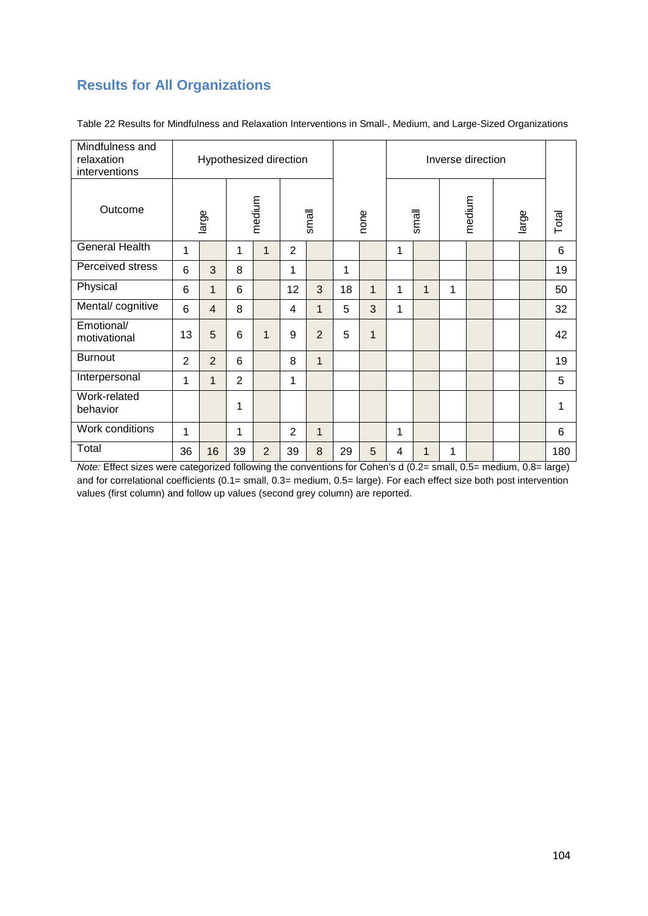### **Results for All Organizations**

| Mindfulness and<br>relaxation<br>interventions |                |                |                 |                | Hypothesized direction |                |    |              |   |              |   | Inverse direction |       |       |
|------------------------------------------------|----------------|----------------|-----------------|----------------|------------------------|----------------|----|--------------|---|--------------|---|-------------------|-------|-------|
| Outcome                                        |                | large          |                 | medium         |                        | small          |    | none         |   | small        |   | medium            | large | Total |
| <b>General Health</b>                          | 1              |                | 1               | $\mathbf{1}$   | $\overline{2}$         |                |    |              | 1 |              |   |                   |       | 6     |
| Perceived stress                               | 6              | 3              | 8               |                | $\mathbf{1}$           |                | 1  |              |   |              |   |                   |       | 19    |
| Physical                                       | 6              | $\mathbf 1$    | 6               |                | 12                     | 3              | 18 | 1            | 1 | $\mathbf{1}$ | 1 |                   |       | 50    |
| Mental/cognitive                               | 6              | $\overline{4}$ | 8               |                | 4                      | 1              | 5  | 3            | 1 |              |   |                   |       | 32    |
| Emotional/<br>motivational                     | 13             | 5              | $6\phantom{1}6$ | $\mathbf{1}$   | 9                      | $\overline{2}$ | 5  | $\mathbf{1}$ |   |              |   |                   |       | 42    |
| <b>Burnout</b>                                 | $\overline{2}$ | $\overline{2}$ | 6               |                | 8                      | 1              |    |              |   |              |   |                   |       | 19    |
| Interpersonal                                  | 1              | 1              | 2               |                | 1                      |                |    |              |   |              |   |                   |       | 5     |
| Work-related<br>behavior                       |                |                | 1               |                |                        |                |    |              |   |              |   |                   |       | 1     |
| Work conditions                                | 1              |                | 1               |                | $\overline{2}$         | 1              |    |              | 1 |              |   |                   |       | 6     |
| Total                                          | 36             | 16             | 39              | $\overline{2}$ | 39                     | 8              | 29 | 5            | 4 | 1            | 1 |                   |       | 180   |

Table 22 Results for Mindfulness and Relaxation Interventions in Small-, Medium, and Large-Sized Organizations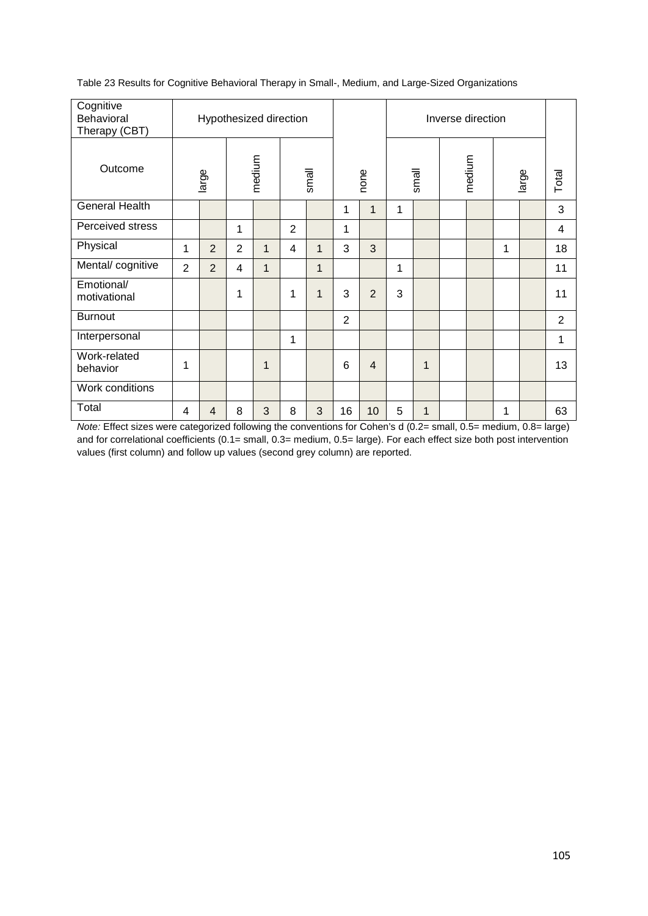| Cognitive<br>Behavioral<br>Therapy (CBT) |                |                |                | Hypothesized direction |                |              |                |                |   |       | Inverse direction |   |       |       |
|------------------------------------------|----------------|----------------|----------------|------------------------|----------------|--------------|----------------|----------------|---|-------|-------------------|---|-------|-------|
| Outcome                                  |                | large          |                | medium                 |                | small        |                | none           |   | small | medium            |   | large | Total |
| <b>General Health</b>                    |                |                |                |                        |                |              | 1              | $\mathbf{1}$   | 1 |       |                   |   |       | 3     |
| Perceived stress                         |                |                | 1              |                        | $\overline{2}$ |              | 1              |                |   |       |                   |   |       | 4     |
| Physical                                 | 1              | 2              | $\overline{2}$ | $\mathbf{1}$           | 4              | $\mathbf 1$  | 3              | 3              |   |       |                   | 1 |       | 18    |
| Mental/cognitive                         | $\overline{2}$ | 2              | 4              | $\mathbf{1}$           |                | $\mathbf{1}$ |                |                | 1 |       |                   |   |       | 11    |
| Emotional/<br>motivational               |                |                | 1              |                        | 1              | $\mathbf{1}$ | 3              | 2              | 3 |       |                   |   |       | 11    |
| <b>Burnout</b>                           |                |                |                |                        |                |              | $\overline{2}$ |                |   |       |                   |   |       | 2     |
| Interpersonal                            |                |                |                |                        | 1              |              |                |                |   |       |                   |   |       | 1     |
| Work-related<br>behavior                 | 1              |                |                | 1                      |                |              | 6              | $\overline{4}$ |   | 1     |                   |   |       | 13    |
| Work conditions                          |                |                |                |                        |                |              |                |                |   |       |                   |   |       |       |
| Total                                    | 4              | $\overline{4}$ | 8              | 3                      | 8              | 3            | 16             | 10             | 5 | 1     |                   | 1 |       | 63    |

Table 23 Results for Cognitive Behavioral Therapy in Small-, Medium, and Large-Sized Organizations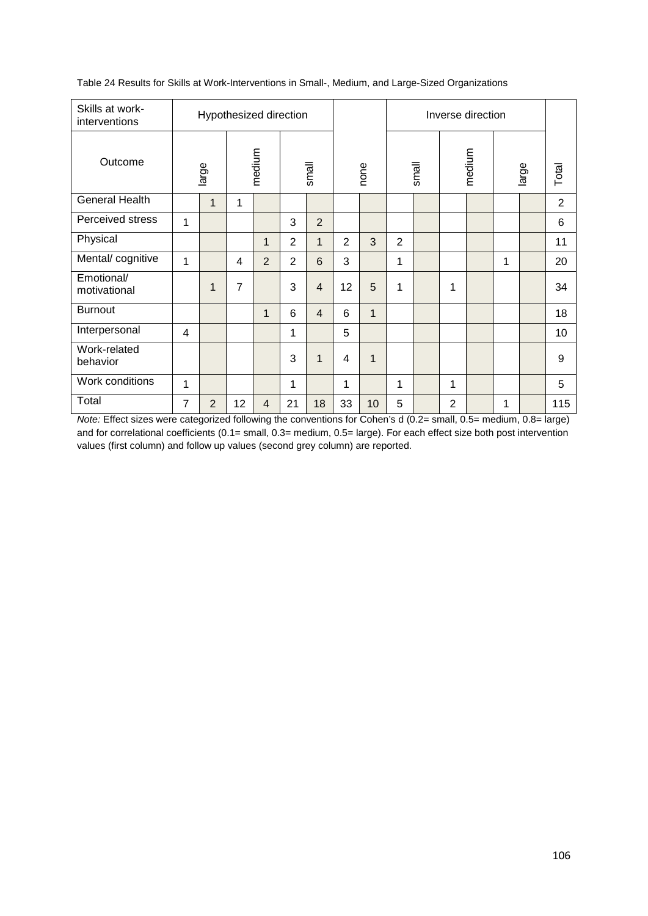| Skills at work-<br>interventions |   |                |                | Hypothesized direction |                |                |                |              |                |       |                | Inverse direction |   |       |                |
|----------------------------------|---|----------------|----------------|------------------------|----------------|----------------|----------------|--------------|----------------|-------|----------------|-------------------|---|-------|----------------|
| Outcome                          |   | large          |                | medium                 |                | small          |                | none         |                | small |                | medium            |   | large | Total          |
| <b>General Health</b>            |   | $\mathbf{1}$   | 1              |                        |                |                |                |              |                |       |                |                   |   |       | $\overline{2}$ |
| Perceived stress                 | 1 |                |                |                        | 3              | $\overline{2}$ |                |              |                |       |                |                   |   |       | 6              |
| Physical                         |   |                |                | 1                      | $\overline{2}$ | 1              | $\overline{2}$ | 3            | $\overline{2}$ |       |                |                   |   |       | 11             |
| Mental/cognitive                 | 1 |                | $\overline{4}$ | 2                      | $\overline{2}$ | 6              | 3              |              | 1              |       |                |                   | 1 |       | 20             |
| Emotional/<br>motivational       |   | 1              | $\overline{7}$ |                        | 3              | $\overline{4}$ | 12             | 5            | 1              |       | 1              |                   |   |       | 34             |
| <b>Burnout</b>                   |   |                |                | $\mathbf 1$            | 6              | $\overline{4}$ | 6              | $\mathbf{1}$ |                |       |                |                   |   |       | 18             |
| Interpersonal                    | 4 |                |                |                        | $\mathbf{1}$   |                | 5              |              |                |       |                |                   |   |       | 10             |
| Work-related<br>behavior         |   |                |                |                        | 3              | 1              | 4              | $\mathbf{1}$ |                |       |                |                   |   |       | 9              |
| Work conditions                  | 1 |                |                |                        | 1              |                | 1              |              | 1              |       | 1              |                   |   |       | 5              |
| Total                            | 7 | $\overline{2}$ | 12             | 4                      | 21             | 18             | 33             | 10           | 5              |       | $\overline{2}$ |                   | 1 |       | 115            |

Table 24 Results for Skills at Work-Interventions in Small-, Medium, and Large-Sized Organizations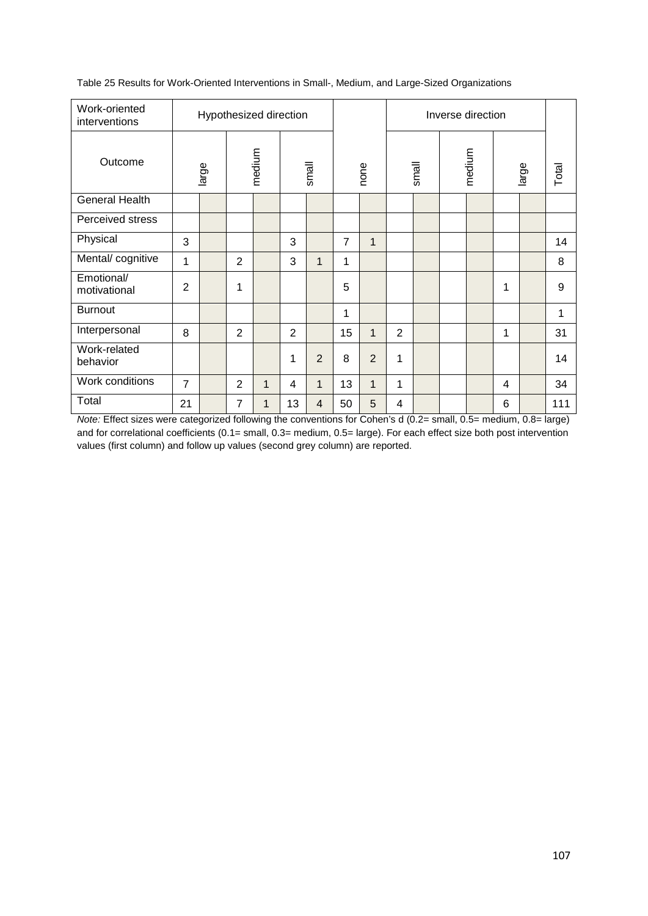| Work-oriented<br>interventions |                | Hypothesized direction |                |              |                |                |    |                |                |       | Inverse direction |                |       |       |
|--------------------------------|----------------|------------------------|----------------|--------------|----------------|----------------|----|----------------|----------------|-------|-------------------|----------------|-------|-------|
| Outcome                        |                | large                  |                | medium       |                | small          |    | none           |                | small | medium            |                | large | Total |
| <b>General Health</b>          |                |                        |                |              |                |                |    |                |                |       |                   |                |       |       |
| Perceived stress               |                |                        |                |              |                |                |    |                |                |       |                   |                |       |       |
| Physical                       | 3              |                        |                |              | 3              |                | 7  | $\mathbf{1}$   |                |       |                   |                |       | 14    |
| Mental/ cognitive              | 1              |                        | $\overline{2}$ |              | 3              | 1              | 1  |                |                |       |                   |                |       | 8     |
| Emotional/<br>motivational     | $\overline{2}$ |                        | 1              |              |                |                | 5  |                |                |       |                   | 1              |       | 9     |
| <b>Burnout</b>                 |                |                        |                |              |                |                | 1  |                |                |       |                   |                |       | 1     |
| Interpersonal                  | 8              |                        | $\overline{2}$ |              | $\overline{2}$ |                | 15 | $\mathbf{1}$   | $\overline{2}$ |       |                   | 1              |       | 31    |
| Work-related<br>behavior       |                |                        |                |              | 1              | $\overline{2}$ | 8  | $\overline{2}$ | 1              |       |                   |                |       | 14    |
| Work conditions                | $\overline{7}$ |                        | 2              | $\mathbf{1}$ | 4              | $\mathbf{1}$   | 13 | $\mathbf{1}$   | 1              |       |                   | $\overline{4}$ |       | 34    |
| Total                          | 21             |                        | 7              | $\mathbf{1}$ | 13             | $\overline{4}$ | 50 | 5              | 4              |       |                   | 6              |       | 111   |

Table 25 Results for Work-Oriented Interventions in Small-, Medium, and Large-Sized Organizations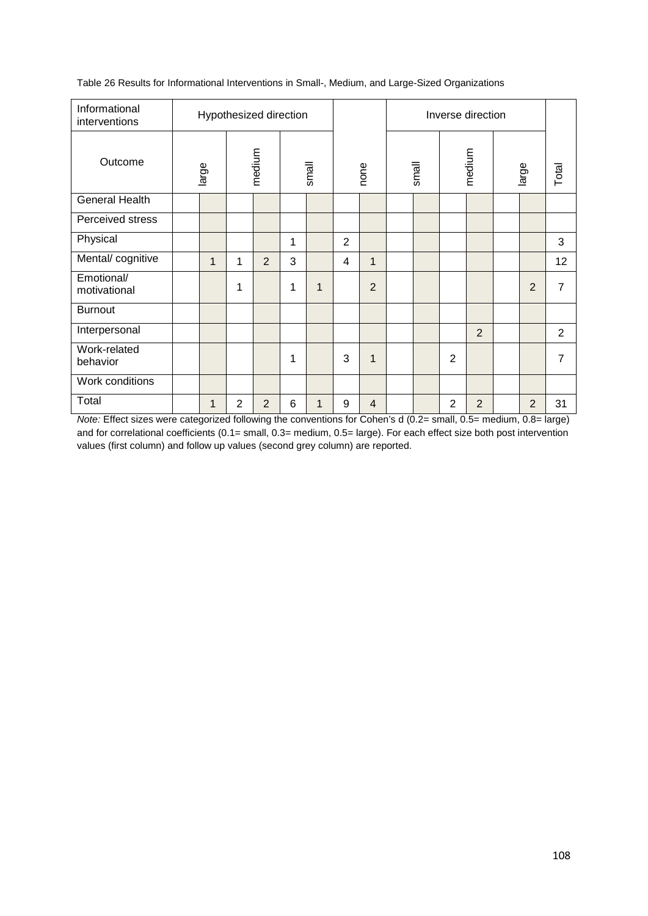| Informational<br>interventions | Hypothesized direction |              |                |                |       |             |                |                | Inverse direction |  |                |                |       |                |                |
|--------------------------------|------------------------|--------------|----------------|----------------|-------|-------------|----------------|----------------|-------------------|--|----------------|----------------|-------|----------------|----------------|
| Outcome                        | large                  |              | medium         |                | small |             | none           |                | small             |  | medium         |                | large |                | Total          |
| <b>General Health</b>          |                        |              |                |                |       |             |                |                |                   |  |                |                |       |                |                |
| Perceived stress               |                        |              |                |                |       |             |                |                |                   |  |                |                |       |                |                |
| Physical                       |                        |              |                |                | 1     |             | $\overline{2}$ |                |                   |  |                |                |       |                | 3              |
| Mental/cognitive               |                        | $\mathbf{1}$ | 1              | 2              | 3     |             | 4              | 1              |                   |  |                |                |       |                | 12             |
| Emotional/<br>motivational     |                        |              | 1              |                | 1     | $\mathbf 1$ |                | $\overline{2}$ |                   |  |                |                |       | $\overline{2}$ | 7              |
| <b>Burnout</b>                 |                        |              |                |                |       |             |                |                |                   |  |                |                |       |                |                |
| Interpersonal                  |                        |              |                |                |       |             |                |                |                   |  |                | $\overline{2}$ |       |                | $\overline{2}$ |
| Work-related<br>behavior       |                        |              |                |                | 1     |             | 3              | 1              |                   |  | $\overline{2}$ |                |       |                | 7              |
| Work conditions                |                        |              |                |                |       |             |                |                |                   |  |                |                |       |                |                |
| Total                          |                        | $\mathbf{1}$ | $\overline{2}$ | $\overline{2}$ | 6     | 1           | 9              | $\overline{4}$ |                   |  | $\overline{2}$ | $\overline{2}$ |       | $\overline{2}$ | 31             |

Table 26 Results for Informational Interventions in Small-, Medium, and Large-Sized Organizations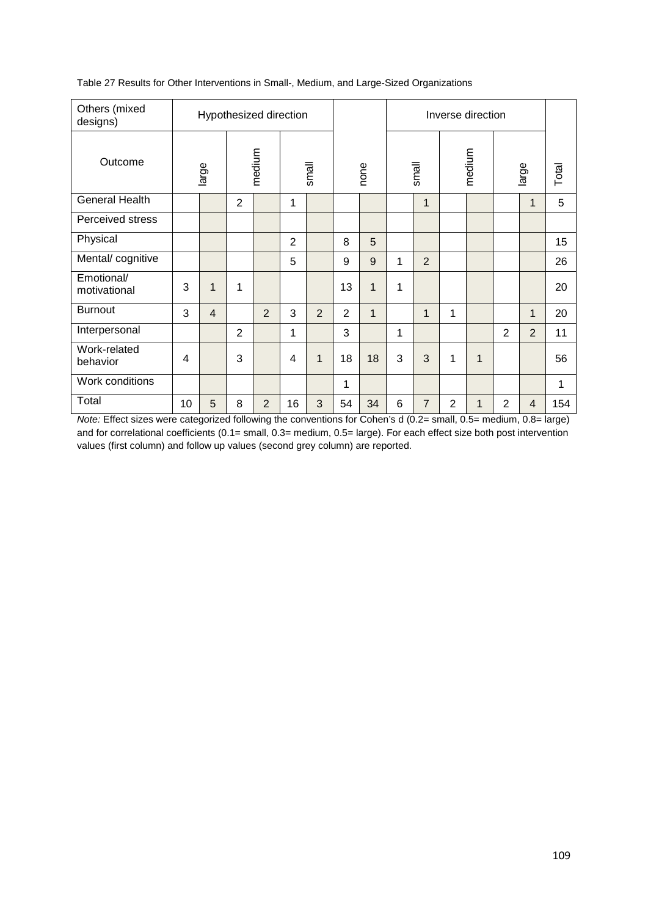| Others (mixed<br>designs)  | Hypothesized direction |                 |        |   |                |   |      |              | Inverse direction |                |                |             |                |                |       |
|----------------------------|------------------------|-----------------|--------|---|----------------|---|------|--------------|-------------------|----------------|----------------|-------------|----------------|----------------|-------|
| Outcome                    | large                  |                 | medium |   | small          |   | none |              | small             |                | medium         |             | large          |                | Total |
| <b>General Health</b>      |                        |                 | 2      |   | 1              |   |      |              |                   | $\mathbf{1}$   |                |             |                | $\mathbf{1}$   | 5     |
| Perceived stress           |                        |                 |        |   |                |   |      |              |                   |                |                |             |                |                |       |
| Physical                   |                        |                 |        |   | $\overline{2}$ |   | 8    | 5            |                   |                |                |             |                |                | 15    |
| Mental/cognitive           |                        |                 |        |   | 5              |   | 9    | 9            | 1                 | $\overline{2}$ |                |             |                |                | 26    |
| Emotional/<br>motivational | 3                      | 1               | 1      |   |                |   | 13   | 1            | 1                 |                |                |             |                |                | 20    |
| <b>Burnout</b>             | 3                      | $\overline{4}$  |        | 2 | 3              | 2 | 2    | $\mathbf{1}$ |                   | $\mathbf 1$    | 1              |             |                | $\mathbf{1}$   | 20    |
| Interpersonal              |                        |                 | 2      |   | 1              |   | 3    |              | 1                 |                |                |             | $\overline{2}$ | $\overline{2}$ | 11    |
| Work-related<br>behavior   | 4                      |                 | 3      |   | 4              | 1 | 18   | 18           | 3                 | 3              | 1              | 1           |                |                | 56    |
| Work conditions            |                        |                 |        |   |                |   | 1    |              |                   |                |                |             |                |                | 1     |
| Total<br>- - -             | 10                     | $5\phantom{.0}$ | 8      | 2 | 16             | 3 | 54   | 34           | 6                 | $\overline{7}$ | $\overline{2}$ | $\mathbf 1$ | 2              | $\overline{4}$ | 154   |

Table 27 Results for Other Interventions in Small-, Medium, and Large-Sized Organizations

*Note:* Effect sizes were categorized following the conventions for Cohen's d (0.2= small, 0.5= medium, 0.8= large) and for correlational coefficients (0.1= small, 0.3= medium, 0.5= large). For each effect size both post intervention values (first column) and follow up values (second grey column) are reported.